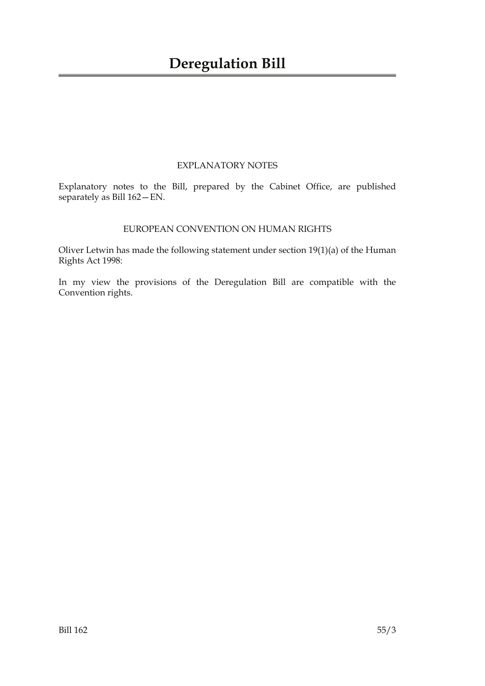## EXPLANATORY NOTES

Explanatory notes to the Bill, prepared by the Cabinet Office, are published separately as Bill 162—EN.

## EUROPEAN CONVENTION ON HUMAN RIGHTS

Oliver Letwin has made the following statement under section 19(1)(a) of the Human Rights Act 1998:

In my view the provisions of the Deregulation Bill are compatible with the Convention rights.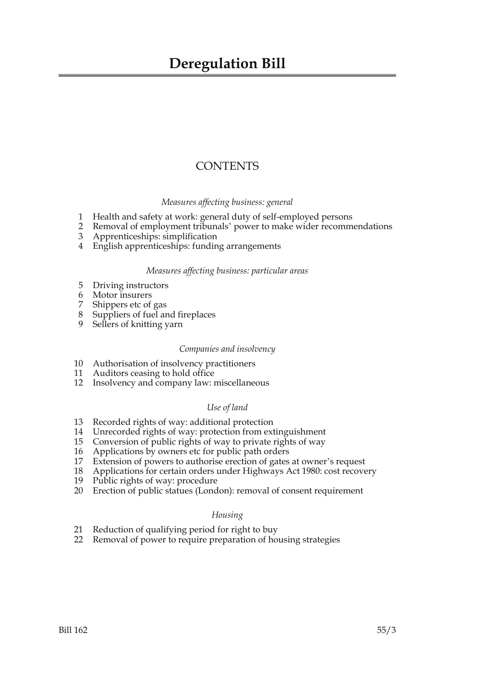## **CONTENTS**

## *Measures affecting business: general*

- 1 Health and safety at work: general duty of self-employed persons
- 2 Removal of employment tribunals' power to make wider recommendations
- 3 Apprenticeships: simplification
- 4 English apprenticeships: funding arrangements

## *Measures affecting business: particular areas*

- 5 Driving instructors
- 6 Motor insurers
- 7 Shippers etc of gas
- 8 Suppliers of fuel and fireplaces
- 9 Sellers of knitting yarn

## *Companies and insolvency*

- 10 Authorisation of insolvency practitioners
- 11 Auditors ceasing to hold office
- 12 Insolvency and company law: miscellaneous

## *Use of land*

- 13 Recorded rights of way: additional protection
- 14 Unrecorded rights of way: protection from extinguishment
- 15 Conversion of public rights of way to private rights of way
- 16 Applications by owners etc for public path orders<br>17 Extension of powers to authorise erection of gates
- Extension of powers to authorise erection of gates at owner's request
- 18 Applications for certain orders under Highways Act 1980: cost recovery
- 19 Public rights of way: procedure
- 20 Erection of public statues (London): removal of consent requirement

## *Housing*

- 21 Reduction of qualifying period for right to buy
- 22 Removal of power to require preparation of housing strategies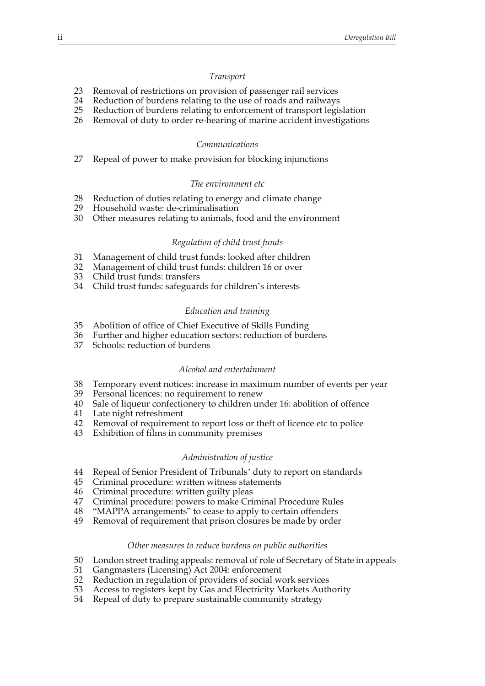#### *Transport*

- 23 Removal of restrictions on provision of passenger rail services
- 24 Reduction of burdens relating to the use of roads and railways
- 25 Reduction of burdens relating to enforcement of transport legislation
- 26 Removal of duty to order re-hearing of marine accident investigations

#### *Communications*

27 Repeal of power to make provision for blocking injunctions

#### *The environment etc*

- 28 Reduction of duties relating to energy and climate change
- 29 Household waste: de-criminalisation
- 30 Other measures relating to animals, food and the environment

#### *Regulation of child trust funds*

- 31 Management of child trust funds: looked after children
- 32 Management of child trust funds: children 16 or over
- 33 Child trust funds: transfers
- 34 Child trust funds: safeguards for children's interests

#### *Education and training*

- 35 Abolition of office of Chief Executive of Skills Funding
- 36 Further and higher education sectors: reduction of burdens
- 37 Schools: reduction of burdens

#### *Alcohol and entertainment*

- 38 Temporary event notices: increase in maximum number of events per year
- 39 Personal licences: no requirement to renew
- 40 Sale of liqueur confectionery to children under 16: abolition of offence
- 41 Late night refreshment
- 42 Removal of requirement to report loss or theft of licence etc to police
- 43 Exhibition of films in community premises

### *Administration of justice*

- 44 Repeal of Senior President of Tribunals' duty to report on standards
- 45 Criminal procedure: written witness statements
- 46 Criminal procedure: written guilty pleas
- 47 Criminal procedure: powers to make Criminal Procedure Rules
- 48 "MAPPA arrangements" to cease to apply to certain offenders
- 49 Removal of requirement that prison closures be made by order

#### *Other measures to reduce burdens on public authorities*

- 50 London street trading appeals: removal of role of Secretary of State in appeals
- 51 Gangmasters (Licensing) Act 2004: enforcement
- 52 Reduction in regulation of providers of social work services
- 53 Access to registers kept by Gas and Electricity Markets Authority
- 54 Repeal of duty to prepare sustainable community strategy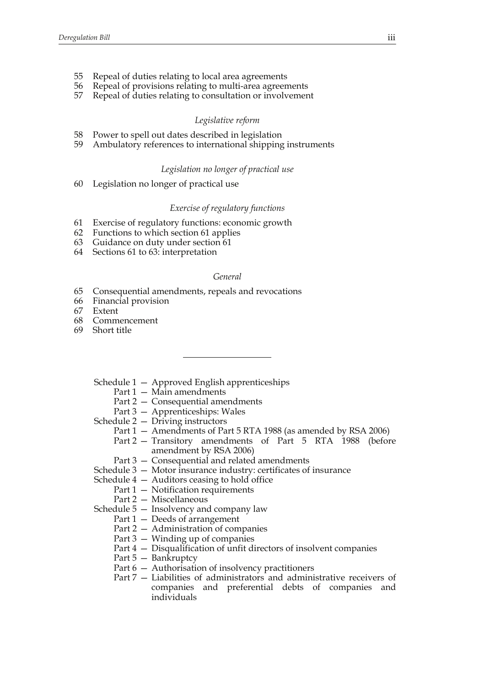- 55 Repeal of duties relating to local area agreements
- 56 Repeal of provisions relating to multi-area agreements
- 57 Repeal of duties relating to consultation or involvement

#### *Legislative reform*

- 58 Power to spell out dates described in legislation
- 59 Ambulatory references to international shipping instruments

#### *Legislation no longer of practical use*

60 Legislation no longer of practical use

### *Exercise of regulatory functions*

- 61 Exercise of regulatory functions: economic growth
- 62 Functions to which section 61 applies
- 63 Guidance on duty under section 61
- 64 Sections 61 to 63: interpretation

## *General*

- 65 Consequential amendments, repeals and revocations
- 66 Financial provision
- 67 Extent
- 68 Commencement
- 69 Short title
	- Schedule 1 Approved English apprenticeships
		- Part 1 Main amendments
		- Part 2 Consequential amendments
		- Part 3 Apprenticeships: Wales
	- Schedule 2 Driving instructors
		- Part 1 Amendments of Part 5 RTA 1988 (as amended by RSA 2006)
		- Part 2 Transitory amendments of Part 5 RTA 1988 (before amendment by RSA 2006)
		- Part 3 Consequential and related amendments
	- Schedule 3 Motor insurance industry: certificates of insurance
	- Schedule 4 Auditors ceasing to hold office
		- Part 1 Notification requirements
		- Part 2 Miscellaneous
	- Schedule 5 Insolvency and company law
		- Part 1 Deeds of arrangement
		- Part 2 Administration of companies
		- Part 3 Winding up of companies
		- Part 4 Disqualification of unfit directors of insolvent companies
		- Part 5 Bankruptcy
		- Part 6 Authorisation of insolvency practitioners
		- Part 7 Liabilities of administrators and administrative receivers of companies and preferential debts of companies and individuals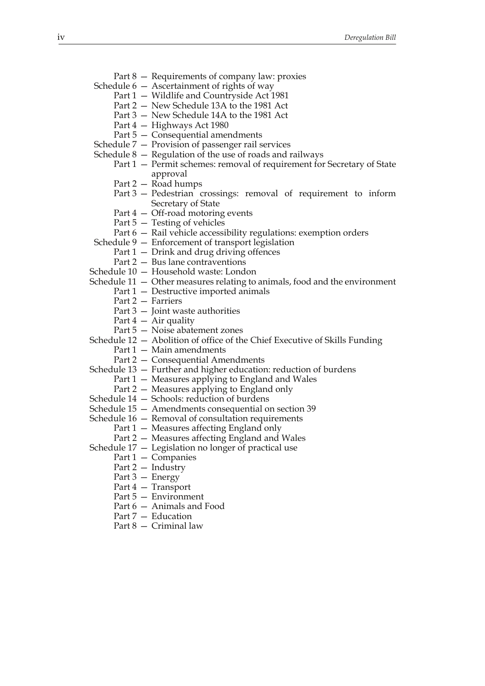- Part 8 Requirements of company law: proxies
- Schedule 6 Ascertainment of rights of way
	- Part 1 Wildlife and Countryside Act 1981
	- Part 2 New Schedule 13A to the 1981 Act
	- Part 3 New Schedule 14A to the 1981 Act
	- Part 4 Highways Act 1980
	- Part 5 Consequential amendments
- Schedule 7 Provision of passenger rail services
- Schedule 8 Regulation of the use of roads and railways
	- Part 1 Permit schemes: removal of requirement for Secretary of State approval
	- Part 2 Road humps
	- Part 3 Pedestrian crossings: removal of requirement to inform Secretary of State
	- Part 4 Off-road motoring events
	- Part 5 Testing of vehicles
	- Part 6 Rail vehicle accessibility regulations: exemption orders
- Schedule 9 Enforcement of transport legislation
	- Part 1 Drink and drug driving offences
		- Part 2 Bus lane contraventions
- Schedule 10 Household waste: London
- Schedule 11 Other measures relating to animals, food and the environment
	- Part 1 Destructive imported animals
	- Part 2 Farriers
	- Part 3 Joint waste authorities
	- Part  $4 Air$  quality
	- Part 5 Noise abatement zones
- Schedule 12 Abolition of office of the Chief Executive of Skills Funding
	- Part 1 Main amendments
	- Part 2 Consequential Amendments
- Schedule 13 Further and higher education: reduction of burdens
	- Part 1 Measures applying to England and Wales
		- Part 2 Measures applying to England only
- Schedule 14 Schools: reduction of burdens
- Schedule 15 Amendments consequential on section 39
- Schedule 16 Removal of consultation requirements
	- Part 1 Measures affecting England only
	- Part 2 Measures affecting England and Wales
- Schedule 17 Legislation no longer of practical use
	- Part 1 Companies
	- Part 2 Industry
	- Part 3 Energy
	- Part 4 Transport
	- Part 5 Environment
	- Part 6 Animals and Food
	- Part 7 Education
	- Part 8 Criminal law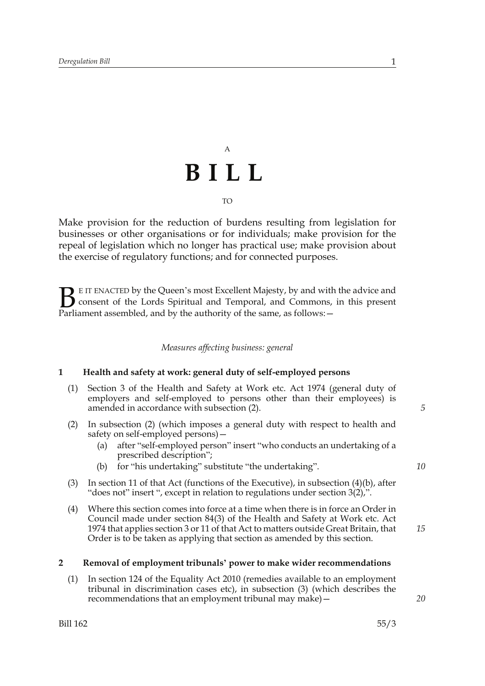# A **BILL** TO

Make provision for the reduction of burdens resulting from legislation for businesses or other organisations or for individuals; make provision for the repeal of legislation which no longer has practical use; make provision about the exercise of regulatory functions; and for connected purposes.

E IT ENACTED by the Queen's most Excellent Majesty, by and with the advice and consent of the Lords Spiritual and Temporal, and Commons, in this present **B** E IT ENACTED by the Queen's most Excellent Majesty, by and with consent of the Lords Spiritual and Temporal, and Commons, Parliament assembled, and by the authority of the same, as follows:  $-$ 

## *Measures affecting business: general*

## **1 Health and safety at work: general duty of self-employed persons**

- (1) Section 3 of the Health and Safety at Work etc. Act 1974 (general duty of employers and self-employed to persons other than their employees) is amended in accordance with subsection (2).
- (2) In subsection (2) (which imposes a general duty with respect to health and safety on self-employed persons)—
	- (a) after "self-employed person" insert "who conducts an undertaking of a prescribed description";
	- (b) for "his undertaking" substitute "the undertaking".
- (3) In section 11 of that Act (functions of the Executive), in subsection (4)(b), after "does not" insert ", except in relation to regulations under section 3(2),".
- (4) Where this section comes into force at a time when there is in force an Order in Council made under section 84(3) of the Health and Safety at Work etc. Act 1974 that applies section 3 or 11 of that Act to matters outside Great Britain, that Order is to be taken as applying that section as amended by this section.

## **2 Removal of employment tribunals' power to make wider recommendations**

(1) In section 124 of the Equality Act 2010 (remedies available to an employment tribunal in discrimination cases etc), in subsection (3) (which describes the recommendations that an employment tribunal may make)—

*20*

*15*

*5*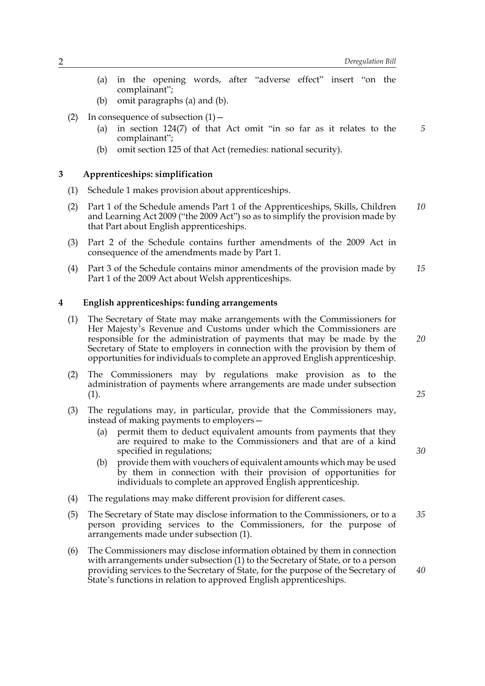- (a) in the opening words, after "adverse effect" insert "on the complainant";
- (b) omit paragraphs (a) and (b).
- (2) In consequence of subsection  $(1)$ 
	- (a) in section 124(7) of that Act omit "in so far as it relates to the complainant"; *5*
	- (b) omit section 125 of that Act (remedies: national security).

## **3 Apprenticeships: simplification**

- (1) Schedule 1 makes provision about apprenticeships.
- (2) Part 1 of the Schedule amends Part 1 of the Apprenticeships, Skills, Children and Learning Act 2009 ("the 2009 Act") so as to simplify the provision made by that Part about English apprenticeships. *10*
- (3) Part 2 of the Schedule contains further amendments of the 2009 Act in consequence of the amendments made by Part 1.
- (4) Part 3 of the Schedule contains minor amendments of the provision made by Part 1 of the 2009 Act about Welsh apprenticeships. *15*

## **4 English apprenticeships: funding arrangements**

- (1) The Secretary of State may make arrangements with the Commissioners for Her Majesty's Revenue and Customs under which the Commissioners are responsible for the administration of payments that may be made by the Secretary of State to employers in connection with the provision by them of opportunities for individuals to complete an approved English apprenticeship.
- (2) The Commissioners may by regulations make provision as to the administration of payments where arrangements are made under subsection  $(1).$
- (3) The regulations may, in particular, provide that the Commissioners may, instead of making payments to employers—
	- (a) permit them to deduct equivalent amounts from payments that they are required to make to the Commissioners and that are of a kind specified in regulations;
	- (b) provide them with vouchers of equivalent amounts which may be used by them in connection with their provision of opportunities for individuals to complete an approved English apprenticeship.
- (4) The regulations may make different provision for different cases.
- (5) The Secretary of State may disclose information to the Commissioners, or to a person providing services to the Commissioners, for the purpose of arrangements made under subsection (1). *35*
- (6) The Commissioners may disclose information obtained by them in connection with arrangements under subsection (1) to the Secretary of State, or to a person providing services to the Secretary of State, for the purpose of the Secretary of State's functions in relation to approved English apprenticeships.

*30*

*25*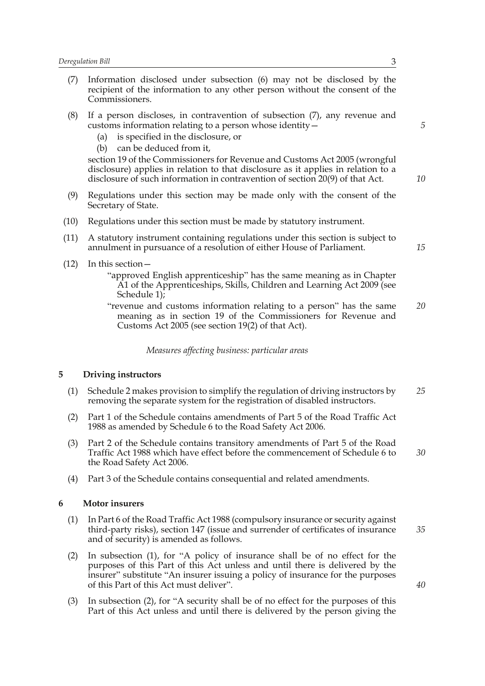- (7) Information disclosed under subsection (6) may not be disclosed by the recipient of the information to any other person without the consent of the Commissioners.
- (8) If a person discloses, in contravention of subsection (7), any revenue and customs information relating to a person whose identity—
	- (a) is specified in the disclosure, or
	- (b) can be deduced from it,

section 19 of the Commissioners for Revenue and Customs Act 2005 (wrongful disclosure) applies in relation to that disclosure as it applies in relation to a disclosure of such information in contravention of section 20(9) of that Act.

- (9) Regulations under this section may be made only with the consent of the Secretary of State.
- (10) Regulations under this section must be made by statutory instrument.
- (11) A statutory instrument containing regulations under this section is subject to annulment in pursuance of a resolution of either House of Parliament.
- (12) In this section—

"approved English apprenticeship" has the same meaning as in Chapter A1 of the Apprenticeships, Skills, Children and Learning Act 2009 (see Schedule 1);

"revenue and customs information relating to a person" has the same meaning as in section 19 of the Commissioners for Revenue and Customs Act 2005 (see section 19(2) of that Act). *20*

*Measures affecting business: particular areas*

## **5 Driving instructors**

- (1) Schedule 2 makes provision to simplify the regulation of driving instructors by removing the separate system for the registration of disabled instructors. *25*
- (2) Part 1 of the Schedule contains amendments of Part 5 of the Road Traffic Act 1988 as amended by Schedule 6 to the Road Safety Act 2006.
- (3) Part 2 of the Schedule contains transitory amendments of Part 5 of the Road Traffic Act 1988 which have effect before the commencement of Schedule 6 to the Road Safety Act 2006. *30*
- (4) Part 3 of the Schedule contains consequential and related amendments.

## **6 Motor insurers**

- (1) In Part 6 of the Road Traffic Act 1988 (compulsory insurance or security against third-party risks), section 147 (issue and surrender of certificates of insurance and of security) is amended as follows.
- (2) In subsection (1), for "A policy of insurance shall be of no effect for the purposes of this Part of this Act unless and until there is delivered by the insurer" substitute "An insurer issuing a policy of insurance for the purposes of this Part of this Act must deliver".
- (3) In subsection (2), for "A security shall be of no effect for the purposes of this Part of this Act unless and until there is delivered by the person giving the

*35*

*15*

*5*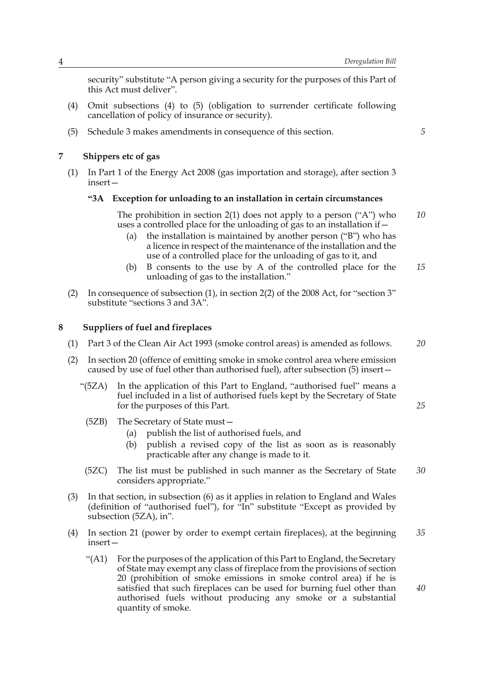security" substitute "A person giving a security for the purposes of this Part of this Act must deliver".

- (4) Omit subsections (4) to (5) (obligation to surrender certificate following cancellation of policy of insurance or security).
- (5) Schedule 3 makes amendments in consequence of this section.

## **7 Shippers etc of gas**

(1) In Part 1 of the Energy Act 2008 (gas importation and storage), after section 3 insert—

## **"3A Exception for unloading to an installation in certain circumstances**

The prohibition in section 2(1) does not apply to a person ("A") who uses a controlled place for the unloading of gas to an installation if— *10*

- (a) the installation is maintained by another person ("B") who has a licence in respect of the maintenance of the installation and the use of a controlled place for the unloading of gas to it, and
- (b) B consents to the use by A of the controlled place for the unloading of gas to the installation." *15*
- (2) In consequence of subsection (1), in section 2(2) of the 2008 Act, for "section 3" substitute "sections 3 and 3A".

## **8 Suppliers of fuel and fireplaces**

- (1) Part 3 of the Clean Air Act 1993 (smoke control areas) is amended as follows.
- (2) In section 20 (offence of emitting smoke in smoke control area where emission caused by use of fuel other than authorised fuel), after subsection (5) insert—
	- "(5ZA) In the application of this Part to England, "authorised fuel" means a fuel included in a list of authorised fuels kept by the Secretary of State for the purposes of this Part.
		- (5ZB) The Secretary of State must—
			- (a) publish the list of authorised fuels, and
			- (b) publish a revised copy of the list as soon as is reasonably practicable after any change is made to it.
	- (5ZC) The list must be published in such manner as the Secretary of State considers appropriate." *30*
- (3) In that section, in subsection (6) as it applies in relation to England and Wales (definition of "authorised fuel"), for "In" substitute "Except as provided by subsection (5ZA), in".
- (4) In section 21 (power by order to exempt certain fireplaces), at the beginning insert— *35*
	- "(A1) For the purposes of the application of this Part to England, the Secretary of State may exempt any class of fireplace from the provisions of section 20 (prohibition of smoke emissions in smoke control area) if he is satisfied that such fireplaces can be used for burning fuel other than authorised fuels without producing any smoke or a substantial quantity of smoke.

*5*

*20*

*25*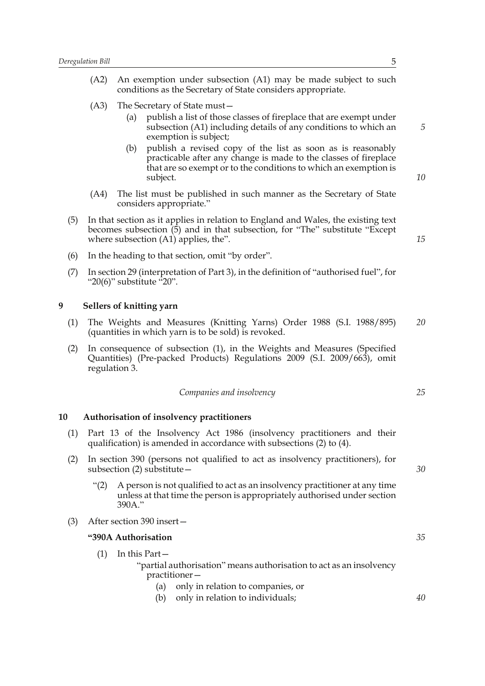| (A2) |     | An exemption under subsection (A1) may be made subject to such<br>conditions as the Secretary of State considers appropriate.                                                                                   |
|------|-----|-----------------------------------------------------------------------------------------------------------------------------------------------------------------------------------------------------------------|
| (A3) | (a) | The Secretary of State must-<br>publish a list of those classes of fireplace that are exempt under<br>subsection (A1) including details of any conditions to which an<br>exemption is subject;                  |
|      | (b) | publish a revised copy of the list as soon as is reasonably<br>practicable after any change is made to the classes of fireplace<br>that are so exempt or to the conditions to which an exemption is<br>subject. |
| (A4) |     | The list must be published in such manner as the Secretary of State<br>considers appropriate."                                                                                                                  |
|      |     | In that section as it applies in relation to $F$ ngland and Wales, the existing text                                                                                                                            |

(5) In that section as it applies in relation to England and Wales, the existing text becomes subsection (5) and in that subsection, for "The" substitute "Except where subsection (A1) applies, the".

- (6) In the heading to that section, omit "by order".
- (7) In section 29 (interpretation of Part 3), in the definition of "authorised fuel", for " $20(6)$ " substitute  $-20$ ".

## **9 Sellers of knitting yarn**

- (1) The Weights and Measures (Knitting Yarns) Order 1988 (S.I. 1988/895) (quantities in which yarn is to be sold) is revoked. *20*
- (2) In consequence of subsection (1), in the Weights and Measures (Specified Quantities) (Pre-packed Products) Regulations 2009 (S.I. 2009/663), omit regulation 3.

*Companies and insolvency*

#### **10 Authorisation of insolvency practitioners**

- (1) Part 13 of the Insolvency Act 1986 (insolvency practitioners and their qualification) is amended in accordance with subsections (2) to (4).
- (2) In section 390 (persons not qualified to act as insolvency practitioners), for subsection (2) substitute—
	- "(2) A person is not qualified to act as an insolvency practitioner at any time unless at that time the person is appropriately authorised under section 390A."
- (3) After section 390 insert—

## **"390A Authorisation**

- (1) In this Part— "partial authorisation" means authorisation to act as an insolvency practitioner—
	- (a) only in relation to companies, or
	- (b) only in relation to individuals;

*25*

*30*

*35*

*40*

*5*

*10*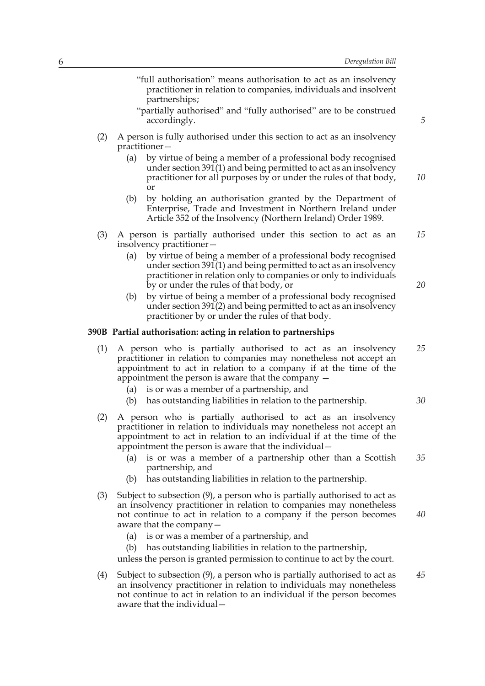"full authorisation" means authorisation to act as an insolvency practitioner in relation to companies, individuals and insolvent partnerships; "partially authorised" and "fully authorised" are to be construed accordingly. (2) A person is fully authorised under this section to act as an insolvency practitioner— (a) by virtue of being a member of a professional body recognised under section 391(1) and being permitted to act as an insolvency practitioner for all purposes by or under the rules of that body, or (b) by holding an authorisation granted by the Department of Enterprise, Trade and Investment in Northern Ireland under Article 352 of the Insolvency (Northern Ireland) Order 1989. (3) A person is partially authorised under this section to act as an insolvency practitioner— (a) by virtue of being a member of a professional body recognised under section 391(1) and being permitted to act as an insolvency practitioner in relation only to companies or only to individuals by or under the rules of that body, or (b) by virtue of being a member of a professional body recognised under section 391(2) and being permitted to act as an insolvency practitioner by or under the rules of that body. **390B Partial authorisation: acting in relation to partnerships** (1) A person who is partially authorised to act as an insolvency practitioner in relation to companies may nonetheless not accept an appointment to act in relation to a company if at the time of the appointment the person is aware that the company — (a) is or was a member of a partnership, and (b) has outstanding liabilities in relation to the partnership. (2) A person who is partially authorised to act as an insolvency practitioner in relation to individuals may nonetheless not accept an appointment to act in relation to an individual if at the time of the appointment the person is aware that the individual— (a) is or was a member of a partnership other than a Scottish partnership, and (b) has outstanding liabilities in relation to the partnership. (3) Subject to subsection (9), a person who is partially authorised to act as an insolvency practitioner in relation to companies may nonetheless not continue to act in relation to a company if the person becomes aware that the company— (a) is or was a member of a partnership, and (b) has outstanding liabilities in relation to the partnership, unless the person is granted permission to continue to act by the court. (4) Subject to subsection (9), a person who is partially authorised to act as an insolvency practitioner in relation to individuals may nonetheless *10 15 25 30 35 40 45*

not continue to act in relation to an individual if the person becomes

aware that the individual—

*5*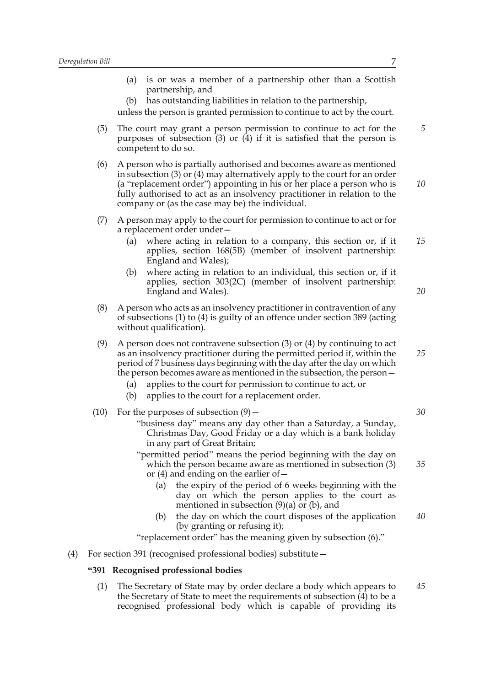|     |      | is or was a member of a partnership other than a Scottish<br>(a)                                                                                                                                                                                                                                                                                                                                                                         |    |
|-----|------|------------------------------------------------------------------------------------------------------------------------------------------------------------------------------------------------------------------------------------------------------------------------------------------------------------------------------------------------------------------------------------------------------------------------------------------|----|
|     |      | partnership, and<br>has outstanding liabilities in relation to the partnership,<br>(b)<br>unless the person is granted permission to continue to act by the court.                                                                                                                                                                                                                                                                       |    |
|     | (5)  | The court may grant a person permission to continue to act for the<br>purposes of subsection $(3)$ or $(4)$ if it is satisfied that the person is<br>competent to do so.                                                                                                                                                                                                                                                                 | 5  |
|     | (6)  | A person who is partially authorised and becomes aware as mentioned<br>in subsection $(3)$ or $(4)$ may alternatively apply to the court for an order<br>(a "replacement order") appointing in his or her place a person who is<br>fully authorised to act as an insolvency practitioner in relation to the<br>company or (as the case may be) the individual.                                                                           | 10 |
|     | (7)  | A person may apply to the court for permission to continue to act or for<br>a replacement order under-                                                                                                                                                                                                                                                                                                                                   |    |
|     |      | where acting in relation to a company, this section or, if it<br>(a)<br>applies, section 168(5B) (member of insolvent partnership:<br>England and Wales);                                                                                                                                                                                                                                                                                | 15 |
|     |      | where acting in relation to an individual, this section or, if it<br>(b)<br>applies, section 303(2C) (member of insolvent partnership:<br>England and Wales).                                                                                                                                                                                                                                                                            | 20 |
|     | (8)  | A person who acts as an insolvency practitioner in contravention of any<br>of subsections $(1)$ to $(4)$ is guilty of an offence under section 389 (acting<br>without qualification).                                                                                                                                                                                                                                                    |    |
|     | (9)  | A person does not contravene subsection $(3)$ or $(4)$ by continuing to act<br>as an insolvency practitioner during the permitted period if, within the<br>period of 7 business days beginning with the day after the day on which<br>the person becomes aware as mentioned in the subsection, the person –<br>applies to the court for permission to continue to act, or<br>(a)<br>applies to the court for a replacement order.<br>(b) | 25 |
|     | (10) | For the purposes of subsection $(9)$ –                                                                                                                                                                                                                                                                                                                                                                                                   | 30 |
|     |      | "business day" means any day other than a Saturday, a Sunday,<br>Christmas Day, Good Friday or a day which is a bank holiday<br>in any part of Great Britain;                                                                                                                                                                                                                                                                            |    |
|     |      | "permitted period" means the period beginning with the day on<br>which the person became aware as mentioned in subsection (3)<br>or $(4)$ and ending on the earlier of $-$                                                                                                                                                                                                                                                               | 35 |
|     |      | the expiry of the period of 6 weeks beginning with the<br>(a)<br>day on which the person applies to the court as<br>mentioned in subsection $(9)(a)$ or $(b)$ , and                                                                                                                                                                                                                                                                      |    |
|     |      | the day on which the court disposes of the application<br>(b)<br>(by granting or refusing it);                                                                                                                                                                                                                                                                                                                                           | 40 |
|     |      | "replacement order" has the meaning given by subsection (6)."                                                                                                                                                                                                                                                                                                                                                                            |    |
| (4) |      | For section 391 (recognised professional bodies) substitute –                                                                                                                                                                                                                                                                                                                                                                            |    |
|     |      | "391 Recognised professional bodies                                                                                                                                                                                                                                                                                                                                                                                                      |    |
|     | (1)  | The Secretary of State may by order declare a body which appears to                                                                                                                                                                                                                                                                                                                                                                      | 45 |

the Secretary of State to meet the requirements of subsection (4) to be a recognised professional body which is capable of providing its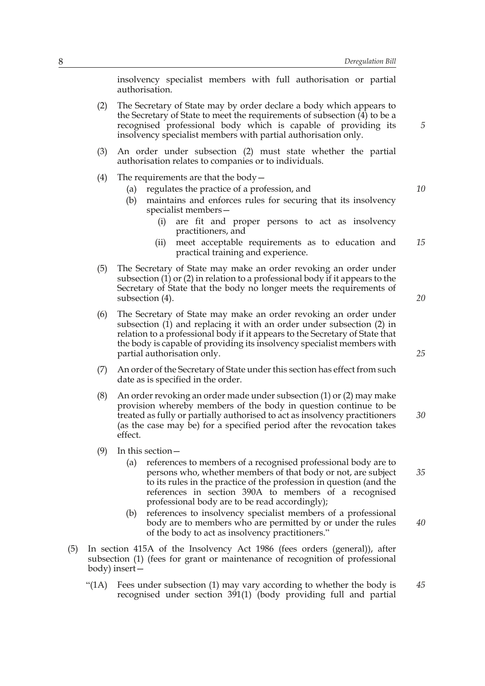insolvency specialist members with full authorisation or partial authorisation.

- (2) The Secretary of State may by order declare a body which appears to the Secretary of State to meet the requirements of subsection  $\overline{4}$  to be a recognised professional body which is capable of providing its insolvency specialist members with partial authorisation only.
- (3) An order under subsection (2) must state whether the partial authorisation relates to companies or to individuals.
- (4) The requirements are that the body  $-$ 
	- (a) regulates the practice of a profession, and
	- (b) maintains and enforces rules for securing that its insolvency specialist members—
		- (i) are fit and proper persons to act as insolvency practitioners, and
		- (ii) meet acceptable requirements as to education and practical training and experience. *15*
- (5) The Secretary of State may make an order revoking an order under subsection (1) or (2) in relation to a professional body if it appears to the Secretary of State that the body no longer meets the requirements of subsection (4).
- (6) The Secretary of State may make an order revoking an order under subsection (1) and replacing it with an order under subsection (2) in relation to a professional body if it appears to the Secretary of State that the body is capable of providing its insolvency specialist members with partial authorisation only.
- (7) An order of the Secretary of State under this section has effect from such date as is specified in the order.
- (8) An order revoking an order made under subsection (1) or (2) may make provision whereby members of the body in question continue to be treated as fully or partially authorised to act as insolvency practitioners (as the case may be) for a specified period after the revocation takes effect. *30*
- (9) In this section—
	- (a) references to members of a recognised professional body are to persons who, whether members of that body or not, are subject to its rules in the practice of the profession in question (and the references in section 390A to members of a recognised professional body are to be read accordingly);
	- (b) references to insolvency specialist members of a professional body are to members who are permitted by or under the rules of the body to act as insolvency practitioners." *40*
- (5) In section 415A of the Insolvency Act 1986 (fees orders (general)), after subsection (1) (fees for grant or maintenance of recognition of professional body) insert—
	- "( $1A$ ) Fees under subsection  $(1)$  may vary according to whether the body is recognised under section 391(1) (body providing full and partial *45*

*10*

*5*

*25*

*20*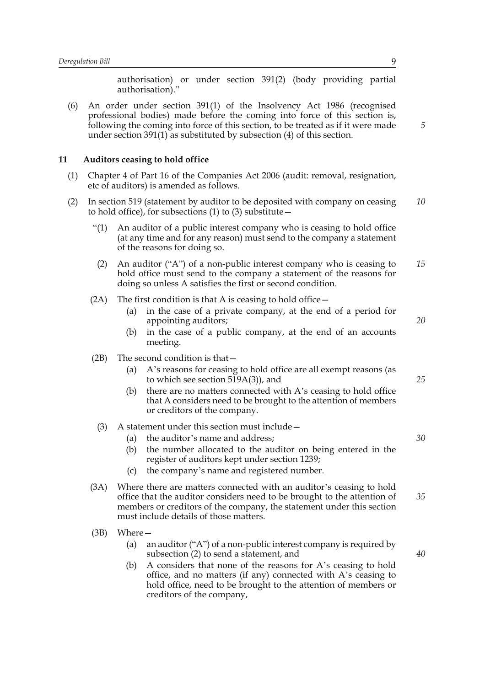authorisation) or under section 391(2) (body providing partial authorisation)."

(6) An order under section 391(1) of the Insolvency Act 1986 (recognised professional bodies) made before the coming into force of this section is, following the coming into force of this section, to be treated as if it were made under section 391(1) as substituted by subsection (4) of this section.

#### **11 Auditors ceasing to hold office**

- (1) Chapter 4 of Part 16 of the Companies Act 2006 (audit: removal, resignation, etc of auditors) is amended as follows.
- (2) In section 519 (statement by auditor to be deposited with company on ceasing to hold office), for subsections  $(1)$  to  $(3)$  substitute  $-$ *10*
	- "(1) An auditor of a public interest company who is ceasing to hold office (at any time and for any reason) must send to the company a statement of the reasons for doing so.
	- (2) An auditor ("A") of a non-public interest company who is ceasing to hold office must send to the company a statement of the reasons for doing so unless A satisfies the first or second condition. *15*
	- (2A) The first condition is that A is ceasing to hold office  $-$ 
		- (a) in the case of a private company, at the end of a period for appointing auditors;
		- (b) in the case of a public company, at the end of an accounts meeting.
	- (2B) The second condition is that—
		- (a) A's reasons for ceasing to hold office are all exempt reasons (as to which see section 519A(3)), and
		- (b) there are no matters connected with A's ceasing to hold office that A considers need to be brought to the attention of members or creditors of the company.
		- (3) A statement under this section must include—
			- (a) the auditor's name and address;
			- (b) the number allocated to the auditor on being entered in the register of auditors kept under section 1239;
			- (c) the company's name and registered number.
	- (3A) Where there are matters connected with an auditor's ceasing to hold office that the auditor considers need to be brought to the attention of members or creditors of the company, the statement under this section must include details of those matters. *35*
	- (3B) Where—
		- (a) an auditor ("A") of a non-public interest company is required by subsection (2) to send a statement, and
		- (b) A considers that none of the reasons for A's ceasing to hold office, and no matters (if any) connected with A's ceasing to hold office, need to be brought to the attention of members or creditors of the company,

*5*

*25*

*30*

*20*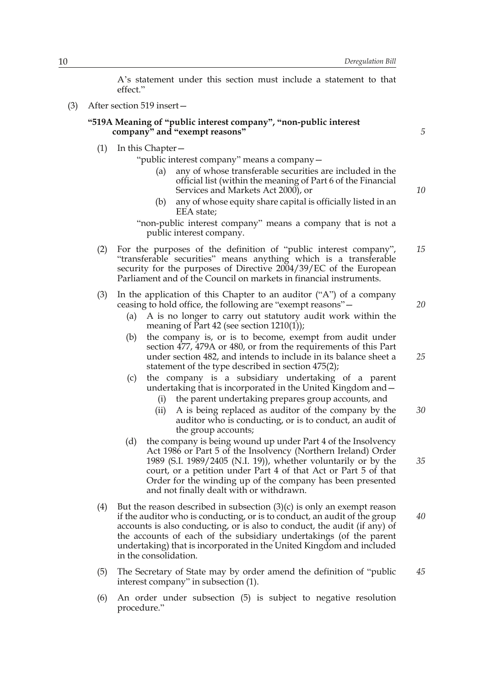A's statement under this section must include a statement to that effect."

(3) After section 519 insert—

## **"519A Meaning of "public interest company", "non-public interest company" and "exempt reasons"**

*5*

*10*

(1) In this Chapter—

"public interest company" means a company—

- any of whose transferable securities are included in the official list (within the meaning of Part 6 of the Financial Services and Markets Act 2000), or
- (b) any of whose equity share capital is officially listed in an EEA state;

"non-public interest company" means a company that is not a public interest company.

- (2) For the purposes of the definition of "public interest company", "transferable securities" means anything which is a transferable security for the purposes of Directive 2004/39/EC of the European Parliament and of the Council on markets in financial instruments. *15*
- (3) In the application of this Chapter to an auditor ("A") of a company ceasing to hold office, the following are "exempt reasons"—
	- (a) A is no longer to carry out statutory audit work within the meaning of Part 42 (see section 1210(1));
	- (b) the company is, or is to become, exempt from audit under section 477, 479A or 480, or from the requirements of this Part under section 482, and intends to include in its balance sheet a statement of the type described in section 475(2);
	- (c) the company is a subsidiary undertaking of a parent undertaking that is incorporated in the United Kingdom and—
		- (i) the parent undertaking prepares group accounts, and
		- (ii) A is being replaced as auditor of the company by the auditor who is conducting, or is to conduct, an audit of the group accounts; *30*
	- (d) the company is being wound up under Part 4 of the Insolvency Act 1986 or Part 5 of the Insolvency (Northern Ireland) Order 1989 (S.I. 1989/2405 (N.I. 19)), whether voluntarily or by the court, or a petition under Part 4 of that Act or Part 5 of that Order for the winding up of the company has been presented and not finally dealt with or withdrawn.
- (4) But the reason described in subsection  $(3)(c)$  is only an exempt reason if the auditor who is conducting, or is to conduct, an audit of the group accounts is also conducting, or is also to conduct, the audit (if any) of the accounts of each of the subsidiary undertakings (of the parent undertaking) that is incorporated in the United Kingdom and included in the consolidation. *40*
- (5) The Secretary of State may by order amend the definition of "public interest company" in subsection (1). *45*
- (6) An order under subsection (5) is subject to negative resolution procedure."

*20*

*25*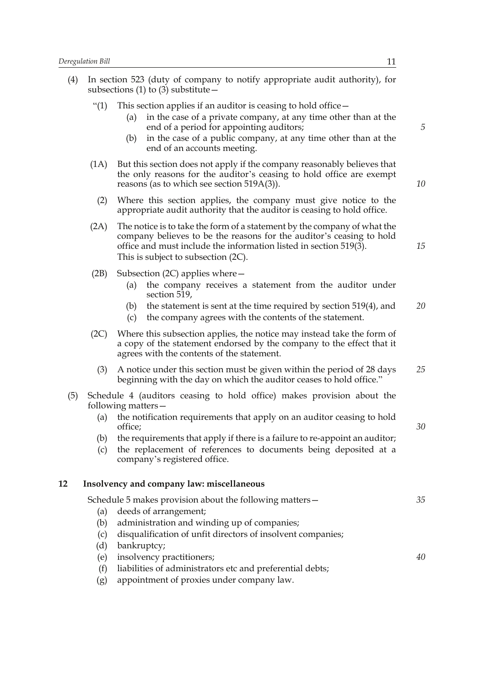|     | regulation Bill<br>11 |                                                                                                                                                                                                                                                                                              |    |
|-----|-----------------------|----------------------------------------------------------------------------------------------------------------------------------------------------------------------------------------------------------------------------------------------------------------------------------------------|----|
| (4) |                       | In section 523 (duty of company to notify appropriate audit authority), for<br>subsections (1) to (3) substitute $-$                                                                                                                                                                         |    |
|     | ``(1)                 | This section applies if an auditor is ceasing to hold office –<br>in the case of a private company, at any time other than at the<br>(a)<br>end of a period for appointing auditors;<br>in the case of a public company, at any time other than at the<br>(b)<br>end of an accounts meeting. | 5  |
|     | (1A)                  | But this section does not apply if the company reasonably believes that<br>the only reasons for the auditor's ceasing to hold office are exempt<br>reasons (as to which see section $519A(3)$ ).                                                                                             | 10 |
|     | (2)                   | Where this section applies, the company must give notice to the<br>appropriate audit authority that the auditor is ceasing to hold office.                                                                                                                                                   |    |
|     | (2A)                  | The notice is to take the form of a statement by the company of what the<br>company believes to be the reasons for the auditor's ceasing to hold<br>office and must include the information listed in section 519(3).<br>This is subject to subsection (2C).                                 | 15 |
|     | (2B)                  | Subsection (2C) applies where $-$<br>the company receives a statement from the auditor under<br>(a)<br>section 519,<br>the statement is sent at the time required by section 519(4), and<br>(b)<br>the company agrees with the contents of the statement.<br>(c)                             | 20 |
|     | (2C)                  | Where this subsection applies, the notice may instead take the form of<br>a copy of the statement endorsed by the company to the effect that it<br>agrees with the contents of the statement.                                                                                                |    |
|     | (3)                   | A notice under this section must be given within the period of 28 days<br>beginning with the day on which the auditor ceases to hold office."                                                                                                                                                | 25 |
| (5) |                       | Schedule 4 (auditors ceasing to hold office) makes provision about the<br>following matters –                                                                                                                                                                                                |    |
|     | (a)                   | the notification requirements that apply on an auditor ceasing to hold<br>office;                                                                                                                                                                                                            | 30 |
|     | (b)<br>(c)            | the requirements that apply if there is a failure to re-appoint an auditor;<br>the replacement of references to documents being deposited at a                                                                                                                                               |    |

# company's registered office.

## **12 Insolvency and company law: miscellaneous**

|     | Schedule 5 makes provision about the following matters –    | 35 |
|-----|-------------------------------------------------------------|----|
| (a) | deeds of arrangement;                                       |    |
| (b) | administration and winding up of companies;                 |    |
| (c) | disqualification of unfit directors of insolvent companies; |    |
| (d) | bankruptcy;                                                 |    |
| (e) | insolvency practitioners;                                   | 40 |
| (f) | liabilities of administrators etc and preferential debts;   |    |
| (g) | appointment of proxies under company law.                   |    |
|     |                                                             |    |
|     |                                                             |    |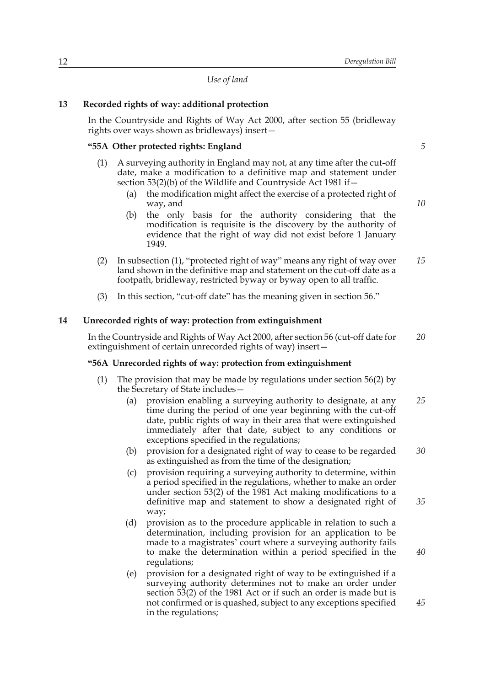*Use of land*

## **13 Recorded rights of way: additional protection**

In the Countryside and Rights of Way Act 2000, after section 55 (bridleway rights over ways shown as bridleways) insert—

## **"55A Other protected rights: England**

- (1) A surveying authority in England may not, at any time after the cut-off date, make a modification to a definitive map and statement under section 53(2)(b) of the Wildlife and Countryside Act 1981 if -
	- (a) the modification might affect the exercise of a protected right of way, and
	- (b) the only basis for the authority considering that the modification is requisite is the discovery by the authority of evidence that the right of way did not exist before 1 January 1949.
- (2) In subsection (1), "protected right of way" means any right of way over land shown in the definitive map and statement on the cut-off date as a footpath, bridleway, restricted byway or byway open to all traffic. *15*
- (3) In this section, "cut-off date" has the meaning given in section 56."

### **14 Unrecorded rights of way: protection from extinguishment**

In the Countryside and Rights of Way Act 2000, after section 56 (cut-off date for extinguishment of certain unrecorded rights of way) insert— *20*

## **"56A Unrecorded rights of way: protection from extinguishment**

- (1) The provision that may be made by regulations under section 56(2) by the Secretary of State includes—
	- (a) provision enabling a surveying authority to designate, at any time during the period of one year beginning with the cut-off date, public rights of way in their area that were extinguished immediately after that date, subject to any conditions or exceptions specified in the regulations; *25*
	- (b) provision for a designated right of way to cease to be regarded as extinguished as from the time of the designation; *30*
	- (c) provision requiring a surveying authority to determine, within a period specified in the regulations, whether to make an order under section 53(2) of the 1981 Act making modifications to a definitive map and statement to show a designated right of way;
	- (d) provision as to the procedure applicable in relation to such a determination, including provision for an application to be made to a magistrates' court where a surveying authority fails to make the determination within a period specified in the regulations;
	- (e) provision for a designated right of way to be extinguished if a surveying authority determines not to make an order under section 53(2) of the 1981 Act or if such an order is made but is not confirmed or is quashed, subject to any exceptions specified in the regulations;

*5*

*10*

*35*

*40*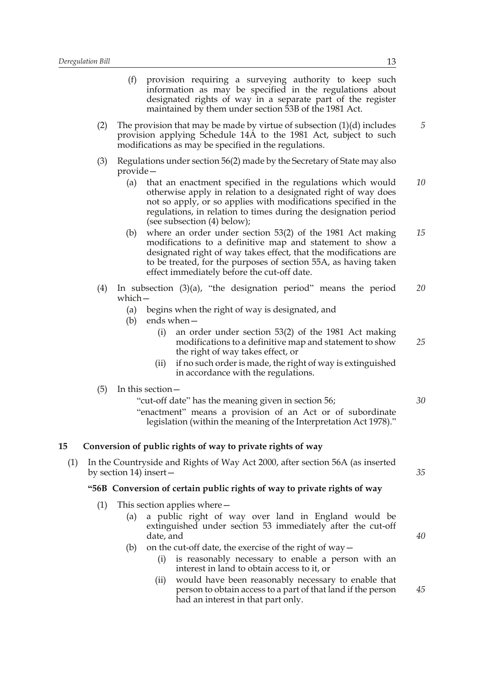| Deregulation Bill | 13                                                                                                                                                                                                                                                                                                                    |    |
|-------------------|-----------------------------------------------------------------------------------------------------------------------------------------------------------------------------------------------------------------------------------------------------------------------------------------------------------------------|----|
|                   | (f)<br>provision requiring a surveying authority to keep such<br>information as may be specified in the regulations about<br>designated rights of way in a separate part of the register<br>maintained by them under section 53B of the 1981 Act.                                                                     |    |
| (2)               | The provision that may be made by virtue of subsection $(1)(d)$ includes<br>provision applying Schedule 14A to the 1981 Act, subject to such<br>modifications as may be specified in the regulations.                                                                                                                 | 5  |
| (3)               | Regulations under section 56(2) made by the Secretary of State may also<br>provide –                                                                                                                                                                                                                                  |    |
|                   | that an enactment specified in the regulations which would<br>(a)<br>otherwise apply in relation to a designated right of way does<br>not so apply, or so applies with modifications specified in the<br>regulations, in relation to times during the designation period<br>(see subsection (4) below);               | 10 |
|                   | where an order under section $53(2)$ of the 1981 Act making<br>(b)<br>modifications to a definitive map and statement to show a<br>designated right of way takes effect, that the modifications are<br>to be treated, for the purposes of section 55A, as having taken<br>effect immediately before the cut-off date. | 15 |
| (4)               | In subsection $(3)(a)$ , "the designation period" means the period<br>which-                                                                                                                                                                                                                                          | 20 |
|                   | begins when the right of way is designated, and<br>(a)                                                                                                                                                                                                                                                                |    |
|                   | (b)<br>ends when $-$<br>an order under section $53(2)$ of the 1981 Act making<br>(i)<br>modifications to a definitive map and statement to show<br>the right of way takes effect, or                                                                                                                                  | 25 |
|                   | if no such order is made, the right of way is extinguished<br>(ii)<br>in accordance with the regulations.                                                                                                                                                                                                             |    |
| (5)               | In this section -                                                                                                                                                                                                                                                                                                     |    |
|                   | "cut-off date" has the meaning given in section 56;<br>"enactment" means a provision of an Act or of subordinate<br>legislation (within the meaning of the Interpretation Act 1978)."                                                                                                                                 | 30 |
| 15                | Conversion of public rights of way to private rights of way                                                                                                                                                                                                                                                           |    |
| (1)               | In the Countryside and Rights of Way Act 2000, after section 56A (as inserted<br>by section 14) insert $-$                                                                                                                                                                                                            | 35 |
|                   | "56B Conversion of certain public rights of way to private rights of way                                                                                                                                                                                                                                              |    |
| (1)               | This section applies where $-$                                                                                                                                                                                                                                                                                        |    |
|                   | a public right of way over land in England would be<br>(a)<br>extinguished under section 53 immediately after the cut-off<br>date, and                                                                                                                                                                                | 40 |
|                   | on the cut-off date, the exercise of the right of $way -$<br>(b)<br>is reasonably necessary to enable a person with an<br>(i)<br>interest in land to obtain access to it, or                                                                                                                                          |    |
|                   | would have been reasonably necessary to enable that<br>(ii)<br>person to obtain access to a part of that land if the person                                                                                                                                                                                           | 45 |

person to obtain access to a part of that land if the person had an interest in that part only.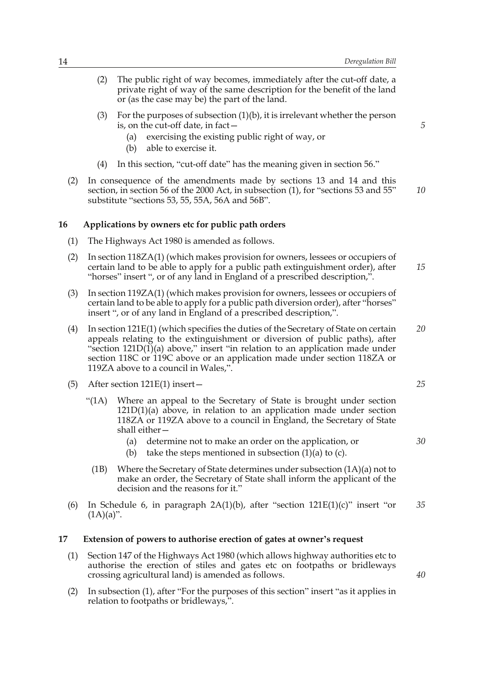- (2) The public right of way becomes, immediately after the cut-off date, a private right of way of the same description for the benefit of the land or (as the case may be) the part of the land.
- (3) For the purposes of subsection (1)(b), it is irrelevant whether the person is, on the cut-off date, in fact—
	- (a) exercising the existing public right of way, or
	- (b) able to exercise it.
- (4) In this section, "cut-off date" has the meaning given in section 56."
- (2) In consequence of the amendments made by sections 13 and 14 and this section, in section 56 of the 2000 Act, in subsection (1), for "sections 53 and 55" substitute "sections 53, 55, 55A, 56A and 56B". *10*

#### **16 Applications by owners etc for public path orders**

- (1) The Highways Act 1980 is amended as follows.
- (2) In section 118ZA(1) (which makes provision for owners, lessees or occupiers of certain land to be able to apply for a public path extinguishment order), after "horses" insert ", or of any land in England of a prescribed description,". *15*
- (3) In section 119ZA(1) (which makes provision for owners, lessees or occupiers of certain land to be able to apply for a public path diversion order), after "horses" insert ", or of any land in England of a prescribed description,".
- (4) In section 121E(1) (which specifies the duties of the Secretary of State on certain appeals relating to the extinguishment or diversion of public paths), after "section  $121D(1)$ (a) above," insert "in relation to an application made under section 118C or 119C above or an application made under section 118ZA or 119ZA above to a council in Wales,". *20*
- (5) After section 121E(1) insert—
	- "(1A) Where an appeal to the Secretary of State is brought under section  $121D(1)(a)$  above, in relation to an application made under section 118ZA or 119ZA above to a council in England, the Secretary of State shall either—
		- (a) determine not to make an order on the application, or
		- (b) take the steps mentioned in subsection  $(1)(a)$  to  $(c)$ .
	- (1B) Where the Secretary of State determines under subsection (1A)(a) not to make an order, the Secretary of State shall inform the applicant of the decision and the reasons for it."
- (6) In Schedule 6, in paragraph  $2A(1)(b)$ , after "section  $121E(1)(c)$ " insert "or  $(1A)(a)$ ". *35*

#### **17 Extension of powers to authorise erection of gates at owner's request**

- (1) Section 147 of the Highways Act 1980 (which allows highway authorities etc to authorise the erection of stiles and gates etc on footpaths or bridleways crossing agricultural land) is amended as follows.
- (2) In subsection (1), after "For the purposes of this section" insert "as it applies in relation to footpaths or bridleways,".

*25*

*5*

*30*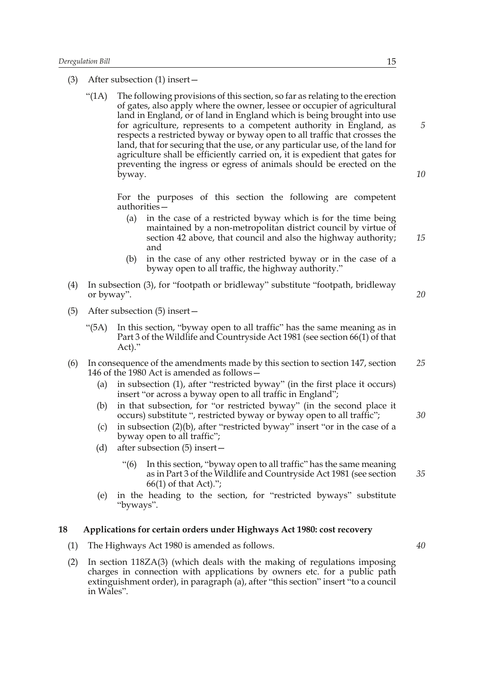- (3) After subsection (1) insert—
	- "( $1A$ ) The following provisions of this section, so far as relating to the erection of gates, also apply where the owner, lessee or occupier of agricultural land in England, or of land in England which is being brought into use for agriculture, represents to a competent authority in England, as respects a restricted byway or byway open to all traffic that crosses the land, that for securing that the use, or any particular use, of the land for agriculture shall be efficiently carried on, it is expedient that gates for preventing the ingress or egress of animals should be erected on the byway.

For the purposes of this section the following are competent authorities—

- (a) in the case of a restricted byway which is for the time being maintained by a non-metropolitan district council by virtue of section 42 above, that council and also the highway authority; and
- (b) in the case of any other restricted byway or in the case of a byway open to all traffic, the highway authority."
- (4) In subsection (3), for "footpath or bridleway" substitute "footpath, bridleway or byway".
- (5) After subsection (5) insert—
	- "(5A) In this section, "byway open to all traffic" has the same meaning as in Part 3 of the Wildlife and Countryside Act 1981 (see section 66(1) of that Act)."
- (6) In consequence of the amendments made by this section to section 147, section 146 of the 1980 Act is amended as follows— *25*
	- (a) in subsection (1), after "restricted byway" (in the first place it occurs) insert "or across a byway open to all traffic in England";
	- (b) in that subsection, for "or restricted byway" (in the second place it occurs) substitute ", restricted byway or byway open to all traffic";
	- (c) in subsection (2)(b), after "restricted byway" insert "or in the case of a byway open to all traffic";
	- (d) after subsection (5) insert—
		- "(6) In this section, "byway open to all traffic" has the same meaning as in Part 3 of the Wildlife and Countryside Act 1981 (see section 66(1) of that Act).";
	- (e) in the heading to the section, for "restricted byways" substitute "byways".

## **18 Applications for certain orders under Highways Act 1980: cost recovery**

- (1) The Highways Act 1980 is amended as follows.
- (2) In section 118ZA(3) (which deals with the making of regulations imposing charges in connection with applications by owners etc. for a public path extinguishment order), in paragraph (a), after "this section" insert "to a council in Wales".

*5*

*10*

*15*

*20*

*30*

*35*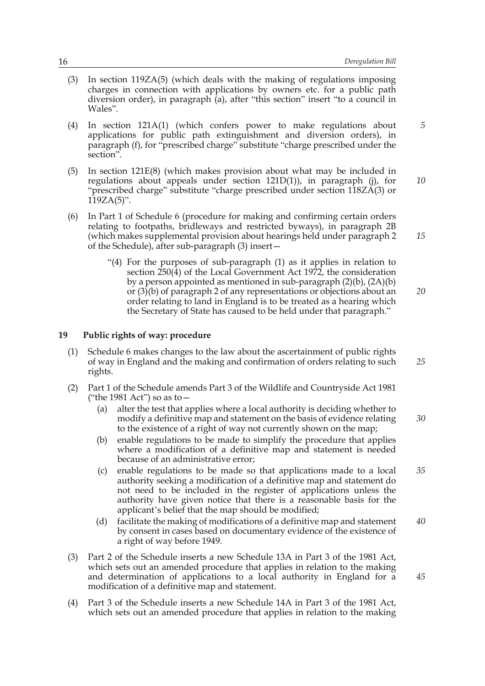*5*

*15*

*25*

*45*

- (3) In section 119ZA(5) (which deals with the making of regulations imposing charges in connection with applications by owners etc. for a public path diversion order), in paragraph (a), after "this section" insert "to a council in Wales".
- (4) In section 121A(1) (which confers power to make regulations about applications for public path extinguishment and diversion orders), in paragraph (f), for "prescribed charge" substitute "charge prescribed under the section".
- (5) In section 121E(8) (which makes provision about what may be included in regulations about appeals under section  $121D(1)$ , in paragraph (j), for "prescribed charge" substitute "charge prescribed under section 118ZA(3) or  $119ZA(5)$ ". *10*
- (6) In Part 1 of Schedule 6 (procedure for making and confirming certain orders relating to footpaths, bridleways and restricted byways), in paragraph 2B (which makes supplemental provision about hearings held under paragraph 2 of the Schedule), after sub-paragraph (3) insert—
	- "(4) For the purposes of sub-paragraph (1) as it applies in relation to section 250(4) of the Local Government Act 1972, the consideration by a person appointed as mentioned in sub-paragraph (2)(b), (2A)(b) or  $(3)(b)$  of paragraph 2 of any representations or objections about an order relating to land in England is to be treated as a hearing which the Secretary of State has caused to be held under that paragraph." *20*

## **19 Public rights of way: procedure**

- (1) Schedule 6 makes changes to the law about the ascertainment of public rights of way in England and the making and confirmation of orders relating to such rights.
- (2) Part 1 of the Schedule amends Part 3 of the Wildlife and Countryside Act 1981 ("the 1981 Act") so as to—
	- (a) alter the test that applies where a local authority is deciding whether to modify a definitive map and statement on the basis of evidence relating to the existence of a right of way not currently shown on the map; *30*
	- (b) enable regulations to be made to simplify the procedure that applies where a modification of a definitive map and statement is needed because of an administrative error;
	- (c) enable regulations to be made so that applications made to a local authority seeking a modification of a definitive map and statement do not need to be included in the register of applications unless the authority have given notice that there is a reasonable basis for the applicant's belief that the map should be modified; *35*
	- (d) facilitate the making of modifications of a definitive map and statement by consent in cases based on documentary evidence of the existence of a right of way before 1949. *40*
- (3) Part 2 of the Schedule inserts a new Schedule 13A in Part 3 of the 1981 Act, which sets out an amended procedure that applies in relation to the making and determination of applications to a local authority in England for a modification of a definitive map and statement.
- (4) Part 3 of the Schedule inserts a new Schedule 14A in Part 3 of the 1981 Act, which sets out an amended procedure that applies in relation to the making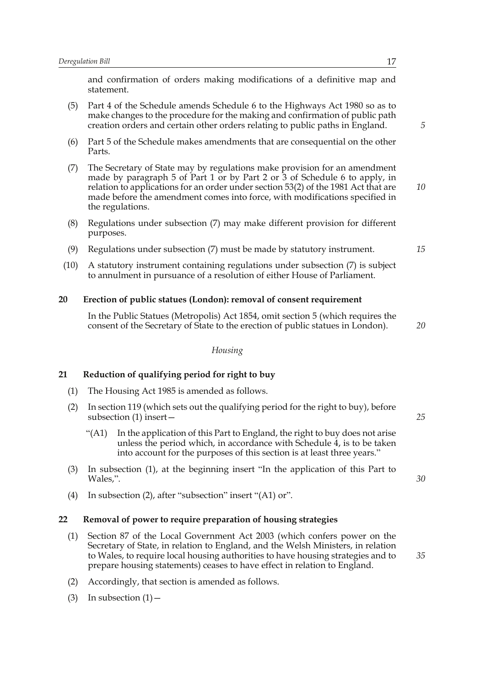and confirmation of orders making modifications of a definitive map and statement.

- (5) Part 4 of the Schedule amends Schedule 6 to the Highways Act 1980 so as to make changes to the procedure for the making and confirmation of public path creation orders and certain other orders relating to public paths in England.
- (6) Part 5 of the Schedule makes amendments that are consequential on the other Parts.
- (7) The Secretary of State may by regulations make provision for an amendment made by paragraph 5 of Part 1 or by Part 2 or 3 of Schedule 6 to apply, in relation to applications for an order under section 53(2) of the 1981 Act that are made before the amendment comes into force, with modifications specified in the regulations. *10*
- (8) Regulations under subsection (7) may make different provision for different purposes.
- (9) Regulations under subsection (7) must be made by statutory instrument.
- (10) A statutory instrument containing regulations under subsection (7) is subject to annulment in pursuance of a resolution of either House of Parliament.

## **20 Erection of public statues (London): removal of consent requirement**

In the Public Statues (Metropolis) Act 1854, omit section 5 (which requires the consent of the Secretary of State to the erection of public statues in London).

#### *Housing*

## **21 Reduction of qualifying period for right to buy**

- (1) The Housing Act 1985 is amended as follows.
- (2) In section 119 (which sets out the qualifying period for the right to buy), before subsection (1) insert—
	- "(A1) In the application of this Part to England, the right to buy does not arise unless the period which, in accordance with Schedule 4, is to be taken into account for the purposes of this section is at least three years."
- (3) In subsection (1), at the beginning insert "In the application of this Part to Wales,".
- (4) In subsection (2), after "subsection" insert "(A1) or".

### **22 Removal of power to require preparation of housing strategies**

- (1) Section 87 of the Local Government Act 2003 (which confers power on the Secretary of State, in relation to England, and the Welsh Ministers, in relation to Wales, to require local housing authorities to have housing strategies and to prepare housing statements) ceases to have effect in relation to England.
- (2) Accordingly, that section is amended as follows.
- (3) In subsection  $(1)$  –

*30*

*35*

*25*

*15*

*5*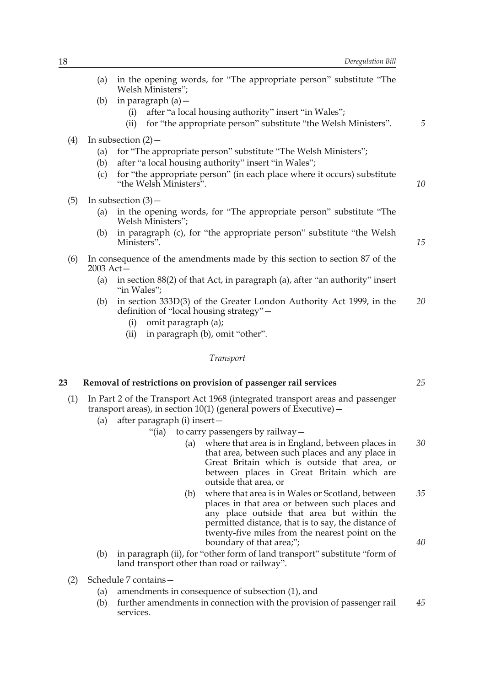|     | (a)         | in the opening words, for "The appropriate person" substitute "The                                                                                                                                                                                                |    |
|-----|-------------|-------------------------------------------------------------------------------------------------------------------------------------------------------------------------------------------------------------------------------------------------------------------|----|
|     | (b)         | Welsh Ministers";<br>in paragraph (a) –                                                                                                                                                                                                                           |    |
|     |             | after "a local housing authority" insert "in Wales";<br>(i)<br>for "the appropriate person" substitute "the Welsh Ministers".<br>(ii)                                                                                                                             | 5  |
| (4) |             | In subsection $(2)$ –                                                                                                                                                                                                                                             |    |
|     | (a)<br>(b)  | for "The appropriate person" substitute "The Welsh Ministers";<br>after "a local housing authority" insert "in Wales";                                                                                                                                            |    |
|     | (c)         | for "the appropriate person" (in each place where it occurs) substitute<br>"the Welsh Ministers".                                                                                                                                                                 | 10 |
| (5) |             | In subsection $(3)$ –                                                                                                                                                                                                                                             |    |
|     | (a)         | in the opening words, for "The appropriate person" substitute "The<br>Welsh Ministers";                                                                                                                                                                           |    |
|     | (b)         | in paragraph (c), for "the appropriate person" substitute "the Welsh<br>Ministers".                                                                                                                                                                               | 15 |
| (6) | $2003$ Act- | In consequence of the amendments made by this section to section 87 of the                                                                                                                                                                                        |    |
|     | (a)         | in section 88(2) of that Act, in paragraph (a), after "an authority" insert<br>"in Wales";                                                                                                                                                                        |    |
|     | (b)         | in section 333D(3) of the Greater London Authority Act 1999, in the<br>definition of "local housing strategy" -                                                                                                                                                   | 20 |
|     |             | omit paragraph (a);<br>(i)                                                                                                                                                                                                                                        |    |
|     |             | in paragraph (b), omit "other".<br>(ii)                                                                                                                                                                                                                           |    |
|     |             | <b>Transport</b>                                                                                                                                                                                                                                                  |    |
| 23  |             | Removal of restrictions on provision of passenger rail services                                                                                                                                                                                                   | 25 |
| (1) |             | In Part 2 of the Transport Act 1968 (integrated transport areas and passenger<br>transport areas), in section $10(1)$ (general powers of Executive) –                                                                                                             |    |
|     | (a)         | after paragraph (i) insert-                                                                                                                                                                                                                                       |    |
|     |             | "(ia) to carry passengers by railway -                                                                                                                                                                                                                            |    |
|     |             | where that area is in England, between places in<br>(a)<br>that area, between such places and any place in<br>Great Britain which is outside that area, or<br>between places in Great Britain which are<br>outside that area, or                                  | 30 |
|     |             | where that area is in Wales or Scotland, between<br>(b)<br>places in that area or between such places and<br>any place outside that area but within the<br>permitted distance, that is to say, the distance of<br>twenty-five miles from the nearest point on the | 35 |
|     |             | boundary of that area;";                                                                                                                                                                                                                                          | 40 |

- (b) in paragraph (ii), for "other form of land transport" substitute "form of land transport other than road or railway".
- (2) Schedule 7 contains—
	- (a) amendments in consequence of subsection (1), and
	- (b) further amendments in connection with the provision of passenger rail services. *45*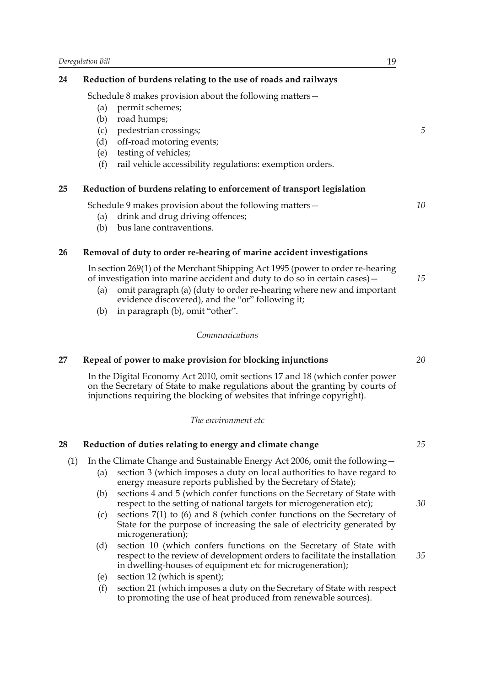## **24 Reduction of burdens relating to the use of roads and railways**

Schedule 8 makes provision about the following matters—

- (a) permit schemes;
- (b) road humps;
- (c) pedestrian crossings;
- (d) off-road motoring events;
- (e) testing of vehicles;
- (f) rail vehicle accessibility regulations: exemption orders.

## **25 Reduction of burdens relating to enforcement of transport legislation**

Schedule 9 makes provision about the following matters—

- (a) drink and drug driving offences;
- (b) bus lane contraventions.

## **26 Removal of duty to order re-hearing of marine accident investigations**

In section 269(1) of the Merchant Shipping Act 1995 (power to order re-hearing of investigation into marine accident and duty to do so in certain cases)—

- (a) omit paragraph (a) (duty to order re-hearing where new and important evidence discovered), and the "or" following it;
- (b) in paragraph (b), omit "other".

## *Communications*

## **27 Repeal of power to make provision for blocking injunctions**

In the Digital Economy Act 2010, omit sections 17 and 18 (which confer power on the Secretary of State to make regulations about the granting by courts of injunctions requiring the blocking of websites that infringe copyright).

## *The environment etc*

| 28  |     | Reduction of duties relating to energy and climate change                                                                                                                                                             | 25 |
|-----|-----|-----------------------------------------------------------------------------------------------------------------------------------------------------------------------------------------------------------------------|----|
| (1) | (a) | In the Climate Change and Sustainable Energy Act 2006, omit the following —<br>section 3 (which imposes a duty on local authorities to have regard to<br>energy measure reports published by the Secretary of State); |    |
|     | (b) | sections 4 and 5 (which confer functions on the Secretary of State with<br>respect to the setting of national targets for microgeneration etc);                                                                       | 30 |
|     | (c) | sections $7(1)$ to $(6)$ and 8 (which confer functions on the Secretary of<br>State for the purpose of increasing the sale of electricity generated by<br>microgeneration);                                           |    |
|     | (d) | section 10 (which confers functions on the Secretary of State with<br>respect to the review of development orders to facilitate the installation<br>in dwelling-houses of equipment etc for microgeneration);         | 35 |
|     | (e) | section 12 (which is spent);                                                                                                                                                                                          |    |
|     | (f) | section 21 (which imposes a duty on the Secretary of State with respect<br>to promoting the use of heat produced from renewable sources).                                                                             |    |

*5*

*10*

*15*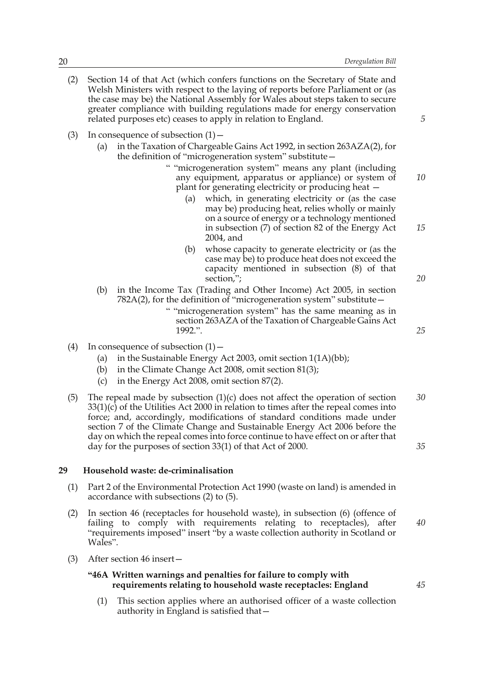- (2) Section 14 of that Act (which confers functions on the Secretary of State and Welsh Ministers with respect to the laying of reports before Parliament or (as the case may be) the National Assembly for Wales about steps taken to secure greater compliance with building regulations made for energy conservation related purposes etc) ceases to apply in relation to England.
- (3) In consequence of subsection  $(1)$ 
	- (a) in the Taxation of Chargeable Gains Act 1992, in section 263AZA(2), for the definition of "microgeneration system" substitute—
		- " "microgeneration system" means any plant (including any equipment, apparatus or appliance) or system of plant for generating electricity or producing heat — *10*
			- (a) which, in generating electricity or (as the case may be) producing heat, relies wholly or mainly on a source of energy or a technology mentioned in subsection (7) of section 82 of the Energy Act 2004, and
			- (b) whose capacity to generate electricity or (as the case may be) to produce heat does not exceed the capacity mentioned in subsection (8) of that section,";
	- (b) in the Income Tax (Trading and Other Income) Act 2005, in section 782A(2), for the definition of "microgeneration system" substitute—
		- " "microgeneration system" has the same meaning as in section 263AZA of the Taxation of Chargeable Gains Act 1992.".
- (4) In consequence of subsection  $(1)$ 
	- (a) in the Sustainable Energy Act 2003, omit section 1(1A)(bb);
	- (b) in the Climate Change Act 2008, omit section 81(3);
	- (c) in the Energy Act 2008, omit section 87(2).
- (5) The repeal made by subsection (1)(c) does not affect the operation of section  $33(1)(c)$  of the Utilities Act 2000 in relation to times after the repeal comes into force; and, accordingly, modifications of standard conditions made under section 7 of the Climate Change and Sustainable Energy Act 2006 before the day on which the repeal comes into force continue to have effect on or after that day for the purposes of section 33(1) of that Act of 2000. *30 35*

## **29 Household waste: de-criminalisation**

- (1) Part 2 of the Environmental Protection Act 1990 (waste on land) is amended in accordance with subsections (2) to (5).
- (2) In section 46 (receptacles for household waste), in subsection (6) (offence of failing to comply with requirements relating to receptacles), after "requirements imposed" insert "by a waste collection authority in Scotland or Wales". *40*
- (3) After section 46 insert—

## **"46A Written warnings and penalties for failure to comply with requirements relating to household waste receptacles: England**

(1) This section applies where an authorised officer of a waste collection authority in England is satisfied that—

*20*

*15*

*5*

*25*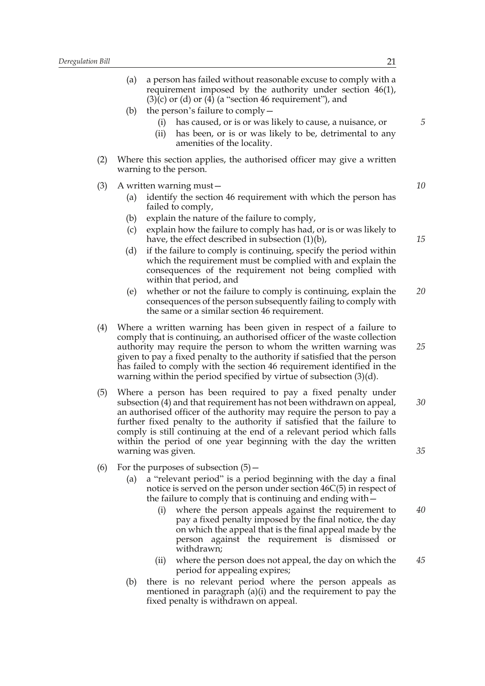|          | 21                                                                                                                                                                                                                                                                                                                                                                                                                                                              | Bill |
|----------|-----------------------------------------------------------------------------------------------------------------------------------------------------------------------------------------------------------------------------------------------------------------------------------------------------------------------------------------------------------------------------------------------------------------------------------------------------------------|------|
| 5        | (a)<br>a person has failed without reasonable excuse to comply with a<br>requirement imposed by the authority under section $46(1)$ ,<br>$(3)(c)$ or $(d)$ or $(4)$ (a "section 46 requirement"), and<br>(b)<br>the person's failure to comply $-$<br>has caused, or is or was likely to cause, a nuisance, or<br>(i)<br>has been, or is or was likely to be, detrimental to any<br>(ii)<br>amenities of the locality.                                          |      |
|          | Where this section applies, the authorised officer may give a written<br>warning to the person.                                                                                                                                                                                                                                                                                                                                                                 | (2)  |
| 10       | A written warning must-<br>identify the section 46 requirement with which the person has<br>(a)<br>failed to comply,<br>explain the nature of the failure to comply,<br>(b)                                                                                                                                                                                                                                                                                     | (3)  |
| 15       | explain how the failure to comply has had, or is or was likely to<br>(c)<br>have, the effect described in subsection $(1)(b)$ ,<br>if the failure to comply is continuing, specify the period within<br>(d)<br>which the requirement must be complied with and explain the<br>consequences of the requirement not being complied with<br>within that period, and                                                                                                |      |
| 20       | whether or not the failure to comply is continuing, explain the<br>(e)<br>consequences of the person subsequently failing to comply with<br>the same or a similar section 46 requirement.                                                                                                                                                                                                                                                                       |      |
| 25       | Where a written warning has been given in respect of a failure to<br>comply that is continuing, an authorised officer of the waste collection<br>authority may require the person to whom the written warning was<br>given to pay a fixed penalty to the authority if satisfied that the person<br>has failed to comply with the section 46 requirement identified in the<br>warning within the period specified by virtue of subsection $(3)(d)$ .             | (4)  |
| 30<br>35 | Where a person has been required to pay a fixed penalty under<br>subsection (4) and that requirement has not been withdrawn on appeal,<br>an authorised officer of the authority may require the person to pay a<br>further fixed penalty to the authority if satisfied that the failure to<br>comply is still continuing at the end of a relevant period which falls<br>within the period of one year beginning with the day the written<br>warning was given. | (5)  |
| 40       | For the purposes of subsection $(5)$ –<br>a "relevant period" is a period beginning with the day a final<br>(a)<br>notice is served on the person under section $46C(5)$ in respect of<br>the failure to comply that is continuing and ending with -<br>where the person appeals against the requirement to<br>(i)                                                                                                                                              | (6)  |
|          | pay a fixed penalty imposed by the final notice, the day<br>on which the appeal that is the final appeal made by the<br>person against the requirement is dismissed or<br>withdrawn;                                                                                                                                                                                                                                                                            |      |

- (ii) where the person does not appeal, the day on which the period for appealing expires; *45*
- (b) there is no relevant period where the person appeals as mentioned in paragraph  $(a)(i)$  and the requirement to pay the fixed penalty is withdrawn on appeal.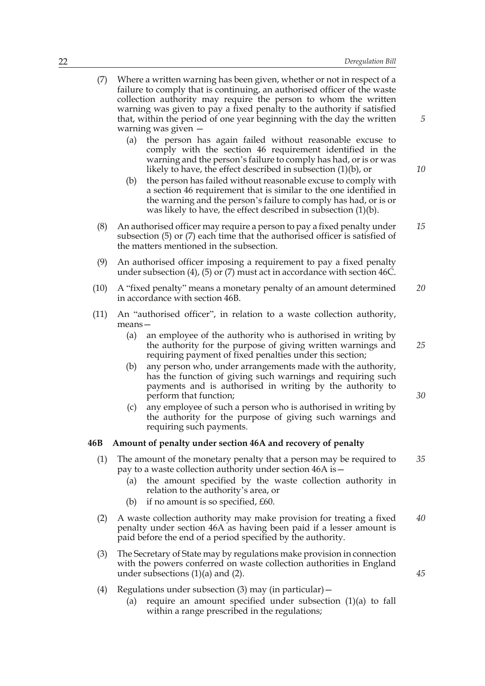| (7)  | Where a written warning has been given, whether or not in respect of a<br>failure to comply that is continuing, an authorised officer of the waste<br>collection authority may require the person to whom the written<br>warning was given to pay a fixed penalty to the authority if satisfied<br>that, within the period of one year beginning with the day the written<br>warning was given -<br>the person has again failed without reasonable excuse to<br>(a)<br>comply with the section 46 requirement identified in the<br>warning and the person's failure to comply has had, or is or was<br>likely to have, the effect described in subsection $(1)(b)$ , or<br>the person has failed without reasonable excuse to comply with<br>(b)<br>a section 46 requirement that is similar to the one identified in<br>the warning and the person's failure to comply has had, or is or<br>was likely to have, the effect described in subsection $(1)(b)$ . | 5<br>10 |  |
|------|----------------------------------------------------------------------------------------------------------------------------------------------------------------------------------------------------------------------------------------------------------------------------------------------------------------------------------------------------------------------------------------------------------------------------------------------------------------------------------------------------------------------------------------------------------------------------------------------------------------------------------------------------------------------------------------------------------------------------------------------------------------------------------------------------------------------------------------------------------------------------------------------------------------------------------------------------------------|---------|--|
| (8)  | An authorised officer may require a person to pay a fixed penalty under<br>subsection (5) or (7) each time that the authorised officer is satisfied of<br>the matters mentioned in the subsection.                                                                                                                                                                                                                                                                                                                                                                                                                                                                                                                                                                                                                                                                                                                                                             |         |  |
| (9)  | An authorised officer imposing a requirement to pay a fixed penalty<br>under subsection $(4)$ , $(5)$ or $(7)$ must act in accordance with section 46C.                                                                                                                                                                                                                                                                                                                                                                                                                                                                                                                                                                                                                                                                                                                                                                                                        |         |  |
| (10) | A "fixed penalty" means a monetary penalty of an amount determined<br>in accordance with section 46B.                                                                                                                                                                                                                                                                                                                                                                                                                                                                                                                                                                                                                                                                                                                                                                                                                                                          |         |  |
| (11) | An "authorised officer", in relation to a waste collection authority,<br>$means -$                                                                                                                                                                                                                                                                                                                                                                                                                                                                                                                                                                                                                                                                                                                                                                                                                                                                             |         |  |
|      | an employee of the authority who is authorised in writing by<br>(a)<br>the authority for the purpose of giving written warnings and<br>requiring payment of fixed penalties under this section;                                                                                                                                                                                                                                                                                                                                                                                                                                                                                                                                                                                                                                                                                                                                                                | 25      |  |
|      | any person who, under arrangements made with the authority,<br>(b)<br>has the function of giving such warnings and requiring such<br>payments and is authorised in writing by the authority to<br>perform that function;<br>any employee of such a person who is authorised in writing by<br>(c)<br>the authority for the purpose of giving such warnings and                                                                                                                                                                                                                                                                                                                                                                                                                                                                                                                                                                                                  | 30      |  |
| 46B  | requiring such payments.<br>Amount of penalty under section 46A and recovery of penalty                                                                                                                                                                                                                                                                                                                                                                                                                                                                                                                                                                                                                                                                                                                                                                                                                                                                        |         |  |
| (1)  | The amount of the monetary penalty that a person may be required to<br>pay to a waste collection authority under section 46A is -<br>the amount specified by the waste collection authority in<br>(a)<br>relation to the authority's area, or<br>if no amount is so specified, £60.<br>(b)                                                                                                                                                                                                                                                                                                                                                                                                                                                                                                                                                                                                                                                                     | 35      |  |
| (2)  | A waste collection authority may make provision for treating a fixed<br>penalty under section 46A as having been paid if a lesser amount is<br>paid before the end of a period specified by the authority.                                                                                                                                                                                                                                                                                                                                                                                                                                                                                                                                                                                                                                                                                                                                                     | 40      |  |
| (3)  | The Secretary of State may by regulations make provision in connection<br>with the powers conferred on waste collection authorities in England<br>under subsections $(1)(a)$ and $(2)$ .                                                                                                                                                                                                                                                                                                                                                                                                                                                                                                                                                                                                                                                                                                                                                                       | 45      |  |
| (4)  | Regulations under subsection $(3)$ may (in particular) –<br>require an amount specified under subsection $(1)(a)$ to fall<br>(a)<br>within a range prescribed in the regulations;                                                                                                                                                                                                                                                                                                                                                                                                                                                                                                                                                                                                                                                                                                                                                                              |         |  |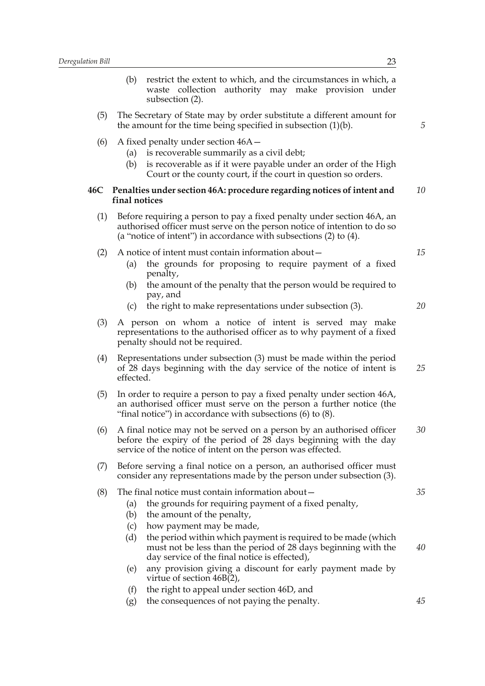- (b) restrict the extent to which, and the circumstances in which, a waste collection authority may make provision under subsection (2).
- (5) The Secretary of State may by order substitute a different amount for the amount for the time being specified in subsection (1)(b).
- (6) A fixed penalty under section 46A—
	- (a) is recoverable summarily as a civil debt;
	- (b) is recoverable as if it were payable under an order of the High Court or the county court, if the court in question so orders.

#### **46C Penalties under section 46A: procedure regarding notices of intent and final notices** *10*

(1) Before requiring a person to pay a fixed penalty under section 46A, an authorised officer must serve on the person notice of intention to do so (a "notice of intent") in accordance with subsections (2) to (4).

#### (2) A notice of intent must contain information about—

- (a) the grounds for proposing to require payment of a fixed penalty,
- (b) the amount of the penalty that the person would be required to pay, and
- (c) the right to make representations under subsection (3).
- (3) A person on whom a notice of intent is served may make representations to the authorised officer as to why payment of a fixed penalty should not be required.
- (4) Representations under subsection (3) must be made within the period of 28 days beginning with the day service of the notice of intent is effected. *25*
- (5) In order to require a person to pay a fixed penalty under section 46A, an authorised officer must serve on the person a further notice (the "final notice") in accordance with subsections (6) to (8).
- (6) A final notice may not be served on a person by an authorised officer before the expiry of the period of 28 days beginning with the day service of the notice of intent on the person was effected. *30*
- (7) Before serving a final notice on a person, an authorised officer must consider any representations made by the person under subsection (3).

#### (8) The final notice must contain information about—

- (a) the grounds for requiring payment of a fixed penalty,
- (b) the amount of the penalty,
- (c) how payment may be made,
- (d) the period within which payment is required to be made (which must not be less than the period of 28 days beginning with the day service of the final notice is effected),
- (e) any provision giving a discount for early payment made by virtue of section 46B(2),
- (f) the right to appeal under section 46D, and
- (g) the consequences of not paying the penalty.

*5*

*15*

*20*

*35*

*45*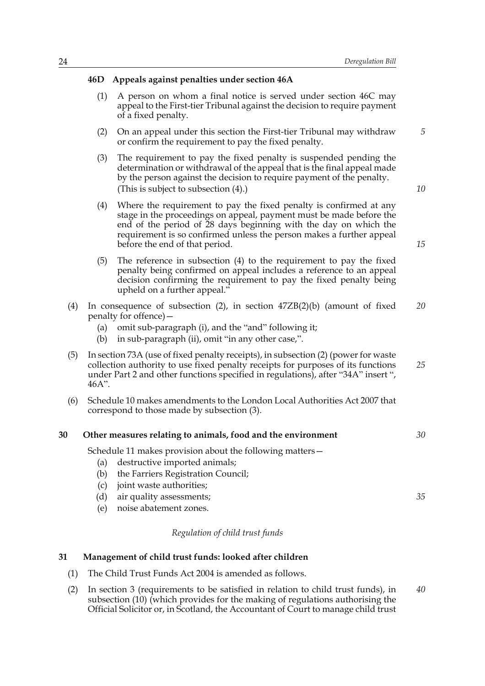#### **46D Appeals against penalties under section 46A**

- (1) A person on whom a final notice is served under section 46C may appeal to the First-tier Tribunal against the decision to require payment of a fixed penalty.
- (2) On an appeal under this section the First-tier Tribunal may withdraw or confirm the requirement to pay the fixed penalty.
- (3) The requirement to pay the fixed penalty is suspended pending the determination or withdrawal of the appeal that is the final appeal made by the person against the decision to require payment of the penalty. (This is subject to subsection (4).)
- (4) Where the requirement to pay the fixed penalty is confirmed at any stage in the proceedings on appeal, payment must be made before the end of the period of 28 days beginning with the day on which the requirement is so confirmed unless the person makes a further appeal before the end of that period.
- (5) The reference in subsection (4) to the requirement to pay the fixed penalty being confirmed on appeal includes a reference to an appeal decision confirming the requirement to pay the fixed penalty being upheld on a further appeal."
- (4) In consequence of subsection (2), in section 47ZB(2)(b) (amount of fixed penalty for offence)— *20*
	- (a) omit sub-paragraph (i), and the "and" following it;
	- (b) in sub-paragraph (ii), omit "in any other case,".
- (5) In section 73A (use of fixed penalty receipts), in subsection (2) (power for waste collection authority to use fixed penalty receipts for purposes of its functions under Part 2 and other functions specified in regulations), after "34A" insert ", 46A". *25*
- (6) Schedule 10 makes amendments to the London Local Authorities Act 2007 that correspond to those made by subsection (3).

#### **30 Other measures relating to animals, food and the environment** *30*

Schedule 11 makes provision about the following matters—

- (a) destructive imported animals;
- (b) the Farriers Registration Council;
- (c) joint waste authorities;
- (d) air quality assessments;
- (e) noise abatement zones.

## *Regulation of child trust funds*

## **31 Management of child trust funds: looked after children**

- (1) The Child Trust Funds Act 2004 is amended as follows.
- (2) In section 3 (requirements to be satisfied in relation to child trust funds), in subsection (10) (which provides for the making of regulations authorising the Official Solicitor or, in Scotland, the Accountant of Court to manage child trust *40*

*15*

*35*

*10*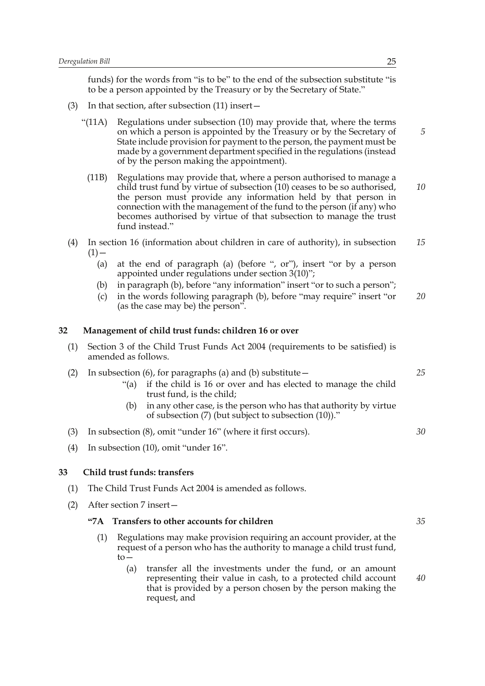funds) for the words from "is to be" to the end of the subsection substitute "is to be a person appointed by the Treasury or by the Secretary of State."

- (3) In that section, after subsection (11) insert—
	- "(11A) Regulations under subsection (10) may provide that, where the terms on which a person is appointed by the Treasury or by the Secretary of State include provision for payment to the person, the payment must be made by a government department specified in the regulations (instead of by the person making the appointment).
	- (11B) Regulations may provide that, where a person authorised to manage a child trust fund by virtue of subsection (10) ceases to be so authorised, the person must provide any information held by that person in connection with the management of the fund to the person (if any) who becomes authorised by virtue of that subsection to manage the trust fund instead." *10*
- (4) In section 16 (information about children in care of authority), in subsection  $(1)$  — *15*
	- (a) at the end of paragraph (a) (before ", or"), insert "or by a person appointed under regulations under section 3(10)";
	- (b) in paragraph (b), before "any information" insert "or to such a person";
	- (c) in the words following paragraph (b), before "may require" insert "or (as the case may be) the person". *20*

## **32 Management of child trust funds: children 16 or over**

- (1) Section 3 of the Child Trust Funds Act 2004 (requirements to be satisfied) is amended as follows.
- (2) In subsection (6), for paragraphs (a) and (b) substitute  $-$ 
	- "(a) if the child is 16 or over and has elected to manage the child trust fund, is the child;
	- (b) in any other case, is the person who has that authority by virtue of subsection (7) (but subject to subsection (10))."
- (3) In subsection (8), omit "under 16" (where it first occurs).
- (4) In subsection (10), omit "under 16".

## **33 Child trust funds: transfers**

- (1) The Child Trust Funds Act 2004 is amended as follows.
- (2) After section 7 insert—

## **"7A Transfers to other accounts for children**

- (1) Regulations may make provision requiring an account provider, at the request of a person who has the authority to manage a child trust fund, to—
	- (a) transfer all the investments under the fund, or an amount representing their value in cash, to a protected child account that is provided by a person chosen by the person making the request, and *40*

*5*

*35*

*25*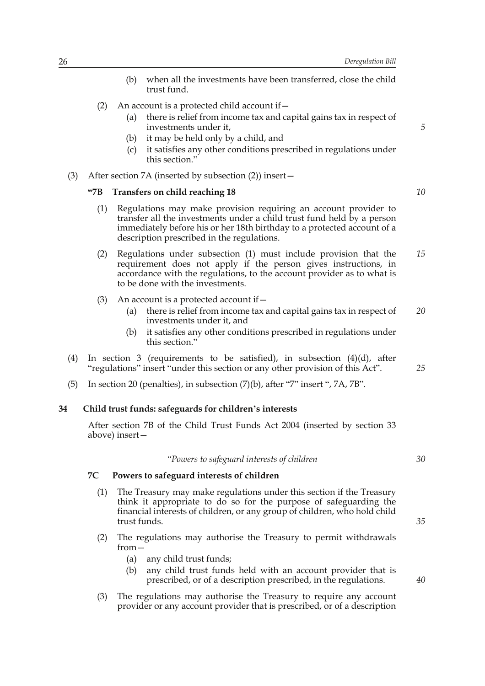- (b) when all the investments have been transferred, close the child trust fund.
- (2) An account is a protected child account if  $-$ 
	- (a) there is relief from income tax and capital gains tax in respect of investments under it,
	- (b) it may be held only by a child, and
	- (c) it satisfies any other conditions prescribed in regulations under this section."
- (3) After section 7A (inserted by subsection (2)) insert—

#### **"7B Transfers on child reaching 18**

- (1) Regulations may make provision requiring an account provider to transfer all the investments under a child trust fund held by a person immediately before his or her 18th birthday to a protected account of a description prescribed in the regulations.
- (2) Regulations under subsection (1) must include provision that the requirement does not apply if the person gives instructions, in accordance with the regulations, to the account provider as to what is to be done with the investments. *15*
- (3) An account is a protected account if  $-$ 
	- (a) there is relief from income tax and capital gains tax in respect of investments under it, and *20*
	- (b) it satisfies any other conditions prescribed in regulations under this section."
- (4) In section 3 (requirements to be satisfied), in subsection (4)(d), after "regulations" insert "under this section or any other provision of this Act".
- (5) In section 20 (penalties), in subsection (7)(b), after "7" insert ", 7A, 7B".

## **34 Child trust funds: safeguards for children's interests**

After section 7B of the Child Trust Funds Act 2004 (inserted by section 33 above) insert—

*"Powers to safeguard interests of children*

## **7C Powers to safeguard interests of children**

- (1) The Treasury may make regulations under this section if the Treasury think it appropriate to do so for the purpose of safeguarding the financial interests of children, or any group of children, who hold child trust funds.
- (2) The regulations may authorise the Treasury to permit withdrawals from—
	- (a) any child trust funds;
	- (b) any child trust funds held with an account provider that is prescribed, or of a description prescribed, in the regulations.
- (3) The regulations may authorise the Treasury to require any account provider or any account provider that is prescribed, or of a description

*10*

*5*

*25*

*30*

*35*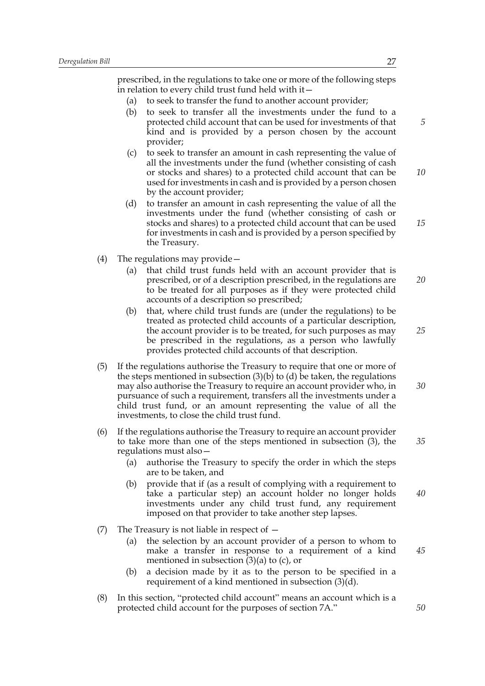prescribed, in the regulations to take one or more of the following steps in relation to every child trust fund held with it—

- (a) to seek to transfer the fund to another account provider;
- (b) to seek to transfer all the investments under the fund to a protected child account that can be used for investments of that kind and is provided by a person chosen by the account provider;
- (c) to seek to transfer an amount in cash representing the value of all the investments under the fund (whether consisting of cash or stocks and shares) to a protected child account that can be used for investments in cash and is provided by a person chosen by the account provider; *10*
- (d) to transfer an amount in cash representing the value of all the investments under the fund (whether consisting of cash or stocks and shares) to a protected child account that can be used for investments in cash and is provided by a person specified by the Treasury.
- (4) The regulations may provide—
	- (a) that child trust funds held with an account provider that is prescribed, or of a description prescribed, in the regulations are to be treated for all purposes as if they were protected child accounts of a description so prescribed; *20*
	- (b) that, where child trust funds are (under the regulations) to be treated as protected child accounts of a particular description, the account provider is to be treated, for such purposes as may be prescribed in the regulations, as a person who lawfully provides protected child accounts of that description.
- (5) If the regulations authorise the Treasury to require that one or more of the steps mentioned in subsection  $(3)(b)$  to  $(d)$  be taken, the regulations may also authorise the Treasury to require an account provider who, in pursuance of such a requirement, transfers all the investments under a child trust fund, or an amount representing the value of all the investments, to close the child trust fund. *30*
- (6) If the regulations authorise the Treasury to require an account provider to take more than one of the steps mentioned in subsection (3), the regulations must also—
	- (a) authorise the Treasury to specify the order in which the steps are to be taken, and
	- (b) provide that if (as a result of complying with a requirement to take a particular step) an account holder no longer holds investments under any child trust fund, any requirement imposed on that provider to take another step lapses. *40*
- (7) The Treasury is not liable in respect of
	- (a) the selection by an account provider of a person to whom to make a transfer in response to a requirement of a kind mentioned in subsection  $(3)(a)$  to  $(c)$ , or
	- (b) a decision made by it as to the person to be specified in a requirement of a kind mentioned in subsection (3)(d).
- (8) In this section, "protected child account" means an account which is a protected child account for the purposes of section 7A."

*5*

*15*

*25*

*35*

*50*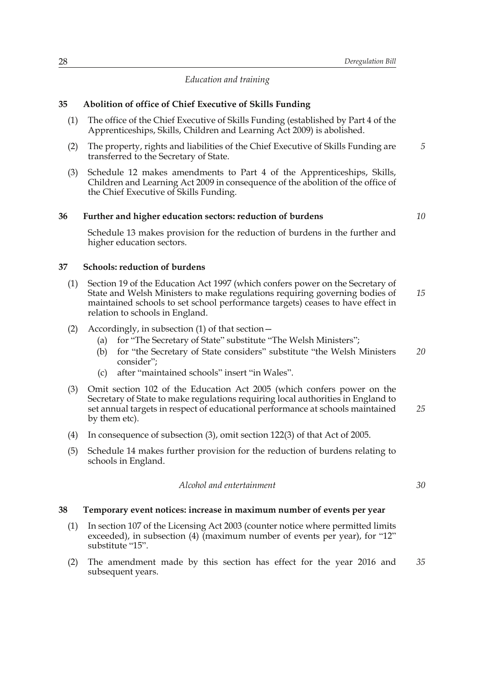## *Education and training*

## **35 Abolition of office of Chief Executive of Skills Funding**

- (1) The office of the Chief Executive of Skills Funding (established by Part 4 of the Apprenticeships, Skills, Children and Learning Act 2009) is abolished.
- (2) The property, rights and liabilities of the Chief Executive of Skills Funding are transferred to the Secretary of State.
- (3) Schedule 12 makes amendments to Part 4 of the Apprenticeships, Skills, Children and Learning Act 2009 in consequence of the abolition of the office of the Chief Executive of Skills Funding.

## **36 Further and higher education sectors: reduction of burdens**

*10*

*30*

*5*

Schedule 13 makes provision for the reduction of burdens in the further and higher education sectors.

#### **37 Schools: reduction of burdens**

- (1) Section 19 of the Education Act 1997 (which confers power on the Secretary of State and Welsh Ministers to make regulations requiring governing bodies of maintained schools to set school performance targets) ceases to have effect in relation to schools in England. *15*
- (2) Accordingly, in subsection (1) of that section—
	- (a) for "The Secretary of State" substitute "The Welsh Ministers";
	- (b) for "the Secretary of State considers" substitute "the Welsh Ministers consider"; *20*
	- (c) after "maintained schools" insert "in Wales".
- (3) Omit section 102 of the Education Act 2005 (which confers power on the Secretary of State to make regulations requiring local authorities in England to set annual targets in respect of educational performance at schools maintained by them etc). *25*
- (4) In consequence of subsection (3), omit section 122(3) of that Act of 2005.
- (5) Schedule 14 makes further provision for the reduction of burdens relating to schools in England.

*Alcohol and entertainment*

## **38 Temporary event notices: increase in maximum number of events per year**

- (1) In section 107 of the Licensing Act 2003 (counter notice where permitted limits exceeded), in subsection (4) (maximum number of events per year), for "12" substitute "15".
- (2) The amendment made by this section has effect for the year 2016 and subsequent years. *35*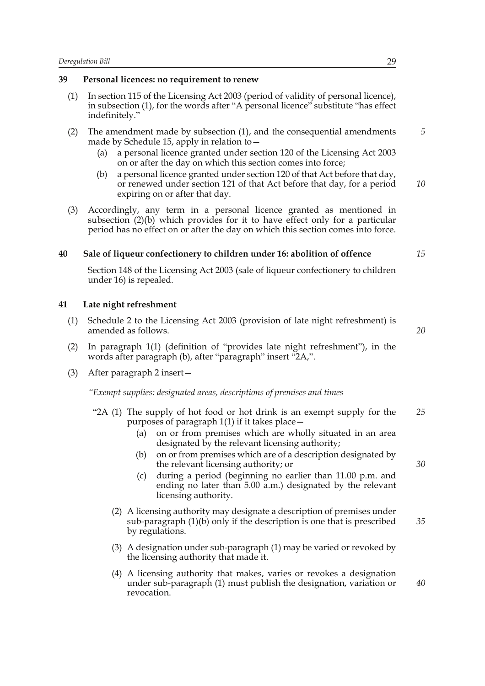## **39 Personal licences: no requirement to renew**

- (1) In section 115 of the Licensing Act 2003 (period of validity of personal licence), in subsection (1), for the words after "A personal licence" substitute "has effect indefinitely."
- (2) The amendment made by subsection (1), and the consequential amendments made by Schedule 15, apply in relation to
	- a personal licence granted under section 120 of the Licensing Act 2003 on or after the day on which this section comes into force;
	- (b) a personal licence granted under section 120 of that Act before that day, or renewed under section 121 of that Act before that day, for a period expiring on or after that day. *10*
- (3) Accordingly, any term in a personal licence granted as mentioned in subsection (2)(b) which provides for it to have effect only for a particular period has no effect on or after the day on which this section comes into force.

## **40 Sale of liqueur confectionery to children under 16: abolition of offence**

Section 148 of the Licensing Act 2003 (sale of liqueur confectionery to children under 16) is repealed.

## **41 Late night refreshment**

- (1) Schedule 2 to the Licensing Act 2003 (provision of late night refreshment) is amended as follows.
- (2) In paragraph 1(1) (definition of "provides late night refreshment"), in the words after paragraph (b), after "paragraph" insert "2A,".
- (3) After paragraph 2 insert—

*"Exempt supplies: designated areas, descriptions of premises and times*

- "2A (1) The supply of hot food or hot drink is an exempt supply for the purposes of paragraph 1(1) if it takes place— *25*
	- (a) on or from premises which are wholly situated in an area designated by the relevant licensing authority;
	- (b) on or from premises which are of a description designated by the relevant licensing authority; or
	- (c) during a period (beginning no earlier than 11.00 p.m. and ending no later than 5.00 a.m.) designated by the relevant licensing authority.
	- (2) A licensing authority may designate a description of premises under sub-paragraph (1)(b) only if the description is one that is prescribed by regulations. *35*
	- (3) A designation under sub-paragraph (1) may be varied or revoked by the licensing authority that made it.
	- (4) A licensing authority that makes, varies or revokes a designation under sub-paragraph (1) must publish the designation, variation or revocation. *40*

*5*

*15*

*20*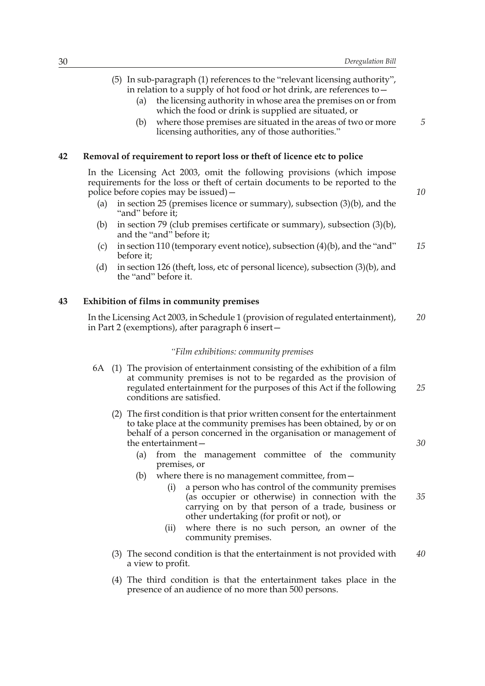(5) In sub-paragraph (1) references to the "relevant licensing authority", in relation to a supply of hot food or hot drink, are references to— (a) the licensing authority in whose area the premises on or from which the food or drink is supplied are situated, or (b) where those premises are situated in the areas of two or more licensing authorities, any of those authorities." **42 Removal of requirement to report loss or theft of licence etc to police** In the Licensing Act 2003, omit the following provisions (which impose requirements for the loss or theft of certain documents to be reported to the police before copies may be issued)— (a) in section 25 (premises licence or summary), subsection (3)(b), and the "and" before it; (b) in section 79 (club premises certificate or summary), subsection (3)(b), and the "and" before it;

- (c) in section 110 (temporary event notice), subsection  $(4)(b)$ , and the "and" before it; *15*
- (d) in section 126 (theft, loss, etc of personal licence), subsection (3)(b), and the "and" before it.

## **43 Exhibition of films in community premises**

In the Licensing Act 2003, in Schedule 1 (provision of regulated entertainment), in Part 2 (exemptions), after paragraph  $\overline{6}$  insert  $-$ *20*

#### *"Film exhibitions: community premises*

- 6A (1) The provision of entertainment consisting of the exhibition of a film at community premises is not to be regarded as the provision of regulated entertainment for the purposes of this Act if the following conditions are satisfied. *25*
	- (2) The first condition is that prior written consent for the entertainment to take place at the community premises has been obtained, by or on behalf of a person concerned in the organisation or management of the entertainment—
		- (a) from the management committee of the community premises, or
		- (b) where there is no management committee, from—
			- (i) a person who has control of the community premises (as occupier or otherwise) in connection with the carrying on by that person of a trade, business or other undertaking (for profit or not), or
			- (ii) where there is no such person, an owner of the community premises.
	- (3) The second condition is that the entertainment is not provided with a view to profit. *40*
	- (4) The third condition is that the entertainment takes place in the presence of an audience of no more than 500 persons.

*10*

*5*

*30*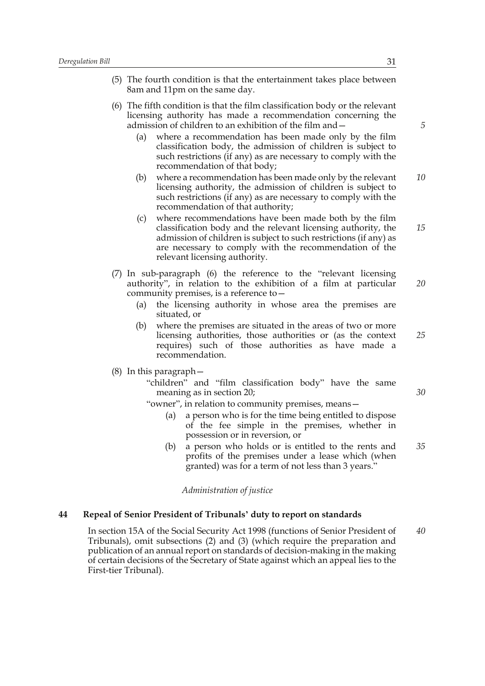- (5) The fourth condition is that the entertainment takes place between 8am and 11pm on the same day.
- (6) The fifth condition is that the film classification body or the relevant licensing authority has made a recommendation concerning the admission of children to an exhibition of the film and—
	- (a) where a recommendation has been made only by the film classification body, the admission of children is subject to such restrictions (if any) as are necessary to comply with the recommendation of that body;
	- (b) where a recommendation has been made only by the relevant licensing authority, the admission of children is subject to such restrictions (if any) as are necessary to comply with the recommendation of that authority; *10*
	- (c) where recommendations have been made both by the film classification body and the relevant licensing authority, the admission of children is subject to such restrictions (if any) as are necessary to comply with the recommendation of the relevant licensing authority. *15*
- (7) In sub-paragraph (6) the reference to the "relevant licensing authority", in relation to the exhibition of a film at particular community premises, is a reference to— *20*
	- (a) the licensing authority in whose area the premises are situated, or
	- (b) where the premises are situated in the areas of two or more licensing authorities, those authorities or (as the context requires) such of those authorities as have made a recommendation. *25*
- (8) In this paragraph—
	- "children" and "film classification body" have the same meaning as in section 20;
	- "owner", in relation to community premises, means—
		- (a) a person who is for the time being entitled to dispose of the fee simple in the premises, whether in possession or in reversion, or
		- (b) a person who holds or is entitled to the rents and profits of the premises under a lease which (when granted) was for a term of not less than 3 years." *35*

*Administration of justice*

#### **44 Repeal of Senior President of Tribunals' duty to report on standards**

In section 15A of the Social Security Act 1998 (functions of Senior President of Tribunals), omit subsections (2) and (3) (which require the preparation and publication of an annual report on standards of decision-making in the making of certain decisions of the Secretary of State against which an appeal lies to the First-tier Tribunal). *40*

*5*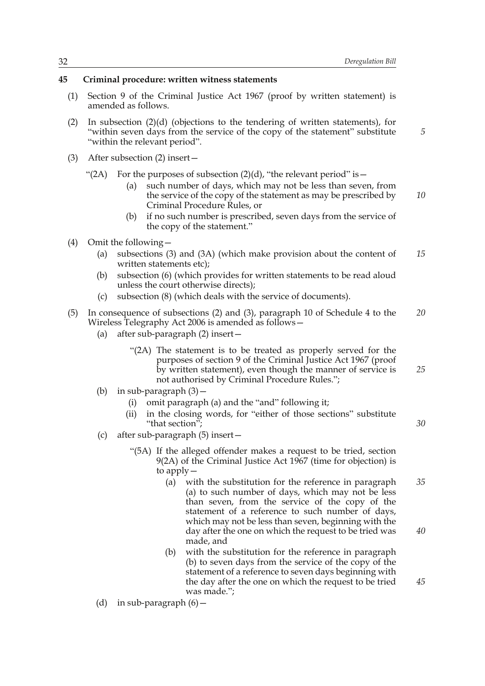*5*

*25*

*30*

*45*

# **45 Criminal procedure: written witness statements**

- (1) Section 9 of the Criminal Justice Act 1967 (proof by written statement) is amended as follows.
- (2) In subsection (2)(d) (objections to the tendering of written statements), for "within seven days from the service of the copy of the statement" substitute "within the relevant period".
- (3) After subsection (2) insert—

"(2A) For the purposes of subsection  $(2)(d)$ , "the relevant period" is  $-$ 

- (a) such number of days, which may not be less than seven, from the service of the copy of the statement as may be prescribed by Criminal Procedure Rules, or *10*
- (b) if no such number is prescribed, seven days from the service of the copy of the statement."
- (4) Omit the following—
	- (a) subsections (3) and (3A) (which make provision about the content of written statements etc); *15*
	- (b) subsection (6) (which provides for written statements to be read aloud unless the court otherwise directs);
	- (c) subsection (8) (which deals with the service of documents).
- (5) In consequence of subsections (2) and (3), paragraph 10 of Schedule 4 to the Wireless Telegraphy Act 2006 is amended as follows— *20*
	- (a) after sub-paragraph (2) insert—
		- "(2A) The statement is to be treated as properly served for the purposes of section 9 of the Criminal Justice Act 1967 (proof by written statement), even though the manner of service is not authorised by Criminal Procedure Rules.";
	- (b) in sub-paragraph (3)—
		- (i) omit paragraph (a) and the "and" following it;
		- (ii) in the closing words, for "either of those sections" substitute "that section";
	- (c) after sub-paragraph (5) insert—
		- "(5A) If the alleged offender makes a request to be tried, section 9(2A) of the Criminal Justice Act 1967 (time for objection) is to apply—
			- (a) with the substitution for the reference in paragraph (a) to such number of days, which may not be less than seven, from the service of the copy of the statement of a reference to such number of days, which may not be less than seven, beginning with the day after the one on which the request to be tried was made, and *35 40*
			- (b) with the substitution for the reference in paragraph (b) to seven days from the service of the copy of the statement of a reference to seven days beginning with the day after the one on which the request to be tried was made.";

(d) in sub-paragraph  $(6)$  -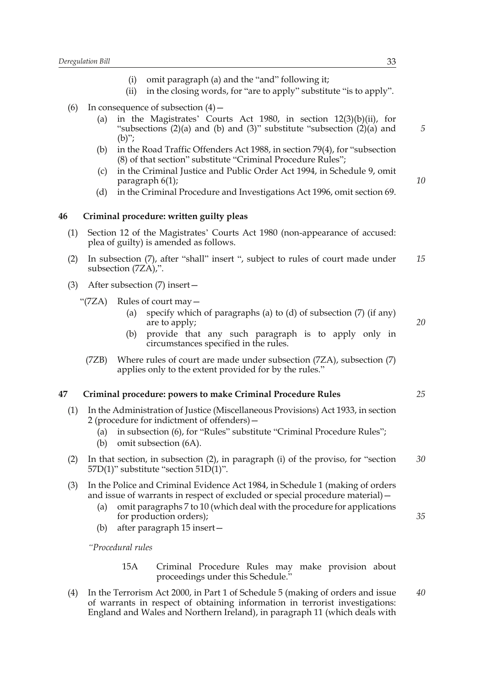- (i) omit paragraph (a) and the "and" following it;
- (ii) in the closing words, for "are to apply" substitute "is to apply".
- (6) In consequence of subsection  $(4)$ 
	- (a) in the Magistrates' Courts Act 1980, in section 12(3)(b)(ii), for "subsections  $(2)(a)$  and  $(b)$  and  $(3)$ " substitute "subsection  $(2)(a)$  and  $(b)$ ";
	- (b) in the Road Traffic Offenders Act 1988, in section 79(4), for "subsection (8) of that section" substitute "Criminal Procedure Rules";
	- (c) in the Criminal Justice and Public Order Act 1994, in Schedule 9, omit paragraph 6(1);
	- (d) in the Criminal Procedure and Investigations Act 1996, omit section 69.

## **46 Criminal procedure: written guilty pleas**

- (1) Section 12 of the Magistrates' Courts Act 1980 (non-appearance of accused: plea of guilty) is amended as follows.
- (2) In subsection (7), after "shall" insert ", subject to rules of court made under subsection (7ZA),". *15*
- (3) After subsection (7) insert—
	- "(7ZA) Rules of court may—
		- (a) specify which of paragraphs (a) to (d) of subsection  $(7)$  (if any) are to apply;
		- (b) provide that any such paragraph is to apply only in circumstances specified in the rules.
		- (7ZB) Where rules of court are made under subsection (7ZA), subsection (7) applies only to the extent provided for by the rules."

#### **47 Criminal procedure: powers to make Criminal Procedure Rules**

- (1) In the Administration of Justice (Miscellaneous Provisions) Act 1933, in section 2 (procedure for indictment of offenders)—
	- (a) in subsection (6), for "Rules" substitute "Criminal Procedure Rules";
	- (b) omit subsection (6A).
- (2) In that section, in subsection (2), in paragraph (i) of the proviso, for "section 57D(1)" substitute "section 51D(1)". *30*
- (3) In the Police and Criminal Evidence Act 1984, in Schedule 1 (making of orders and issue of warrants in respect of excluded or special procedure material)—
	- (a) omit paragraphs 7 to 10 (which deal with the procedure for applications for production orders);
	- (b) after paragraph 15 insert—

*"Procedural rules*

15A Criminal Procedure Rules may make provision about proceedings under this Schedule."

(4) In the Terrorism Act 2000, in Part 1 of Schedule 5 (making of orders and issue of warrants in respect of obtaining information in terrorist investigations: England and Wales and Northern Ireland), in paragraph 11 (which deals with *40*

*10*

*5*

*20*

*25*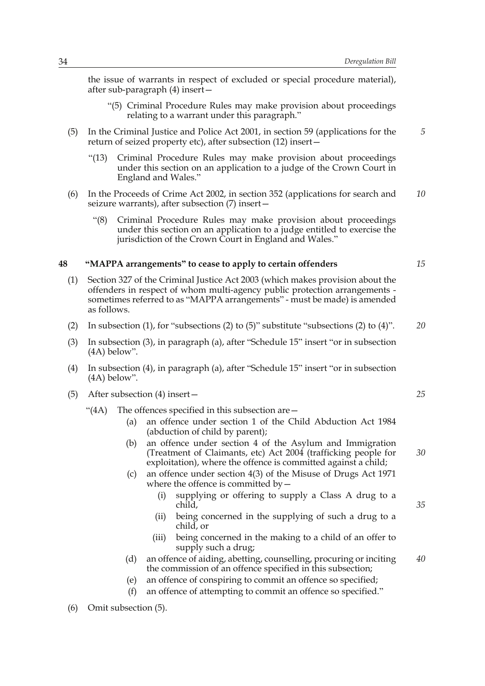the issue of warrants in respect of excluded or special procedure material), after sub-paragraph (4) insert—

- "(5) Criminal Procedure Rules may make provision about proceedings relating to a warrant under this paragraph."
- (5) In the Criminal Justice and Police Act 2001, in section 59 (applications for the return of seized property etc), after subsection (12) insert—
	- "(13) Criminal Procedure Rules may make provision about proceedings under this section on an application to a judge of the Crown Court in England and Wales."
- (6) In the Proceeds of Crime Act 2002, in section 352 (applications for search and seizure warrants), after subsection (7) insert— *10*
	- "(8) Criminal Procedure Rules may make provision about proceedings under this section on an application to a judge entitled to exercise the jurisdiction of the Crown Court in England and Wales."

# **48 "MAPPA arrangements" to cease to apply to certain offenders**

- (1) Section 327 of the Criminal Justice Act 2003 (which makes provision about the offenders in respect of whom multi-agency public protection arrangements sometimes referred to as "MAPPA arrangements" - must be made) is amended as follows.
- (2) In subsection (1), for "subsections (2) to (5)" substitute "subsections (2) to (4)". *20*
- (3) In subsection (3), in paragraph (a), after "Schedule 15" insert "or in subsection (4A) below".
- (4) In subsection (4), in paragraph (a), after "Schedule 15" insert "or in subsection (4A) below".
- (5) After subsection (4) insert—
	- "(4A) The offences specified in this subsection are—
		- (a) an offence under section 1 of the Child Abduction Act 1984 (abduction of child by parent);
		- (b) an offence under section 4 of the Asylum and Immigration (Treatment of Claimants, etc) Act 2004 (trafficking people for exploitation), where the offence is committed against a child;
		- (c) an offence under section 4(3) of the Misuse of Drugs Act 1971 where the offence is committed by  $-$ 
			- (i) supplying or offering to supply a Class A drug to a child,
			- (ii) being concerned in the supplying of such a drug to a child, or
			- (iii) being concerned in the making to a child of an offer to supply such a drug;
		- (d) an offence of aiding, abetting, counselling, procuring or inciting the commission of an offence specified in this subsection;
		- (e) an offence of conspiring to commit an offence so specified;
		- (f) an offence of attempting to commit an offence so specified."

*25*

*15*

*5*

*35*

*30*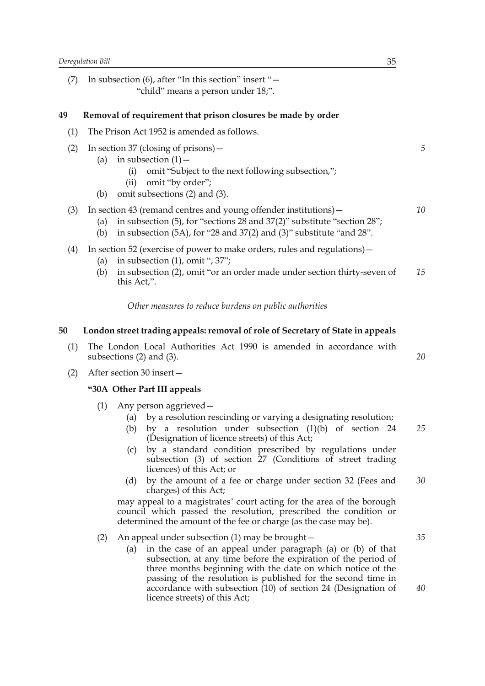(7) In subsection (6), after "In this section" insert "— "child" means a person under 18;".

# **49 Removal of requirement that prison closures be made by order**

- (1) The Prison Act 1952 is amended as follows.
- (2) In section 37 (closing of prisons)—
	- (a) in subsection  $(1)$  -
		- (i) omit "Subject to the next following subsection,";
		- (ii) omit "by order";
	- (b) omit subsections (2) and (3).

# (3) In section 43 (remand centres and young offender institutions)—

(a) in subsection (5), for "sections 28 and 37(2)" substitute "section 28";

- (b) in subsection (5A), for "28 and 37(2) and (3)" substitute "and 28".
- (4) In section 52 (exercise of power to make orders, rules and regulations)—
	- (a) in subsection  $(1)$ , omit ", 37";
	- (b) in subsection (2), omit "or an order made under section thirty-seven of this Act,". *15*

*Other measures to reduce burdens on public authorities*

### **50 London street trading appeals: removal of role of Secretary of State in appeals**

- (1) The London Local Authorities Act 1990 is amended in accordance with subsections (2) and (3).
- (2) After section 30 insert—

# **"30A Other Part III appeals**

- (1) Any person aggrieved—
	- (a) by a resolution rescinding or varying a designating resolution;
	- (b) by a resolution under subsection (1)(b) of section 24 (Designation of licence streets) of this Act; *25*
	- (c) by a standard condition prescribed by regulations under subsection (3) of section 27 (Conditions of street trading licences) of this Act; or
	- (d) by the amount of a fee or charge under section 32 (Fees and charges) of this Act; *30*

may appeal to a magistrates' court acting for the area of the borough council which passed the resolution, prescribed the condition or determined the amount of the fee or charge (as the case may be).

#### (2) An appeal under subsection (1) may be brought—

(a) in the case of an appeal under paragraph (a) or (b) of that subsection, at any time before the expiration of the period of three months beginning with the date on which notice of the passing of the resolution is published for the second time in accordance with subsection (10) of section 24 (Designation of licence streets) of this Act;

*5*

*10*

*20*

*35*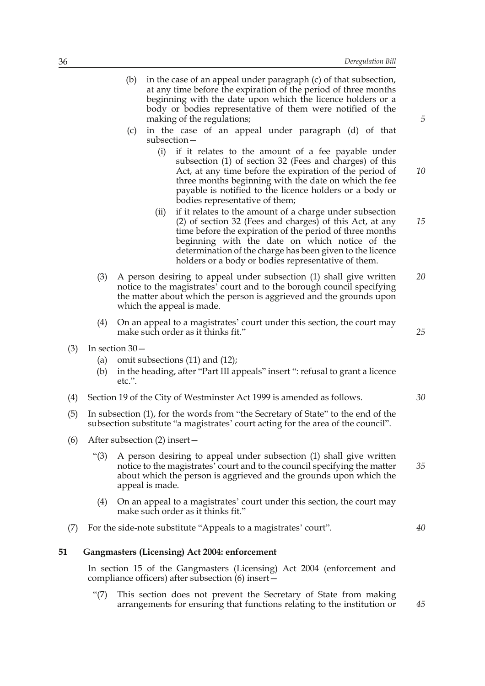- (c) in the case of an appeal under paragraph (d) of that subsection—
	- (i) if it relates to the amount of a fee payable under subsection (1) of section 32 (Fees and charges) of this Act, at any time before the expiration of the period of three months beginning with the date on which the fee payable is notified to the licence holders or a body or bodies representative of them;
	- (ii) if it relates to the amount of a charge under subsection (2) of section 32 (Fees and charges) of this Act, at any time before the expiration of the period of three months beginning with the date on which notice of the determination of the charge has been given to the licence holders or a body or bodies representative of them. *15*
- (3) A person desiring to appeal under subsection (1) shall give written notice to the magistrates' court and to the borough council specifying the matter about which the person is aggrieved and the grounds upon which the appeal is made. *20*
- (4) On an appeal to a magistrates' court under this section, the court may make such order as it thinks fit."
- (3) In section 30—
	- (a) omit subsections (11) and (12);
	- (b) in the heading, after "Part III appeals" insert ": refusal to grant a licence etc.".
- (4) Section 19 of the City of Westminster Act 1999 is amended as follows.
- (5) In subsection (1), for the words from "the Secretary of State" to the end of the subsection substitute "a magistrates' court acting for the area of the council".
- (6) After subsection (2) insert—
	- "(3) A person desiring to appeal under subsection (1) shall give written notice to the magistrates' court and to the council specifying the matter about which the person is aggrieved and the grounds upon which the appeal is made. *35*
	- (4) On an appeal to a magistrates' court under this section, the court may make such order as it thinks fit."
- (7) For the side-note substitute "Appeals to a magistrates' court".

## **51 Gangmasters (Licensing) Act 2004: enforcement**

In section 15 of the Gangmasters (Licensing) Act 2004 (enforcement and compliance officers) after subsection (6) insert—

"(7) This section does not prevent the Secretary of State from making arrangements for ensuring that functions relating to the institution or *5*

*10*

*30*

*25*

*40*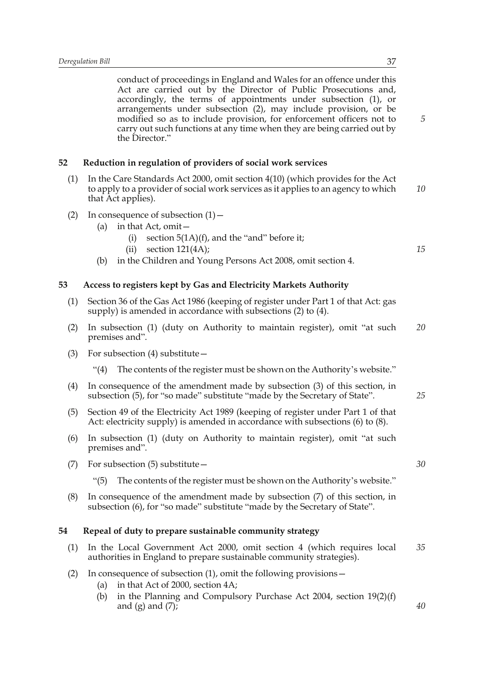conduct of proceedings in England and Wales for an offence under this Act are carried out by the Director of Public Prosecutions and, accordingly, the terms of appointments under subsection (1), or arrangements under subsection (2), may include provision, or be modified so as to include provision, for enforcement officers not to carry out such functions at any time when they are being carried out by the Director."

# **52 Reduction in regulation of providers of social work services**

- (1) In the Care Standards Act 2000, omit section 4(10) (which provides for the Act to apply to a provider of social work services as it applies to an agency to which that Act applies). *10*
- (2) In consequence of subsection  $(1)$ 
	- (a) in that Act, omit—
		- (i) section  $5(1A)(f)$ , and the "and" before it;
		- (ii) section  $121(4A)$ ;
	- (b) in the Children and Young Persons Act 2008, omit section 4.

# **53 Access to registers kept by Gas and Electricity Markets Authority**

- (1) Section 36 of the Gas Act 1986 (keeping of register under Part 1 of that Act: gas supply) is amended in accordance with subsections (2) to (4).
- (2) In subsection (1) (duty on Authority to maintain register), omit "at such premises and". *20*
- (3) For subsection (4) substitute—
	- "(4) The contents of the register must be shown on the Authority's website."
- (4) In consequence of the amendment made by subsection (3) of this section, in subsection (5), for "so made" substitute "made by the Secretary of State".
- (5) Section 49 of the Electricity Act 1989 (keeping of register under Part 1 of that Act: electricity supply) is amended in accordance with subsections (6) to (8).
- (6) In subsection (1) (duty on Authority to maintain register), omit "at such premises and".
- (7) For subsection (5) substitute—
	- "(5) The contents of the register must be shown on the Authority's website."
- (8) In consequence of the amendment made by subsection (7) of this section, in subsection (6), for "so made" substitute "made by the Secretary of State".

# **54 Repeal of duty to prepare sustainable community strategy**

- (1) In the Local Government Act 2000, omit section 4 (which requires local authorities in England to prepare sustainable community strategies). *35*
- (2) In consequence of subsection (1), omit the following provisions—
	- (a) in that Act of 2000, section 4A;
	- (b) in the Planning and Compulsory Purchase Act 2004, section  $19(2)(f)$ and  $(g)$  and  $(7)$ ;

*5*

*15*

*30*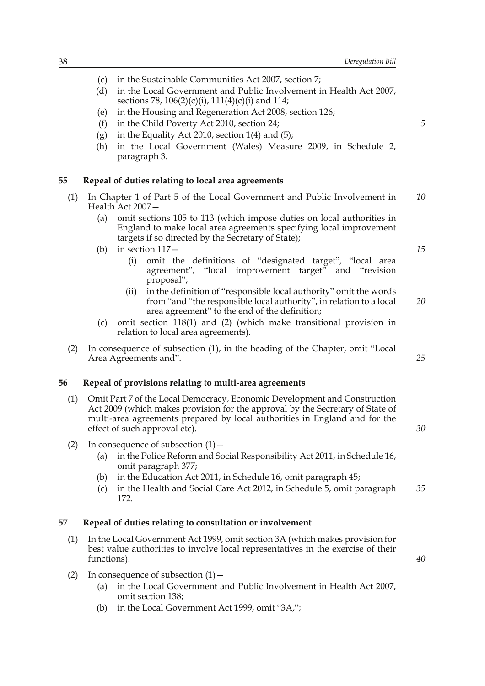- (c) in the Sustainable Communities Act 2007, section 7;
- (d) in the Local Government and Public Involvement in Health Act 2007, sections 78, 106(2)(c)(i), 111(4)(c)(i) and 114;
- (e) in the Housing and Regeneration Act 2008, section 126;
- (f) in the Child Poverty Act 2010, section 24;
- (g) in the Equality Act 2010, section  $1(4)$  and  $(5)$ ;
- (h) in the Local Government (Wales) Measure 2009, in Schedule 2, paragraph 3.

# **55 Repeal of duties relating to local area agreements**

- (1) In Chapter 1 of Part 5 of the Local Government and Public Involvement in Health Act 2007— *10*
	- (a) omit sections 105 to 113 (which impose duties on local authorities in England to make local area agreements specifying local improvement targets if so directed by the Secretary of State);
	- (b) in section 117—
		- (i) omit the definitions of "designated target", "local area agreement", "local improvement target" and "revision proposal";
		- (ii) in the definition of "responsible local authority" omit the words from "and "the responsible local authority", in relation to a local area agreement" to the end of the definition; *20*
	- (c) omit section 118(1) and (2) (which make transitional provision in relation to local area agreements).
- (2) In consequence of subsection (1), in the heading of the Chapter, omit "Local Area Agreements and".

## **56 Repeal of provisions relating to multi-area agreements**

- (1) Omit Part 7 of the Local Democracy, Economic Development and Construction Act 2009 (which makes provision for the approval by the Secretary of State of multi-area agreements prepared by local authorities in England and for the effect of such approval etc).
- (2) In consequence of subsection  $(1)$  -
	- (a) in the Police Reform and Social Responsibility Act 2011, in Schedule 16, omit paragraph 377;
	- (b) in the Education Act 2011, in Schedule 16, omit paragraph 45;
	- (c) in the Health and Social Care Act 2012, in Schedule 5, omit paragraph 172. *35*

# **57 Repeal of duties relating to consultation or involvement**

- (1) In the Local Government Act 1999, omit section 3A (which makes provision for best value authorities to involve local representatives in the exercise of their functions).
- (2) In consequence of subsection  $(1)$ 
	- (a) in the Local Government and Public Involvement in Health Act 2007, omit section 138;
	- (b) in the Local Government Act 1999, omit "3A,";

*5*

*15*

*25*

*30*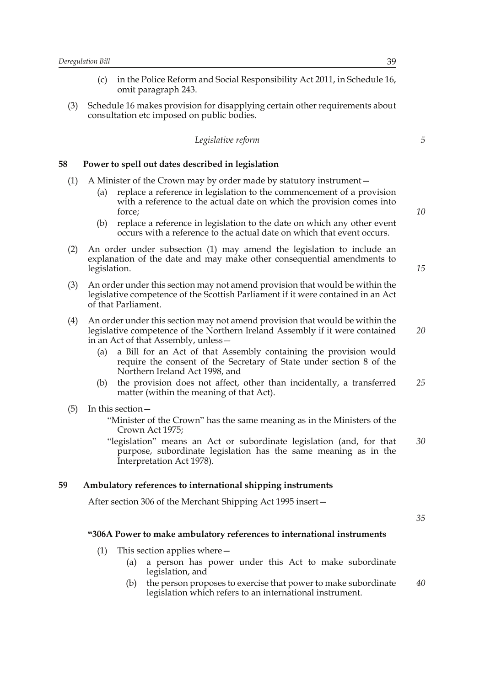- (c) in the Police Reform and Social Responsibility Act 2011, in Schedule 16, omit paragraph 243.
- (3) Schedule 16 makes provision for disapplying certain other requirements about consultation etc imposed on public bodies.

|  | Legislative reform |
|--|--------------------|
|  |                    |

### **58 Power to spell out dates described in legislation**

- (1) A Minister of the Crown may by order made by statutory instrument—
	- (a) replace a reference in legislation to the commencement of a provision with a reference to the actual date on which the provision comes into force;
	- (b) replace a reference in legislation to the date on which any other event occurs with a reference to the actual date on which that event occurs.
- (2) An order under subsection (1) may amend the legislation to include an explanation of the date and may make other consequential amendments to legislation.
- (3) An order under this section may not amend provision that would be within the legislative competence of the Scottish Parliament if it were contained in an Act of that Parliament.
- (4) An order under this section may not amend provision that would be within the legislative competence of the Northern Ireland Assembly if it were contained in an Act of that Assembly, unless—
	- (a) a Bill for an Act of that Assembly containing the provision would require the consent of the Secretary of State under section 8 of the Northern Ireland Act 1998, and
	- (b) the provision does not affect, other than incidentally, a transferred matter (within the meaning of that Act). *25*
- (5) In this section—

"Minister of the Crown" has the same meaning as in the Ministers of the Crown Act 1975;

"legislation" means an Act or subordinate legislation (and, for that purpose, subordinate legislation has the same meaning as in the Interpretation Act 1978). *30*

### **59 Ambulatory references to international shipping instruments**

After section 306 of the Merchant Shipping Act 1995 insert—

*35*

#### **"306A Power to make ambulatory references to international instruments**

- (1) This section applies where—
	- (a) a person has power under this Act to make subordinate legislation, and
	- (b) the person proposes to exercise that power to make subordinate legislation which refers to an international instrument. *40*

*5*

*10*

*15*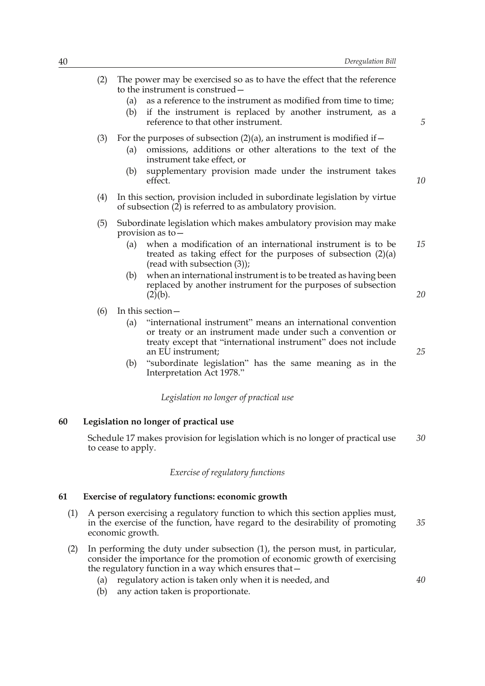- (2) The power may be exercised so as to have the effect that the reference to the instrument is construed— (a) as a reference to the instrument as modified from time to time; (b) if the instrument is replaced by another instrument, as a reference to that other instrument. (3) For the purposes of subsection  $(2)(a)$ , an instrument is modified if  $-$ 
	- (a) omissions, additions or other alterations to the text of the instrument take effect, or
	- (b) supplementary provision made under the instrument takes effect.
- (4) In this section, provision included in subordinate legislation by virtue of subsection  $(2)$  is referred to as ambulatory provision.
- (5) Subordinate legislation which makes ambulatory provision may make provision as to—
	- (a) when a modification of an international instrument is to be treated as taking effect for the purposes of subsection (2)(a) (read with subsection (3)); *15*
	- (b) when an international instrument is to be treated as having been replaced by another instrument for the purposes of subsection  $(2)(b)$ .
- (6) In this section—
	- (a) "international instrument" means an international convention or treaty or an instrument made under such a convention or treaty except that "international instrument" does not include an EU instrument;
	- (b) "subordinate legislation" has the same meaning as in the Interpretation Act 1978."

### *Legislation no longer of practical use*

# **60 Legislation no longer of practical use**

Schedule 17 makes provision for legislation which is no longer of practical use to cease to apply. *30*

### *Exercise of regulatory functions*

# **61 Exercise of regulatory functions: economic growth**

- (1) A person exercising a regulatory function to which this section applies must, in the exercise of the function, have regard to the desirability of promoting economic growth. *35*
- (2) In performing the duty under subsection (1), the person must, in particular, consider the importance for the promotion of economic growth of exercising the regulatory function in a way which ensures that—
	- (a) regulatory action is taken only when it is needed, and
	- (b) any action taken is proportionate.

*25*

*40*

*20*

*5*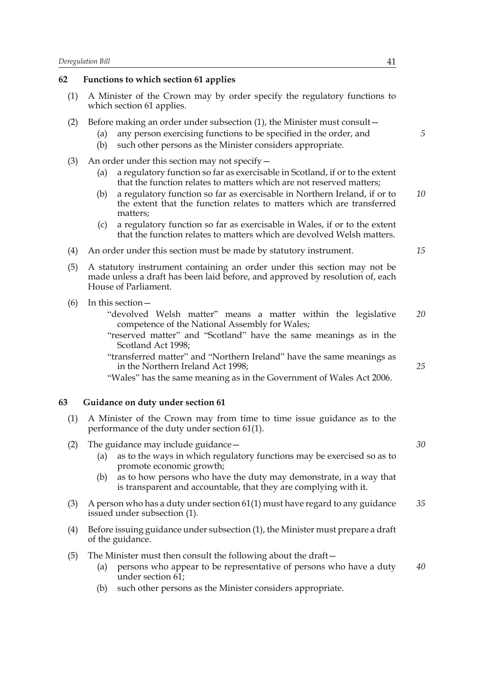#### **62 Functions to which section 61 applies**

- (1) A Minister of the Crown may by order specify the regulatory functions to which section 61 applies.
- (2) Before making an order under subsection (1), the Minister must consult—
	- (a) any person exercising functions to be specified in the order, and
	- (b) such other persons as the Minister considers appropriate.
- (3) An order under this section may not specify—
	- (a) a regulatory function so far as exercisable in Scotland, if or to the extent that the function relates to matters which are not reserved matters;
	- (b) a regulatory function so far as exercisable in Northern Ireland, if or to the extent that the function relates to matters which are transferred matters; *10*
	- (c) a regulatory function so far as exercisable in Wales, if or to the extent that the function relates to matters which are devolved Welsh matters.
- (4) An order under this section must be made by statutory instrument.
- (5) A statutory instrument containing an order under this section may not be made unless a draft has been laid before, and approved by resolution of, each House of Parliament.
- (6) In this section—
	- "devolved Welsh matter" means a matter within the legislative competence of the National Assembly for Wales; *20*
	- "reserved matter" and "Scotland" have the same meanings as in the Scotland Act 1998;
	- "transferred matter" and "Northern Ireland" have the same meanings as in the Northern Ireland Act 1998;
	- "Wales" has the same meaning as in the Government of Wales Act 2006.

# **63 Guidance on duty under section 61**

- (1) A Minister of the Crown may from time to time issue guidance as to the performance of the duty under section 61(1).
- (2) The guidance may include guidance  $-$ 
	- (a) as to the ways in which regulatory functions may be exercised so as to promote economic growth;
	- (b) as to how persons who have the duty may demonstrate, in a way that is transparent and accountable, that they are complying with it.
- (3) A person who has a duty under section 61(1) must have regard to any guidance issued under subsection (1). *35*
- (4) Before issuing guidance under subsection (1), the Minister must prepare a draft of the guidance.
- (5) The Minister must then consult the following about the draft—
	- (a) persons who appear to be representative of persons who have a duty under section  $\overline{61}$ ; *40*
	- (b) such other persons as the Minister considers appropriate.

*5*

*15*

*25*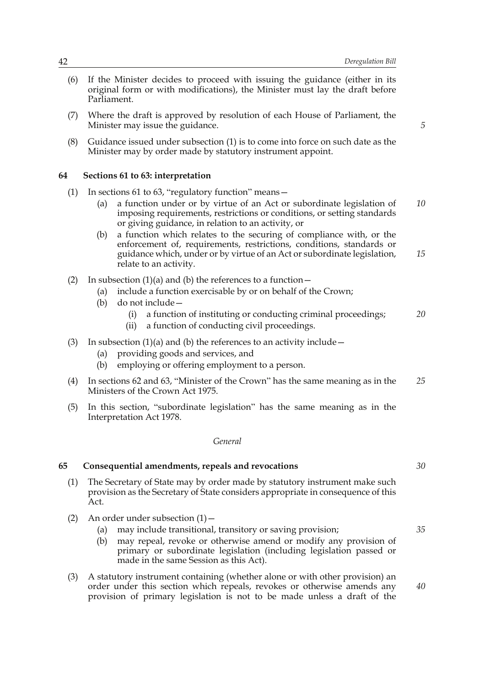*5*

- (6) If the Minister decides to proceed with issuing the guidance (either in its original form or with modifications), the Minister must lay the draft before Parliament.
- (7) Where the draft is approved by resolution of each House of Parliament, the Minister may issue the guidance.
- (8) Guidance issued under subsection (1) is to come into force on such date as the Minister may by order made by statutory instrument appoint.

## **64 Sections 61 to 63: interpretation**

- (1) In sections 61 to 63, "regulatory function" means—
	- (a) a function under or by virtue of an Act or subordinate legislation of imposing requirements, restrictions or conditions, or setting standards or giving guidance, in relation to an activity, or *10*
	- (b) a function which relates to the securing of compliance with, or the enforcement of, requirements, restrictions, conditions, standards or guidance which, under or by virtue of an Act or subordinate legislation, relate to an activity. *15*
- (2) In subsection (1)(a) and (b) the references to a function  $-$ 
	- (a) include a function exercisable by or on behalf of the Crown;
	- (b) do not include—
		- (i) a function of instituting or conducting criminal proceedings; *20*
		- (ii) a function of conducting civil proceedings.
- (3) In subsection  $(1)(a)$  and  $(b)$  the references to an activity include  $-$ 
	- (a) providing goods and services, and
	- (b) employing or offering employment to a person.
- (4) In sections 62 and 63, "Minister of the Crown" has the same meaning as in the Ministers of the Crown Act 1975. *25*
- (5) In this section, "subordinate legislation" has the same meaning as in the Interpretation Act 1978.

### *General*

#### **65 Consequential amendments, repeals and revocations**

- (1) The Secretary of State may by order made by statutory instrument make such provision as the Secretary of State considers appropriate in consequence of this Act.
- (2) An order under subsection  $(1)$ 
	- (a) may include transitional, transitory or saving provision;
	- (b) may repeal, revoke or otherwise amend or modify any provision of primary or subordinate legislation (including legislation passed or made in the same Session as this Act).
- (3) A statutory instrument containing (whether alone or with other provision) an order under this section which repeals, revokes or otherwise amends any provision of primary legislation is not to be made unless a draft of the

*30*

*35*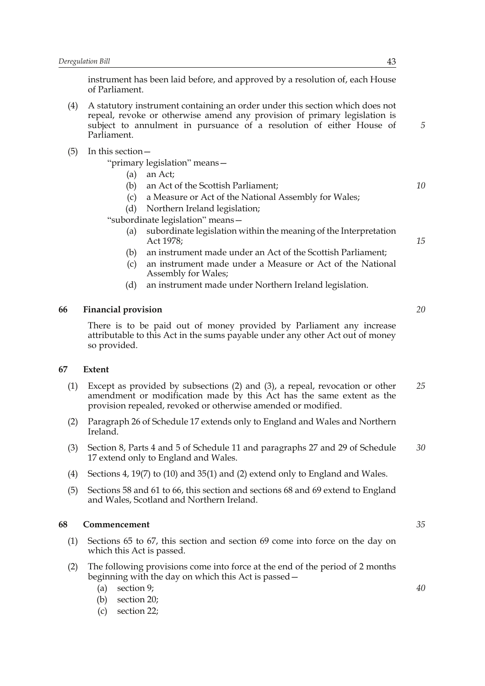instrument has been laid before, and approved by a resolution of, each House of Parliament.

- (4) A statutory instrument containing an order under this section which does not repeal, revoke or otherwise amend any provision of primary legislation is subject to annulment in pursuance of a resolution of either House of Parliament.
- (5) In this section—

"primary legislation" means—

- (a) an Act;
- (b) an Act of the Scottish Parliament;
- (c) a Measure or Act of the National Assembly for Wales;
- (d) Northern Ireland legislation;

"subordinate legislation" means—

- (a) subordinate legislation within the meaning of the Interpretation Act 1978;
- (b) an instrument made under an Act of the Scottish Parliament;
- (c) an instrument made under a Measure or Act of the National Assembly for Wales;
- (d) an instrument made under Northern Ireland legislation.

### **66 Financial provision**

There is to be paid out of money provided by Parliament any increase attributable to this Act in the sums payable under any other Act out of money so provided.

### **67 Extent**

- (1) Except as provided by subsections (2) and (3), a repeal, revocation or other amendment or modification made by this Act has the same extent as the provision repealed, revoked or otherwise amended or modified. *25*
- (2) Paragraph 26 of Schedule 17 extends only to England and Wales and Northern Ireland.
- (3) Section 8, Parts 4 and 5 of Schedule 11 and paragraphs 27 and 29 of Schedule 17 extend only to England and Wales. *30*
- (4) Sections 4, 19(7) to (10) and 35(1) and (2) extend only to England and Wales.
- (5) Sections 58 and 61 to 66, this section and sections 68 and 69 extend to England and Wales, Scotland and Northern Ireland.

### **68 Commencement**

- (1) Sections 65 to 67, this section and section 69 come into force on the day on which this Act is passed.
- (2) The following provisions come into force at the end of the period of 2 months beginning with the day on which this Act is passed—
	- (a) section 9;
	- (b) section 20;
	- (c) section 22;

*5*

*10*

*15*

*20*

*35*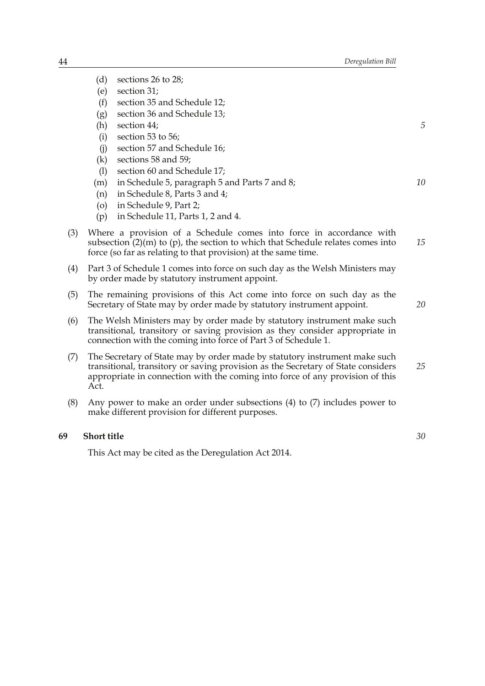- (d) sections 26 to 28;
- (e) section 31;
- (f) section 35 and Schedule 12;
- (g) section 36 and Schedule 13;
- (h) section 44;
- (i) section 53 to 56;
- (j) section 57 and Schedule 16;
- (k) sections 58 and 59;
- (l) section 60 and Schedule 17;
- (m) in Schedule 5, paragraph 5 and Parts 7 and 8;
- (n) in Schedule 8, Parts 3 and 4;
- (o) in Schedule 9, Part 2;
- (p) in Schedule 11, Parts 1, 2 and 4.
- (3) Where a provision of a Schedule comes into force in accordance with subsection  $(2)(m)$  to  $(p)$ , the section to which that Schedule relates comes into force (so far as relating to that provision) at the same time. *15*
- (4) Part 3 of Schedule 1 comes into force on such day as the Welsh Ministers may by order made by statutory instrument appoint.
- (5) The remaining provisions of this Act come into force on such day as the Secretary of State may by order made by statutory instrument appoint.
- (6) The Welsh Ministers may by order made by statutory instrument make such transitional, transitory or saving provision as they consider appropriate in connection with the coming into force of Part 3 of Schedule 1.
- (7) The Secretary of State may by order made by statutory instrument make such transitional, transitory or saving provision as the Secretary of State considers appropriate in connection with the coming into force of any provision of this Act. *25*
- (8) Any power to make an order under subsections (4) to (7) includes power to make different provision for different purposes.

# **69 Short title**

This Act may be cited as the Deregulation Act 2014.

*5*

*10*

*20*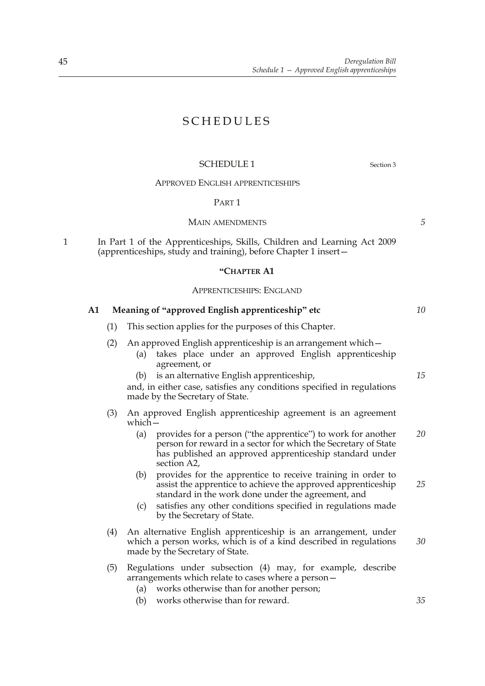# SCHEDULES

# SCHEDULE 1 Section 3

# APPROVED ENGLISH APPRENTICESHIPS

#### PART 1

#### MAIN AMENDMENTS

1 In Part 1 of the Apprenticeships, Skills, Children and Learning Act 2009 (apprenticeships, study and training), before Chapter 1 insert—

### **"CHAPTER A1**

#### APPRENTICESHIPS: ENGLAND

# **A1 Meaning of "approved English apprenticeship" etc** (1) This section applies for the purposes of this Chapter. (2) An approved English apprenticeship is an arrangement which— (a) takes place under an approved English apprenticeship agreement, or (b) is an alternative English apprenticeship, and, in either case, satisfies any conditions specified in regulations made by the Secretary of State. (3) An approved English apprenticeship agreement is an agreement which— (a) provides for a person ("the apprentice") to work for another person for reward in a sector for which the Secretary of State has published an approved apprenticeship standard under section A2, (b) provides for the apprentice to receive training in order to assist the apprentice to achieve the approved apprenticeship standard in the work done under the agreement, and (c) satisfies any other conditions specified in regulations made by the Secretary of State. (4) An alternative English apprenticeship is an arrangement, under which a person works, which is of a kind described in regulations made by the Secretary of State. (5) Regulations under subsection (4) may, for example, describe arrangements which relate to cases where a person— (a) works otherwise than for another person; (b) works otherwise than for reward. *15 20 25 30 35*

*5*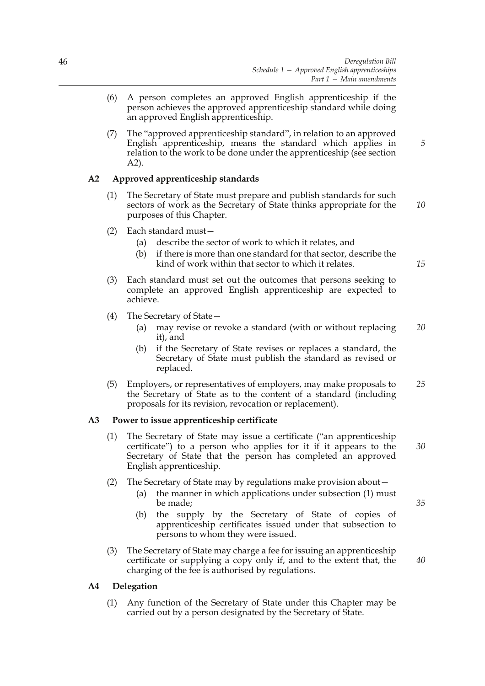- (6) A person completes an approved English apprenticeship if the person achieves the approved apprenticeship standard while doing an approved English apprenticeship.
- (7) The "approved apprenticeship standard", in relation to an approved English apprenticeship, means the standard which applies in relation to the work to be done under the apprenticeship (see section A2).

# **A2 Approved apprenticeship standards**

- (1) The Secretary of State must prepare and publish standards for such sectors of work as the Secretary of State thinks appropriate for the purposes of this Chapter.
- (2) Each standard must—
	- (a) describe the sector of work to which it relates, and
	- (b) if there is more than one standard for that sector, describe the kind of work within that sector to which it relates.
- (3) Each standard must set out the outcomes that persons seeking to complete an approved English apprenticeship are expected to achieve.
- (4) The Secretary of State—
	- (a) may revise or revoke a standard (with or without replacing it), and *20*
	- (b) if the Secretary of State revises or replaces a standard, the Secretary of State must publish the standard as revised or replaced.
- (5) Employers, or representatives of employers, may make proposals to the Secretary of State as to the content of a standard (including proposals for its revision, revocation or replacement). *25*

# **A3 Power to issue apprenticeship certificate**

- (1) The Secretary of State may issue a certificate ("an apprenticeship certificate") to a person who applies for it if it appears to the Secretary of State that the person has completed an approved English apprenticeship.
- (2) The Secretary of State may by regulations make provision about—
	- (a) the manner in which applications under subsection (1) must be made;
	- (b) the supply by the Secretary of State of copies of apprenticeship certificates issued under that subsection to persons to whom they were issued.
- (3) The Secretary of State may charge a fee for issuing an apprenticeship certificate or supplying a copy only if, and to the extent that, the charging of the fee is authorised by regulations.

# **A4 Delegation**

(1) Any function of the Secretary of State under this Chapter may be carried out by a person designated by the Secretary of State.

*35*

*40*

*30*

*5*

*10*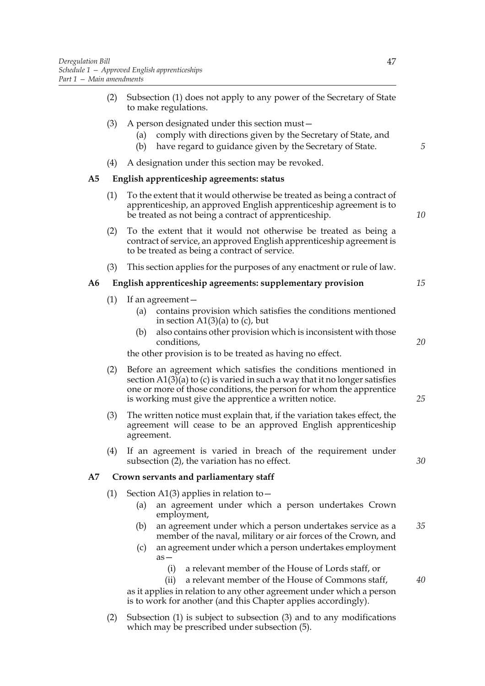- (2) Subsection (1) does not apply to any power of the Secretary of State to make regulations.
- (3) A person designated under this section must—
	- (a) comply with directions given by the Secretary of State, and
	- (b) have regard to guidance given by the Secretary of State.
- (4) A designation under this section may be revoked.

## **A5 English apprenticeship agreements: status**

- (1) To the extent that it would otherwise be treated as being a contract of apprenticeship, an approved English apprenticeship agreement is to be treated as not being a contract of apprenticeship.
- (2) To the extent that it would not otherwise be treated as being a contract of service, an approved English apprenticeship agreement is to be treated as being a contract of service.
- (3) This section applies for the purposes of any enactment or rule of law.

# **A6 English apprenticeship agreements: supplementary provision**

- (1) If an agreement—
	- (a) contains provision which satisfies the conditions mentioned in section  $A1(3)(a)$  to (c), but
	- (b) also contains other provision which is inconsistent with those conditions,

the other provision is to be treated as having no effect.

- (2) Before an agreement which satisfies the conditions mentioned in section  $A1(3)$ (a) to (c) is varied in such a way that it no longer satisfies one or more of those conditions, the person for whom the apprentice is working must give the apprentice a written notice.
- (3) The written notice must explain that, if the variation takes effect, the agreement will cease to be an approved English apprenticeship agreement.
- (4) If an agreement is varied in breach of the requirement under subsection (2), the variation has no effect.

# **A7 Crown servants and parliamentary staff**

- (1) Section A1(3) applies in relation to  $-$ 
	- (a) an agreement under which a person undertakes Crown employment,
	- (b) an agreement under which a person undertakes service as a member of the naval, military or air forces of the Crown, and *35*
	- (c) an agreement under which a person undertakes employment as—
		- (i) a relevant member of the House of Lords staff, or
	- (ii) a relevant member of the House of Commons staff, as it applies in relation to any other agreement under which a person is to work for another (and this Chapter applies accordingly).
- (2) Subsection (1) is subject to subsection (3) and to any modifications which may be prescribed under subsection (5).

*5*

*10*

*15*

*20*

*25*

*30*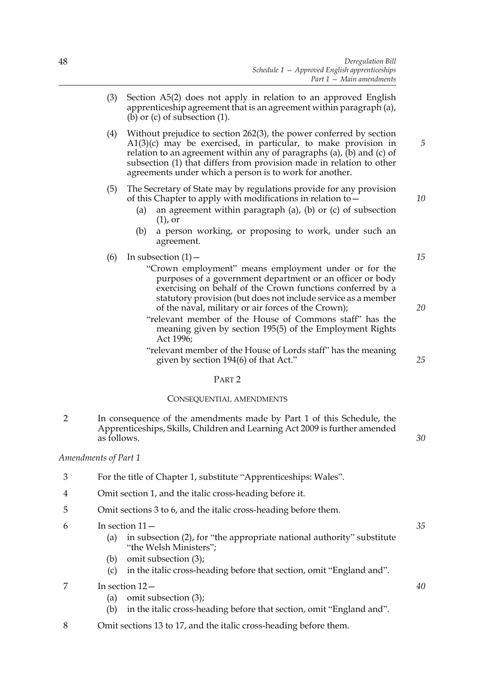- (3) Section A5(2) does not apply in relation to an approved English apprenticeship agreement that is an agreement within paragraph (a), (b) or  $(c)$  of subsection  $(1)$ .
- (4) Without prejudice to section 262(3), the power conferred by section A1(3)(c) may be exercised, in particular, to make provision in relation to an agreement within any of paragraphs (a), (b) and (c) of subsection (1) that differs from provision made in relation to other agreements under which a person is to work for another.
- (5) The Secretary of State may by regulations provide for any provision of this Chapter to apply with modifications in relation to—
	- (a) an agreement within paragraph (a), (b) or (c) of subsection (1), or
	- (b) a person working, or proposing to work, under such an agreement.
- (6) In subsection  $(1)$ 
	- "Crown employment" means employment under or for the purposes of a government department or an officer or body exercising on behalf of the Crown functions conferred by a statutory provision (but does not include service as a member of the naval, military or air forces of the Crown);
	- "relevant member of the House of Commons staff" has the meaning given by section 195(5) of the Employment Rights Act 1996;
	- "relevant member of the House of Lords staff" has the meaning given by section 194(6) of that Act."

#### PART 2

#### CONSEQUENTIAL AMENDMENTS

2 In consequence of the amendments made by Part 1 of this Schedule, the Apprenticeships, Skills, Children and Learning Act 2009 is further amended as follows.

## *Amendments of Part 1*

- 3 For the title of Chapter 1, substitute "Apprenticeships: Wales".
- 4 Omit section 1, and the italic cross-heading before it.
- 5 Omit sections 3 to 6, and the italic cross-heading before them.
- 6 In section 11—
	- (a) in subsection (2), for "the appropriate national authority" substitute "the Welsh Ministers";
	- (b) omit subsection (3);
	- (c) in the italic cross-heading before that section, omit "England and".
- 7 In section 12—
	- (a) omit subsection (3);
	- (b) in the italic cross-heading before that section, omit "England and".
- 8 Omit sections 13 to 17, and the italic cross-heading before them.

*10*

*15*

*5*

*20*

*25*

*30*

*40*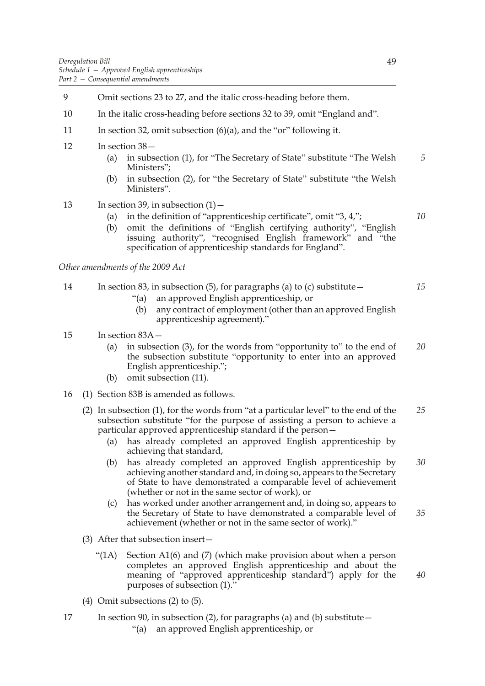- 9 Omit sections 23 to 27, and the italic cross-heading before them.
- 10 In the italic cross-heading before sections 32 to 39, omit "England and".
- 11 In section 32, omit subsection (6)(a), and the "or" following it.
- 12 In section 38—
	- (a) in subsection (1), for "The Secretary of State" substitute "The Welsh Ministers"; *5*
	- (b) in subsection (2), for "the Secretary of State" substitute "the Welsh Ministers".
- 13 In section 39, in subsection  $(1)$ 
	- (a) in the definition of "apprenticeship certificate", omit "3, 4,";
	- (b) omit the definitions of "English certifying authority", "English issuing authority", "recognised English framework" and "the specification of apprenticeship standards for England".

*Other amendments of the 2009 Act*

- 14 In section 83, in subsection (5), for paragraphs (a) to (c) substitute— *15*
	- "(a) an approved English apprenticeship, or
	- (b) any contract of employment (other than an approved English apprenticeship agreement)."

# 15 In section 83A—

- (a) in subsection (3), for the words from "opportunity to" to the end of the subsection substitute "opportunity to enter into an approved English apprenticeship."; *20*
- (b) omit subsection (11).
- 16 (1) Section 83B is amended as follows.
	- (2) In subsection (1), for the words from "at a particular level" to the end of the subsection substitute "for the purpose of assisting a person to achieve a particular approved apprenticeship standard if the person— *25*
		- (a) has already completed an approved English apprenticeship by achieving that standard,
		- (b) has already completed an approved English apprenticeship by achieving another standard and, in doing so, appears to the Secretary of State to have demonstrated a comparable level of achievement (whether or not in the same sector of work), or *30*
		- (c) has worked under another arrangement and, in doing so, appears to the Secretary of State to have demonstrated a comparable level of achievement (whether or not in the same sector of work)." *35*
	- (3) After that subsection insert—
		- "(1A) Section A1(6) and (7) (which make provision about when a person completes an approved English apprenticeship and about the meaning of "approved apprenticeship standard") apply for the purposes of subsection (1)."
	- (4) Omit subsections (2) to (5).
- 17 In section 90, in subsection (2), for paragraphs (a) and (b) substitute— "(a) an approved English apprenticeship, or

*10*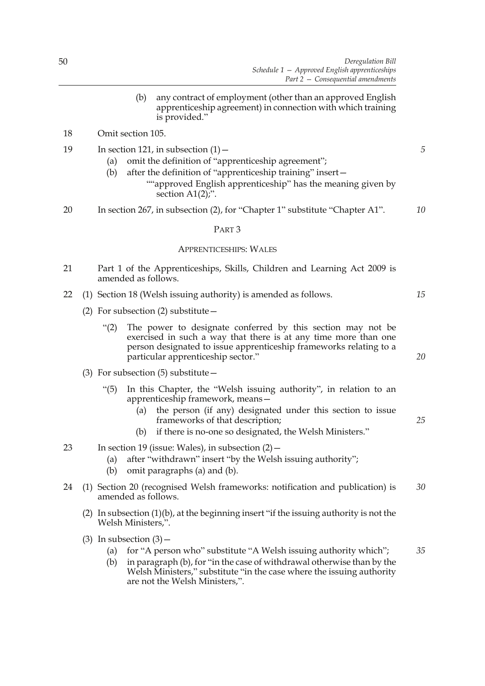(b) any contract of employment (other than an approved English apprenticeship agreement) in connection with which training is provided."

# 18 Omit section 105.

- 19 In section 121, in subsection  $(1)$ 
	- (a) omit the definition of "apprenticeship agreement";
	- (b) after the definition of "apprenticeship training" insert—
		- ""approved English apprenticeship" has the meaning given by section A1(2);".
- 20 In section 267, in subsection (2), for "Chapter 1" substitute "Chapter A1". *10*

#### PART 3

# APPRENTICESHIPS: WALES

- 21 Part 1 of the Apprenticeships, Skills, Children and Learning Act 2009 is amended as follows.
- 22 (1) Section 18 (Welsh issuing authority) is amended as follows.
	- (2) For subsection (2) substitute—
		- "(2) The power to designate conferred by this section may not be exercised in such a way that there is at any time more than one person designated to issue apprenticeship frameworks relating to a particular apprenticeship sector."
	- (3) For subsection  $(5)$  substitute  $-$ 
		- "(5) In this Chapter, the "Welsh issuing authority", in relation to an apprenticeship framework, means—
			- (a) the person (if any) designated under this section to issue frameworks of that description;
			- (b) if there is no-one so designated, the Welsh Ministers."
- 23 In section 19 (issue: Wales), in subsection (2)—
	- (a) after "withdrawn" insert "by the Welsh issuing authority";
	- (b) omit paragraphs (a) and (b).
- 24 (1) Section 20 (recognised Welsh frameworks: notification and publication) is amended as follows. *30*
	- (2) In subsection (1)(b), at the beginning insert "if the issuing authority is not the Welsh Ministers,".
	- (3) In subsection  $(3)$ 
		- (a) for "A person who" substitute "A Welsh issuing authority which"; *35*
		- (b) in paragraph (b), for "in the case of withdrawal otherwise than by the Welsh Ministers," substitute "in the case where the issuing authority are not the Welsh Ministers,".

*5*

*15*

*20*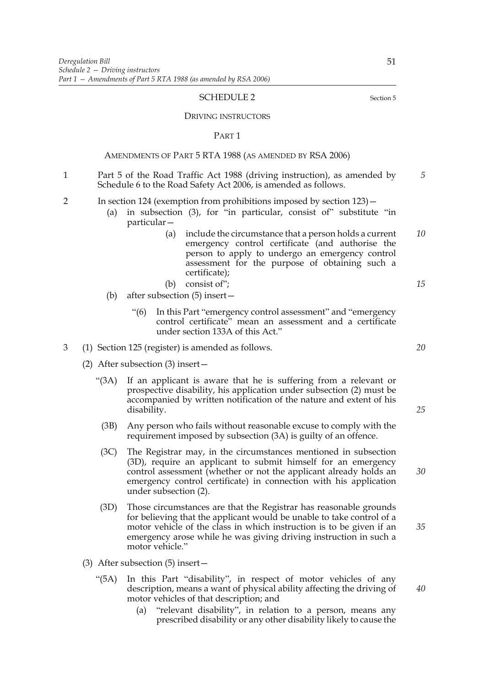#### SCHEDULE 2 Section 5

DRIVING INSTRUCTORS

PART 1

### AMENDMENTS OF PART 5 RTA 1988 (AS AMENDED BY RSA 2006)

- 1 Part 5 of the Road Traffic Act 1988 (driving instruction), as amended by Schedule 6 to the Road Safety Act 2006, is amended as follows. *5*
- 2 In section 124 (exemption from prohibitions imposed by section 123)—
	- (a) in subsection (3), for "in particular, consist of" substitute "in particular—
		- (a) include the circumstance that a person holds a current emergency control certificate (and authorise the person to apply to undergo an emergency control assessment for the purpose of obtaining such a certificate); *10*
		- (b) consist of";
	- (b) after subsection (5) insert—
		- "(6) In this Part "emergency control assessment" and "emergency control certificate" mean an assessment and a certificate under section 133A of this Act."
- 3 (1) Section 125 (register) is amended as follows.
	- (2) After subsection (3) insert—
		- "(3A) If an applicant is aware that he is suffering from a relevant or prospective disability, his application under subsection (2) must be accompanied by written notification of the nature and extent of his disability.
			- (3B) Any person who fails without reasonable excuse to comply with the requirement imposed by subsection (3A) is guilty of an offence.
		- (3C) The Registrar may, in the circumstances mentioned in subsection (3D), require an applicant to submit himself for an emergency control assessment (whether or not the applicant already holds an emergency control certificate) in connection with his application under subsection (2).
		- (3D) Those circumstances are that the Registrar has reasonable grounds for believing that the applicant would be unable to take control of a motor vehicle of the class in which instruction is to be given if an emergency arose while he was giving driving instruction in such a motor vehicle."
	- (3) After subsection (5) insert—
		- "(5A) In this Part "disability", in respect of motor vehicles of any description, means a want of physical ability affecting the driving of motor vehicles of that description; and
			- (a) "relevant disability", in relation to a person, means any prescribed disability or any other disability likely to cause the

*25*

*30*

*35*

*15*

*20*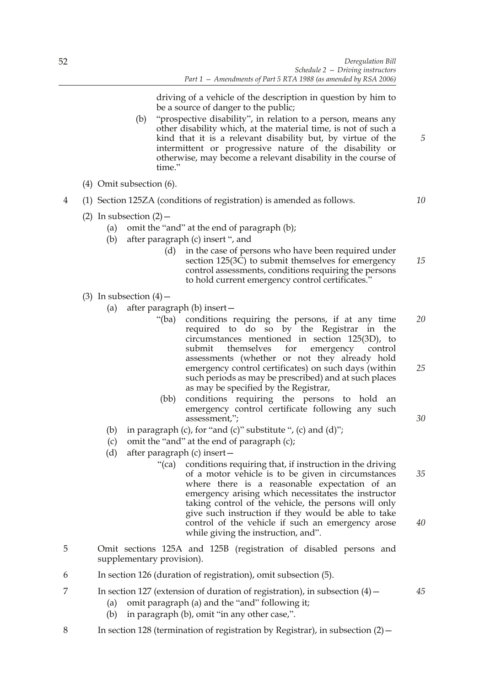driving of a vehicle of the description in question by him to be a source of danger to the public;

- (b) "prospective disability", in relation to a person, means any other disability which, at the material time, is not of such a kind that it is a relevant disability but, by virtue of the intermittent or progressive nature of the disability or otherwise, may become a relevant disability in the course of time."
- (4) Omit subsection (6).
- 4 (1) Section 125ZA (conditions of registration) is amended as follows.
	- (2) In subsection  $(2)$ 
		- (a) omit the "and" at the end of paragraph (b);
		- (b) after paragraph (c) insert ", and
			- (d) in the case of persons who have been required under section 125(3C) to submit themselves for emergency control assessments, conditions requiring the persons to hold current emergency control certificates." *15*
	- (3) In subsection  $(4)$ 
		- (a) after paragraph (b) insert—
			- "(ba) conditions requiring the persons, if at any time required to do so by the Registrar in the circumstances mentioned in section 125(3D), to submit themselves for emergency control assessments (whether or not they already hold emergency control certificates) on such days (within such periods as may be prescribed) and at such places as may be specified by the Registrar, *20 25*
			- (bb) conditions requiring the persons to hold an emergency control certificate following any such assessment,";
		- (b) in paragraph (c), for "and (c)" substitute ", (c) and (d)";
		- (c) omit the "and" at the end of paragraph (c);
		- (d) after paragraph (c) insert—
			- "(ca) conditions requiring that, if instruction in the driving of a motor vehicle is to be given in circumstances where there is a reasonable expectation of an emergency arising which necessitates the instructor taking control of the vehicle, the persons will only give such instruction if they would be able to take control of the vehicle if such an emergency arose while giving the instruction, and". *35 40*
- 5 Omit sections 125A and 125B (registration of disabled persons and supplementary provision).
- 6 In section 126 (duration of registration), omit subsection (5).
- 7 In section 127 (extension of duration of registration), in subsection (4)—
	- (a) omit paragraph (a) and the "and" following it;
	- (b) in paragraph (b), omit "in any other case,".
- 8 In section 128 (termination of registration by Registrar), in subsection (2)—

*10*

*5*

*30*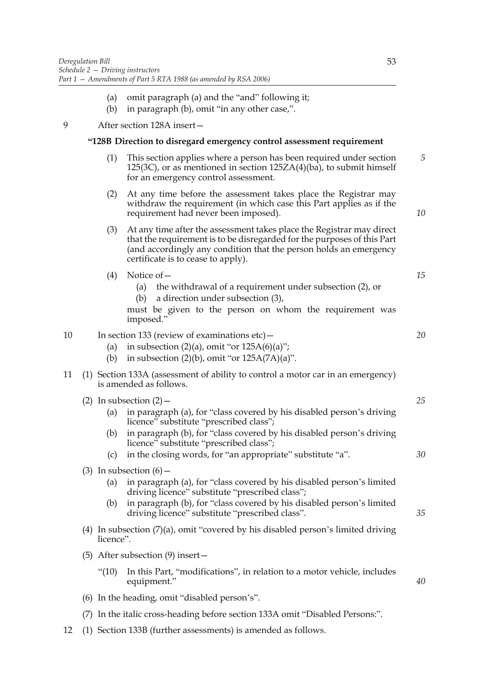- (a) omit paragraph (a) and the "and" following it;
- (b) in paragraph (b), omit "in any other case,".

## 9 After section 128A insert—

## **"128B Direction to disregard emergency control assessment requirement**

- (1) This section applies where a person has been required under section 125(3C), or as mentioned in section 125ZA(4)(ba), to submit himself for an emergency control assessment. *5*
- (2) At any time before the assessment takes place the Registrar may withdraw the requirement (in which case this Part applies as if the requirement had never been imposed).
- (3) At any time after the assessment takes place the Registrar may direct that the requirement is to be disregarded for the purposes of this Part (and accordingly any condition that the person holds an emergency certificate is to cease to apply).
- (4) Notice of—
	- (a) the withdrawal of a requirement under subsection (2), or
	- (b) a direction under subsection (3),

must be given to the person on whom the requirement was imposed."

# 10 In section 133 (review of examinations etc) –

- (a) in subsection  $(2)(a)$ , omit "or  $125A(6)(a)$ ";
- (b) in subsection  $(2)(b)$ , omit "or  $125A(7A)(a)$ ".
- 11 (1) Section 133A (assessment of ability to control a motor car in an emergency) is amended as follows.
	- (2) In subsection  $(2)$ 
		- (a) in paragraph (a), for "class covered by his disabled person's driving licence" substitute "prescribed class";
		- (b) in paragraph (b), for "class covered by his disabled person's driving licence" substitute "prescribed class";
		- (c) in the closing words, for "an appropriate" substitute "a".
	- (3) In subsection  $(6)$  -
		- (a) in paragraph (a), for "class covered by his disabled person's limited driving licence" substitute "prescribed class";
		- (b) in paragraph (b), for "class covered by his disabled person's limited driving licence" substitute "prescribed class".
	- (4) In subsection (7)(a), omit "covered by his disabled person's limited driving licence".
	- (5) After subsection (9) insert—
		- "(10) In this Part, "modifications", in relation to a motor vehicle, includes equipment."
	- (6) In the heading, omit "disabled person's".
	- (7) In the italic cross-heading before section 133A omit "Disabled Persons:".
- 12 (1) Section 133B (further assessments) is amended as follows.

*25*

*10*

*15*

*20*

*30*

*35*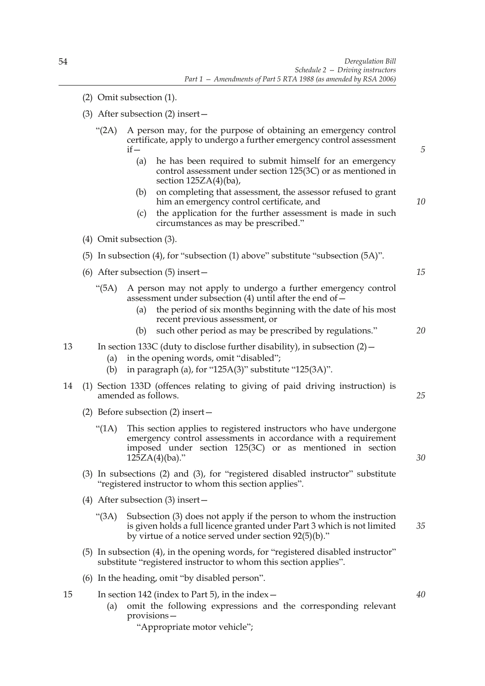- (2) Omit subsection (1).
- (3) After subsection (2) insert—
	- "(2A) A person may, for the purpose of obtaining an emergency control certificate, apply to undergo a further emergency control assessment  $if$ (a) he has been required to submit himself for an emergency
		- control assessment under section 125(3C) or as mentioned in section  $125ZA(4)(ba)$ ,
		- (b) on completing that assessment, the assessor refused to grant him an emergency control certificate, and
		- (c) the application for the further assessment is made in such circumstances as may be prescribed."
- (4) Omit subsection (3).
- (5) In subsection (4), for "subsection (1) above" substitute "subsection (5A)".
- (6) After subsection (5) insert—
	- "(5A) A person may not apply to undergo a further emergency control assessment under subsection (4) until after the end of—
		- (a) the period of six months beginning with the date of his most recent previous assessment, or
		- (b) such other period as may be prescribed by regulations." *20*
- 13 In section 133C (duty to disclose further disability), in subsection (2)—
	- (a) in the opening words, omit "disabled";
	- (b) in paragraph (a), for "125A(3)" substitute "125(3A)".
- 14 (1) Section 133D (offences relating to giving of paid driving instruction) is amended as follows.
	- (2) Before subsection (2) insert—
		- "(1A) This section applies to registered instructors who have undergone emergency control assessments in accordance with a requirement imposed under section 125(3C) or as mentioned in section  $125ZA(4)(ba)$ ."
	- (3) In subsections (2) and (3), for "registered disabled instructor" substitute "registered instructor to whom this section applies".
	- (4) After subsection (3) insert—
		- "(3A) Subsection (3) does not apply if the person to whom the instruction is given holds a full licence granted under Part 3 which is not limited by virtue of a notice served under section 92(5)(b)." *35*
	- (5) In subsection (4), in the opening words, for "registered disabled instructor" substitute "registered instructor to whom this section applies".
	- (6) In the heading, omit "by disabled person".
- 15 In section 142 (index to Part 5), in the index—
	- (a) omit the following expressions and the corresponding relevant provisions—
		- "Appropriate motor vehicle";

*15*

*5*

*10*

*25*

*30*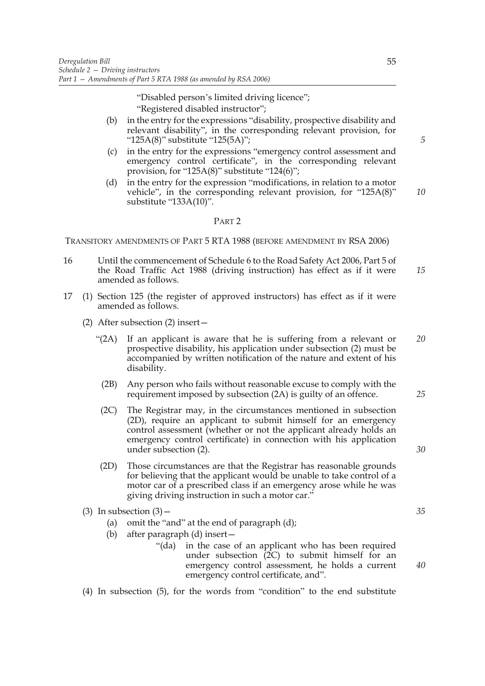"Disabled person's limited driving licence"; "Registered disabled instructor";

- (b) in the entry for the expressions "disability, prospective disability and relevant disability", in the corresponding relevant provision, for "125A(8)" substitute "125(5A)";
- (c) in the entry for the expressions "emergency control assessment and emergency control certificate", in the corresponding relevant provision, for "125A $(8)$ " substitute "124 $(6)$ ";
- (d) in the entry for the expression "modifications, in relation to a motor vehicle", in the corresponding relevant provision, for "125A(8)" substitute "133A(10)". *10*

## PART 2

TRANSITORY AMENDMENTS OF PART 5 RTA 1988 (BEFORE AMENDMENT BY RSA 2006)

- 16 Until the commencement of Schedule 6 to the Road Safety Act 2006, Part 5 of the Road Traffic Act 1988 (driving instruction) has effect as if it were amended as follows. *15*
- 17 (1) Section 125 (the register of approved instructors) has effect as if it were amended as follows.
	- (2) After subsection (2) insert—
		- "(2A) If an applicant is aware that he is suffering from a relevant or prospective disability, his application under subsection (2) must be accompanied by written notification of the nature and extent of his disability. *20*
			- (2B) Any person who fails without reasonable excuse to comply with the requirement imposed by subsection (2A) is guilty of an offence.
		- (2C) The Registrar may, in the circumstances mentioned in subsection (2D), require an applicant to submit himself for an emergency control assessment (whether or not the applicant already holds an emergency control certificate) in connection with his application under subsection (2).
		- (2D) Those circumstances are that the Registrar has reasonable grounds for believing that the applicant would be unable to take control of a motor car of a prescribed class if an emergency arose while he was giving driving instruction in such a motor car."
	- (3) In subsection  $(3)$ 
		- (a) omit the "and" at the end of paragraph (d);
		- (b) after paragraph (d) insert—
			- "(da) in the case of an applicant who has been required under subsection (2C) to submit himself for an emergency control assessment, he holds a current emergency control certificate, and".
	- (4) In subsection (5), for the words from "condition" to the end substitute

55

*5*

*35*

*40*

*25*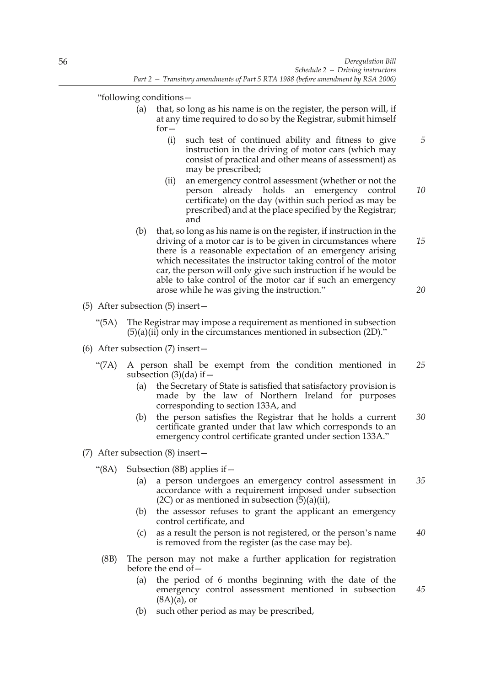"following conditions—

- (a) that, so long as his name is on the register, the person will, if at any time required to do so by the Registrar, submit himself for—
	- (i) such test of continued ability and fitness to give instruction in the driving of motor cars (which may consist of practical and other means of assessment) as may be prescribed;
	- (ii) an emergency control assessment (whether or not the person already holds an emergency control certificate) on the day (within such period as may be prescribed) and at the place specified by the Registrar; and *10*
- (b) that, so long as his name is on the register, if instruction in the driving of a motor car is to be given in circumstances where there is a reasonable expectation of an emergency arising which necessitates the instructor taking control of the motor car, the person will only give such instruction if he would be able to take control of the motor car if such an emergency arose while he was giving the instruction." *15 20*
- (5) After subsection (5) insert—
	- "(5A) The Registrar may impose a requirement as mentioned in subsection  $(5)(a)(ii)$  only in the circumstances mentioned in subsection  $(2D)$ ."
- (6) After subsection (7) insert—
	- "(7A) A person shall be exempt from the condition mentioned in subsection  $(3)(da)$  if  $-$ *25*
		- (a) the Secretary of State is satisfied that satisfactory provision is made by the law of Northern Ireland for purposes corresponding to section 133A, and
		- (b) the person satisfies the Registrar that he holds a current certificate granted under that law which corresponds to an emergency control certificate granted under section 133A." *30*
- (7) After subsection (8) insert—
	- "(8A) Subsection (8B) applies if—
		- (a) a person undergoes an emergency control assessment in accordance with a requirement imposed under subsection  $(2C)$  or as mentioned in subsection  $(5)(a)(ii)$ , *35*
		- (b) the assessor refuses to grant the applicant an emergency control certificate, and
		- (c) as a result the person is not registered, or the person's name is removed from the register (as the case may be). *40*
	- (8B) The person may not make a further application for registration before the end of—
		- (a) the period of 6 months beginning with the date of the emergency control assessment mentioned in subsection  $(8A)(a)$ , or
		- (b) such other period as may be prescribed,

*45*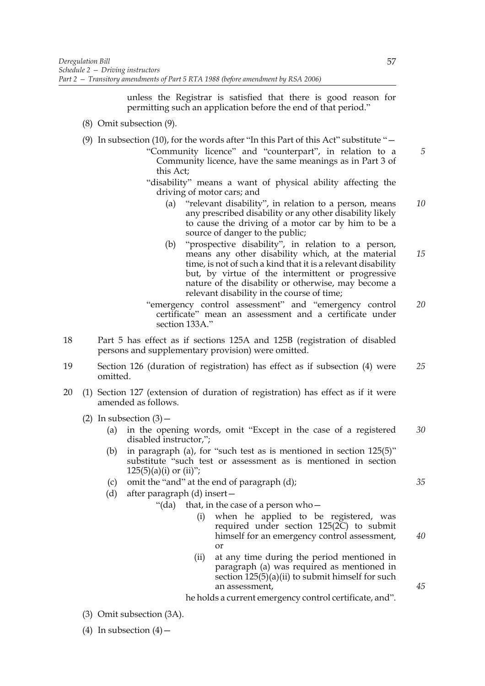unless the Registrar is satisfied that there is good reason for permitting such an application before the end of that period."

- (8) Omit subsection (9).
- (9) In subsection (10), for the words after "In this Part of this Act" substitute "—
	- "Community licence" and "counterpart", in relation to a Community licence, have the same meanings as in Part 3 of this Act;
	- "disability" means a want of physical ability affecting the driving of motor cars; and
		- (a) "relevant disability", in relation to a person, means any prescribed disability or any other disability likely to cause the driving of a motor car by him to be a source of danger to the public; *10*
		- (b) "prospective disability", in relation to a person, means any other disability which, at the material time, is not of such a kind that it is a relevant disability but, by virtue of the intermittent or progressive nature of the disability or otherwise, may become a relevant disability in the course of time; *15*
	- "emergency control assessment" and "emergency control certificate" mean an assessment and a certificate under section 133A." *20*
- 18 Part 5 has effect as if sections 125A and 125B (registration of disabled persons and supplementary provision) were omitted.
- 19 Section 126 (duration of registration) has effect as if subsection (4) were omitted. *25*
- 20 (1) Section 127 (extension of duration of registration) has effect as if it were amended as follows.
	- (2) In subsection  $(3)$ 
		- (a) in the opening words, omit "Except in the case of a registered disabled instructor,"; *30*
		- (b) in paragraph (a), for "such test as is mentioned in section 125(5)" substitute "such test or assessment as is mentioned in section  $125(5)(a)(i)$  or  $(ii)$ ";
		- (c) omit the "and" at the end of paragraph (d);
		- (d) after paragraph (d) insert—

"(da) that, in the case of a person who $-$ 

- when he applied to be registered, was required under section  $125(2C)$  to submit himself for an emergency control assessment, or
- (ii) at any time during the period mentioned in paragraph (a) was required as mentioned in section  $\overline{125(5)}(a)$ (ii) to submit himself for such an assessment,

he holds a current emergency control certificate, and".

- (3) Omit subsection (3A).
- (4) In subsection  $(4)$  –

*5*

*40*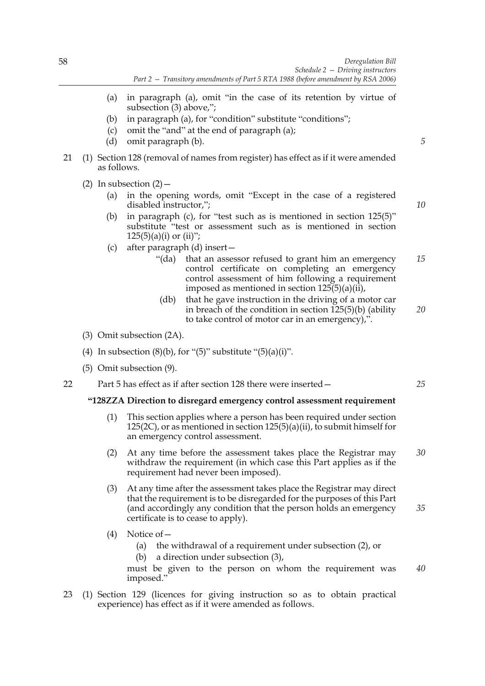- (a) in paragraph (a), omit "in the case of its retention by virtue of subsection (3) above,";
- (b) in paragraph (a), for "condition" substitute "conditions";
- (c) omit the "and" at the end of paragraph (a);
- (d) omit paragraph (b).
- 21 (1) Section 128 (removal of names from register) has effect as if it were amended as follows.
	- (2) In subsection  $(2)$ 
		- (a) in the opening words, omit "Except in the case of a registered disabled instructor,";
		- (b) in paragraph (c), for "test such as is mentioned in section 125(5)" substitute "test or assessment such as is mentioned in section  $125(5)(a)(i)$  or  $(ii)$ ";
		- (c) after paragraph (d) insert—
			- "(da) that an assessor refused to grant him an emergency control certificate on completing an emergency control assessment of him following a requirement imposed as mentioned in section 125(5)(a)(ii), *15*
			- (db) that he gave instruction in the driving of a motor car in breach of the condition in section  $125(5)(b)$  (ability to take control of motor car in an emergency),". *20*
	- (3) Omit subsection (2A).
	- (4) In subsection  $(8)(b)$ , for " $(5)$ " substitute " $(5)(a)(i)$ ".
	- (5) Omit subsection (9).

22 Part 5 has effect as if after section 128 there were inserted—

# **"128ZZA Direction to disregard emergency control assessment requirement**

- (1) This section applies where a person has been required under section 125(2C), or as mentioned in section 125(5)(a)(ii), to submit himself for an emergency control assessment.
- (2) At any time before the assessment takes place the Registrar may withdraw the requirement (in which case this Part applies as if the requirement had never been imposed). *30*
- (3) At any time after the assessment takes place the Registrar may direct that the requirement is to be disregarded for the purposes of this Part (and accordingly any condition that the person holds an emergency certificate is to cease to apply). *35*
- (4) Notice of—
	- (a) the withdrawal of a requirement under subsection (2), or
	- (b) a direction under subsection (3),

must be given to the person on whom the requirement was imposed." *40*

23 (1) Section 129 (licences for giving instruction so as to obtain practical experience) has effect as if it were amended as follows.

*5*

*10*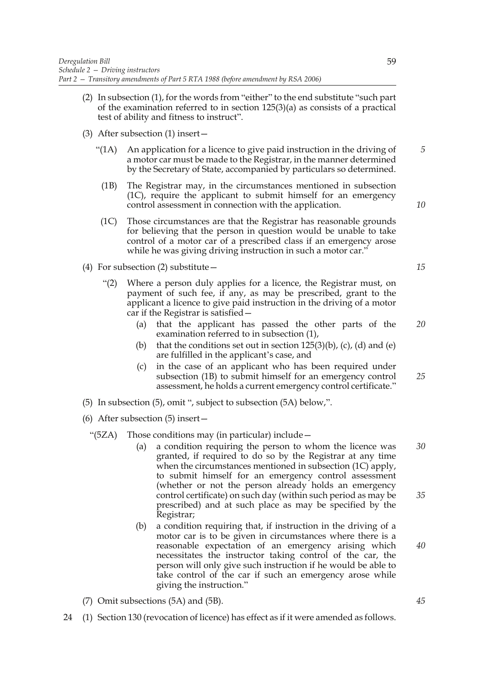- (2) In subsection (1), for the words from "either" to the end substitute "such part of the examination referred to in section 125(3)(a) as consists of a practical test of ability and fitness to instruct".
- (3) After subsection (1) insert—
	- "(1A) An application for a licence to give paid instruction in the driving of a motor car must be made to the Registrar, in the manner determined by the Secretary of State, accompanied by particulars so determined.
	- (1B) The Registrar may, in the circumstances mentioned in subsection (1C), require the applicant to submit himself for an emergency control assessment in connection with the application.
	- (1C) Those circumstances are that the Registrar has reasonable grounds for believing that the person in question would be unable to take control of a motor car of a prescribed class if an emergency arose while he was giving driving instruction in such a motor car."
- (4) For subsection (2) substitute—
	- "(2) Where a person duly applies for a licence, the Registrar must, on payment of such fee, if any, as may be prescribed, grant to the applicant a licence to give paid instruction in the driving of a motor car if the Registrar is satisfied—
		- (a) that the applicant has passed the other parts of the examination referred to in subsection (1), *20*
		- (b) that the conditions set out in section  $125(3)(b)$ , (c), (d) and (e) are fulfilled in the applicant's case, and
		- (c) in the case of an applicant who has been required under subsection (1B) to submit himself for an emergency control assessment, he holds a current emergency control certificate." *25*
- (5) In subsection (5), omit ", subject to subsection (5A) below,".
- (6) After subsection (5) insert—
	- "(5ZA) Those conditions may (in particular) include—
		- (a) a condition requiring the person to whom the licence was granted, if required to do so by the Registrar at any time when the circumstances mentioned in subsection (1C) apply, to submit himself for an emergency control assessment (whether or not the person already holds an emergency control certificate) on such day (within such period as may be prescribed) and at such place as may be specified by the Registrar; *30 35*
		- (b) a condition requiring that, if instruction in the driving of a motor car is to be given in circumstances where there is a reasonable expectation of an emergency arising which necessitates the instructor taking control of the car, the person will only give such instruction if he would be able to take control of the car if such an emergency arose while giving the instruction."
- (7) Omit subsections (5A) and (5B).
- 24 (1) Section 130 (revocation of licence) has effect as if it were amended as follows.

*15*

*5*

*10*

*45*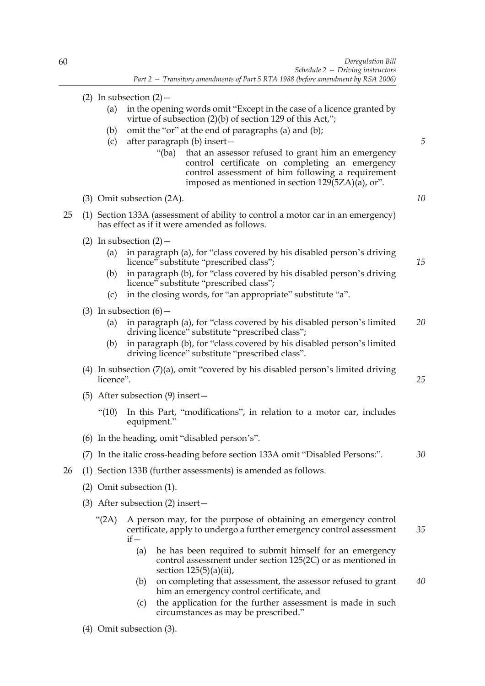- (2) In subsection  $(2)$ 
	- (a) in the opening words omit "Except in the case of a licence granted by virtue of subsection (2)(b) of section 129 of this Act,";
	- (b) omit the "or" at the end of paragraphs (a) and (b);
	- (c) after paragraph (b) insert—
		- "(ba) that an assessor refused to grant him an emergency control certificate on completing an emergency control assessment of him following a requirement imposed as mentioned in section  $129(5ZA)(\bar{a})$ , or".

(3) Omit subsection (2A).

- 25 (1) Section 133A (assessment of ability to control a motor car in an emergency) has effect as if it were amended as follows.
	- (2) In subsection  $(2)$ 
		- (a) in paragraph (a), for "class covered by his disabled person's driving licence" substitute "prescribed class";
		- (b) in paragraph (b), for "class covered by his disabled person's driving licence" substitute "prescribed class";
		- (c) in the closing words, for "an appropriate" substitute "a".
	- (3) In subsection  $(6)$ 
		- (a) in paragraph (a), for "class covered by his disabled person's limited driving licence" substitute "prescribed class"; *20*
		- (b) in paragraph (b), for "class covered by his disabled person's limited driving licence" substitute "prescribed class".
	- (4) In subsection (7)(a), omit "covered by his disabled person's limited driving licence".
	- (5) After subsection (9) insert—
		- "(10) In this Part, "modifications", in relation to a motor car, includes equipment."
	- (6) In the heading, omit "disabled person's".
	- (7) In the italic cross-heading before section 133A omit "Disabled Persons:". *30*
- 26 (1) Section 133B (further assessments) is amended as follows.
	- (2) Omit subsection (1).
	- (3) After subsection (2) insert—
		- "(2A) A person may, for the purpose of obtaining an emergency control certificate, apply to undergo a further emergency control assessment  $if$ *35*
			- (a) he has been required to submit himself for an emergency control assessment under section 125(2C) or as mentioned in section 125(5)(a)(ii),
			- (b) on completing that assessment, the assessor refused to grant him an emergency control certificate, and *40*
			- (c) the application for the further assessment is made in such circumstances as may be prescribed."
	- - (4) Omit subsection (3).

*15*

*5*

*10*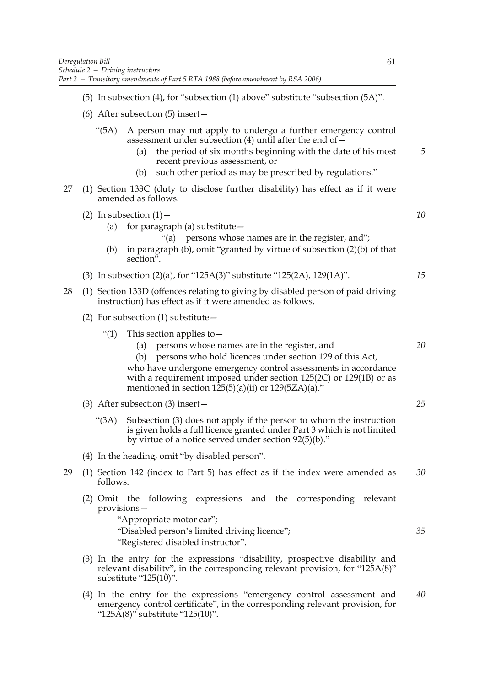- (5) In subsection (4), for "subsection (1) above" substitute "subsection (5A)".
- (6) After subsection (5) insert—
	- "(5A) A person may not apply to undergo a further emergency control assessment under subsection  $(4)$  until after the end of  $-$ 
		- (a) the period of six months beginning with the date of his most recent previous assessment, or *5*
		- (b) such other period as may be prescribed by regulations."
- 27 (1) Section 133C (duty to disclose further disability) has effect as if it were amended as follows.
	- (2) In subsection  $(1)$ 
		- (a) for paragraph (a) substitute  $-$ 
			- "(a) persons whose names are in the register, and";
		- (b) in paragraph (b), omit "granted by virtue of subsection (2)(b) of that section".
	- (3) In subsection (2)(a), for "125A(3)" substitute "125(2A), 129(1A)". *15*
- 28 (1) Section 133D (offences relating to giving by disabled person of paid driving instruction) has effect as if it were amended as follows.
	- (2) For subsection  $(1)$  substitute  $-$ 
		- "(1) This section applies to  $-$ 
			- (a) persons whose names are in the register, and
			- (b) persons who hold licences under section 129 of this Act, who have undergone emergency control assessments in accordance with a requirement imposed under section 125(2C) or 129(1B) or as mentioned in section  $125(5)(a)(ii)$  or  $129(5ZA)(a)$ ."
	- (3) After subsection (3) insert—
		- "(3A) Subsection (3) does not apply if the person to whom the instruction is given holds a full licence granted under Part 3 which is not limited by virtue of a notice served under section 92(5)(b)."
	- (4) In the heading, omit "by disabled person".
- 29 (1) Section 142 (index to Part 5) has effect as if the index were amended as follows. *30*
	- (2) Omit the following expressions and the corresponding relevant provisions—
		- "Appropriate motor car"; "Disabled person's limited driving licence"; "Registered disabled instructor".
	- (3) In the entry for the expressions "disability, prospective disability and relevant disability", in the corresponding relevant provision, for "125A(8)" substitute "125(10)".
	- (4) In the entry for the expressions "emergency control assessment and emergency control certificate", in the corresponding relevant provision, for " $125\text{\AA}(8)$ " substitute " $125(10)$ ". *40*

*25*

*35*

*20*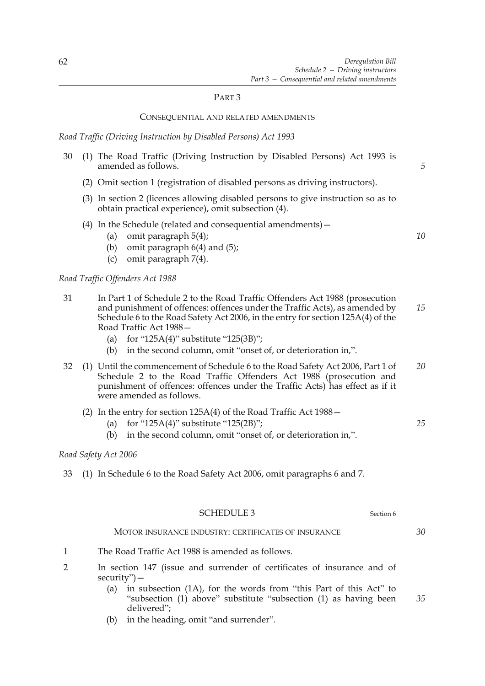### PART 3

### CONSEQUENTIAL AND RELATED AMENDMENTS

*Road Traffic (Driving Instruction by Disabled Persons) Act 1993*

- 30 (1) The Road Traffic (Driving Instruction by Disabled Persons) Act 1993 is amended as follows.
	- (2) Omit section 1 (registration of disabled persons as driving instructors).
	- (3) In section 2 (licences allowing disabled persons to give instruction so as to obtain practical experience), omit subsection (4).
	- (4) In the Schedule (related and consequential amendments)—
		- (a) omit paragraph 5(4);
		- (b) omit paragraph  $6(4)$  and  $(5)$ ;
		- (c) omit paragraph 7(4).

*Road Traffic Offenders Act 1988*

- 31 In Part 1 of Schedule 2 to the Road Traffic Offenders Act 1988 (prosecution and punishment of offences: offences under the Traffic Acts), as amended by Schedule 6 to the Road Safety Act 2006, in the entry for section 125A(4) of the Road Traffic Act 1988— *15*
	- (a) for "125A(4)" substitute "125(3B)";
	- (b) in the second column, omit "onset of, or deterioration in,".
- 32 (1) Until the commencement of Schedule 6 to the Road Safety Act 2006, Part 1 of Schedule 2 to the Road Traffic Offenders Act 1988 (prosecution and punishment of offences: offences under the Traffic Acts) has effect as if it were amended as follows. *20*
	- (2) In the entry for section 125A(4) of the Road Traffic Act 1988—
		- (a) for "125A(4)" substitute "125(2B)";
		- (b) in the second column, omit "onset of, or deterioration in,".

### *Road Safety Act 2006*

33 (1) In Schedule 6 to the Road Safety Act 2006, omit paragraphs 6 and 7.

| SCHEDULE 3 | Section 6 |
|------------|-----------|
|            |           |

# MOTOR INSURANCE INDUSTRY: CERTIFICATES OF INSURANCE

- 1 The Road Traffic Act 1988 is amended as follows.
- 2 In section 147 (issue and surrender of certificates of insurance and of security")—
	- (a) in subsection (1A), for the words from "this Part of this Act" to "subsection (1) above" substitute "subsection (1) as having been delivered";
	- (b) in the heading, omit "and surrender".

*10*

*5*

*25*

*30*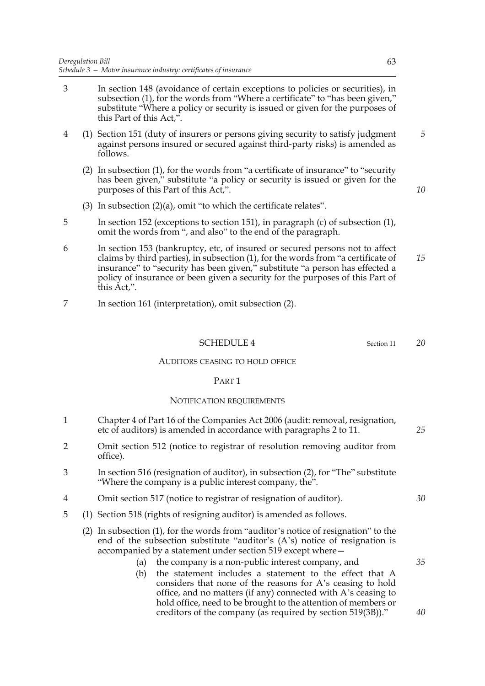- 3 In section 148 (avoidance of certain exceptions to policies or securities), in subsection (1), for the words from "Where a certificate" to "has been given," substitute "Where a policy or security is issued or given for the purposes of this Part of this Act,".
- 4 (1) Section 151 (duty of insurers or persons giving security to satisfy judgment against persons insured or secured against third-party risks) is amended as follows.
	- (2) In subsection (1), for the words from "a certificate of insurance" to "security has been given," substitute "a policy or security is issued or given for the purposes of this Part of this Act,".
	- (3) In subsection (2)(a), omit "to which the certificate relates".
- 5 In section 152 (exceptions to section 151), in paragraph (c) of subsection (1), omit the words from ", and also" to the end of the paragraph.
- 6 In section 153 (bankruptcy, etc, of insured or secured persons not to affect claims by third parties), in subsection (1), for the words from "a certificate of insurance" to "security has been given," substitute "a person has effected a policy of insurance or been given a security for the purposes of this Part of this Act,". *15*
- 7 In section 161 (interpretation), omit subsection (2).

## SCHEDULE 4 Section 11

### AUDITORS CEASING TO HOLD OFFICE

#### PART 1

#### NOTIFICATION REQUIREMENTS

- 1 Chapter 4 of Part 16 of the Companies Act 2006 (audit: removal, resignation, etc of auditors) is amended in accordance with paragraphs 2 to 11.
- 2 Omit section 512 (notice to registrar of resolution removing auditor from office).
- 3 In section 516 (resignation of auditor), in subsection (2), for "The" substitute "Where the company is a public interest company, the".
- 4 Omit section 517 (notice to registrar of resignation of auditor).
- 5 (1) Section 518 (rights of resigning auditor) is amended as follows.
	- (2) In subsection (1), for the words from "auditor's notice of resignation" to the end of the subsection substitute "auditor's (A's) notice of resignation is accompanied by a statement under section 519 except where—
		- (a) the company is a non-public interest company, and
		- (b) the statement includes a statement to the effect that A considers that none of the reasons for A's ceasing to hold office, and no matters (if any) connected with A's ceasing to hold office, need to be brought to the attention of members or creditors of the company (as required by section 519(3B))."

*10*

*5*

*20*

*30*

*25*

*35*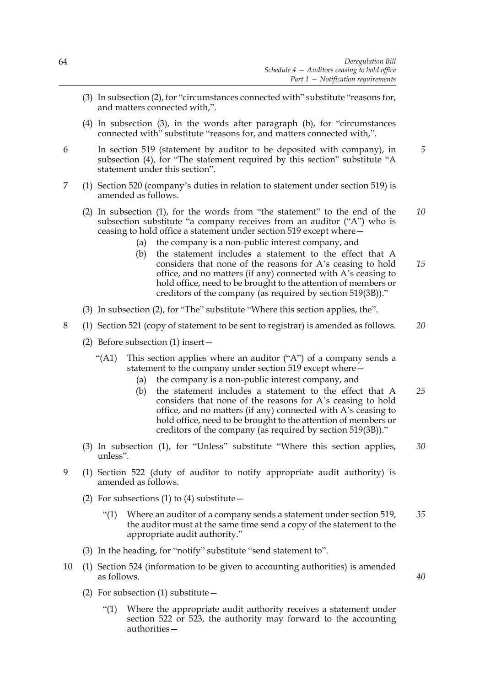- (3) In subsection (2), for "circumstances connected with" substitute "reasons for, and matters connected with,".
- (4) In subsection (3), in the words after paragraph (b), for "circumstances connected with" substitute "reasons for, and matters connected with,".
- 6 In section 519 (statement by auditor to be deposited with company), in subsection (4), for "The statement required by this section" substitute "A statement under this section". *5*
- 7 (1) Section 520 (company's duties in relation to statement under section 519) is amended as follows.
	- (2) In subsection (1), for the words from "the statement" to the end of the subsection substitute "a company receives from an auditor ("A") who is ceasing to hold office a statement under section 519 except where— *10*
		- (a) the company is a non-public interest company, and
		- (b) the statement includes a statement to the effect that A considers that none of the reasons for A's ceasing to hold office, and no matters (if any) connected with A's ceasing to hold office, need to be brought to the attention of members or creditors of the company (as required by section 519(3B))." *15*
	- (3) In subsection (2), for "The" substitute "Where this section applies, the".
- 8 (1) Section 521 (copy of statement to be sent to registrar) is amended as follows. *20*
	- (2) Before subsection (1) insert—
		- "(A1) This section applies where an auditor ("A") of a company sends a statement to the company under section 519 except where—
			- (a) the company is a non-public interest company, and
			- (b) the statement includes a statement to the effect that A considers that none of the reasons for A's ceasing to hold office, and no matters (if any) connected with A's ceasing to hold office, need to be brought to the attention of members or creditors of the company (as required by section 519(3B))." *25*
	- (3) In subsection (1), for "Unless" substitute "Where this section applies, unless". *30*
- 9 (1) Section 522 (duty of auditor to notify appropriate audit authority) is amended as follows.
	- (2) For subsections (1) to (4) substitute  $-$ 
		- "(1) Where an auditor of a company sends a statement under section 519, the auditor must at the same time send a copy of the statement to the appropriate audit authority." *35*
	- (3) In the heading, for "notify" substitute "send statement to".
- 10 (1) Section 524 (information to be given to accounting authorities) is amended as follows.
	- (2) For subsection (1) substitute—
		- "(1) Where the appropriate audit authority receives a statement under section 522 or 523, the authority may forward to the accounting authorities—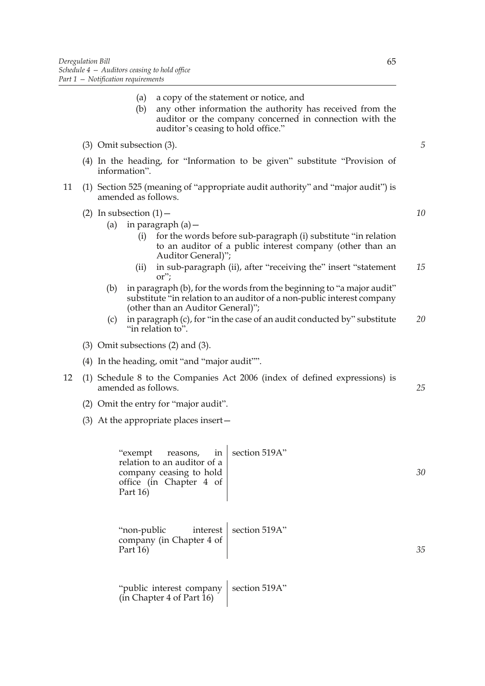(a) a copy of the statement or notice, and (b) any other information the authority has received from the auditor or the company concerned in connection with the auditor's ceasing to hold office." (3) Omit subsection (3). (4) In the heading, for "Information to be given" substitute "Provision of information". 11 (1) Section 525 (meaning of "appropriate audit authority" and "major audit") is amended as follows. (2) In subsection  $(1)$  – (a) in paragraph  $(a)$  – (i) for the words before sub-paragraph (i) substitute "in relation to an auditor of a public interest company (other than an Auditor General)"; (ii) in sub-paragraph (ii), after "receiving the" insert "statement or"; (b) in paragraph (b), for the words from the beginning to "a major audit" substitute "in relation to an auditor of a non-public interest company (other than an Auditor General)"; (c) in paragraph (c), for "in the case of an audit conducted by" substitute "in relation to". (3) Omit subsections (2) and (3). (4) In the heading, omit "and "major audit"". 12 (1) Schedule 8 to the Companies Act 2006 (index of defined expressions) is amended as follows. (2) Omit the entry for "major audit". (3) At the appropriate places insert— "exempt reasons, in relation to an auditor of a company ceasing to hold office (in Chapter 4 of Part 16) section 519A" "non-public interest company (in Chapter 4 of Part 16) section 519A" "public interest company | section 519A" (in Chapter 4 of Part 16) *5 10 15 20 25 30 35*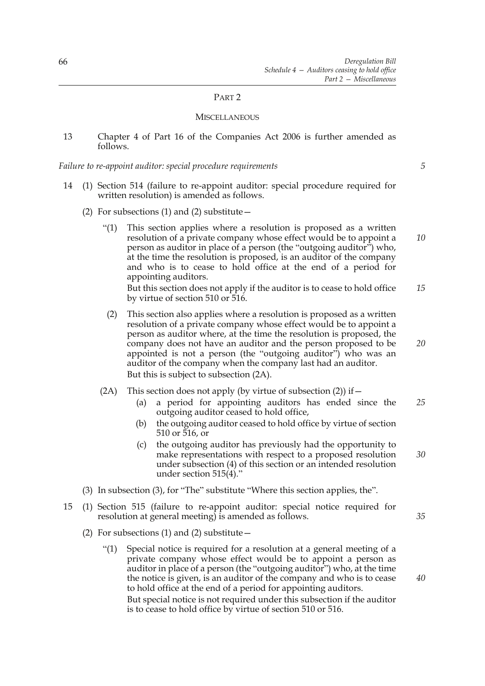### PART 2

#### **MISCELLANEOUS**

13 Chapter 4 of Part 16 of the Companies Act 2006 is further amended as follows.

*Failure to re-appoint auditor: special procedure requirements*

*5*

*20*

*30*

*35*

- 14 (1) Section 514 (failure to re-appoint auditor: special procedure required for written resolution) is amended as follows.
	- (2) For subsections (1) and (2) substitute  $-$ 
		- "(1) This section applies where a resolution is proposed as a written resolution of a private company whose effect would be to appoint a person as auditor in place of a person (the "outgoing auditor") who, at the time the resolution is proposed, is an auditor of the company and who is to cease to hold office at the end of a period for appointing auditors. But this section does not apply if the auditor is to cease to hold office by virtue of section 510 or 516. *10 15*
		- (2) This section also applies where a resolution is proposed as a written resolution of a private company whose effect would be to appoint a person as auditor where, at the time the resolution is proposed, the company does not have an auditor and the person proposed to be appointed is not a person (the "outgoing auditor") who was an auditor of the company when the company last had an auditor. But this is subject to subsection (2A).
		- (2A) This section does not apply (by virtue of subsection  $(2)$ ) if  $-$ 
			- (a) a period for appointing auditors has ended since the outgoing auditor ceased to hold office, *25*
			- (b) the outgoing auditor ceased to hold office by virtue of section 510 or 516, or
			- (c) the outgoing auditor has previously had the opportunity to make representations with respect to a proposed resolution under subsection (4) of this section or an intended resolution under section 515(4)."
	- (3) In subsection (3), for "The" substitute "Where this section applies, the".
- 15 (1) Section 515 (failure to re-appoint auditor: special notice required for resolution at general meeting) is amended as follows.
	- (2) For subsections (1) and (2) substitute  $-$ 
		- "(1) Special notice is required for a resolution at a general meeting of a private company whose effect would be to appoint a person as auditor in place of a person (the "outgoing auditor") who, at the time the notice is given, is an auditor of the company and who is to cease to hold office at the end of a period for appointing auditors. But special notice is not required under this subsection if the auditor is to cease to hold office by virtue of section 510 or 516.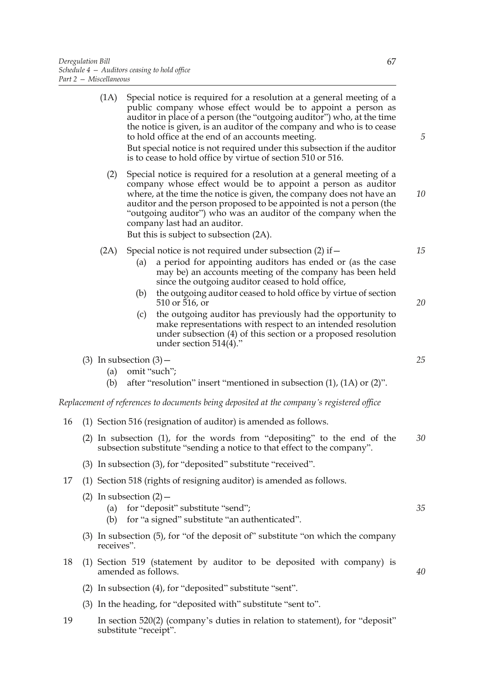|    |  | (1A)                                                                 | Special notice is required for a resolution at a general meeting of a<br>public company whose effect would be to appoint a person as<br>auditor in place of a person (the "outgoing auditor") who, at the time<br>the notice is given, is an auditor of the company and who is to cease<br>to hold office at the end of an accounts meeting.<br>But special notice is not required under this subsection if the auditor<br>is to cease to hold office by virtue of section 510 or 516. | 5  |
|----|--|----------------------------------------------------------------------|----------------------------------------------------------------------------------------------------------------------------------------------------------------------------------------------------------------------------------------------------------------------------------------------------------------------------------------------------------------------------------------------------------------------------------------------------------------------------------------|----|
|    |  | (2)                                                                  | Special notice is required for a resolution at a general meeting of a<br>company whose effect would be to appoint a person as auditor<br>where, at the time the notice is given, the company does not have an<br>auditor and the person proposed to be appointed is not a person (the<br>"outgoing auditor") who was an auditor of the company when the<br>company last had an auditor.<br>But this is subject to subsection (2A).                                                     | 10 |
|    |  | (2A)                                                                 | Special notice is not required under subsection (2) if -<br>a period for appointing auditors has ended or (as the case<br>(a)<br>may be) an accounts meeting of the company has been held<br>since the outgoing auditor ceased to hold office,                                                                                                                                                                                                                                         | 15 |
|    |  |                                                                      | the outgoing auditor ceased to hold office by virtue of section<br>(b)<br>510 or 516, or<br>the outgoing auditor has previously had the opportunity to<br>(c)<br>make representations with respect to an intended resolution<br>under subsection (4) of this section or a proposed resolution<br>under section $514(4)$ ."                                                                                                                                                             | 20 |
|    |  | (a)<br>(b)                                                           | (3) In subsection $(3)$ –<br>omit "such";<br>after "resolution" insert "mentioned in subsection $(1)$ , $(1A)$ or $(2)$ ".                                                                                                                                                                                                                                                                                                                                                             | 25 |
|    |  |                                                                      | Replacement of references to documents being deposited at the company's registered office                                                                                                                                                                                                                                                                                                                                                                                              |    |
| 16 |  |                                                                      | (1) Section 516 (resignation of auditor) is amended as follows.                                                                                                                                                                                                                                                                                                                                                                                                                        |    |
|    |  |                                                                      | (2) In subsection (1), for the words from "depositing" to the end of the<br>subsection substitute "sending a notice to that effect to the company".                                                                                                                                                                                                                                                                                                                                    | 30 |
|    |  | (3) In subsection (3), for "deposited" substitute "received".        |                                                                                                                                                                                                                                                                                                                                                                                                                                                                                        |    |
| 17 |  | (1) Section 518 (rights of resigning auditor) is amended as follows. |                                                                                                                                                                                                                                                                                                                                                                                                                                                                                        |    |
|    |  | (a)<br>(b)                                                           | (2) In subsection $(2)$ –<br>for "deposit" substitute "send";<br>for "a signed" substitute "an authenticated".                                                                                                                                                                                                                                                                                                                                                                         | 35 |
|    |  | receives".                                                           | (3) In subsection (5), for "of the deposit of" substitute "on which the company                                                                                                                                                                                                                                                                                                                                                                                                        |    |
| 18 |  |                                                                      | (1) Section 519 (statement by auditor to be deposited with company) is<br>amended as follows.                                                                                                                                                                                                                                                                                                                                                                                          | 40 |
|    |  |                                                                      | (2) In subsection (4), for "deposited" substitute "sent".                                                                                                                                                                                                                                                                                                                                                                                                                              |    |
|    |  |                                                                      | (3) In the heading, for "deposited with" substitute "sent to".                                                                                                                                                                                                                                                                                                                                                                                                                         |    |
|    |  |                                                                      |                                                                                                                                                                                                                                                                                                                                                                                                                                                                                        |    |

19 In section 520(2) (company's duties in relation to statement), for "deposit" substitute "receipt".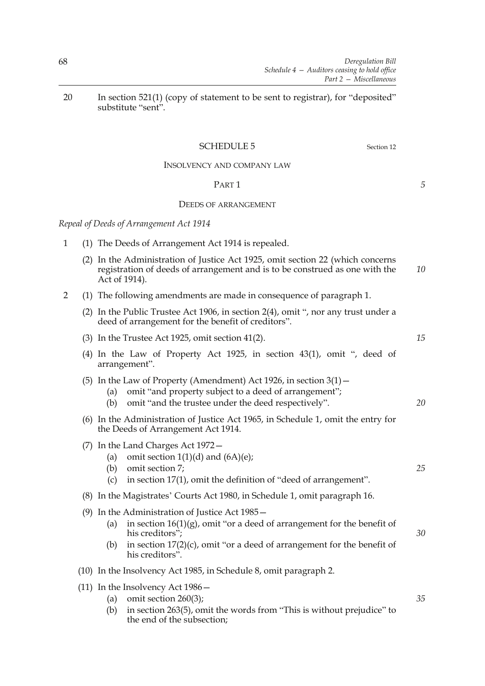20 In section 521(1) (copy of statement to be sent to registrar), for "deposited" substitute "sent".

# SCHEDULE 5 Section 12

# INSOLVENCY AND COMPANY LAW

### PART 1

# DEEDS OF ARRANGEMENT

*Repeal of Deeds of Arrangement Act 1914*

- 1 (1) The Deeds of Arrangement Act 1914 is repealed.
	- (2) In the Administration of Justice Act 1925, omit section 22 (which concerns registration of deeds of arrangement and is to be construed as one with the Act of 1914). *10*
- 2 (1) The following amendments are made in consequence of paragraph 1.
	- (2) In the Public Trustee Act 1906, in section 2(4), omit ", nor any trust under a deed of arrangement for the benefit of creditors".
	- (3) In the Trustee Act 1925, omit section 41(2).
	- (4) In the Law of Property Act 1925, in section 43(1), omit ", deed of arrangement".
	- (5) In the Law of Property (Amendment) Act 1926, in section  $3(1)$  -
		- (a) omit "and property subject to a deed of arrangement";
		- (b) omit "and the trustee under the deed respectively".
	- (6) In the Administration of Justice Act 1965, in Schedule 1, omit the entry for the Deeds of Arrangement Act 1914.
	- (7) In the Land Charges Act 1972—
		- (a) omit section  $1(1)(d)$  and  $(6A)(e)$ ;
		- (b) omit section 7;
		- (c) in section 17(1), omit the definition of "deed of arrangement".
	- (8) In the Magistrates' Courts Act 1980, in Schedule 1, omit paragraph 16.
	- (9) In the Administration of Justice Act 1985—
		- (a) in section  $16(1)(g)$ , omit "or a deed of arrangement for the benefit of his creditors";
		- (b) in section 17(2)(c), omit "or a deed of arrangement for the benefit of his creditors".
	- (10) In the Insolvency Act 1985, in Schedule 8, omit paragraph 2.
	- (11) In the Insolvency Act 1986—
		- (a) omit section 260(3);
		- (b) in section 263(5), omit the words from "This is without prejudice" to the end of the subsection;

*5*

*25*

*15*

*20*

*30*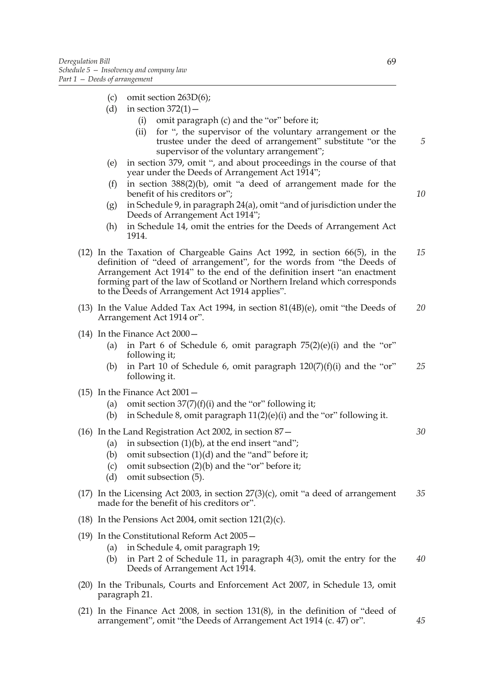- (c) omit section 263D(6);
- (d) in section  $372(1)$  -
	- (i) omit paragraph (c) and the "or" before it;
	- (ii) for ", the supervisor of the voluntary arrangement or the trustee under the deed of arrangement" substitute "or the supervisor of the voluntary arrangement";
- (e) in section 379, omit ", and about proceedings in the course of that year under the Deeds of Arrangement Act 1914";
- (f) in section 388(2)(b), omit "a deed of arrangement made for the benefit of his creditors or";
- (g) in Schedule 9, in paragraph 24(a), omit "and of jurisdiction under the Deeds of Arrangement Act 1914";
- (h) in Schedule 14, omit the entries for the Deeds of Arrangement Act 1914.
- (12) In the Taxation of Chargeable Gains Act 1992, in section 66(5), in the definition of "deed of arrangement", for the words from "the Deeds of Arrangement Act 1914" to the end of the definition insert "an enactment forming part of the law of Scotland or Northern Ireland which corresponds to the Deeds of Arrangement Act 1914 applies". *15*
- (13) In the Value Added Tax Act 1994, in section 81(4B)(e), omit "the Deeds of Arrangement Act 1914 or". *20*
- (14) In the Finance Act 2000—
	- (a) in Part 6 of Schedule 6, omit paragraph  $75(2)(e)(i)$  and the "or" following it;
	- (b) in Part 10 of Schedule 6, omit paragraph  $120(7)(f)(i)$  and the "or" following it. *25*
- (15) In the Finance Act 2001—
	- (a) omit section  $37(7)(f)(i)$  and the "or" following it;
	- (b) in Schedule 8, omit paragraph  $11(2)(e)(i)$  and the "or" following it.
- (16) In the Land Registration Act 2002, in section 87—
	- (a) in subsection  $(1)(b)$ , at the end insert "and";
	- (b) omit subsection (1)(d) and the "and" before it;
	- (c) omit subsection (2)(b) and the "or" before it;
	- (d) omit subsection (5).
- (17) In the Licensing Act 2003, in section  $27(3)(c)$ , omit "a deed of arrangement made for the benefit of his creditors or". *35*
- (18) In the Pensions Act 2004, omit section  $121(2)(c)$ .
- (19) In the Constitutional Reform Act 2005—
	- (a) in Schedule 4, omit paragraph 19;
	- (b) in Part 2 of Schedule 11, in paragraph 4(3), omit the entry for the Deeds of Arrangement Act 1914. *40*
- (20) In the Tribunals, Courts and Enforcement Act 2007, in Schedule 13, omit paragraph 21.
- (21) In the Finance Act 2008, in section 131(8), in the definition of "deed of arrangement", omit "the Deeds of Arrangement Act 1914 (c. 47) or".

*5*

*10*

*45*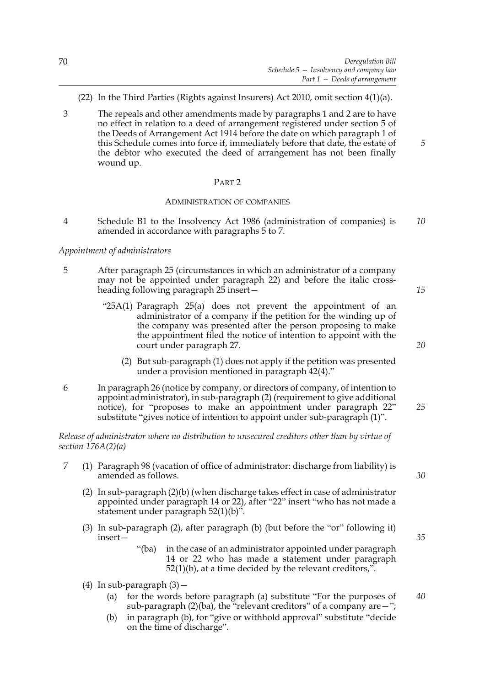- (22) In the Third Parties (Rights against Insurers) Act 2010, omit section 4(1)(a).
- 3 The repeals and other amendments made by paragraphs 1 and 2 are to have no effect in relation to a deed of arrangement registered under section 5 of the Deeds of Arrangement Act 1914 before the date on which paragraph 1 of this Schedule comes into force if, immediately before that date, the estate of the debtor who executed the deed of arrangement has not been finally wound up.

### PART 2

### ADMINISTRATION OF COMPANIES

4 Schedule B1 to the Insolvency Act 1986 (administration of companies) is amended in accordance with paragraphs 5 to 7. *10*

### *Appointment of administrators*

- 5 After paragraph 25 (circumstances in which an administrator of a company may not be appointed under paragraph 22) and before the italic crossheading following paragraph 25 insert—
	- "25A(1) Paragraph 25(a) does not prevent the appointment of an administrator of a company if the petition for the winding up of the company was presented after the person proposing to make the appointment filed the notice of intention to appoint with the court under paragraph 27.
		- (2) But sub-paragraph (1) does not apply if the petition was presented under a provision mentioned in paragraph 42(4)."
- 6 In paragraph 26 (notice by company, or directors of company, of intention to appoint administrator), in sub-paragraph (2) (requirement to give additional notice), for "proposes to make an appointment under paragraph 22" substitute "gives notice of intention to appoint under sub-paragraph (1)".

*Release of administrator where no distribution to unsecured creditors other than by virtue of section 176A(2)(a)*

- 7 (1) Paragraph 98 (vacation of office of administrator: discharge from liability) is amended as follows.
	- (2) In sub-paragraph (2)(b) (when discharge takes effect in case of administrator appointed under paragraph 14 or 22), after "22" insert "who has not made a statement under paragraph 52(1)(b)".
	- (3) In sub-paragraph (2), after paragraph (b) (but before the "or" following it) insert—
		- "(ba) in the case of an administrator appointed under paragraph 14 or 22 who has made a statement under paragraph  $52(1)(b)$ , at a time decided by the relevant creditors,".
	- (4) In sub-paragraph  $(3)$  -
		- (a) for the words before paragraph (a) substitute "For the purposes of sub-paragraph  $(2)(ba)$ , the "relevant creditors" of a company are  $-$ "; *40*
		- (b) in paragraph (b), for "give or withhold approval" substitute "decide on the time of discharge".

*30*

*35*

*5*

*15*

*20*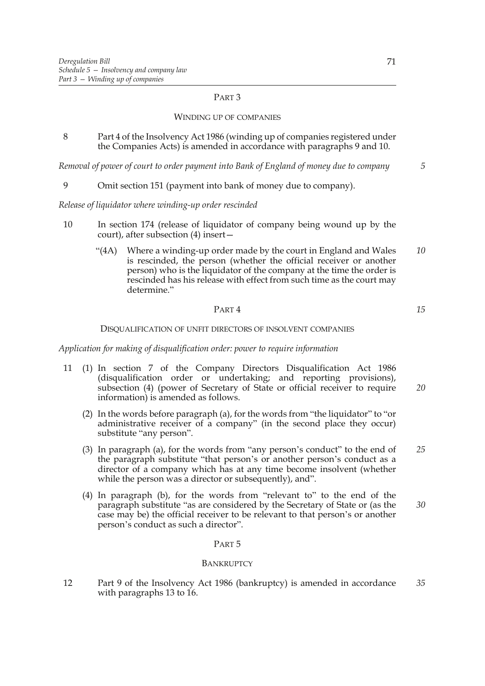# PART 3

### WINDING UP OF COMPANIES

8 Part 4 of the Insolvency Act 1986 (winding up of companies registered under the Companies Acts) is amended in accordance with paragraphs 9 and 10.

*Removal of power of court to order payment into Bank of England of money due to company*

9 Omit section 151 (payment into bank of money due to company).

*Release of liquidator where winding-up order rescinded*

- 10 In section 174 (release of liquidator of company being wound up by the court), after subsection (4) insert—
	- "(4A) Where a winding-up order made by the court in England and Wales is rescinded, the person (whether the official receiver or another person) who is the liquidator of the company at the time the order is rescinded has his release with effect from such time as the court may determine." *10*

### PART 4

DISQUALIFICATION OF UNFIT DIRECTORS OF INSOLVENT COMPANIES

*Application for making of disqualification order: power to require information*

- 11 (1) In section 7 of the Company Directors Disqualification Act 1986 (disqualification order or undertaking; and reporting provisions), subsection (4) (power of Secretary of State or official receiver to require information) is amended as follows. *20*
	- (2) In the words before paragraph (a), for the words from "the liquidator" to "or administrative receiver of a company" (in the second place they occur) substitute "any person".
	- (3) In paragraph (a), for the words from "any person's conduct" to the end of the paragraph substitute "that person's or another person's conduct as a director of a company which has at any time become insolvent (whether while the person was a director or subsequently), and". *25*
	- (4) In paragraph (b), for the words from "relevant to" to the end of the paragraph substitute "as are considered by the Secretary of State or (as the case may be) the official receiver to be relevant to that person's or another person's conduct as such a director". *30*

#### PART 5

#### **BANKRUPTCY**

12 Part 9 of the Insolvency Act 1986 (bankruptcy) is amended in accordance with paragraphs 13 to 16. *35*

*5*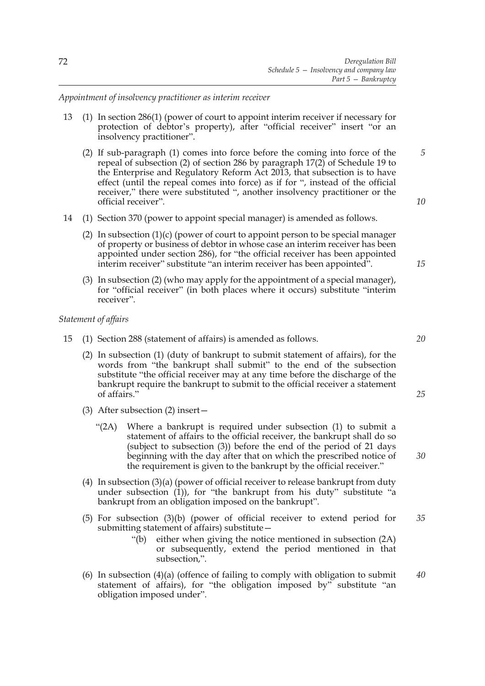*Appointment of insolvency practitioner as interim receiver*

- 13 (1) In section 286(1) (power of court to appoint interim receiver if necessary for protection of debtor's property), after "official receiver" insert "or an insolvency practitioner".
	- (2) If sub-paragraph (1) comes into force before the coming into force of the repeal of subsection (2) of section 286 by paragraph 17(2) of Schedule 19 to the Enterprise and Regulatory Reform Act 2013, that subsection is to have effect (until the repeal comes into force) as if for ", instead of the official receiver," there were substituted ", another insolvency practitioner or the official receiver". *10*
- 14 (1) Section 370 (power to appoint special manager) is amended as follows.
	- (2) In subsection  $(1)(c)$  (power of court to appoint person to be special manager of property or business of debtor in whose case an interim receiver has been appointed under section 286), for "the official receiver has been appointed interim receiver" substitute "an interim receiver has been appointed".
	- (3) In subsection (2) (who may apply for the appointment of a special manager), for "official receiver" (in both places where it occurs) substitute "interim receiver".

# *Statement of affairs*

- 15 (1) Section 288 (statement of affairs) is amended as follows.
	- (2) In subsection (1) (duty of bankrupt to submit statement of affairs), for the words from "the bankrupt shall submit" to the end of the subsection substitute "the official receiver may at any time before the discharge of the bankrupt require the bankrupt to submit to the official receiver a statement of affairs."
	- (3) After subsection (2) insert—
		- "(2A) Where a bankrupt is required under subsection (1) to submit a statement of affairs to the official receiver, the bankrupt shall do so (subject to subsection (3)) before the end of the period of 21 days beginning with the day after that on which the prescribed notice of the requirement is given to the bankrupt by the official receiver."
	- (4) In subsection (3)(a) (power of official receiver to release bankrupt from duty under subsection  $(1)$ ), for "the bankrupt from his duty" substitute "a bankrupt from an obligation imposed on the bankrupt".
	- (5) For subsection (3)(b) (power of official receiver to extend period for submitting statement of affairs) substitute— *35*
		- "(b) either when giving the notice mentioned in subsection (2A) or subsequently, extend the period mentioned in that subsection,".
	- (6) In subsection  $(4)(a)$  (offence of failing to comply with obligation to submit statement of affairs), for "the obligation imposed by" substitute "an obligation imposed under". *40*

*15*

*5*

*20*

*25*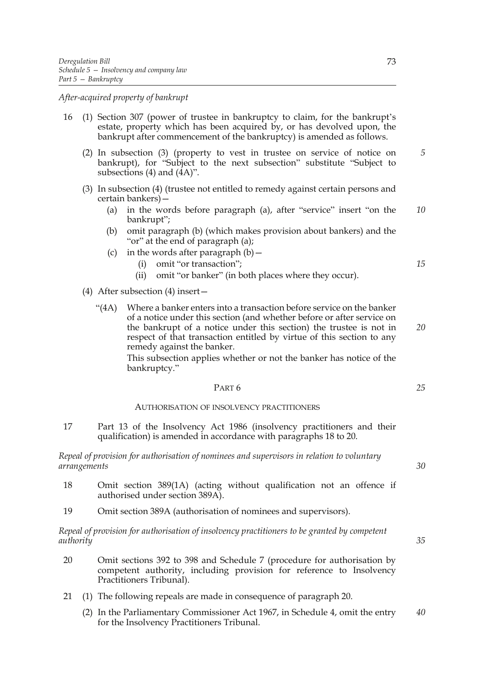*After-acquired property of bankrupt*

- 16 (1) Section 307 (power of trustee in bankruptcy to claim, for the bankrupt's estate, property which has been acquired by, or has devolved upon, the bankrupt after commencement of the bankruptcy) is amended as follows.
	- (2) In subsection (3) (property to vest in trustee on service of notice on bankrupt), for "Subject to the next subsection" substitute "Subject to subsections (4) and (4A)".
	- (3) In subsection (4) (trustee not entitled to remedy against certain persons and certain bankers)—
		- (a) in the words before paragraph (a), after "service" insert "on the bankrupt"; *10*
		- (b) omit paragraph (b) (which makes provision about bankers) and the "or" at the end of paragraph (a);
		- (c) in the words after paragraph  $(b)$  -
			- (i) omit "or transaction";
			- (ii) omit "or banker" (in both places where they occur).
	- (4) After subsection (4) insert—
		- "(4A) Where a banker enters into a transaction before service on the banker of a notice under this section (and whether before or after service on the bankrupt of a notice under this section) the trustee is not in respect of that transaction entitled by virtue of this section to any remedy against the banker.

This subsection applies whether or not the banker has notice of the bankruptcy."

# PART 6

# AUTHORISATION OF INSOLVENCY PRACTITIONERS

17 Part 13 of the Insolvency Act 1986 (insolvency practitioners and their qualification) is amended in accordance with paragraphs 18 to 20.

*Repeal of provision for authorisation of nominees and supervisors in relation to voluntary arrangements*

- 18 Omit section 389(1A) (acting without qualification not an offence if authorised under section 389A).
- 19 Omit section 389A (authorisation of nominees and supervisors).

*Repeal of provision for authorisation of insolvency practitioners to be granted by competent authority*

- 20 Omit sections 392 to 398 and Schedule 7 (procedure for authorisation by competent authority, including provision for reference to Insolvency Practitioners Tribunal).
- 21 (1) The following repeals are made in consequence of paragraph 20.
	- (2) In the Parliamentary Commissioner Act 1967, in Schedule 4, omit the entry for the Insolvency Practitioners Tribunal. *40*

*30*

*15*

*20*

*25*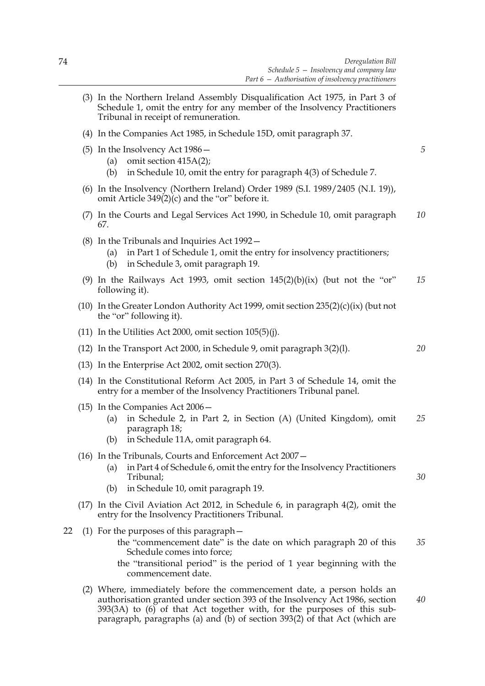*5*

*20*

- (3) In the Northern Ireland Assembly Disqualification Act 1975, in Part 3 of Schedule 1, omit the entry for any member of the Insolvency Practitioners Tribunal in receipt of remuneration.
- (4) In the Companies Act 1985, in Schedule 15D, omit paragraph 37.
- (5) In the Insolvency Act 1986—
	- (a) omit section 415A(2);
	- (b) in Schedule 10, omit the entry for paragraph 4(3) of Schedule 7.
- (6) In the Insolvency (Northern Ireland) Order 1989 (S.I. 1989/2405 (N.I. 19)), omit Article 349(2)(c) and the "or" before it.
- (7) In the Courts and Legal Services Act 1990, in Schedule 10, omit paragraph 67. *10*
- (8) In the Tribunals and Inquiries Act 1992—
	- (a) in Part 1 of Schedule 1, omit the entry for insolvency practitioners;
	- (b) in Schedule 3, omit paragraph 19.
- (9) In the Railways Act 1993, omit section  $145(2)(b)(ix)$  (but not the "or" following it). *15*
- (10) In the Greater London Authority Act 1999, omit section 235(2)(c)(ix) (but not the "or" following it).
- (11) In the Utilities Act 2000, omit section  $105(5)(j)$ .
- (12) In the Transport Act 2000, in Schedule 9, omit paragraph 3(2)(l).
- (13) In the Enterprise Act 2002, omit section 270(3).
- (14) In the Constitutional Reform Act 2005, in Part 3 of Schedule 14, omit the entry for a member of the Insolvency Practitioners Tribunal panel.
- (15) In the Companies Act 2006—
	- (a) in Schedule 2, in Part 2, in Section (A) (United Kingdom), omit paragraph 18; *25*
	- (b) in Schedule 11A, omit paragraph 64.
- (16) In the Tribunals, Courts and Enforcement Act 2007—
	- (a) in Part 4 of Schedule 6, omit the entry for the Insolvency Practitioners Tribunal;
	- (b) in Schedule 10, omit paragraph 19.
- (17) In the Civil Aviation Act 2012, in Schedule 6, in paragraph 4(2), omit the entry for the Insolvency Practitioners Tribunal.
- 22 (1) For the purposes of this paragraph
	- the "commencement date" is the date on which paragraph 20 of this Schedule comes into force; *35*
	- the "transitional period" is the period of 1 year beginning with the commencement date.
	- (2) Where, immediately before the commencement date, a person holds an authorisation granted under section 393 of the Insolvency Act 1986, section 393(3A) to (6) of that Act together with, for the purposes of this subparagraph, paragraphs (a) and (b) of section 393(2) of that Act (which are *40*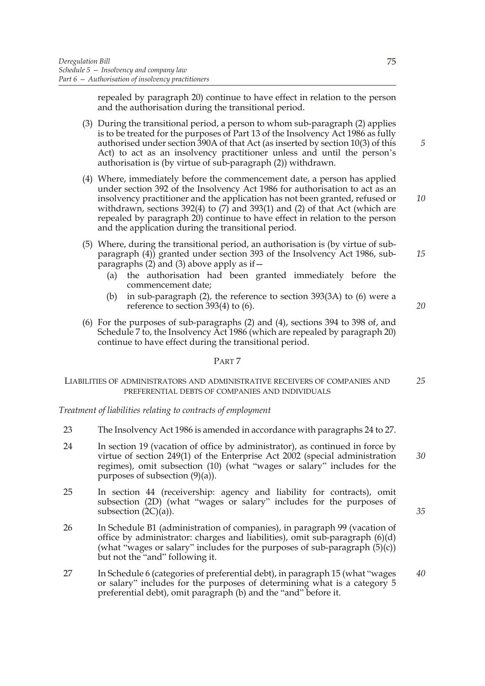repealed by paragraph 20) continue to have effect in relation to the person and the authorisation during the transitional period.

- (3) During the transitional period, a person to whom sub-paragraph (2) applies is to be treated for the purposes of Part 13 of the Insolvency Act 1986 as fully authorised under section 390A of that Act (as inserted by section 10(3) of this Act) to act as an insolvency practitioner unless and until the person's authorisation is (by virtue of sub-paragraph (2)) withdrawn.
- (4) Where, immediately before the commencement date, a person has applied under section 392 of the Insolvency Act 1986 for authorisation to act as an insolvency practitioner and the application has not been granted, refused or withdrawn, sections 392(4) to (7) and 393(1) and (2) of that Act (which are repealed by paragraph 20) continue to have effect in relation to the person and the application during the transitional period.
- (5) Where, during the transitional period, an authorisation is (by virtue of subparagraph (4)) granted under section 393 of the Insolvency Act 1986, subparagraphs (2) and (3) above apply as if  $-$ 
	- (a) the authorisation had been granted immediately before the commencement date;
	- (b) in sub-paragraph (2), the reference to section 393(3A) to (6) were a reference to section 393(4) to (6).
- (6) For the purposes of sub-paragraphs (2) and (4), sections 394 to 398 of, and Schedule 7 to, the Insolvency Act 1986 (which are repealed by paragraph 20) continue to have effect during the transitional period.

# PART 7

#### LIABILITIES OF ADMINISTRATORS AND ADMINISTRATIVE RECEIVERS OF COMPANIES AND PREFERENTIAL DEBTS OF COMPANIES AND INDIVIDUALS *25*

*Treatment of liabilities relating to contracts of employment*

- 23 The Insolvency Act 1986 is amended in accordance with paragraphs 24 to 27.
- 24 In section 19 (vacation of office by administrator), as continued in force by virtue of section 249(1) of the Enterprise Act 2002 (special administration regimes), omit subsection (10) (what "wages or salary" includes for the purposes of subsection (9)(a)). *30*
- 25 In section 44 (receivership: agency and liability for contracts), omit subsection (2D) (what "wages or salary" includes for the purposes of subsection  $(2C)(a)$ ).
- 26 In Schedule B1 (administration of companies), in paragraph 99 (vacation of office by administrator: charges and liabilities), omit sub-paragraph (6)(d) (what "wages or salary" includes for the purposes of sub-paragraph (5)(c)) but not the "and" following it.
- 27 In Schedule 6 (categories of preferential debt), in paragraph 15 (what "wages or salary" includes for the purposes of determining what is a category 5 preferential debt), omit paragraph (b) and the "and" before it. *40*

75

*10*

*5*

*15*

*20*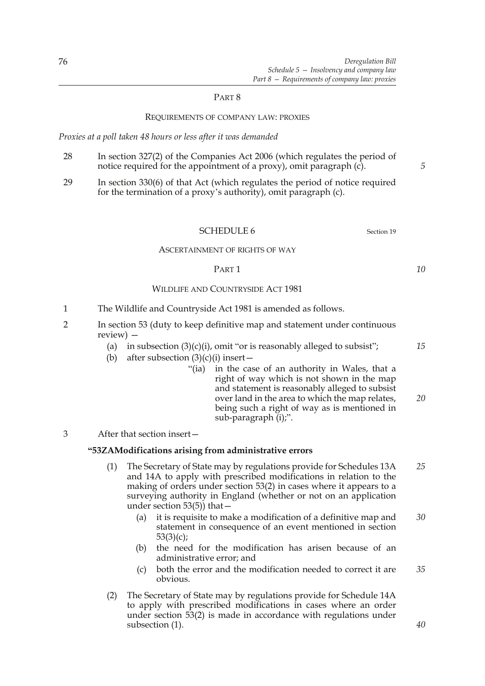# PART 8

### REQUIREMENTS OF COMPANY LAW: PROXIES

*Proxies at a poll taken 48 hours or less after it was demanded*

- 28 In section 327(2) of the Companies Act 2006 (which regulates the period of notice required for the appointment of a proxy), omit paragraph (c).
- 29 In section 330(6) of that Act (which regulates the period of notice required for the termination of a proxy's authority), omit paragraph (c).

# SCHEDULE 6 Section 19

#### ASCERTAINMENT OF RIGHTS OF WAY

### PART 1

# WILDLIFE AND COUNTRYSIDE ACT 1981

- 1 The Wildlife and Countryside Act 1981 is amended as follows.
- 2 In section 53 (duty to keep definitive map and statement under continuous review) —
	- (a) in subsection  $(3)(c)(i)$ , omit "or is reasonably alleged to subsist";
	- (b) after subsection  $(3)(c)(i)$  insert
		- "(ia) in the case of an authority in Wales, that a right of way which is not shown in the map and statement is reasonably alleged to subsist over land in the area to which the map relates, being such a right of way as is mentioned in sub-paragraph (i);".
- 3 After that section insert—

### **"53ZAModifications arising from administrative errors**

- (1) The Secretary of State may by regulations provide for Schedules 13A and 14A to apply with prescribed modifications in relation to the making of orders under section 53(2) in cases where it appears to a surveying authority in England (whether or not on an application under section 53(5)) that— *25*
	- (a) it is requisite to make a modification of a definitive map and statement in consequence of an event mentioned in section  $53(3)(c)$ ; *30*
	- (b) the need for the modification has arisen because of an administrative error; and
	- (c) both the error and the modification needed to correct it are obvious. *35*
- (2) The Secretary of State may by regulations provide for Schedule 14A to apply with prescribed modifications in cases where an order under section 53(2) is made in accordance with regulations under subsection (1).

*5*

*10*

*15*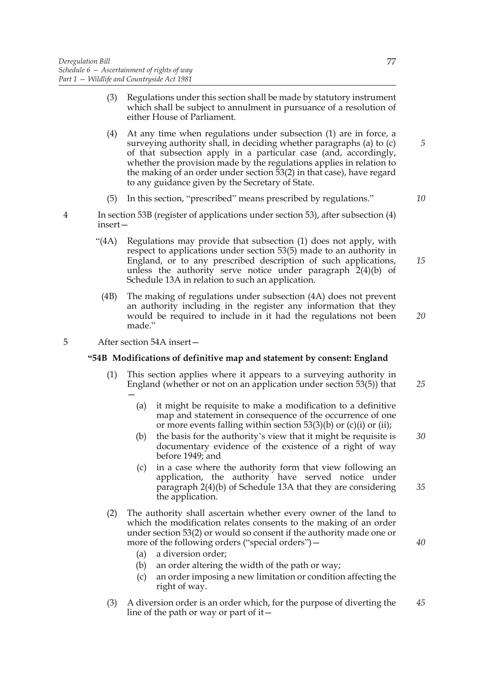- (3) Regulations under this section shall be made by statutory instrument which shall be subject to annulment in pursuance of a resolution of either House of Parliament.
- (4) At any time when regulations under subsection (1) are in force, a surveying authority shall, in deciding whether paragraphs (a) to (c) of that subsection apply in a particular case (and, accordingly, whether the provision made by the regulations applies in relation to the making of an order under section 53(2) in that case), have regard to any guidance given by the Secretary of State.
- (5) In this section, "prescribed" means prescribed by regulations."

*10*

*15*

*5*

77

- 4 In section 53B (register of applications under section 53), after subsection (4) insert—
	- "(4A) Regulations may provide that subsection (1) does not apply, with respect to applications under section 53(5) made to an authority in England, or to any prescribed description of such applications, unless the authority serve notice under paragraph 2(4)(b) of Schedule 13A in relation to such an application.
		- (4B) The making of regulations under subsection (4A) does not prevent an authority including in the register any information that they would be required to include in it had the regulations not been made."

*20*

*35*

*40*

5 After section 54A insert—

# **"54B Modifications of definitive map and statement by consent: England**

- (1) This section applies where it appears to a surveying authority in England (whether or not on an application under section 53(5)) that — *25*
	- (a) it might be requisite to make a modification to a definitive map and statement in consequence of the occurrence of one or more events falling within section  $53(3)(b)$  or (c)(i) or (ii);
	- (b) the basis for the authority's view that it might be requisite is documentary evidence of the existence of a right of way before 1949; and *30*
	- (c) in a case where the authority form that view following an application, the authority have served notice under paragraph 2(4)(b) of Schedule 13A that they are considering the application.
- (2) The authority shall ascertain whether every owner of the land to which the modification relates consents to the making of an order under section 53(2) or would so consent if the authority made one or more of the following orders ("special orders")—
	- (a) a diversion order;
	- (b) an order altering the width of the path or way;
	- (c) an order imposing a new limitation or condition affecting the right of way.
- (3) A diversion order is an order which, for the purpose of diverting the line of the path or way or part of it  $-$ *45*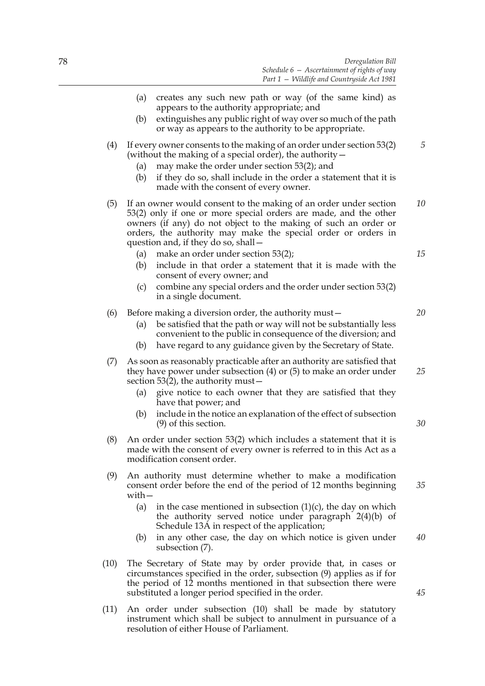- (a) creates any such new path or way (of the same kind) as appears to the authority appropriate; and
- (b) extinguishes any public right of way over so much of the path or way as appears to the authority to be appropriate.
- (4) If every owner consents to the making of an order under section 53(2) (without the making of a special order), the authority—
	- (a) may make the order under section 53(2); and
	- (b) if they do so, shall include in the order a statement that it is made with the consent of every owner.
- (5) If an owner would consent to the making of an order under section 53(2) only if one or more special orders are made, and the other owners (if any) do not object to the making of such an order or orders, the authority may make the special order or orders in question and, if they do so, shall— *10*
	- (a) make an order under section 53(2);
	- (b) include in that order a statement that it is made with the consent of every owner; and
	- (c) combine any special orders and the order under section 53(2) in a single document.

### (6) Before making a diversion order, the authority must—

- (a) be satisfied that the path or way will not be substantially less convenient to the public in consequence of the diversion; and
- (b) have regard to any guidance given by the Secretary of State.
- (7) As soon as reasonably practicable after an authority are satisfied that they have power under subsection (4) or (5) to make an order under section 53(2), the authority must—
	- (a) give notice to each owner that they are satisfied that they have that power; and
	- (b) include in the notice an explanation of the effect of subsection (9) of this section.
- (8) An order under section 53(2) which includes a statement that it is made with the consent of every owner is referred to in this Act as a modification consent order.
- (9) An authority must determine whether to make a modification consent order before the end of the period of 12 months beginning with—
	- (a) in the case mentioned in subsection  $(1)(c)$ , the day on which the authority served notice under paragraph 2(4)(b) of Schedule 13A in respect of the application;
	- (b) in any other case, the day on which notice is given under subsection (7). *40*
- (10) The Secretary of State may by order provide that, in cases or circumstances specified in the order, subsection (9) applies as if for the period of 12 months mentioned in that subsection there were substituted a longer period specified in the order.
- (11) An order under subsection (10) shall be made by statutory instrument which shall be subject to annulment in pursuance of a resolution of either House of Parliament.

*15*

*5*

*20*

*30*

*35*

*25*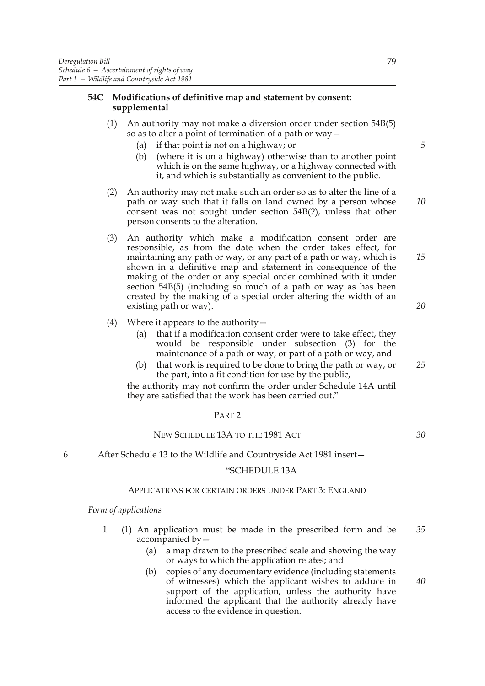# **54C Modifications of definitive map and statement by consent: supplemental**

- (1) An authority may not make a diversion order under section 54B(5) so as to alter a point of termination of a path or way—
	- (a) if that point is not on a highway; or
	- (b) (where it is on a highway) otherwise than to another point which is on the same highway, or a highway connected with it, and which is substantially as convenient to the public.
- (2) An authority may not make such an order so as to alter the line of a path or way such that it falls on land owned by a person whose consent was not sought under section 54B(2), unless that other person consents to the alteration.
- (3) An authority which make a modification consent order are responsible, as from the date when the order takes effect, for maintaining any path or way, or any part of a path or way, which is shown in a definitive map and statement in consequence of the making of the order or any special order combined with it under section 54B(5) (including so much of a path or way as has been created by the making of a special order altering the width of an existing path or way).
- (4) Where it appears to the authority  $-$ 
	- (a) that if a modification consent order were to take effect, they would be responsible under subsection (3) for the maintenance of a path or way, or part of a path or way, and
	- (b) that work is required to be done to bring the path or way, or the part, into a fit condition for use by the public,

the authority may not confirm the order under Schedule 14A until they are satisfied that the work has been carried out."

# PART 2

# NEW SCHEDULE 13A TO THE 1981 ACT

6 After Schedule 13 to the Wildlife and Countryside Act 1981 insert—

### "SCHEDULE 13A

# APPLICATIONS FOR CERTAIN ORDERS UNDER PART 3: ENGLAND

### *Form of applications*

- 1 (1) An application must be made in the prescribed form and be accompanied by— *35*
	- (a) a map drawn to the prescribed scale and showing the way or ways to which the application relates; and
	- (b) copies of any documentary evidence (including statements of witnesses) which the applicant wishes to adduce in support of the application, unless the authority have informed the applicant that the authority already have access to the evidence in question.

*25*

*30*

*5*

*10*

*15*

*20*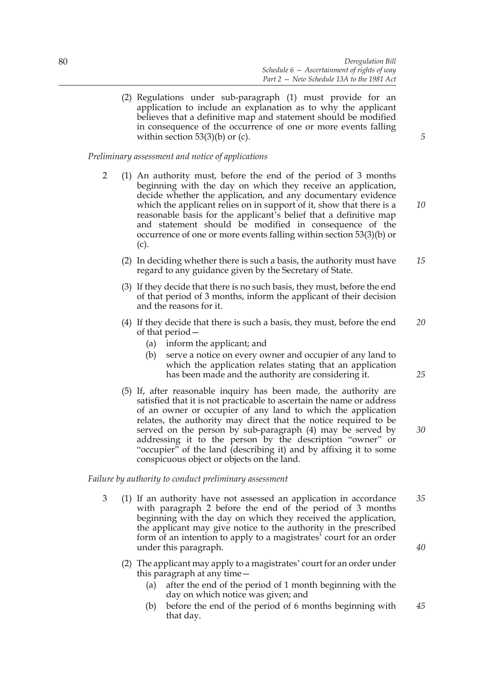(2) Regulations under sub-paragraph (1) must provide for an application to include an explanation as to why the applicant believes that a definitive map and statement should be modified in consequence of the occurrence of one or more events falling within section  $53(3)(b)$  or (c).

*Preliminary assessment and notice of applications*

- 2 (1) An authority must, before the end of the period of 3 months beginning with the day on which they receive an application, decide whether the application, and any documentary evidence which the applicant relies on in support of it, show that there is a reasonable basis for the applicant's belief that a definitive map and statement should be modified in consequence of the occurrence of one or more events falling within section 53(3)(b) or (c).
	- (2) In deciding whether there is such a basis, the authority must have regard to any guidance given by the Secretary of State. *15*
	- (3) If they decide that there is no such basis, they must, before the end of that period of 3 months, inform the applicant of their decision and the reasons for it.
	- (4) If they decide that there is such a basis, they must, before the end of that period— *20*
		- (a) inform the applicant; and
		- (b) serve a notice on every owner and occupier of any land to which the application relates stating that an application has been made and the authority are considering it.
	- (5) If, after reasonable inquiry has been made, the authority are satisfied that it is not practicable to ascertain the name or address of an owner or occupier of any land to which the application relates, the authority may direct that the notice required to be served on the person by sub-paragraph (4) may be served by addressing it to the person by the description "owner" or "occupier" of the land (describing it) and by affixing it to some conspicuous object or objects on the land.

*Failure by authority to conduct preliminary assessment*

- 3 (1) If an authority have not assessed an application in accordance with paragraph 2 before the end of the period of 3 months beginning with the day on which they received the application, the applicant may give notice to the authority in the prescribed form of an intention to apply to a magistrates' court for an order under this paragraph. *35*
	- (2) The applicant may apply to a magistrates' court for an order under this paragraph at any time—
		- (a) after the end of the period of 1 month beginning with the day on which notice was given; and
		- (b) before the end of the period of 6 months beginning with that day. *45*

*10*

*5*

*25*

*30*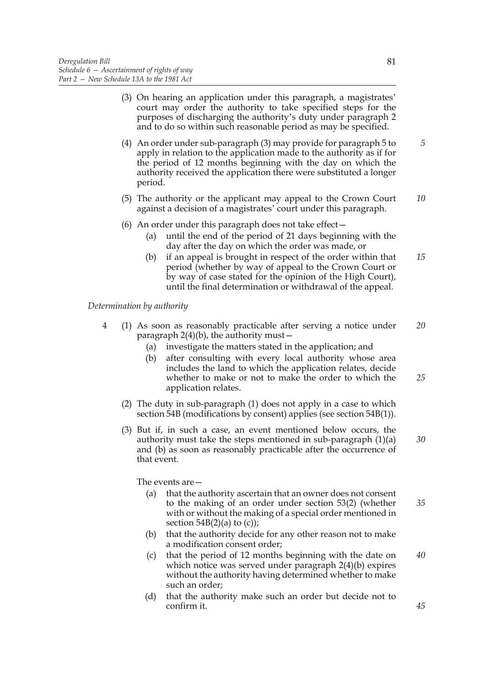|   | (3) On hearing an application under this paragraph, a magistrates'<br>court may order the authority to take specified steps for the<br>purposes of discharging the authority's duty under paragraph 2<br>and to do so within such reasonable period as may be specified.                                                                                                                                                                       |          |  |  |
|---|------------------------------------------------------------------------------------------------------------------------------------------------------------------------------------------------------------------------------------------------------------------------------------------------------------------------------------------------------------------------------------------------------------------------------------------------|----------|--|--|
|   | (4) An order under sub-paragraph (3) may provide for paragraph 5 to<br>apply in relation to the application made to the authority as if for<br>the period of 12 months beginning with the day on which the<br>authority received the application there were substituted a longer<br>period.                                                                                                                                                    |          |  |  |
|   | (5) The authority or the applicant may appeal to the Crown Court<br>against a decision of a magistrates' court under this paragraph.                                                                                                                                                                                                                                                                                                           |          |  |  |
|   | (6) An order under this paragraph does not take effect $-$<br>until the end of the period of 21 days beginning with the<br>(a)<br>day after the day on which the order was made, or<br>if an appeal is brought in respect of the order within that<br>(b)<br>period (whether by way of appeal to the Crown Court or<br>by way of case stated for the opinion of the High Court),<br>until the final determination or withdrawal of the appeal. | 15       |  |  |
|   | Determination by authority                                                                                                                                                                                                                                                                                                                                                                                                                     |          |  |  |
| 4 | (1) As soon as reasonably practicable after serving a notice under<br>paragraph $2(4)(b)$ , the authority must –<br>investigate the matters stated in the application; and<br>(a)<br>after consulting with every local authority whose area<br>(b)<br>includes the land to which the application relates, decide<br>whether to make or not to make the order to which the<br>application relates.                                              | 20<br>25 |  |  |
|   | (2) The duty in sub-paragraph (1) does not apply in a case to which<br>section 54B (modifications by consent) applies (see section 54B(1)).                                                                                                                                                                                                                                                                                                    |          |  |  |
|   | (3) But if, in such a case, an event mentioned below occurs, the<br>authority must take the steps mentioned in sub-paragraph $(1)(a)$<br>and (b) as soon as reasonably practicable after the occurrence of<br>that event.                                                                                                                                                                                                                      | 30       |  |  |
|   | The events are $-$                                                                                                                                                                                                                                                                                                                                                                                                                             |          |  |  |
|   | (a)<br>that the authority ascertain that an owner does not consent<br>to the making of an order under section 53(2) (whether<br>with or without the making of a special order mentioned in<br>section $54B(2)(a)$ to (c));                                                                                                                                                                                                                     | 35       |  |  |
|   | that the authority decide for any other reason not to make<br>(b)<br>a modification consent order;                                                                                                                                                                                                                                                                                                                                             |          |  |  |

- (c) that the period of 12 months beginning with the date on which notice was served under paragraph 2(4)(b) expires without the authority having determined whether to make such an order; *40*
- (d) that the authority make such an order but decide not to confirm it.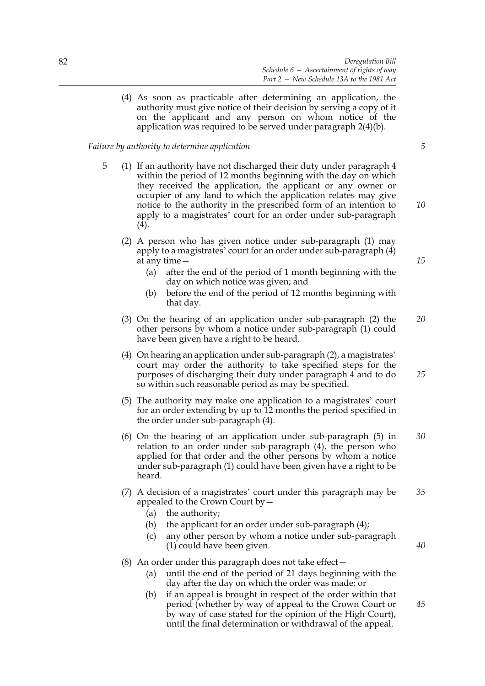(4) As soon as practicable after determining an application, the authority must give notice of their decision by serving a copy of it on the applicant and any person on whom notice of the application was required to be served under paragraph 2(4)(b).

# *Failure by authority to determine application*

- 5 (1) If an authority have not discharged their duty under paragraph 4 within the period of 12 months beginning with the day on which they received the application, the applicant or any owner or occupier of any land to which the application relates may give notice to the authority in the prescribed form of an intention to apply to a magistrates' court for an order under sub-paragraph  $(4).$ 
	- (2) A person who has given notice under sub-paragraph (1) may apply to a magistrates' court for an order under sub-paragraph (4) at any time—
		- (a) after the end of the period of 1 month beginning with the day on which notice was given; and
		- (b) before the end of the period of 12 months beginning with that day.
	- (3) On the hearing of an application under sub-paragraph (2) the other persons by whom a notice under sub-paragraph (1) could have been given have a right to be heard. *20*
	- (4) On hearing an application under sub-paragraph (2), a magistrates' court may order the authority to take specified steps for the purposes of discharging their duty under paragraph 4 and to do so within such reasonable period as may be specified. *25*
	- (5) The authority may make one application to a magistrates' court for an order extending by up to 12 months the period specified in the order under sub-paragraph (4).
	- (6) On the hearing of an application under sub-paragraph (5) in relation to an order under sub-paragraph (4), the person who applied for that order and the other persons by whom a notice under sub-paragraph (1) could have been given have a right to be heard. *30*
	- (7) A decision of a magistrates' court under this paragraph may be appealed to the Crown Court by— *35*
		- (a) the authority;
		- (b) the applicant for an order under sub-paragraph (4);
		- (c) any other person by whom a notice under sub-paragraph (1) could have been given.

# (8) An order under this paragraph does not take effect—

- (a) until the end of the period of 21 days beginning with the day after the day on which the order was made; or
- (b) if an appeal is brought in respect of the order within that period (whether by way of appeal to the Crown Court or by way of case stated for the opinion of the High Court), until the final determination or withdrawal of the appeal. *45*

*5*

*10*

*15*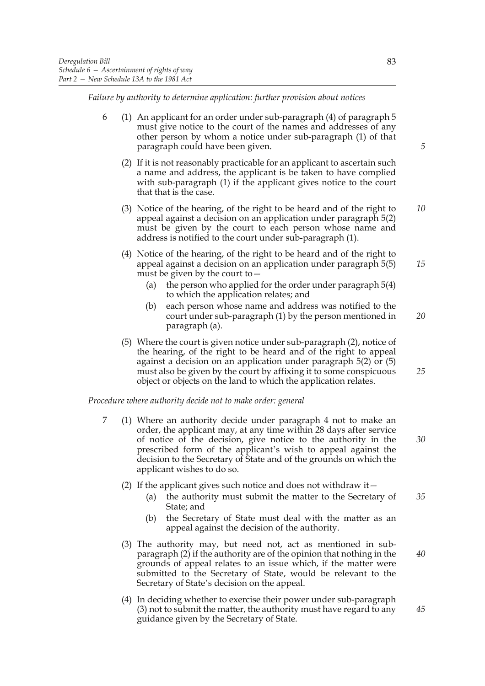*Failure by authority to determine application: further provision about notices*

- 6 (1) An applicant for an order under sub-paragraph (4) of paragraph 5 must give notice to the court of the names and addresses of any other person by whom a notice under sub-paragraph (1) of that paragraph could have been given.
	- (2) If it is not reasonably practicable for an applicant to ascertain such a name and address, the applicant is be taken to have complied with sub-paragraph (1) if the applicant gives notice to the court that that is the case.
	- (3) Notice of the hearing, of the right to be heard and of the right to appeal against a decision on an application under paragraph 5(2) must be given by the court to each person whose name and address is notified to the court under sub-paragraph (1). *10*
	- (4) Notice of the hearing, of the right to be heard and of the right to appeal against a decision on an application under paragraph 5(5) must be given by the court to—
		- (a) the person who applied for the order under paragraph 5(4) to which the application relates; and
		- (b) each person whose name and address was notified to the court under sub-paragraph (1) by the person mentioned in paragraph (a). *20*
	- (5) Where the court is given notice under sub-paragraph (2), notice of the hearing, of the right to be heard and of the right to appeal against a decision on an application under paragraph 5(2) or (5) must also be given by the court by affixing it to some conspicuous object or objects on the land to which the application relates.

# *Procedure where authority decide not to make order: general*

- 7 (1) Where an authority decide under paragraph 4 not to make an order, the applicant may, at any time within 28 days after service of notice of the decision, give notice to the authority in the prescribed form of the applicant's wish to appeal against the decision to the Secretary of State and of the grounds on which the applicant wishes to do so.
	- (2) If the applicant gives such notice and does not withdraw it—
		- (a) the authority must submit the matter to the Secretary of State; and *35*
		- (b) the Secretary of State must deal with the matter as an appeal against the decision of the authority.
	- (3) The authority may, but need not, act as mentioned in subparagraph (2) if the authority are of the opinion that nothing in the grounds of appeal relates to an issue which, if the matter were submitted to the Secretary of State, would be relevant to the Secretary of State's decision on the appeal.
	- (4) In deciding whether to exercise their power under sub-paragraph (3) not to submit the matter, the authority must have regard to any guidance given by the Secretary of State.

*5*

*15*

*30*

*25*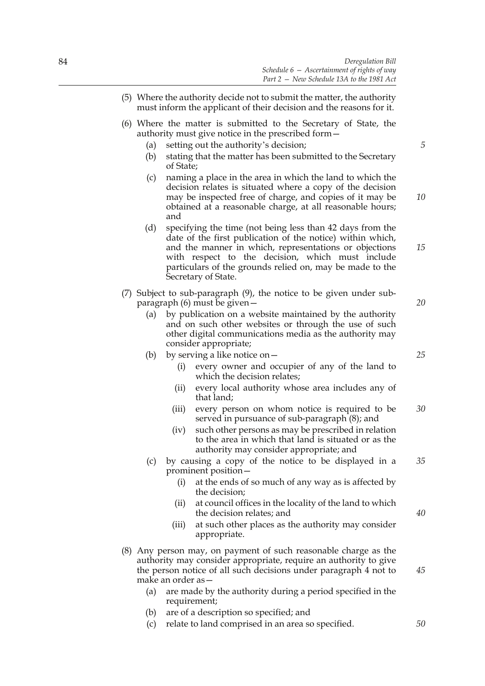- (5) Where the authority decide not to submit the matter, the authority must inform the applicant of their decision and the reasons for it. (6) Where the matter is submitted to the Secretary of State, the authority must give notice in the prescribed form— (a) setting out the authority's decision; (b) stating that the matter has been submitted to the Secretary of State; (c) naming a place in the area in which the land to which the decision relates is situated where a copy of the decision may be inspected free of charge, and copies of it may be obtained at a reasonable charge, at all reasonable hours; and (d) specifying the time (not being less than 42 days from the date of the first publication of the notice) within which, and the manner in which, representations or objections with respect to the decision, which must include particulars of the grounds relied on, may be made to the Secretary of State. (7) Subject to sub-paragraph (9), the notice to be given under subparagraph (6) must be given— (a) by publication on a website maintained by the authority and on such other websites or through the use of such other digital communications media as the authority may consider appropriate; (b) by serving a like notice on— (i) every owner and occupier of any of the land to which the decision relates; (ii) every local authority whose area includes any of that land; (iii) every person on whom notice is required to be served in pursuance of sub-paragraph (8); and (iv) such other persons as may be prescribed in relation to the area in which that land is situated or as the authority may consider appropriate; and (c) by causing a copy of the notice to be displayed in a prominent position— (i) at the ends of so much of any way as is affected by the decision; (ii) at council offices in the locality of the land to which the decision relates; and (iii) at such other places as the authority may consider appropriate. (8) Any person may, on payment of such reasonable charge as the authority may consider appropriate, require an authority to give the person notice of all such decisions under paragraph 4 not to make an order as— *5 10 15 20 25 30 35 40 45*
	- (a) are made by the authority during a period specified in the requirement;
	- (b) are of a description so specified; and
	- (c) relate to land comprised in an area so specified.

- 
-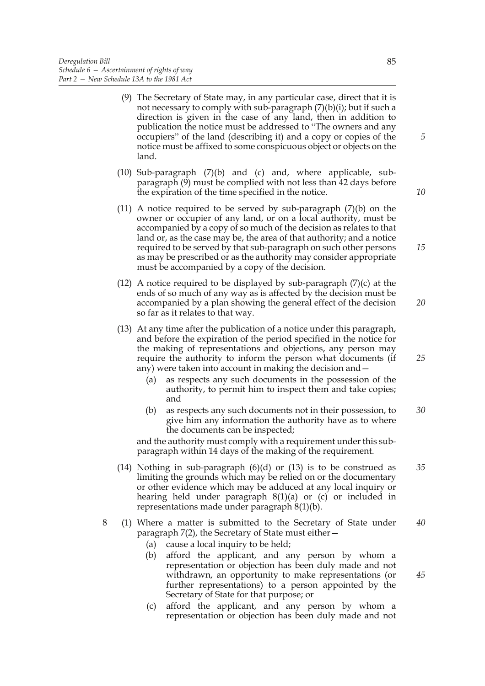- (9) The Secretary of State may, in any particular case, direct that it is not necessary to comply with sub-paragraph  $(7)(b)(i)$ ; but if such a direction is given in the case of any land, then in addition to publication the notice must be addressed to "The owners and any occupiers" of the land (describing it) and a copy or copies of the notice must be affixed to some conspicuous object or objects on the land.
- (10) Sub-paragraph (7)(b) and (c) and, where applicable, subparagraph (9) must be complied with not less than 42 days before the expiration of the time specified in the notice.
- (11) A notice required to be served by sub-paragraph  $(7)(b)$  on the owner or occupier of any land, or on a local authority, must be accompanied by a copy of so much of the decision as relates to that land or, as the case may be, the area of that authority; and a notice required to be served by that sub-paragraph on such other persons as may be prescribed or as the authority may consider appropriate must be accompanied by a copy of the decision.
- (12) A notice required to be displayed by sub-paragraph  $(7)(c)$  at the ends of so much of any way as is affected by the decision must be accompanied by a plan showing the general effect of the decision so far as it relates to that way.
- (13) At any time after the publication of a notice under this paragraph, and before the expiration of the period specified in the notice for the making of representations and objections, any person may require the authority to inform the person what documents (if any) were taken into account in making the decision and—
	- (a) as respects any such documents in the possession of the authority, to permit him to inspect them and take copies; and
	- (b) as respects any such documents not in their possession, to give him any information the authority have as to where the documents can be inspected; *30*

and the authority must comply with a requirement under this subparagraph within 14 days of the making of the requirement.

- (14) Nothing in sub-paragraph (6)(d) or (13) is to be construed as limiting the grounds which may be relied on or the documentary or other evidence which may be adduced at any local inquiry or hearing held under paragraph  $8(1)(a)$  or  $(c)$  or included in representations made under paragraph 8(1)(b). *35*
- 8 (1) Where a matter is submitted to the Secretary of State under paragraph 7(2), the Secretary of State must either— *40*
	- (a) cause a local inquiry to be held;
	- (b) afford the applicant, and any person by whom a representation or objection has been duly made and not withdrawn, an opportunity to make representations (or further representations) to a person appointed by the Secretary of State for that purpose; or
	- (c) afford the applicant, and any person by whom a representation or objection has been duly made and not

*10*

*15*

*5*

*20*

*25*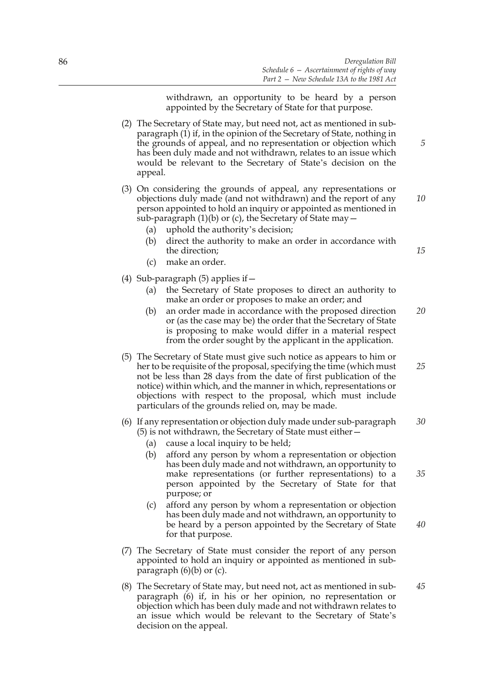withdrawn, an opportunity to be heard by a person appointed by the Secretary of State for that purpose.

- (2) The Secretary of State may, but need not, act as mentioned in subparagraph (1) if, in the opinion of the Secretary of State, nothing in the grounds of appeal, and no representation or objection which has been duly made and not withdrawn, relates to an issue which would be relevant to the Secretary of State's decision on the appeal.
- (3) On considering the grounds of appeal, any representations or objections duly made (and not withdrawn) and the report of any person appointed to hold an inquiry or appointed as mentioned in sub-paragraph  $(1)(b)$  or  $(c)$ , the Secretary of State may  $-$ 
	- (a) uphold the authority's decision;
	- (b) direct the authority to make an order in accordance with the direction;
	- (c) make an order.
- (4) Sub-paragraph  $(5)$  applies if  $-$ 
	- (a) the Secretary of State proposes to direct an authority to make an order or proposes to make an order; and
	- (b) an order made in accordance with the proposed direction or (as the case may be) the order that the Secretary of State is proposing to make would differ in a material respect from the order sought by the applicant in the application. *20*
- (5) The Secretary of State must give such notice as appears to him or her to be requisite of the proposal, specifying the time (which must not be less than 28 days from the date of first publication of the notice) within which, and the manner in which, representations or objections with respect to the proposal, which must include particulars of the grounds relied on, may be made. *25*
- (6) If any representation or objection duly made under sub-paragraph (5) is not withdrawn, the Secretary of State must either— *30*
	- (a) cause a local inquiry to be held;
	- (b) afford any person by whom a representation or objection has been duly made and not withdrawn, an opportunity to make representations (or further representations) to a person appointed by the Secretary of State for that purpose; or
	- (c) afford any person by whom a representation or objection has been duly made and not withdrawn, an opportunity to be heard by a person appointed by the Secretary of State for that purpose.
- (7) The Secretary of State must consider the report of any person appointed to hold an inquiry or appointed as mentioned in subparagraph  $(6)(b)$  or  $(c)$ .
- (8) The Secretary of State may, but need not, act as mentioned in subparagraph (6) if, in his or her opinion, no representation or objection which has been duly made and not withdrawn relates to an issue which would be relevant to the Secretary of State's decision on the appeal. *45*

*40*

*35*

*5*

*10*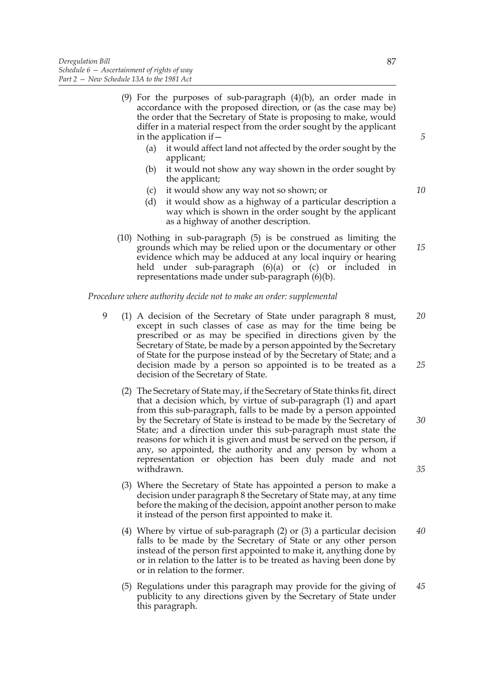- (9) For the purposes of sub-paragraph (4)(b), an order made in accordance with the proposed direction, or (as the case may be) the order that the Secretary of State is proposing to make, would differ in a material respect from the order sought by the applicant in the application if—
	- (a) it would affect land not affected by the order sought by the applicant;
	- (b) it would not show any way shown in the order sought by the applicant;
	- (c) it would show any way not so shown; or
	- (d) it would show as a highway of a particular description a way which is shown in the order sought by the applicant as a highway of another description.
- (10) Nothing in sub-paragraph (5) is be construed as limiting the grounds which may be relied upon or the documentary or other evidence which may be adduced at any local inquiry or hearing held under sub-paragraph (6)(a) or (c) or included in representations made under sub-paragraph (6)(b).

# *Procedure where authority decide not to make an order: supplemental*

- 9 (1) A decision of the Secretary of State under paragraph 8 must, except in such classes of case as may for the time being be prescribed or as may be specified in directions given by the Secretary of State, be made by a person appointed by the Secretary of State for the purpose instead of by the Secretary of State; and a decision made by a person so appointed is to be treated as a decision of the Secretary of State. *20 25*
	- (2) The Secretary of State may, if the Secretary of State thinks fit, direct that a decision which, by virtue of sub-paragraph (1) and apart from this sub-paragraph, falls to be made by a person appointed by the Secretary of State is instead to be made by the Secretary of State; and a direction under this sub-paragraph must state the reasons for which it is given and must be served on the person, if any, so appointed, the authority and any person by whom a representation or objection has been duly made and not withdrawn.
	- (3) Where the Secretary of State has appointed a person to make a decision under paragraph 8 the Secretary of State may, at any time before the making of the decision, appoint another person to make it instead of the person first appointed to make it.
	- (4) Where by virtue of sub-paragraph (2) or (3) a particular decision falls to be made by the Secretary of State or any other person instead of the person first appointed to make it, anything done by or in relation to the latter is to be treated as having been done by or in relation to the former. *40*
	- (5) Regulations under this paragraph may provide for the giving of publicity to any directions given by the Secretary of State under this paragraph. *45*

87

*10*

*5*

*15*

*30*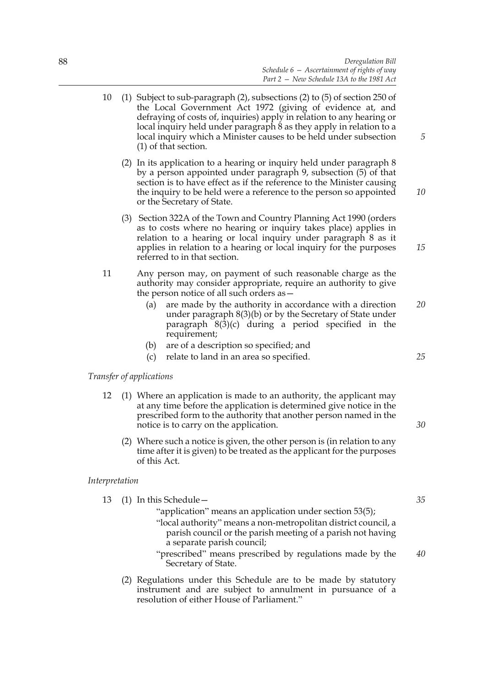10 (1) Subject to sub-paragraph (2), subsections (2) to (5) of section 250 of the Local Government Act 1972 (giving of evidence at, and defraying of costs of, inquiries) apply in relation to any hearing or local inquiry held under paragraph 8 as they apply in relation to a local inquiry which a Minister causes to be held under subsection (1) of that section. (2) In its application to a hearing or inquiry held under paragraph 8 by a person appointed under paragraph 9, subsection (5) of that section is to have effect as if the reference to the Minister causing the inquiry to be held were a reference to the person so appointed or the Secretary of State. (3) Section 322A of the Town and Country Planning Act 1990 (orders as to costs where no hearing or inquiry takes place) applies in relation to a hearing or local inquiry under paragraph 8 as it applies in relation to a hearing or local inquiry for the purposes referred to in that section. 11 Any person may, on payment of such reasonable charge as the authority may consider appropriate, require an authority to give the person notice of all such orders as— (a) are made by the authority in accordance with a direction under paragraph 8(3)(b) or by the Secretary of State under paragraph 8(3)(c) during a period specified in the requirement; (b) are of a description so specified; and (c) relate to land in an area so specified. *Transfer of applications*  12 (1) Where an application is made to an authority, the applicant may at any time before the application is determined give notice in the prescribed form to the authority that another person named in the notice is to carry on the application. (2) Where such a notice is given, the other person is (in relation to any time after it is given) to be treated as the applicant for the purposes of this Act. *5 10 15 20 25 30*

# *Interpretation*

- 13 (1) In this Schedule—
	- "application" means an application under section 53(5);
	- "local authority" means a non-metropolitan district council, a parish council or the parish meeting of a parish not having a separate parish council;
	- "prescribed" means prescribed by regulations made by the Secretary of State. *40*

*35*

(2) Regulations under this Schedule are to be made by statutory instrument and are subject to annulment in pursuance of a resolution of either House of Parliament."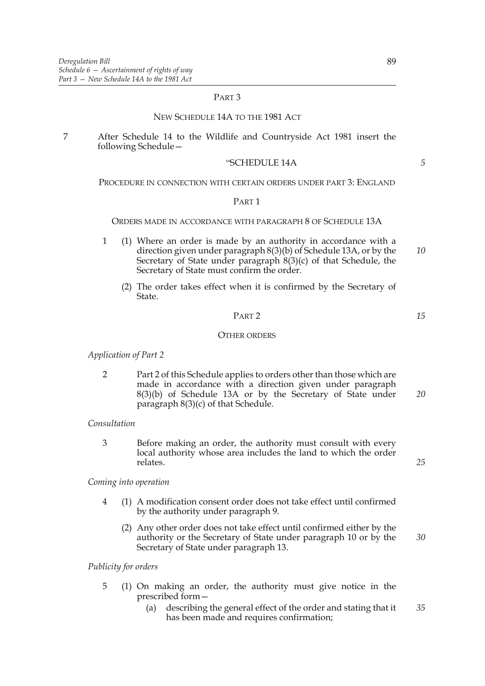# PART 3

# NEW SCHEDULE 14A TO THE 1981 ACT

7 After Schedule 14 to the Wildlife and Countryside Act 1981 insert the following Schedule—

#### "SCHEDULE 14A

#### PROCEDURE IN CONNECTION WITH CERTAIN ORDERS UNDER PART 3: ENGLAND

### PART 1

### ORDERS MADE IN ACCORDANCE WITH PARAGRAPH 8 OF SCHEDULE 13A

- 1 (1) Where an order is made by an authority in accordance with a direction given under paragraph  $8(3)(b)$  of Schedule 13A, or by the Secretary of State under paragraph 8(3)(c) of that Schedule, the Secretary of State must confirm the order. *10*
	- (2) The order takes effect when it is confirmed by the Secretary of State.

# PART 2

*15*

*25*

*5*

### OTHER ORDERS

### *Application of Part 2*

2 Part 2 of this Schedule applies to orders other than those which are made in accordance with a direction given under paragraph 8(3)(b) of Schedule 13A or by the Secretary of State under paragraph 8(3)(c) of that Schedule. *20*

# *Consultation*

3 Before making an order, the authority must consult with every local authority whose area includes the land to which the order relates.

# *Coming into operation*

- 4 (1) A modification consent order does not take effect until confirmed by the authority under paragraph 9.
	- (2) Any other order does not take effect until confirmed either by the authority or the Secretary of State under paragraph 10 or by the Secretary of State under paragraph 13. *30*

### *Publicity for orders*

- 5 (1) On making an order, the authority must give notice in the prescribed form—
	- (a) describing the general effect of the order and stating that it has been made and requires confirmation; *35*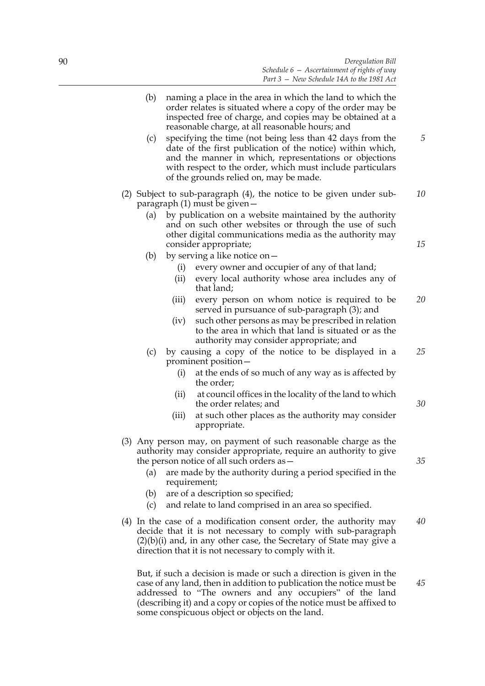|  | (b)<br>(c)                                                                                                                                                             | naming a place in the area in which the land to which the<br>order relates is situated where a copy of the order may be<br>inspected free of charge, and copies may be obtained at a<br>reasonable charge, at all reasonable hours; and<br>specifying the time (not being less than 42 days from the<br>date of the first publication of the notice) within which,<br>and the manner in which, representations or objections<br>with respect to the order, which must include particulars<br>of the grounds relied on, may be made. |                                                                                                                                                                                                                                                                      |    |  |
|--|------------------------------------------------------------------------------------------------------------------------------------------------------------------------|-------------------------------------------------------------------------------------------------------------------------------------------------------------------------------------------------------------------------------------------------------------------------------------------------------------------------------------------------------------------------------------------------------------------------------------------------------------------------------------------------------------------------------------|----------------------------------------------------------------------------------------------------------------------------------------------------------------------------------------------------------------------------------------------------------------------|----|--|
|  | (2) Subject to sub-paragraph (4), the notice to be given under sub-<br>paragraph (1) must be given –<br>by publication on a website maintained by the authority<br>(a) |                                                                                                                                                                                                                                                                                                                                                                                                                                                                                                                                     |                                                                                                                                                                                                                                                                      |    |  |
|  |                                                                                                                                                                        | and on such other websites or through the use of such<br>other digital communications media as the authority may<br>consider appropriate;                                                                                                                                                                                                                                                                                                                                                                                           |                                                                                                                                                                                                                                                                      |    |  |
|  | (b)                                                                                                                                                                    | (i)<br>(ii)                                                                                                                                                                                                                                                                                                                                                                                                                                                                                                                         | by serving a like notice on -<br>every owner and occupier of any of that land;<br>every local authority whose area includes any of                                                                                                                                   |    |  |
|  |                                                                                                                                                                        | (iii)                                                                                                                                                                                                                                                                                                                                                                                                                                                                                                                               | that land;<br>every person on whom notice is required to be<br>served in pursuance of sub-paragraph (3); and                                                                                                                                                         | 20 |  |
|  |                                                                                                                                                                        | (iv)                                                                                                                                                                                                                                                                                                                                                                                                                                                                                                                                | such other persons as may be prescribed in relation<br>to the area in which that land is situated or as the<br>authority may consider appropriate; and                                                                                                               |    |  |
|  | (c)                                                                                                                                                                    | (i)                                                                                                                                                                                                                                                                                                                                                                                                                                                                                                                                 | by causing a copy of the notice to be displayed in a<br>prominent position-<br>at the ends of so much of any way as is affected by                                                                                                                                   | 25 |  |
|  |                                                                                                                                                                        | (ii)                                                                                                                                                                                                                                                                                                                                                                                                                                                                                                                                | the order;<br>at council offices in the locality of the land to which<br>the order relates; and                                                                                                                                                                      | 30 |  |
|  |                                                                                                                                                                        | (iii)                                                                                                                                                                                                                                                                                                                                                                                                                                                                                                                               | at such other places as the authority may consider<br>appropriate.                                                                                                                                                                                                   |    |  |
|  | (a)                                                                                                                                                                    |                                                                                                                                                                                                                                                                                                                                                                                                                                                                                                                                     | (3) Any person may, on payment of such reasonable charge as the<br>authority may consider appropriate, require an authority to give<br>the person notice of all such orders as -<br>are made by the authority during a period specified in the                       | 35 |  |
|  | (b)<br>(c)                                                                                                                                                             |                                                                                                                                                                                                                                                                                                                                                                                                                                                                                                                                     | requirement;<br>are of a description so specified;<br>and relate to land comprised in an area so specified.                                                                                                                                                          |    |  |
|  |                                                                                                                                                                        |                                                                                                                                                                                                                                                                                                                                                                                                                                                                                                                                     | (4) In the case of a modification consent order, the authority may<br>decide that it is not necessary to comply with sub-paragraph<br>$(2)(b)(i)$ and, in any other case, the Secretary of State may give a<br>direction that it is not necessary to comply with it. | 40 |  |
|  |                                                                                                                                                                        |                                                                                                                                                                                                                                                                                                                                                                                                                                                                                                                                     | But, if such a decision is made or such a direction is given in the<br>case of any land, then in addition to publication the notice must be                                                                                                                          | 45 |  |

case of any land, then in addition to publication the notice must be addressed to "The owners and any occupiers" of the land (describing it) and a copy or copies of the notice must be affixed to some conspicuous object or objects on the land.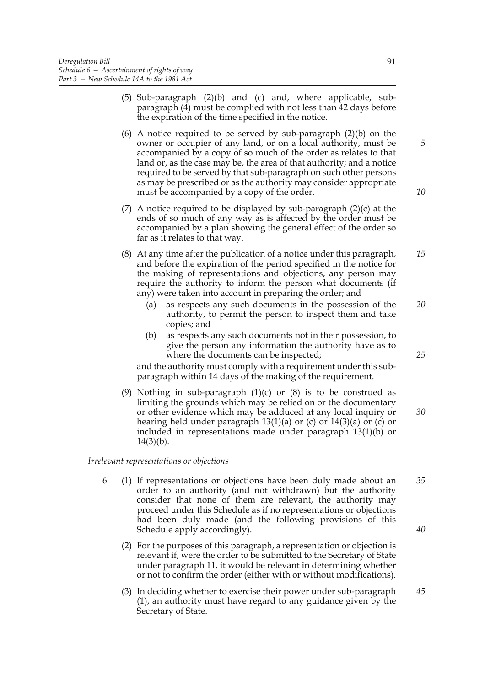- (5) Sub-paragraph (2)(b) and (c) and, where applicable, subparagraph (4) must be complied with not less than 42 days before the expiration of the time specified in the notice.
- (6) A notice required to be served by sub-paragraph (2)(b) on the owner or occupier of any land, or on a local authority, must be accompanied by a copy of so much of the order as relates to that land or, as the case may be, the area of that authority; and a notice required to be served by that sub-paragraph on such other persons as may be prescribed or as the authority may consider appropriate must be accompanied by a copy of the order.
- (7) A notice required to be displayed by sub-paragraph  $(2)(c)$  at the ends of so much of any way as is affected by the order must be accompanied by a plan showing the general effect of the order so far as it relates to that way.
- (8) At any time after the publication of a notice under this paragraph, and before the expiration of the period specified in the notice for the making of representations and objections, any person may require the authority to inform the person what documents (if any) were taken into account in preparing the order; and *15*
	- (a) as respects any such documents in the possession of the authority, to permit the person to inspect them and take copies; and *20*
	- (b) as respects any such documents not in their possession, to give the person any information the authority have as to where the documents can be inspected;

and the authority must comply with a requirement under this subparagraph within 14 days of the making of the requirement.

(9) Nothing in sub-paragraph  $(1)(c)$  or  $(8)$  is to be construed as limiting the grounds which may be relied on or the documentary or other evidence which may be adduced at any local inquiry or hearing held under paragraph 13(1)(a) or (c) or 14(3)(a) or (c) or included in representations made under paragraph 13(1)(b) or  $14(3)(b)$ .

# *Irrelevant representations or objections*

- 6 (1) If representations or objections have been duly made about an order to an authority (and not withdrawn) but the authority consider that none of them are relevant, the authority may proceed under this Schedule as if no representations or objections had been duly made (and the following provisions of this Schedule apply accordingly). *35 40*
	- (2) For the purposes of this paragraph, a representation or objection is relevant if, were the order to be submitted to the Secretary of State under paragraph 11, it would be relevant in determining whether or not to confirm the order (either with or without modifications).
	- (3) In deciding whether to exercise their power under sub-paragraph (1), an authority must have regard to any guidance given by the Secretary of State. *45*

*10*

*5*

*25*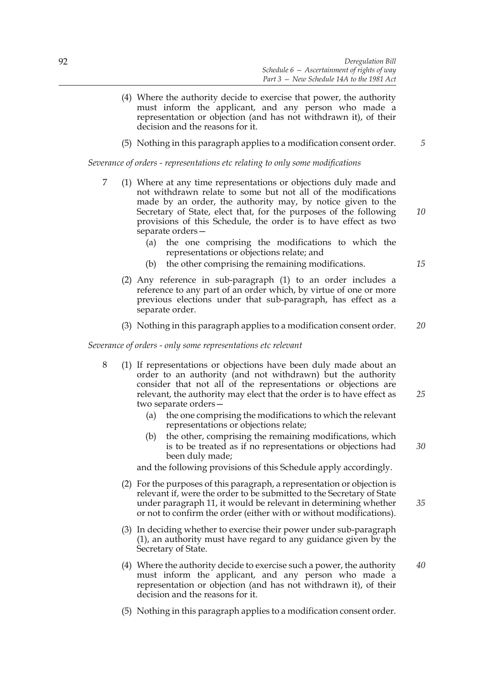- (4) Where the authority decide to exercise that power, the authority must inform the applicant, and any person who made a representation or objection (and has not withdrawn it), of their decision and the reasons for it.
- (5) Nothing in this paragraph applies to a modification consent order. *5*

*Severance of orders - representations etc relating to only some modifications*

- 7 (1) Where at any time representations or objections duly made and not withdrawn relate to some but not all of the modifications made by an order, the authority may, by notice given to the Secretary of State, elect that, for the purposes of the following provisions of this Schedule, the order is to have effect as two separate orders—
	- (a) the one comprising the modifications to which the representations or objections relate; and
	- (b) the other comprising the remaining modifications.
	- (2) Any reference in sub-paragraph (1) to an order includes a reference to any part of an order which, by virtue of one or more previous elections under that sub-paragraph, has effect as a separate order.
	- (3) Nothing in this paragraph applies to a modification consent order. *20*

*Severance of orders - only some representations etc relevant*

- 8 (1) If representations or objections have been duly made about an order to an authority (and not withdrawn) but the authority consider that not all of the representations or objections are relevant, the authority may elect that the order is to have effect as two separate orders—
	- (a) the one comprising the modifications to which the relevant representations or objections relate;
	- (b) the other, comprising the remaining modifications, which is to be treated as if no representations or objections had been duly made; *30*

and the following provisions of this Schedule apply accordingly.

- (2) For the purposes of this paragraph, a representation or objection is relevant if, were the order to be submitted to the Secretary of State under paragraph 11, it would be relevant in determining whether or not to confirm the order (either with or without modifications). *35*
- (3) In deciding whether to exercise their power under sub-paragraph (1), an authority must have regard to any guidance given by the Secretary of State.
- (4) Where the authority decide to exercise such a power, the authority must inform the applicant, and any person who made a representation or objection (and has not withdrawn it), of their decision and the reasons for it. *40*
- (5) Nothing in this paragraph applies to a modification consent order.

*10*

*15*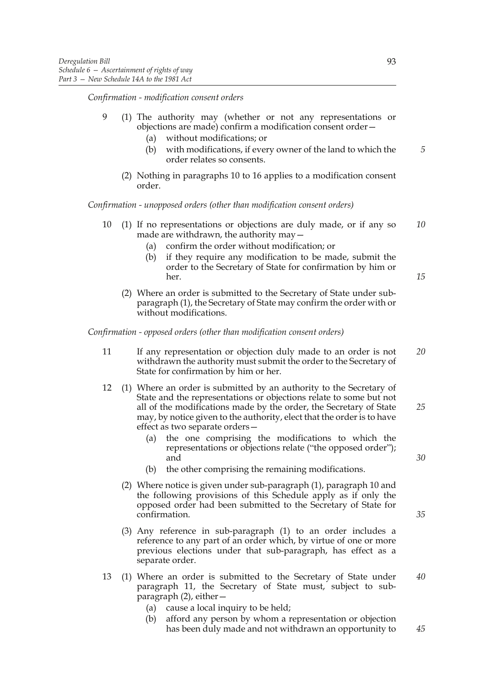*Confirmation - modification consent orders*

- 9 (1) The authority may (whether or not any representations or objections are made) confirm a modification consent order—
	- (a) without modifications; or
	- (b) with modifications, if every owner of the land to which the order relates so consents.
	- (2) Nothing in paragraphs 10 to 16 applies to a modification consent order.

*Confirmation - unopposed orders (other than modification consent orders)*

- 10 (1) If no representations or objections are duly made, or if any so made are withdrawn, the authority may— *10*
	- (a) confirm the order without modification; or
	- (b) if they require any modification to be made, submit the order to the Secretary of State for confirmation by him or her.
	- (2) Where an order is submitted to the Secretary of State under subparagraph (1), the Secretary of State may confirm the order with or without modifications.

*Confirmation - opposed orders (other than modification consent orders)*

- 11 If any representation or objection duly made to an order is not withdrawn the authority must submit the order to the Secretary of State for confirmation by him or her. *20*
- 12 (1) Where an order is submitted by an authority to the Secretary of State and the representations or objections relate to some but not all of the modifications made by the order, the Secretary of State may, by notice given to the authority, elect that the order is to have effect as two separate orders— *25*
	- (a) the one comprising the modifications to which the representations or objections relate ("the opposed order"); and
	- (b) the other comprising the remaining modifications.
	- (2) Where notice is given under sub-paragraph (1), paragraph 10 and the following provisions of this Schedule apply as if only the opposed order had been submitted to the Secretary of State for confirmation.
	- (3) Any reference in sub-paragraph (1) to an order includes a reference to any part of an order which, by virtue of one or more previous elections under that sub-paragraph, has effect as a separate order.
- 13 (1) Where an order is submitted to the Secretary of State under paragraph 11, the Secretary of State must, subject to subparagraph (2), either— *40*
	- (a) cause a local inquiry to be held;
	- (b) afford any person by whom a representation or objection has been duly made and not withdrawn an opportunity to

*5*

*15*

*30*

*35*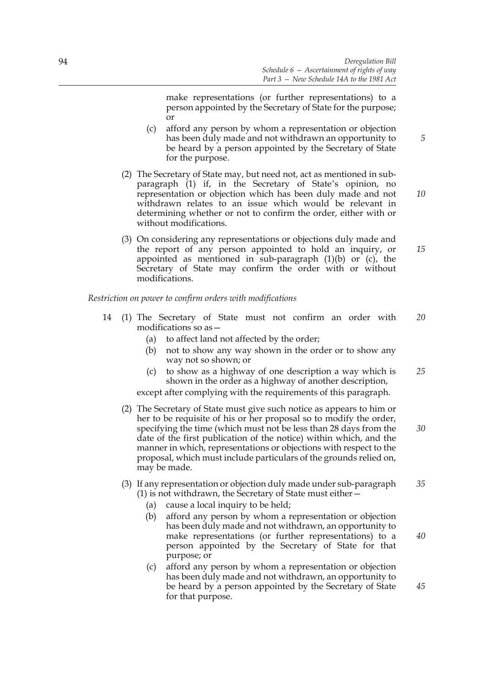make representations (or further representations) to a person appointed by the Secretary of State for the purpose; or

- (c) afford any person by whom a representation or objection has been duly made and not withdrawn an opportunity to be heard by a person appointed by the Secretary of State for the purpose.
- (2) The Secretary of State may, but need not, act as mentioned in subparagraph (1) if, in the Secretary of State's opinion, no representation or objection which has been duly made and not withdrawn relates to an issue which would be relevant in determining whether or not to confirm the order, either with or without modifications.
- (3) On considering any representations or objections duly made and the report of any person appointed to hold an inquiry, or appointed as mentioned in sub-paragraph  $(1)(b)$  or  $(c)$ , the Secretary of State may confirm the order with or without modifications.

*Restriction on power to confirm orders with modifications*

- 14 (1) The Secretary of State must not confirm an order with modifications so as— *20*
	- (a) to affect land not affected by the order;
	- (b) not to show any way shown in the order or to show any way not so shown; or
	- (c) to show as a highway of one description a way which is shown in the order as a highway of another description, except after complying with the requirements of this paragraph. *25*
	- (2) The Secretary of State must give such notice as appears to him or her to be requisite of his or her proposal so to modify the order, specifying the time (which must not be less than 28 days from the date of the first publication of the notice) within which, and the manner in which, representations or objections with respect to the proposal, which must include particulars of the grounds relied on, may be made. *30*

#### (3) If any representation or objection duly made under sub-paragraph (1) is not withdrawn, the Secretary of State must either— *35*

- (a) cause a local inquiry to be held:
- (b) afford any person by whom a representation or objection has been duly made and not withdrawn, an opportunity to make representations (or further representations) to a person appointed by the Secretary of State for that purpose; or
- (c) afford any person by whom a representation or objection has been duly made and not withdrawn, an opportunity to be heard by a person appointed by the Secretary of State for that purpose.

*45*

*40*

*10*

*5*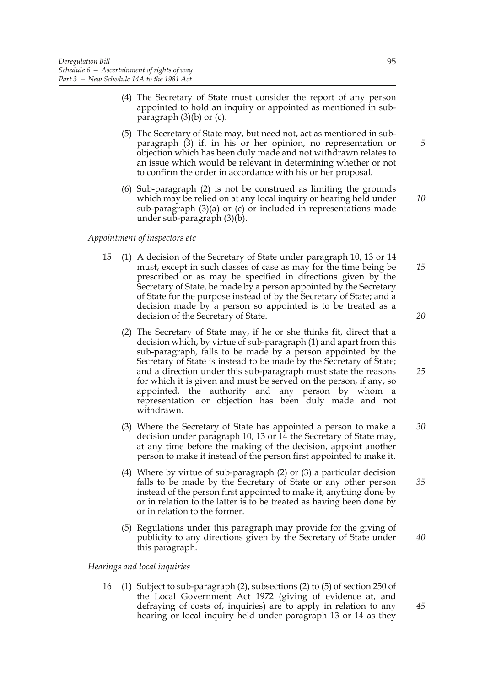- (4) The Secretary of State must consider the report of any person appointed to hold an inquiry or appointed as mentioned in subparagraph  $(3)(b)$  or  $(c)$ .
- (5) The Secretary of State may, but need not, act as mentioned in subparagraph (3) if, in his or her opinion, no representation or objection which has been duly made and not withdrawn relates to an issue which would be relevant in determining whether or not to confirm the order in accordance with his or her proposal.
- (6) Sub-paragraph (2) is not be construed as limiting the grounds which may be relied on at any local inquiry or hearing held under sub-paragraph (3)(a) or (c) or included in representations made under sub-paragraph (3)(b).

# *Appointment of inspectors etc*

- 15 (1) A decision of the Secretary of State under paragraph 10, 13 or 14 must, except in such classes of case as may for the time being be prescribed or as may be specified in directions given by the Secretary of State, be made by a person appointed by the Secretary of State for the purpose instead of by the Secretary of State; and a decision made by a person so appointed is to be treated as a decision of the Secretary of State.
	- (2) The Secretary of State may, if he or she thinks fit, direct that a decision which, by virtue of sub-paragraph (1) and apart from this sub-paragraph, falls to be made by a person appointed by the Secretary of State is instead to be made by the Secretary of State; and a direction under this sub-paragraph must state the reasons for which it is given and must be served on the person, if any, so appointed, the authority and any person by whom a representation or objection has been duly made and not withdrawn.
	- (3) Where the Secretary of State has appointed a person to make a decision under paragraph 10, 13 or 14 the Secretary of State may, at any time before the making of the decision, appoint another person to make it instead of the person first appointed to make it. *30*
	- (4) Where by virtue of sub-paragraph (2) or (3) a particular decision falls to be made by the Secretary of State or any other person instead of the person first appointed to make it, anything done by or in relation to the latter is to be treated as having been done by or in relation to the former. *35*
	- (5) Regulations under this paragraph may provide for the giving of publicity to any directions given by the Secretary of State under this paragraph.

# *Hearings and local inquiries*

16 (1) Subject to sub-paragraph (2), subsections (2) to (5) of section 250 of the Local Government Act 1972 (giving of evidence at, and defraying of costs of, inquiries) are to apply in relation to any hearing or local inquiry held under paragraph 13 or 14 as they

*10*

*5*

*20*

*15*

*25*

*40*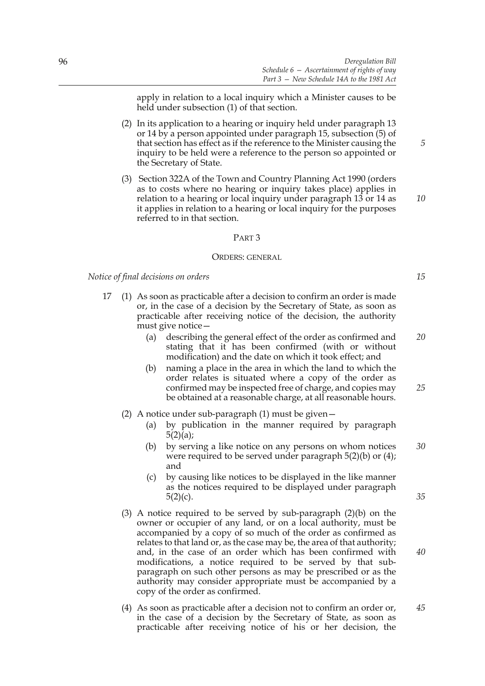apply in relation to a local inquiry which a Minister causes to be held under subsection (1) of that section.

- (2) In its application to a hearing or inquiry held under paragraph 13 or 14 by a person appointed under paragraph 15, subsection (5) of that section has effect as if the reference to the Minister causing the inquiry to be held were a reference to the person so appointed or the Secretary of State.
- (3) Section 322A of the Town and Country Planning Act 1990 (orders as to costs where no hearing or inquiry takes place) applies in relation to a hearing or local inquiry under paragraph 13 or 14 as it applies in relation to a hearing or local inquiry for the purposes referred to in that section.

### PART 3

#### ORDERS: GENERAL

*Notice of final decisions on orders*

- 17 (1) As soon as practicable after a decision to confirm an order is made or, in the case of a decision by the Secretary of State, as soon as practicable after receiving notice of the decision, the authority must give notice—
	- (a) describing the general effect of the order as confirmed and stating that it has been confirmed (with or without modification) and the date on which it took effect; and *20*
	- (b) naming a place in the area in which the land to which the order relates is situated where a copy of the order as confirmed may be inspected free of charge, and copies may be obtained at a reasonable charge, at all reasonable hours. *25*
	- (2) A notice under sub-paragraph (1) must be given—
		- (a) by publication in the manner required by paragraph  $5(2)(a);$
		- (b) by serving a like notice on any persons on whom notices were required to be served under paragraph 5(2)(b) or (4); and *30*
		- (c) by causing like notices to be displayed in the like manner as the notices required to be displayed under paragraph  $5(2)(c)$ .
	- (3) A notice required to be served by sub-paragraph (2)(b) on the owner or occupier of any land, or on a local authority, must be accompanied by a copy of so much of the order as confirmed as relates to that land or, as the case may be, the area of that authority; and, in the case of an order which has been confirmed with modifications, a notice required to be served by that subparagraph on such other persons as may be prescribed or as the authority may consider appropriate must be accompanied by a copy of the order as confirmed.
	- (4) As soon as practicable after a decision not to confirm an order or, in the case of a decision by the Secretary of State, as soon as practicable after receiving notice of his or her decision, the *45*

*15*

*35*

*40*

*5*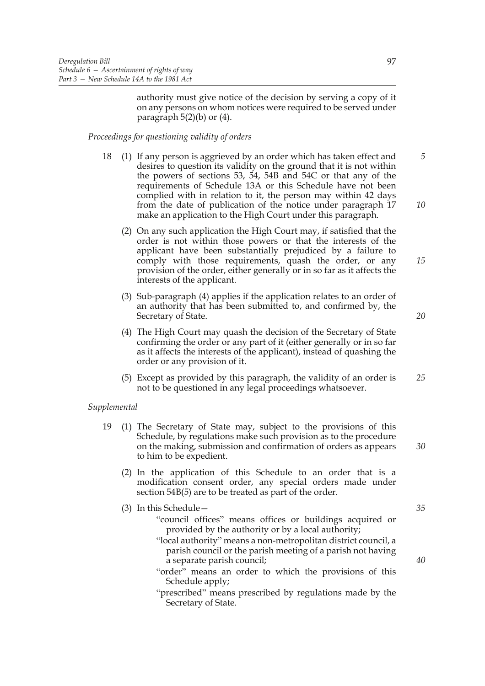authority must give notice of the decision by serving a copy of it on any persons on whom notices were required to be served under paragraph  $5(2)(b)$  or  $(4)$ .

*Proceedings for questioning validity of orders*

- 18 (1) If any person is aggrieved by an order which has taken effect and desires to question its validity on the ground that it is not within the powers of sections 53, 54, 54B and 54C or that any of the requirements of Schedule 13A or this Schedule have not been complied with in relation to it, the person may within 42 days from the date of publication of the notice under paragraph 17 make an application to the High Court under this paragraph. *5*
	- (2) On any such application the High Court may, if satisfied that the order is not within those powers or that the interests of the applicant have been substantially prejudiced by a failure to comply with those requirements, quash the order, or any provision of the order, either generally or in so far as it affects the interests of the applicant.
	- (3) Sub-paragraph (4) applies if the application relates to an order of an authority that has been submitted to, and confirmed by, the Secretary of State.
	- (4) The High Court may quash the decision of the Secretary of State confirming the order or any part of it (either generally or in so far as it affects the interests of the applicant), instead of quashing the order or any provision of it.
	- (5) Except as provided by this paragraph, the validity of an order is not to be questioned in any legal proceedings whatsoever. *25*

# *Supplemental*

- 19 (1) The Secretary of State may, subject to the provisions of this Schedule, by regulations make such provision as to the procedure on the making, submission and confirmation of orders as appears to him to be expedient.
	- (2) In the application of this Schedule to an order that is a modification consent order, any special orders made under section 54B(5) are to be treated as part of the order.
	- (3) In this Schedule—
		- "council offices" means offices or buildings acquired or provided by the authority or by a local authority;
		- "local authority" means a non-metropolitan district council, a parish council or the parish meeting of a parish not having a separate parish council;
		- "order" means an order to which the provisions of this Schedule apply;
		- "prescribed" means prescribed by regulations made by the Secretary of State.

*35*

*40*

*30*

*10*

*15*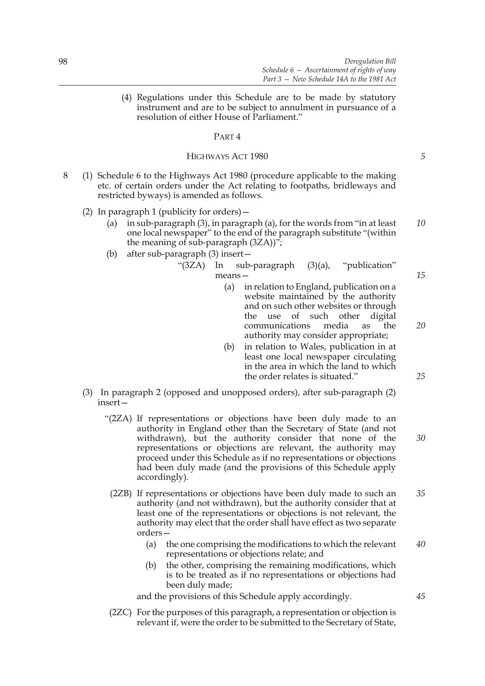(4) Regulations under this Schedule are to be made by statutory instrument and are to be subject to annulment in pursuance of a resolution of either House of Parliament."

# PART 4

# HIGHWAYS ACT 1980

- 8 (1) Schedule 6 to the Highways Act 1980 (procedure applicable to the making etc. of certain orders under the Act relating to footpaths, bridleways and restricted byways) is amended as follows.
	- (2) In paragraph 1 (publicity for orders)—
		- (a) in sub-paragraph (3), in paragraph (a), for the words from "in at least one local newspaper" to the end of the paragraph substitute "(within the meaning of sub-paragraph (3ZA))"; *10*
		- (b) after sub-paragraph (3) insert—
			- "(3ZA) In sub-paragraph (3)(a), "publication" means—
				- (a) in relation to England, publication on a website maintained by the authority and on such other websites or through the use of such other digital communications media as the authority may consider appropriate;
				- (b) in relation to Wales, publication in at least one local newspaper circulating in the area in which the land to which the order relates is situated."
	- (3) In paragraph 2 (opposed and unopposed orders), after sub-paragraph (2) insert—
		- "(2ZA) If representations or objections have been duly made to an authority in England other than the Secretary of State (and not withdrawn), but the authority consider that none of the representations or objections are relevant, the authority may proceed under this Schedule as if no representations or objections had been duly made (and the provisions of this Schedule apply accordingly).
			- (2ZB) If representations or objections have been duly made to such an authority (and not withdrawn), but the authority consider that at least one of the representations or objections is not relevant, the authority may elect that the order shall have effect as two separate orders— *35*
				- (a) the one comprising the modifications to which the relevant representations or objections relate; and *40*
				- (b) the other, comprising the remaining modifications, which is to be treated as if no representations or objections had been duly made;

and the provisions of this Schedule apply accordingly.

(2ZC) For the purposes of this paragraph, a representation or objection is relevant if, were the order to be submitted to the Secretary of State, *5*

*20*

*15*

*25*

*30*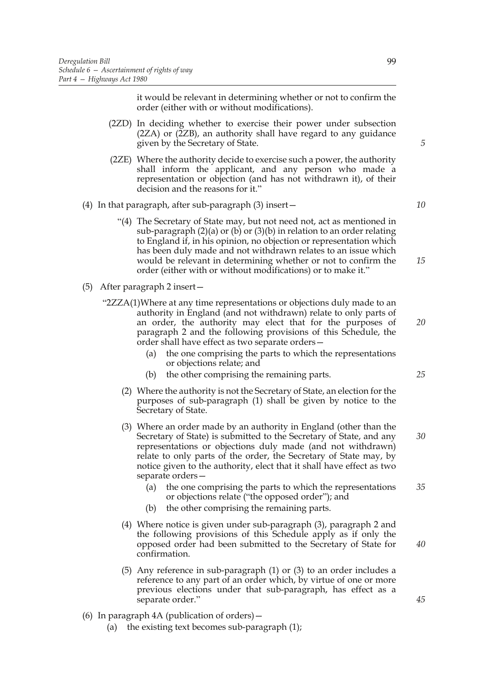it would be relevant in determining whether or not to confirm the order (either with or without modifications).

- (2ZD) In deciding whether to exercise their power under subsection  $(2ZA)$  or  $(2ZB)$ , an authority shall have regard to any guidance given by the Secretary of State.
- (2ZE) Where the authority decide to exercise such a power, the authority shall inform the applicant, and any person who made a representation or objection (and has not withdrawn it), of their decision and the reasons for it."
- (4) In that paragraph, after sub-paragraph (3) insert—
	- "(4) The Secretary of State may, but not need not, act as mentioned in sub-paragraph  $(2)(a)$  or  $(b)$  or  $(3)(b)$  in relation to an order relating to England if, in his opinion, no objection or representation which has been duly made and not withdrawn relates to an issue which would be relevant in determining whether or not to confirm the order (either with or without modifications) or to make it." *15*
- (5) After paragraph 2 insert—
	- "2ZZA(1)Where at any time representations or objections duly made to an authority in England (and not withdrawn) relate to only parts of an order, the authority may elect that for the purposes of paragraph 2 and the following provisions of this Schedule, the order shall have effect as two separate orders—
		- (a) the one comprising the parts to which the representations or objections relate; and
		- (b) the other comprising the remaining parts.
		- (2) Where the authority is not the Secretary of State, an election for the purposes of sub-paragraph (1) shall be given by notice to the Secretary of State.
		- (3) Where an order made by an authority in England (other than the Secretary of State) is submitted to the Secretary of State, and any representations or objections duly made (and not withdrawn) relate to only parts of the order, the Secretary of State may, by notice given to the authority, elect that it shall have effect as two separate orders—
			- (a) the one comprising the parts to which the representations or objections relate ("the opposed order"); and *35*
			- (b) the other comprising the remaining parts.
		- (4) Where notice is given under sub-paragraph (3), paragraph 2 and the following provisions of this Schedule apply as if only the opposed order had been submitted to the Secretary of State for confirmation.
		- (5) Any reference in sub-paragraph (1) or (3) to an order includes a reference to any part of an order which, by virtue of one or more previous elections under that sub-paragraph, has effect as a separate order."
- (6) In paragraph 4A (publication of orders)—
	- (a) the existing text becomes sub-paragraph (1);

*10*

*5*

*20*

*25*

*30*

*40*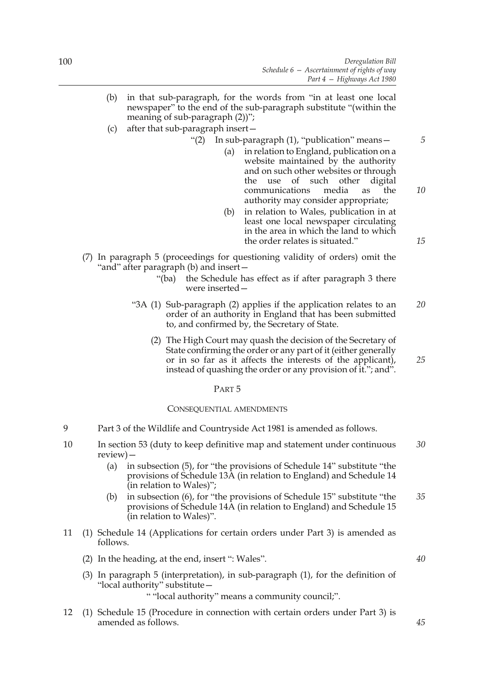- (b) in that sub-paragraph, for the words from "in at least one local newspaper" to the end of the sub-paragraph substitute "(within the meaning of sub-paragraph  $(2)$ ";
- (c) after that sub-paragraph insert—
	- "(2) In sub-paragraph (1), "publication" means—
		- (a) in relation to England, publication on a website maintained by the authority and on such other websites or through the use of such other digital communications media as the authority may consider appropriate;
		- (b) in relation to Wales, publication in at least one local newspaper circulating in the area in which the land to which the order relates is situated."
- (7) In paragraph 5 (proceedings for questioning validity of orders) omit the "and" after paragraph (b) and insert—
	- "(ba) the Schedule has effect as if after paragraph 3 there were inserted—
	- "3A (1) Sub-paragraph (2) applies if the application relates to an order of an authority in England that has been submitted to, and confirmed by, the Secretary of State. *20*
		- (2) The High Court may quash the decision of the Secretary of State confirming the order or any part of it (either generally or in so far as it affects the interests of the applicant), instead of quashing the order or any provision of it."; and". *25*

# PART 5

# CONSEQUENTIAL AMENDMENTS

- 9 Part 3 of the Wildlife and Countryside Act 1981 is amended as follows.
- 10 In section 53 (duty to keep definitive map and statement under continuous review)— *30*
	- (a) in subsection (5), for "the provisions of Schedule 14" substitute "the provisions of Schedule 13A (in relation to England) and Schedule 14 (in relation to Wales)";
	- (b) in subsection (6), for "the provisions of Schedule 15" substitute "the provisions of Schedule 14A (in relation to England) and Schedule 15 (in relation to Wales)". *35*
- 11 (1) Schedule 14 (Applications for certain orders under Part 3) is amended as follows.
	- (2) In the heading, at the end, insert ": Wales".
	- (3) In paragraph 5 (interpretation), in sub-paragraph (1), for the definition of "local authority" substitute—

# " "local authority" means a community council;".

12 (1) Schedule 15 (Procedure in connection with certain orders under Part 3) is amended as follows.

*15*

*40*

*45*

*10*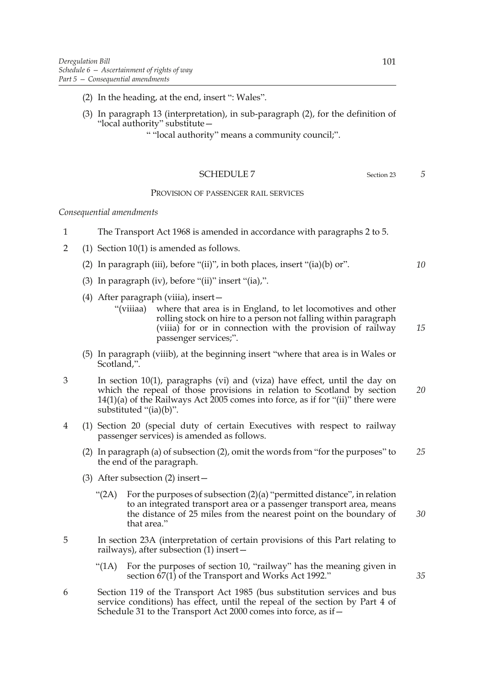- (2) In the heading, at the end, insert ": Wales".
- (3) In paragraph 13 (interpretation), in sub-paragraph (2), for the definition of "local authority" substitute—

" "local authority" means a community council;".

# SCHEDULE 7 Section 23

# PROVISION OF PASSENGER RAIL SERVICES

### *Consequential amendments*

- 1 The Transport Act 1968 is amended in accordance with paragraphs 2 to 5.
- 2 (1) Section 10(1) is amended as follows.
	- (2) In paragraph (iii), before "(ii)", in both places, insert "(ia)(b) or".
	- (3) In paragraph (iv), before "(ii)" insert "(ia),".
	- (4) After paragraph (viiia), insert—
		- "(viiiaa) where that area is in England, to let locomotives and other rolling stock on hire to a person not falling within paragraph (viiia) for or in connection with the provision of railway passenger services;".
	- (5) In paragraph (viiib), at the beginning insert "where that area is in Wales or Scotland,".
- 3 In section 10(1), paragraphs (vi) and (viza) have effect, until the day on which the repeal of those provisions in relation to Scotland by section 14(1)(a) of the Railways Act 2005 comes into force, as if for "(ii)" there were substituted "(ia)(b)". *20*
- 4 (1) Section 20 (special duty of certain Executives with respect to railway passenger services) is amended as follows.
	- (2) In paragraph (a) of subsection (2), omit the words from "for the purposes" to the end of the paragraph. *25*
	- (3) After subsection (2) insert—
		- "(2A) For the purposes of subsection (2)(a) "permitted distance", in relation to an integrated transport area or a passenger transport area, means the distance of 25 miles from the nearest point on the boundary of that area."
- 5 In section 23A (interpretation of certain provisions of this Part relating to railways), after subsection (1) insert—
	- "(1A) For the purposes of section 10, "railway" has the meaning given in section  $\dot{67}$ (1) of the Transport and Works Act 1992."
- 6 Section 119 of the Transport Act 1985 (bus substitution services and bus service conditions) has effect, until the repeal of the section by Part 4 of Schedule 31 to the Transport Act 2000 comes into force, as if—

*5*

*10*

*15*

*30*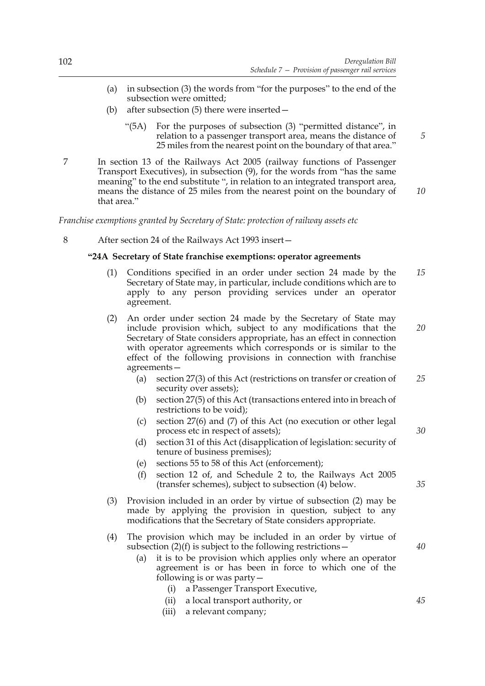- (a) in subsection (3) the words from "for the purposes" to the end of the subsection were omitted;
- (b) after subsection (5) there were inserted—
	- "(5A) For the purposes of subsection (3) "permitted distance", in relation to a passenger transport area, means the distance of 25 miles from the nearest point on the boundary of that area."
- 7 In section 13 of the Railways Act 2005 (railway functions of Passenger Transport Executives), in subsection (9), for the words from "has the same meaning" to the end substitute ", in relation to an integrated transport area, means the distance of 25 miles from the nearest point on the boundary of that area." *10*

# *Franchise exemptions granted by Secretary of State: protection of railway assets etc*

8 After section 24 of the Railways Act 1993 insert—

# **"24A Secretary of State franchise exemptions: operator agreements**

- (1) Conditions specified in an order under section 24 made by the Secretary of State may, in particular, include conditions which are to apply to any person providing services under an operator agreement. *15*
- (2) An order under section 24 made by the Secretary of State may include provision which, subject to any modifications that the Secretary of State considers appropriate, has an effect in connection with operator agreements which corresponds or is similar to the effect of the following provisions in connection with franchise agreements— *20*
	- (a) section 27(3) of this Act (restrictions on transfer or creation of security over assets); *25*
	- (b) section 27(5) of this Act (transactions entered into in breach of restrictions to be void);
	- (c) section 27(6) and (7) of this Act (no execution or other legal process etc in respect of assets);
	- (d) section 31 of this Act (disapplication of legislation: security of tenure of business premises);
	- (e) sections 55 to 58 of this Act (enforcement);
	- (f) section 12 of, and Schedule 2 to, the Railways Act 2005 (transfer schemes), subject to subsection (4) below.
- (3) Provision included in an order by virtue of subsection (2) may be made by applying the provision in question, subject to any modifications that the Secretary of State considers appropriate.
- (4) The provision which may be included in an order by virtue of subsection  $(2)(f)$  is subject to the following restrictions –
	- (a) it is to be provision which applies only where an operator agreement is or has been in force to which one of the following is or was party  $-$ 
		- (i) a Passenger Transport Executive,
		- (ii) a local transport authority, or
		- (iii) a relevant company;

*35*

*30*

*5*

*40*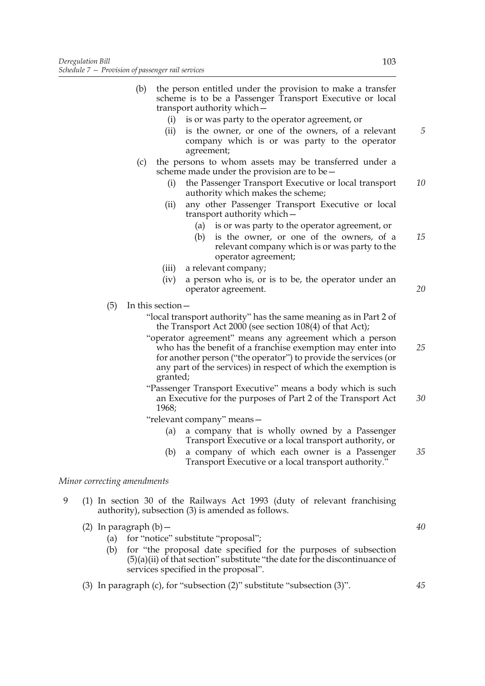- (b) the person entitled under the provision to make a transfer scheme is to be a Passenger Transport Executive or local transport authority which—
	- (i) is or was party to the operator agreement, or
	- (ii) is the owner, or one of the owners, of a relevant company which is or was party to the operator agreement;
- (c) the persons to whom assets may be transferred under a scheme made under the provision are to be—
	- (i) the Passenger Transport Executive or local transport authority which makes the scheme; *10*
	- (ii) any other Passenger Transport Executive or local transport authority which—
		- (a) is or was party to the operator agreement, or
		- (b) is the owner, or one of the owners, of a relevant company which is or was party to the operator agreement; *15*
	- (iii) a relevant company;
	- (iv) a person who is, or is to be, the operator under an operator agreement.
- (5) In this section—

"local transport authority" has the same meaning as in Part 2 of the Transport Act 2000 (see section 108(4) of that Act);

- "operator agreement" means any agreement which a person who has the benefit of a franchise exemption may enter into for another person ("the operator") to provide the services (or any part of the services) in respect of which the exemption is granted; *25*
- "Passenger Transport Executive" means a body which is such an Executive for the purposes of Part 2 of the Transport Act 1968; *30*

"relevant company" means—

- (a) a company that is wholly owned by a Passenger Transport Executive or a local transport authority, or
- (b) a company of which each owner is a Passenger Transport Executive or a local transport authority.' *35*

# *Minor correcting amendments*

- 9 (1) In section 30 of the Railways Act 1993 (duty of relevant franchising authority), subsection (3) is amended as follows.
	- (2) In paragraph  $(b)$  -
		- (a) for "notice" substitute "proposal";
		- (b) for "the proposal date specified for the purposes of subsection  $(5)(a)(ii)$  of that section" substitute "the date for the discontinuance of services specified in the proposal".
	- (3) In paragraph (c), for "subsection (2)" substitute "subsection (3)".

*5*

*20*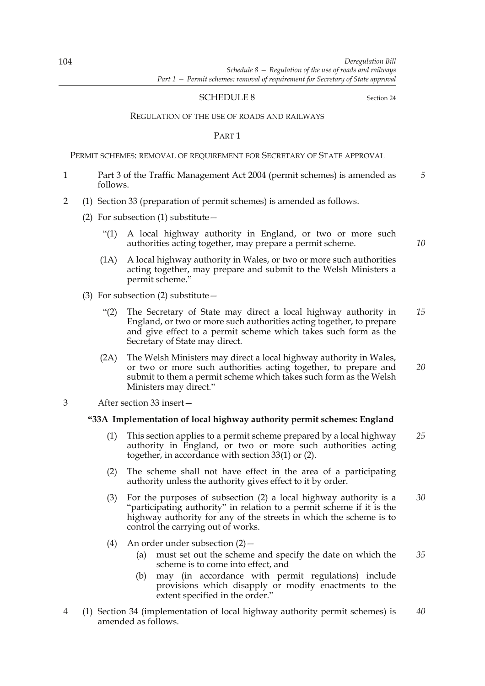### SCHEDULE 8 Section 24

#### REGULATION OF THE USE OF ROADS AND RAILWAYS

PART 1

PERMIT SCHEMES: REMOVAL OF REQUIREMENT FOR SECRETARY OF STATE APPROVAL

- 1 Part 3 of the Traffic Management Act 2004 (permit schemes) is amended as follows. *5*
- 2 (1) Section 33 (preparation of permit schemes) is amended as follows.
	- (2) For subsection (1) substitute  $-$ 
		- "(1) A local highway authority in England, or two or more such authorities acting together, may prepare a permit scheme.
		- (1A) A local highway authority in Wales, or two or more such authorities acting together, may prepare and submit to the Welsh Ministers a permit scheme."
	- (3) For subsection (2) substitute  $-$ 
		- "(2) The Secretary of State may direct a local highway authority in England, or two or more such authorities acting together, to prepare and give effect to a permit scheme which takes such form as the Secretary of State may direct. *15*
		- (2A) The Welsh Ministers may direct a local highway authority in Wales, or two or more such authorities acting together, to prepare and submit to them a permit scheme which takes such form as the Welsh Ministers may direct." *20*
- 3 After section 33 insert—

#### **"33A Implementation of local highway authority permit schemes: England**

- (1) This section applies to a permit scheme prepared by a local highway authority in England, or two or more such authorities acting together, in accordance with section 33(1) or (2). *25*
- (2) The scheme shall not have effect in the area of a participating authority unless the authority gives effect to it by order.
- (3) For the purposes of subsection (2) a local highway authority is a "participating authority" in relation to a permit scheme if it is the highway authority for any of the streets in which the scheme is to control the carrying out of works. *30*
- (4) An order under subsection (2)—
	- (a) must set out the scheme and specify the date on which the scheme is to come into effect, and *35*
	- (b) may (in accordance with permit regulations) include provisions which disapply or modify enactments to the extent specified in the order."
- 4 (1) Section 34 (implementation of local highway authority permit schemes) is amended as follows. *40*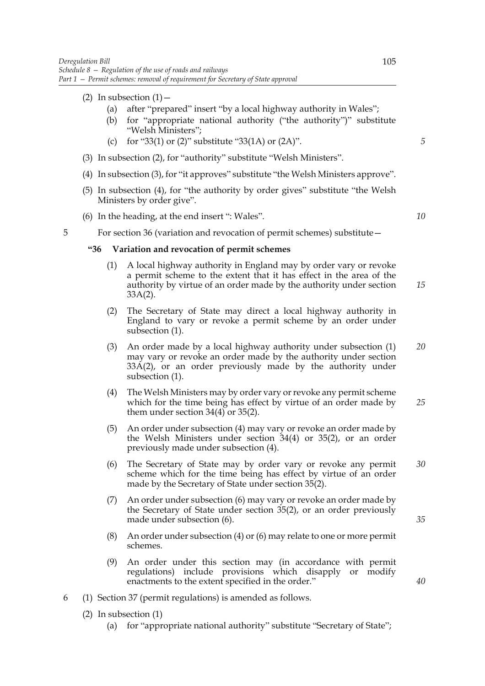- (2) In subsection  $(1)$ 
	- (a) after "prepared" insert "by a local highway authority in Wales";
	- (b) for "appropriate national authority ("the authority")" substitute "Welsh Ministers";
	- (c) for "33(1) or (2)" substitute "33(1A) or  $(2A)$ ".
- (3) In subsection (2), for "authority" substitute "Welsh Ministers".
- (4) In subsection (3), for "it approves" substitute "the Welsh Ministers approve".
- (5) In subsection (4), for "the authority by order gives" substitute "the Welsh Ministers by order give".
- (6) In the heading, at the end insert ": Wales".

*10*

*15*

*5*

5 For section 36 (variation and revocation of permit schemes) substitute—

#### **"36 Variation and revocation of permit schemes**

- (1) A local highway authority in England may by order vary or revoke a permit scheme to the extent that it has effect in the area of the authority by virtue of an order made by the authority under section 33A(2).
- (2) The Secretary of State may direct a local highway authority in England to vary or revoke a permit scheme by an order under subsection (1).
- (3) An order made by a local highway authority under subsection (1) may vary or revoke an order made by the authority under section 33A(2), or an order previously made by the authority under subsection (1). *20*
- (4) The Welsh Ministers may by order vary or revoke any permit scheme which for the time being has effect by virtue of an order made by them under section  $34(4)$  or  $35(2)$ . *25*
- (5) An order under subsection (4) may vary or revoke an order made by the Welsh Ministers under section 34(4) or 35(2), or an order previously made under subsection (4).
- (6) The Secretary of State may by order vary or revoke any permit scheme which for the time being has effect by virtue of an order made by the Secretary of State under section 35(2). *30*
- (7) An order under subsection (6) may vary or revoke an order made by the Secretary of State under section 35(2), or an order previously made under subsection (6).
- (8) An order under subsection (4) or (6) may relate to one or more permit schemes.
- (9) An order under this section may (in accordance with permit regulations) include provisions which disapply or modify enactments to the extent specified in the order."
- 6 (1) Section 37 (permit regulations) is amended as follows.
	- (2) In subsection (1)
		- (a) for "appropriate national authority" substitute "Secretary of State";

*35*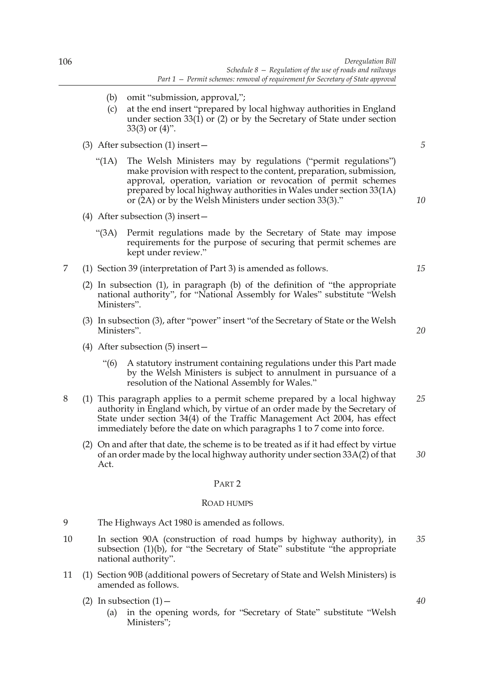- (b) omit "submission, approval,";
- (c) at the end insert "prepared by local highway authorities in England under section 33(1) or (2) or by the Secretary of State under section 33(3) or (4)".
- (3) After subsection (1) insert—
	- "(1A) The Welsh Ministers may by regulations ("permit regulations") make provision with respect to the content, preparation, submission, approval, operation, variation or revocation of permit schemes prepared by local highway authorities in Wales under section 33(1A) or (2A) or by the Welsh Ministers under section 33(3)."
- (4) After subsection (3) insert—
	- "(3A) Permit regulations made by the Secretary of State may impose requirements for the purpose of securing that permit schemes are kept under review."
- 7 (1) Section 39 (interpretation of Part 3) is amended as follows.
	- (2) In subsection (1), in paragraph (b) of the definition of "the appropriate national authority", for "National Assembly for Wales" substitute "Welsh Ministers".
	- (3) In subsection (3), after "power" insert "of the Secretary of State or the Welsh Ministers".
	- (4) After subsection (5) insert—
		- "(6) A statutory instrument containing regulations under this Part made by the Welsh Ministers is subject to annulment in pursuance of a resolution of the National Assembly for Wales."
- 8 (1) This paragraph applies to a permit scheme prepared by a local highway authority in England which, by virtue of an order made by the Secretary of State under section 34(4) of the Traffic Management Act 2004, has effect immediately before the date on which paragraphs 1 to 7 come into force. *25*
	- (2) On and after that date, the scheme is to be treated as if it had effect by virtue of an order made by the local highway authority under section 33A(2) of that Act. *30*

#### PART 2

#### ROAD HUMPS

- 9 The Highways Act 1980 is amended as follows.
- 10 In section 90A (construction of road humps by highway authority), in subsection (1)(b), for "the Secretary of State" substitute "the appropriate national authority". *35*
- 11 (1) Section 90B (additional powers of Secretary of State and Welsh Ministers) is amended as follows.
	- (2) In subsection  $(1)$ 
		- (a) in the opening words, for "Secretary of State" substitute "Welsh Ministers";

*5*

*10*

*20*

*15*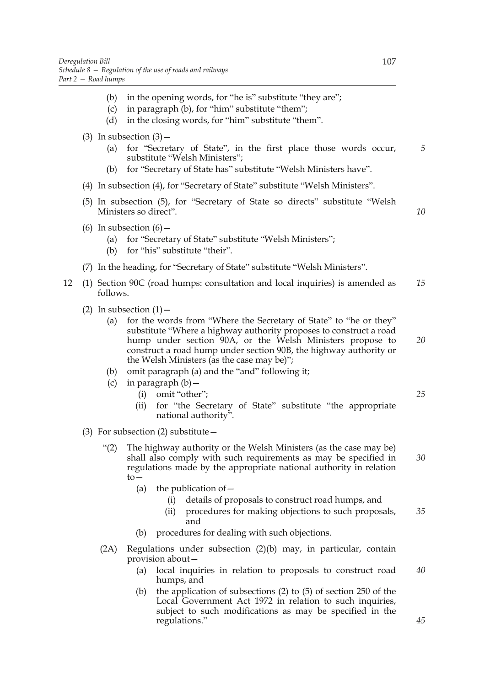- (b) in the opening words, for "he is" substitute "they are";
- (c) in paragraph (b), for "him" substitute "them";
- (d) in the closing words, for "him" substitute "them".
- (3) In subsection  $(3)$ 
	- (a) for "Secretary of State", in the first place those words occur, substitute "Welsh Ministers"; *5*
	- (b) for "Secretary of State has" substitute "Welsh Ministers have".
- (4) In subsection (4), for "Secretary of State" substitute "Welsh Ministers".
- (5) In subsection (5), for "Secretary of State so directs" substitute "Welsh Ministers so direct".
- (6) In subsection  $(6)$  -
	- (a) for "Secretary of State" substitute "Welsh Ministers";
	- (b) for "his" substitute "their".
- (7) In the heading, for "Secretary of State" substitute "Welsh Ministers".
- 12 (1) Section 90C (road humps: consultation and local inquiries) is amended as follows. *15*
	- (2) In subsection  $(1)$ 
		- (a) for the words from "Where the Secretary of State" to "he or they" substitute "Where a highway authority proposes to construct a road hump under section 90A, or the Welsh Ministers propose to construct a road hump under section 90B, the highway authority or the Welsh Ministers (as the case may be)";
		- (b) omit paragraph (a) and the "and" following it;
		- (c) in paragraph  $(b)$  -
			- (i) omit "other";
			- (ii) for "the Secretary of State" substitute "the appropriate national authority".
	- (3) For subsection (2) substitute  $-$ 
		- "(2) The highway authority or the Welsh Ministers (as the case may be) shall also comply with such requirements as may be specified in regulations made by the appropriate national authority in relation to— *30*
			- (a) the publication of  $-$ 
				- (i) details of proposals to construct road humps, and
				- (ii) procedures for making objections to such proposals, and *35*
			- (b) procedures for dealing with such objections.
		- (2A) Regulations under subsection (2)(b) may, in particular, contain provision about—
			- (a) local inquiries in relation to proposals to construct road humps, and *40*
			- (b) the application of subsections (2) to (5) of section 250 of the Local Government Act 1972 in relation to such inquiries, subject to such modifications as may be specified in the regulations."

*25*

*20*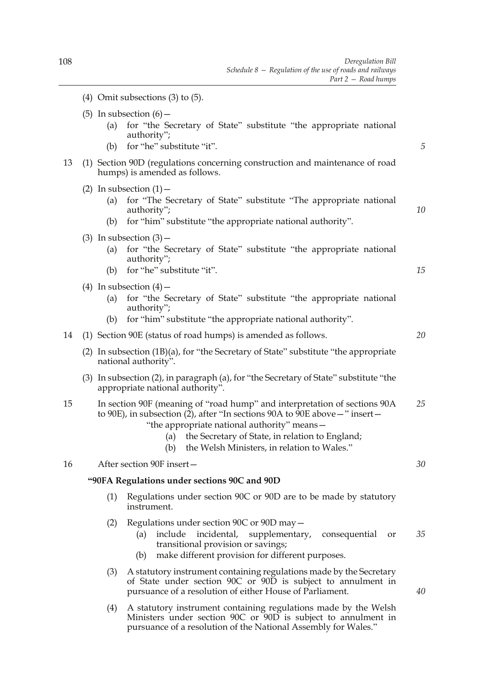- (5) In subsection  $(6)$  -(a) for "the Secretary of State" substitute "the appropriate national authority"; (b) for "he" substitute "it". 13 (1) Section 90D (regulations concerning construction and maintenance of road humps) is amended as follows. (2) In subsection  $(1)$  – (a) for "The Secretary of State" substitute "The appropriate national authority"; (b) for "him" substitute "the appropriate national authority". (3) In subsection  $(3)$  – (a) for "the Secretary of State" substitute "the appropriate national authority"; (b) for "he" substitute "it". (4) In subsection  $(4)$  – (a) for "the Secretary of State" substitute "the appropriate national authority"; (b) for "him" substitute "the appropriate national authority". 14 (1) Section 90E (status of road humps) is amended as follows. (2) In subsection (1B)(a), for "the Secretary of State" substitute "the appropriate national authority". (3) In subsection (2), in paragraph (a), for "the Secretary of State" substitute "the appropriate national authority". 15 In section 90F (meaning of "road hump" and interpretation of sections 90A to 90E), in subsection (2), after "In sections 90A to 90E above—" insert— "the appropriate national authority" means— (a) the Secretary of State, in relation to England; (b) the Welsh Ministers, in relation to Wales." 16 After section 90F insert— **"90FA Regulations under sections 90C and 90D** (1) Regulations under section 90C or 90D are to be made by statutory instrument. (2) Regulations under section 90C or 90D may— (a) include incidental, supplementary, consequential or transitional provision or savings; (b) make different provision for different purposes. (3) A statutory instrument containing regulations made by the Secretary of State under section 90C or 90D is subject to annulment in pursuance of a resolution of either House of Parliament. *5 10 15 20 25 30 35 40*
	- (4) A statutory instrument containing regulations made by the Welsh Ministers under section 90C or 90D is subject to annulment in pursuance of a resolution of the National Assembly for Wales."

(4) Omit subsections (3) to (5).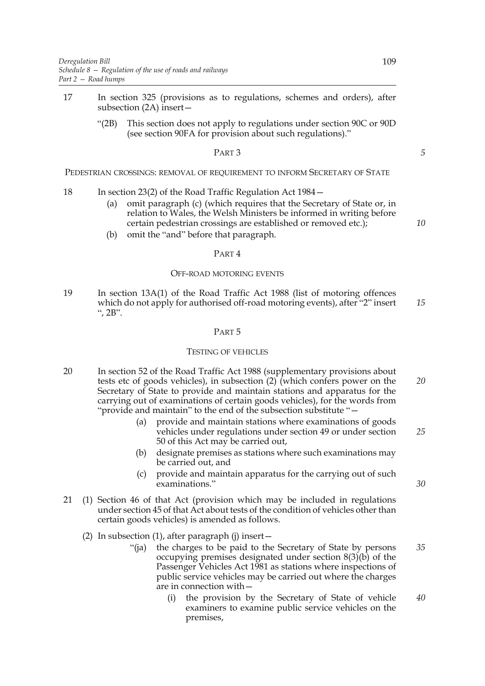- 17 In section 325 (provisions as to regulations, schemes and orders), after subsection (2A) insert—
	- "(2B) This section does not apply to regulations under section 90C or 90D (see section 90FA for provision about such regulations)."

#### PART 3

PEDESTRIAN CROSSINGS: REMOVAL OF REQUIREMENT TO INFORM SECRETARY OF STATE

- 18 In section 23(2) of the Road Traffic Regulation Act 1984—
	- (a) omit paragraph (c) (which requires that the Secretary of State or, in relation to Wales, the Welsh Ministers be informed in writing before certain pedestrian crossings are established or removed etc.);
	- (b) omit the "and" before that paragraph.

### PART 4

#### OFF-ROAD MOTORING EVENTS

19 In section 13A(1) of the Road Traffic Act 1988 (list of motoring offences which do not apply for authorised off-road motoring events), after "2" insert ", 2B". *15*

#### PART 5

#### TESTING OF VEHICLES

- 20 In section 52 of the Road Traffic Act 1988 (supplementary provisions about tests etc of goods vehicles), in subsection (2) (which confers power on the Secretary of State to provide and maintain stations and apparatus for the carrying out of examinations of certain goods vehicles), for the words from "provide and maintain" to the end of the subsection substitute "— *20*
	- (a) provide and maintain stations where examinations of goods vehicles under regulations under section 49 or under section 50 of this Act may be carried out,
	- (b) designate premises as stations where such examinations may be carried out, and
	- (c) provide and maintain apparatus for the carrying out of such examinations."
- 21 (1) Section 46 of that Act (provision which may be included in regulations under section 45 of that Act about tests of the condition of vehicles other than certain goods vehicles) is amended as follows.
	- (2) In subsection (1), after paragraph (j) insert—
		- "(ja) the charges to be paid to the Secretary of State by persons occupying premises designated under section 8(3)(b) of the Passenger Vehicles Act 1981 as stations where inspections of public service vehicles may be carried out where the charges are in connection with— *35*
			- (i) the provision by the Secretary of State of vehicle examiners to examine public service vehicles on the premises, *40*

*25*

*10*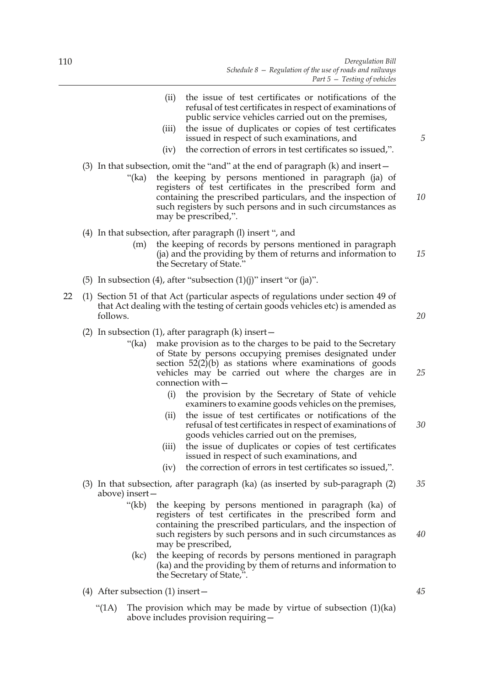- (ii) the issue of test certificates or notifications of the refusal of test certificates in respect of examinations of public service vehicles carried out on the premises,
- (iii) the issue of duplicates or copies of test certificates issued in respect of such examinations, and
- (iv) the correction of errors in test certificates so issued,".
- (3) In that subsection, omit the "and" at the end of paragraph (k) and insert—
	- "(ka) the keeping by persons mentioned in paragraph (ja) of registers of test certificates in the prescribed form and containing the prescribed particulars, and the inspection of such registers by such persons and in such circumstances as may be prescribed,".
- (4) In that subsection, after paragraph (l) insert ", and
	- (m) the keeping of records by persons mentioned in paragraph (ja) and the providing by them of returns and information to the Secretary of State."
- (5) In subsection (4), after "subsection  $(1)(j)$ " insert "or  $(ja)$ ".
- 22 (1) Section 51 of that Act (particular aspects of regulations under section 49 of that Act dealing with the testing of certain goods vehicles etc) is amended as follows.
	- (2) In subsection (1), after paragraph  $(k)$  insert  $-$ 
		- "(ka) make provision as to the charges to be paid to the Secretary of State by persons occupying premises designated under section 52(2)(b) as stations where examinations of goods vehicles may be carried out where the charges are in connection with—
			- (i) the provision by the Secretary of State of vehicle examiners to examine goods vehicles on the premises,
			- (ii) the issue of test certificates or notifications of the refusal of test certificates in respect of examinations of goods vehicles carried out on the premises, *30*
			- (iii) the issue of duplicates or copies of test certificates issued in respect of such examinations, and
			- (iv) the correction of errors in test certificates so issued,".
	- (3) In that subsection, after paragraph (ka) (as inserted by sub-paragraph (2) above) insert— *35*
		- "(kb) the keeping by persons mentioned in paragraph (ka) of registers of test certificates in the prescribed form and containing the prescribed particulars, and the inspection of such registers by such persons and in such circumstances as may be prescribed,
		- (kc) the keeping of records by persons mentioned in paragraph (ka) and the providing by them of returns and information to the Secretary of State,".
	- (4) After subsection (1) insert—
		- "(1A) The provision which may be made by virtue of subsection  $(1)(ka)$ above includes provision requiring—

*5*

*10*

*15*

*20*

*25*

*40*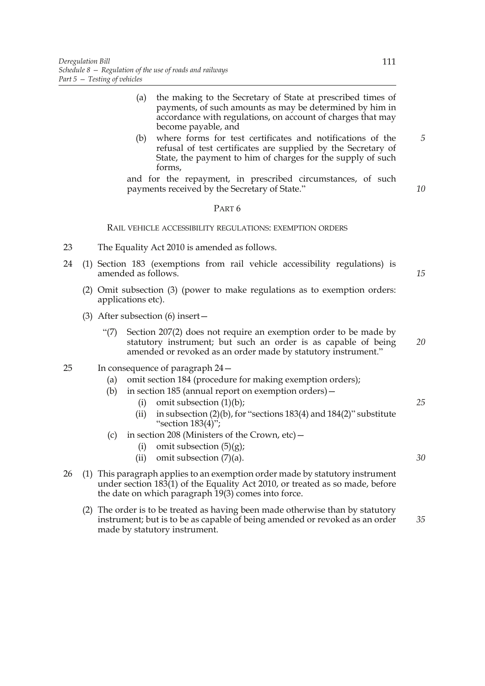- (a) the making to the Secretary of State at prescribed times of payments, of such amounts as may be determined by him in accordance with regulations, on account of charges that may become payable, and
- (b) where forms for test certificates and notifications of the refusal of test certificates are supplied by the Secretary of State, the payment to him of charges for the supply of such forms,

and for the repayment, in prescribed circumstances, of such payments received by the Secretary of State."

#### PART 6

#### RAIL VEHICLE ACCESSIBILITY REGULATIONS: EXEMPTION ORDERS

- 23 The Equality Act 2010 is amended as follows.
- 24 (1) Section 183 (exemptions from rail vehicle accessibility regulations) is amended as follows.
	- (2) Omit subsection (3) (power to make regulations as to exemption orders: applications etc).
	- (3) After subsection (6) insert—
		- "(7) Section 207(2) does not require an exemption order to be made by statutory instrument; but such an order is as capable of being amended or revoked as an order made by statutory instrument." *20*
- 25 In consequence of paragraph 24—
	- (a) omit section 184 (procedure for making exemption orders);
	- (b) in section 185 (annual report on exemption orders)—
		- (i) omit subsection  $(1)(b)$ ;
		- (ii) in subsection  $(2)(b)$ , for "sections 183(4) and 184(2)" substitute "section  $183(4)$ ";
	- (c) in section 208 (Ministers of the Crown,  $etc$ )
		- (i) omit subsection  $(5)(g)$ ;
		- (ii) omit subsection  $(7)(a)$ .
- 26 (1) This paragraph applies to an exemption order made by statutory instrument under section 183(1) of the Equality Act 2010, or treated as so made, before the date on which paragraph 19(3) comes into force.
	- (2) The order is to be treated as having been made otherwise than by statutory instrument; but is to be as capable of being amended or revoked as an order made by statutory instrument. *35*

*5*

*10*

*15*

*25*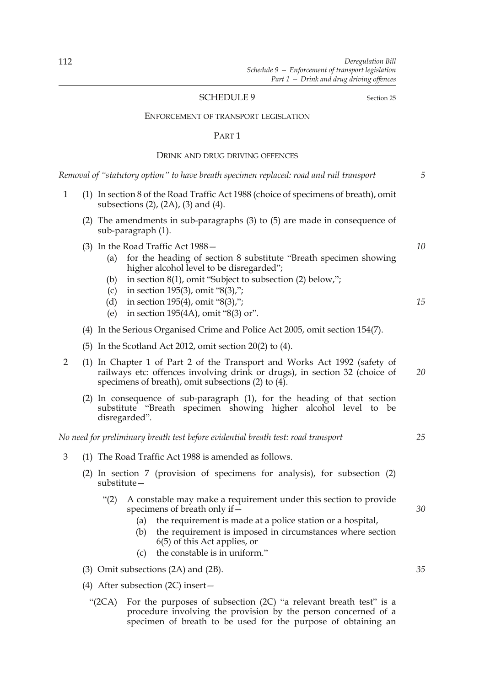#### SCHEDULE 9 Section 25

#### ENFORCEMENT OF TRANSPORT LEGISLATION

#### PART 1

### DRINK AND DRUG DRIVING OFFENCES

*Removal of "statutory option" to have breath specimen replaced: road and rail transport*

- 1 (1) In section 8 of the Road Traffic Act 1988 (choice of specimens of breath), omit subsections (2), (2A), (3) and (4).
	- (2) The amendments in sub-paragraphs (3) to (5) are made in consequence of sub-paragraph (1).
	- (3) In the Road Traffic Act 1988—
		- (a) for the heading of section 8 substitute "Breath specimen showing higher alcohol level to be disregarded";
		- (b) in section 8(1), omit "Subject to subsection (2) below,";
		- (c) in section 195(3), omit "8(3),";
		- (d) in section 195(4), omit "8(3),";
		- (e) in section 195(4A), omit "8(3) or".
	- (4) In the Serious Organised Crime and Police Act 2005, omit section 154(7).
	- (5) In the Scotland Act 2012, omit section 20(2) to (4).
- 2 (1) In Chapter 1 of Part 2 of the Transport and Works Act 1992 (safety of railways etc: offences involving drink or drugs), in section 32 (choice of specimens of breath), omit subsections (2) to (4). *20*
	- (2) In consequence of sub-paragraph (1), for the heading of that section substitute "Breath specimen showing higher alcohol level to be disregarded".

*No need for preliminary breath test before evidential breath test: road transport*

- 3 (1) The Road Traffic Act 1988 is amended as follows.
	- (2) In section 7 (provision of specimens for analysis), for subsection (2) substitute—
		- "(2) A constable may make a requirement under this section to provide specimens of breath only if—
			- (a) the requirement is made at a police station or a hospital,
			- (b) the requirement is imposed in circumstances where section 6(5) of this Act applies, or
			- (c) the constable is in uniform."
	- (3) Omit subsections (2A) and (2B).
	- (4) After subsection (2C) insert—
		- "(2CA) For the purposes of subsection (2C) "a relevant breath test" is a procedure involving the provision by the person concerned of a specimen of breath to be used for the purpose of obtaining an

*10*

*15*

*5*

*25*

*30*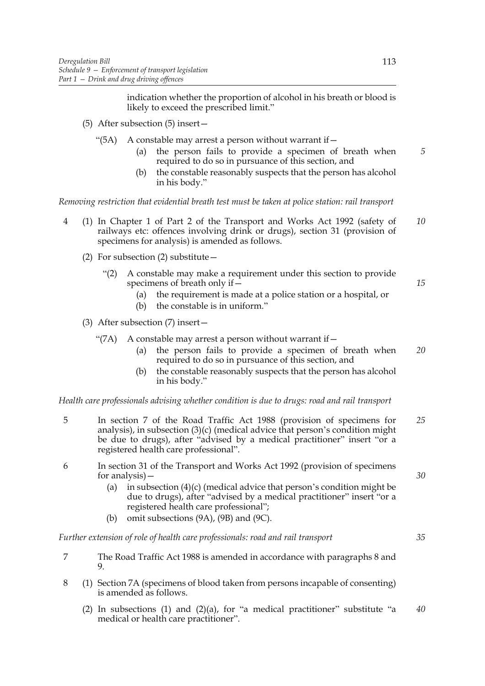indication whether the proportion of alcohol in his breath or blood is likely to exceed the prescribed limit."

- (5) After subsection (5) insert—
	- "(5A) A constable may arrest a person without warrant if  $-$ 
		- (a) the person fails to provide a specimen of breath when required to do so in pursuance of this section, and
		- (b) the constable reasonably suspects that the person has alcohol in his body."

*Removing restriction that evidential breath test must be taken at police station: rail transport*

- 4 (1) In Chapter 1 of Part 2 of the Transport and Works Act 1992 (safety of railways etc: offences involving drink or drugs), section 31 (provision of specimens for analysis) is amended as follows. *10*
	- (2) For subsection (2) substitute—
		- "(2) A constable may make a requirement under this section to provide specimens of breath only if—
			- (a) the requirement is made at a police station or a hospital, or
			- (b) the constable is in uniform."
	- (3) After subsection (7) insert—
		- "(7A) A constable may arrest a person without warrant if  $-$ 
			- (a) the person fails to provide a specimen of breath when required to do so in pursuance of this section, and *20*
			- (b) the constable reasonably suspects that the person has alcohol in his body."

*Health care professionals advising whether condition is due to drugs: road and rail transport*

- 5 In section 7 of the Road Traffic Act 1988 (provision of specimens for analysis), in subsection (3)(c) (medical advice that person's condition might be due to drugs), after "advised by a medical practitioner" insert "or a registered health care professional". *25*
- 6 In section 31 of the Transport and Works Act 1992 (provision of specimens for analysis)—
	- (a) in subsection  $(4)(c)$  (medical advice that person's condition might be due to drugs), after "advised by a medical practitioner" insert "or a registered health care professional";
	- (b) omit subsections (9A), (9B) and (9C).

*Further extension of role of health care professionals: road and rail transport*

- 7 The Road Traffic Act 1988 is amended in accordance with paragraphs 8 and 9.
- 8 (1) Section 7A (specimens of blood taken from persons incapable of consenting) is amended as follows.
	- (2) In subsections (1) and (2)(a), for "a medical practitioner" substitute "a medical or health care practitioner". *40*

*5*

*15*

*30*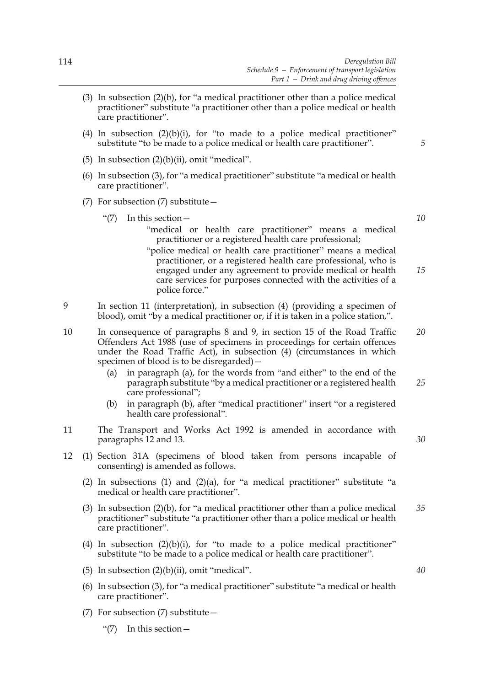- (3) In subsection (2)(b), for "a medical practitioner other than a police medical practitioner" substitute "a practitioner other than a police medical or health care practitioner".
- (4) In subsection  $(2)(b)(i)$ , for "to made to a police medical practitioner" substitute "to be made to a police medical or health care practitioner".
- (5) In subsection  $(2)(b)(ii)$ , omit "medical".
- (6) In subsection (3), for "a medical practitioner" substitute "a medical or health care practitioner".
- (7) For subsection (7) substitute—
	- "(7) In this section—

*10*

*15*

*5*

- "medical or health care practitioner" means a medical practitioner or a registered health care professional;
- "police medical or health care practitioner" means a medical practitioner, or a registered health care professional, who is engaged under any agreement to provide medical or health care services for purposes connected with the activities of a police force."
- 9 In section 11 (interpretation), in subsection (4) (providing a specimen of blood), omit "by a medical practitioner or, if it is taken in a police station,".
- 10 In consequence of paragraphs 8 and 9, in section 15 of the Road Traffic Offenders Act 1988 (use of specimens in proceedings for certain offences under the Road Traffic Act), in subsection (4) (circumstances in which specimen of blood is to be disregarded)— *20*
	- (a) in paragraph (a), for the words from "and either" to the end of the paragraph substitute "by a medical practitioner or a registered health care professional"; *25*
	- (b) in paragraph (b), after "medical practitioner" insert "or a registered health care professional".
- 11 The Transport and Works Act 1992 is amended in accordance with paragraphs 12 and 13.
- 12 (1) Section 31A (specimens of blood taken from persons incapable of consenting) is amended as follows.
	- (2) In subsections (1) and (2)(a), for "a medical practitioner" substitute "a medical or health care practitioner".
	- (3) In subsection (2)(b), for "a medical practitioner other than a police medical practitioner" substitute "a practitioner other than a police medical or health care practitioner". *35*
	- (4) In subsection  $(2)(b)(i)$ , for "to made to a police medical practitioner" substitute "to be made to a police medical or health care practitioner".
	- (5) In subsection  $(2)(b)(ii)$ , omit "medical".
	- (6) In subsection (3), for "a medical practitioner" substitute "a medical or health care practitioner".
	- (7) For subsection (7) substitute—
		- "(7) In this section—

*40*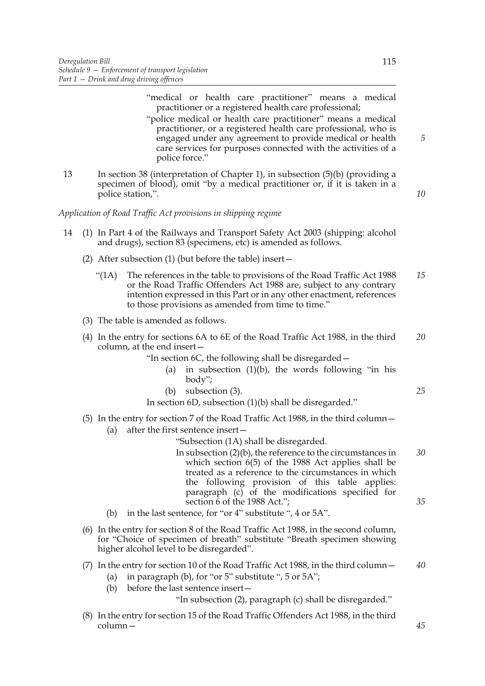| 13<br>In section 38 (interpretation of Chapter 1), in subsection $(5)(b)$ (providing a<br>specimen of blood), omit "by a medical practitioner or, if it is taken in a<br>police station,".<br>Application of Road Traffic Act provisions in shipping regime<br>14<br>(1) In Part 4 of the Railways and Transport Safety Act 2003 (shipping: alcohol<br>and drugs), section 83 (specimens, etc) is amended as follows.<br>(2) After subsection $(1)$ (but before the table) insert $-$<br>The references in the table to provisions of the Road Traffic Act 1988<br>" $(1A)$<br>or the Road Traffic Offenders Act 1988 are, subject to any contrary<br>intention expressed in this Part or in any other enactment, references<br>to those provisions as amended from time to time."<br>(3) The table is amended as follows.<br>(4) In the entry for sections 6A to 6E of the Road Traffic Act 1988, in the third<br>column, at the end insert-<br>"In section 6C, the following shall be disregarded –<br>in subsection $(1)(b)$ , the words following "in his<br>(a)<br>body";<br>subsection (3).<br>(b)<br>In section 6D, subsection (1)(b) shall be disregarded."<br>(5) In the entry for section 7 of the Road Traffic Act 1988, in the third column -<br>after the first sentence insert-<br>(a)<br>"Subsection (1A) shall be disregarded.<br>In subsection $(2)(b)$ , the reference to the circumstances in<br>which section $6(5)$ of the 1988 Act applies shall be<br>treated as a reference to the circumstances in which<br>the following provision of this table applies:<br>paragraph (c) of the modifications specified for<br>section 6 of the 1988 Act.";<br>in the last sentence, for "or 4" substitute ", 4 or 5A".<br>(b)<br>(6) In the entry for section 8 of the Road Traffic Act 1988, in the second column,<br>for "Choice of specimen of breath" substitute "Breath specimen showing<br>higher alcohol level to be disregarded".<br>(7) In the entry for section 10 of the Road Traffic Act 1988, in the third column -<br>in paragraph (b), for "or $5$ " substitute ", $5$ or $5A$ ";<br>(a)<br>before the last sentence insert-<br>(b)<br>"In subsection (2), paragraph (c) shall be disregarded." |  | "medical or health care practitioner" means a medical<br>practitioner or a registered health care professional;<br>"police medical or health care practitioner" means a medical<br>practitioner, or a registered health care professional, who is<br>engaged under any agreement to provide medical or health<br>care services for purposes connected with the activities of a<br>police force." | 5  |
|-----------------------------------------------------------------------------------------------------------------------------------------------------------------------------------------------------------------------------------------------------------------------------------------------------------------------------------------------------------------------------------------------------------------------------------------------------------------------------------------------------------------------------------------------------------------------------------------------------------------------------------------------------------------------------------------------------------------------------------------------------------------------------------------------------------------------------------------------------------------------------------------------------------------------------------------------------------------------------------------------------------------------------------------------------------------------------------------------------------------------------------------------------------------------------------------------------------------------------------------------------------------------------------------------------------------------------------------------------------------------------------------------------------------------------------------------------------------------------------------------------------------------------------------------------------------------------------------------------------------------------------------------------------------------------------------------------------------------------------------------------------------------------------------------------------------------------------------------------------------------------------------------------------------------------------------------------------------------------------------------------------------------------------------------------------------------------------------------------------------------------------------------------------------------------------------------------------------------------|--|--------------------------------------------------------------------------------------------------------------------------------------------------------------------------------------------------------------------------------------------------------------------------------------------------------------------------------------------------------------------------------------------------|----|
|                                                                                                                                                                                                                                                                                                                                                                                                                                                                                                                                                                                                                                                                                                                                                                                                                                                                                                                                                                                                                                                                                                                                                                                                                                                                                                                                                                                                                                                                                                                                                                                                                                                                                                                                                                                                                                                                                                                                                                                                                                                                                                                                                                                                                             |  |                                                                                                                                                                                                                                                                                                                                                                                                  | 10 |
|                                                                                                                                                                                                                                                                                                                                                                                                                                                                                                                                                                                                                                                                                                                                                                                                                                                                                                                                                                                                                                                                                                                                                                                                                                                                                                                                                                                                                                                                                                                                                                                                                                                                                                                                                                                                                                                                                                                                                                                                                                                                                                                                                                                                                             |  |                                                                                                                                                                                                                                                                                                                                                                                                  |    |
|                                                                                                                                                                                                                                                                                                                                                                                                                                                                                                                                                                                                                                                                                                                                                                                                                                                                                                                                                                                                                                                                                                                                                                                                                                                                                                                                                                                                                                                                                                                                                                                                                                                                                                                                                                                                                                                                                                                                                                                                                                                                                                                                                                                                                             |  |                                                                                                                                                                                                                                                                                                                                                                                                  |    |
|                                                                                                                                                                                                                                                                                                                                                                                                                                                                                                                                                                                                                                                                                                                                                                                                                                                                                                                                                                                                                                                                                                                                                                                                                                                                                                                                                                                                                                                                                                                                                                                                                                                                                                                                                                                                                                                                                                                                                                                                                                                                                                                                                                                                                             |  |                                                                                                                                                                                                                                                                                                                                                                                                  |    |
|                                                                                                                                                                                                                                                                                                                                                                                                                                                                                                                                                                                                                                                                                                                                                                                                                                                                                                                                                                                                                                                                                                                                                                                                                                                                                                                                                                                                                                                                                                                                                                                                                                                                                                                                                                                                                                                                                                                                                                                                                                                                                                                                                                                                                             |  |                                                                                                                                                                                                                                                                                                                                                                                                  | 15 |
|                                                                                                                                                                                                                                                                                                                                                                                                                                                                                                                                                                                                                                                                                                                                                                                                                                                                                                                                                                                                                                                                                                                                                                                                                                                                                                                                                                                                                                                                                                                                                                                                                                                                                                                                                                                                                                                                                                                                                                                                                                                                                                                                                                                                                             |  |                                                                                                                                                                                                                                                                                                                                                                                                  |    |
|                                                                                                                                                                                                                                                                                                                                                                                                                                                                                                                                                                                                                                                                                                                                                                                                                                                                                                                                                                                                                                                                                                                                                                                                                                                                                                                                                                                                                                                                                                                                                                                                                                                                                                                                                                                                                                                                                                                                                                                                                                                                                                                                                                                                                             |  |                                                                                                                                                                                                                                                                                                                                                                                                  | 20 |
|                                                                                                                                                                                                                                                                                                                                                                                                                                                                                                                                                                                                                                                                                                                                                                                                                                                                                                                                                                                                                                                                                                                                                                                                                                                                                                                                                                                                                                                                                                                                                                                                                                                                                                                                                                                                                                                                                                                                                                                                                                                                                                                                                                                                                             |  |                                                                                                                                                                                                                                                                                                                                                                                                  | 25 |
|                                                                                                                                                                                                                                                                                                                                                                                                                                                                                                                                                                                                                                                                                                                                                                                                                                                                                                                                                                                                                                                                                                                                                                                                                                                                                                                                                                                                                                                                                                                                                                                                                                                                                                                                                                                                                                                                                                                                                                                                                                                                                                                                                                                                                             |  |                                                                                                                                                                                                                                                                                                                                                                                                  |    |
|                                                                                                                                                                                                                                                                                                                                                                                                                                                                                                                                                                                                                                                                                                                                                                                                                                                                                                                                                                                                                                                                                                                                                                                                                                                                                                                                                                                                                                                                                                                                                                                                                                                                                                                                                                                                                                                                                                                                                                                                                                                                                                                                                                                                                             |  |                                                                                                                                                                                                                                                                                                                                                                                                  |    |
|                                                                                                                                                                                                                                                                                                                                                                                                                                                                                                                                                                                                                                                                                                                                                                                                                                                                                                                                                                                                                                                                                                                                                                                                                                                                                                                                                                                                                                                                                                                                                                                                                                                                                                                                                                                                                                                                                                                                                                                                                                                                                                                                                                                                                             |  |                                                                                                                                                                                                                                                                                                                                                                                                  | 30 |
|                                                                                                                                                                                                                                                                                                                                                                                                                                                                                                                                                                                                                                                                                                                                                                                                                                                                                                                                                                                                                                                                                                                                                                                                                                                                                                                                                                                                                                                                                                                                                                                                                                                                                                                                                                                                                                                                                                                                                                                                                                                                                                                                                                                                                             |  |                                                                                                                                                                                                                                                                                                                                                                                                  | 35 |
|                                                                                                                                                                                                                                                                                                                                                                                                                                                                                                                                                                                                                                                                                                                                                                                                                                                                                                                                                                                                                                                                                                                                                                                                                                                                                                                                                                                                                                                                                                                                                                                                                                                                                                                                                                                                                                                                                                                                                                                                                                                                                                                                                                                                                             |  |                                                                                                                                                                                                                                                                                                                                                                                                  |    |
|                                                                                                                                                                                                                                                                                                                                                                                                                                                                                                                                                                                                                                                                                                                                                                                                                                                                                                                                                                                                                                                                                                                                                                                                                                                                                                                                                                                                                                                                                                                                                                                                                                                                                                                                                                                                                                                                                                                                                                                                                                                                                                                                                                                                                             |  |                                                                                                                                                                                                                                                                                                                                                                                                  |    |
|                                                                                                                                                                                                                                                                                                                                                                                                                                                                                                                                                                                                                                                                                                                                                                                                                                                                                                                                                                                                                                                                                                                                                                                                                                                                                                                                                                                                                                                                                                                                                                                                                                                                                                                                                                                                                                                                                                                                                                                                                                                                                                                                                                                                                             |  |                                                                                                                                                                                                                                                                                                                                                                                                  | 40 |

(8) In the entry for section 15 of the Road Traffic Offenders Act 1988, in the third column—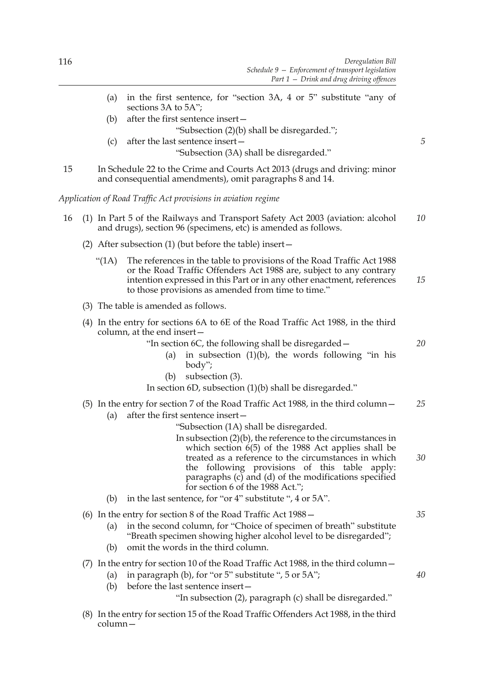|    | (a)        | in the first sentence, for "section 3A, 4 or 5" substitute "any of<br>sections 3A to 5A";                                                                                                                                                                                                                                                                                                                      |    |
|----|------------|----------------------------------------------------------------------------------------------------------------------------------------------------------------------------------------------------------------------------------------------------------------------------------------------------------------------------------------------------------------------------------------------------------------|----|
|    | (b)        | after the first sentence insert-<br>"Subsection (2)(b) shall be disregarded.";                                                                                                                                                                                                                                                                                                                                 |    |
|    | (c)        | after the last sentence insert-<br>"Subsection (3A) shall be disregarded."                                                                                                                                                                                                                                                                                                                                     | 5  |
| 15 |            | In Schedule 22 to the Crime and Courts Act 2013 (drugs and driving: minor<br>and consequential amendments), omit paragraphs 8 and 14.                                                                                                                                                                                                                                                                          |    |
|    |            | Application of Road Traffic Act provisions in aviation regime                                                                                                                                                                                                                                                                                                                                                  |    |
| 16 |            | (1) In Part 5 of the Railways and Transport Safety Act 2003 (aviation: alcohol<br>and drugs), section 96 (specimens, etc) is amended as follows.                                                                                                                                                                                                                                                               | 10 |
|    |            | (2) After subsection $(1)$ (but before the table) insert $-$                                                                                                                                                                                                                                                                                                                                                   |    |
|    | " $(1A)$   | The references in the table to provisions of the Road Traffic Act 1988<br>or the Road Traffic Offenders Act 1988 are, subject to any contrary<br>intention expressed in this Part or in any other enactment, references<br>to those provisions as amended from time to time."                                                                                                                                  | 15 |
|    |            | (3) The table is amended as follows.                                                                                                                                                                                                                                                                                                                                                                           |    |
|    |            | (4) In the entry for sections 6A to 6E of the Road Traffic Act 1988, in the third<br>column, at the end insert-<br>"In section 6C, the following shall be disregarded –<br>in subsection $(1)(b)$ , the words following "in his<br>(a)<br>body";<br>subsection (3).<br>(b)<br>In section $6D$ , subsection $(1)(b)$ shall be disregarded."                                                                     | 20 |
|    |            | (5) In the entry for section 7 of the Road Traffic Act 1988, in the third column –                                                                                                                                                                                                                                                                                                                             | 25 |
|    | (a)        | after the first sentence insert-<br>"Subsection (1A) shall be disregarded.<br>In subsection $(2)(b)$ , the reference to the circumstances in<br>which section $6(5)$ of the 1988 Act applies shall be<br>treated as a reference to the circumstances in which<br>the following provisions of this table<br>apply:<br>paragraphs (c) and (d) of the modifications specified<br>for section 6 of the 1988 Act."; | 30 |
|    | (b)        | in the last sentence, for "or 4" substitute ", 4 or 5A".                                                                                                                                                                                                                                                                                                                                                       |    |
|    | (a)<br>(b) | (6) In the entry for section 8 of the Road Traffic Act $1988 -$<br>in the second column, for "Choice of specimen of breath" substitute<br>"Breath specimen showing higher alcohol level to be disregarded";<br>omit the words in the third column.                                                                                                                                                             | 35 |
|    | (a)<br>(b) | (7) In the entry for section 10 of the Road Traffic Act 1988, in the third column –<br>in paragraph (b), for "or $5$ " substitute ", $5$ or $5A$ ";<br>before the last sentence insert-<br>"In subsection (2), paragraph (c) shall be disregarded."                                                                                                                                                            | 40 |
|    |            | $(8)$ In the entry for section 15 of the Road Traffic Offenders Act 1988, in the third                                                                                                                                                                                                                                                                                                                         |    |

(8) In the entry for section 15 of the Road Traffic Offenders Act 1988, in the third column—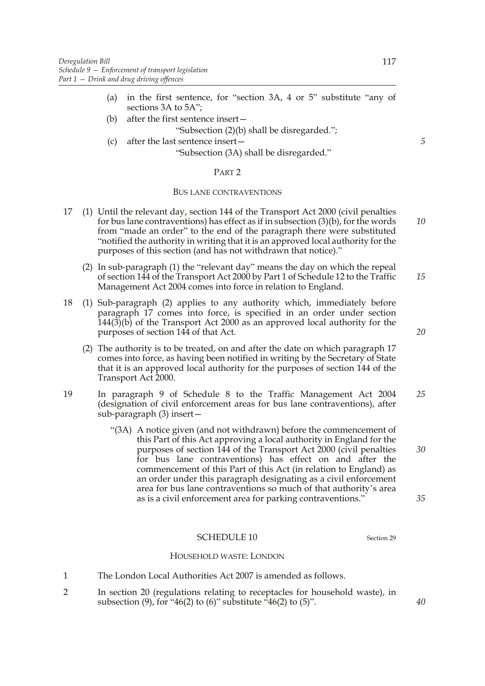- (a) in the first sentence, for "section 3A, 4 or 5" substitute "any of sections 3A to 5A";
- (b) after the first sentence insert—

### "Subsection (2)(b) shall be disregarded.";

(c) after the last sentence insert— "Subsection (3A) shall be disregarded."

#### PART 2

### BUS LANE CONTRAVENTIONS

- 17 (1) Until the relevant day, section 144 of the Transport Act 2000 (civil penalties for bus lane contraventions) has effect as if in subsection  $(3)(b)$ , for the words from "made an order" to the end of the paragraph there were substituted "notified the authority in writing that it is an approved local authority for the purposes of this section (and has not withdrawn that notice)." *10*
	- (2) In sub-paragraph (1) the "relevant day" means the day on which the repeal of section 144 of the Transport Act 2000 by Part 1 of Schedule 12 to the Traffic Management Act 2004 comes into force in relation to England. *15*
- 18 (1) Sub-paragraph (2) applies to any authority which, immediately before paragraph 17 comes into force, is specified in an order under section 144(3)(b) of the Transport Act 2000 as an approved local authority for the purposes of section 144 of that Act.
	- (2) The authority is to be treated, on and after the date on which paragraph 17 comes into force, as having been notified in writing by the Secretary of State that it is an approved local authority for the purposes of section 144 of the Transport Act 2000.
- 19 In paragraph 9 of Schedule 8 to the Traffic Management Act 2004 (designation of civil enforcement areas for bus lane contraventions), after sub-paragraph (3) insert— *25*
	- "(3A) A notice given (and not withdrawn) before the commencement of this Part of this Act approving a local authority in England for the purposes of section 144 of the Transport Act 2000 (civil penalties for bus lane contraventions) has effect on and after the commencement of this Part of this Act (in relation to England) as an order under this paragraph designating as a civil enforcement area for bus lane contraventions so much of that authority's area as is a civil enforcement area for parking contraventions."

### SCHEDULE 10 Section 29

#### HOUSEHOLD WASTE: LONDON

- 1 The London Local Authorities Act 2007 is amended as follows.
- 2 In section 20 (regulations relating to receptacles for household waste), in subsection  $(9)$ , for "46(2) to  $(6)$ " substitute "46(2) to  $(5)$ ".

*5*

*20*

*30*

*35*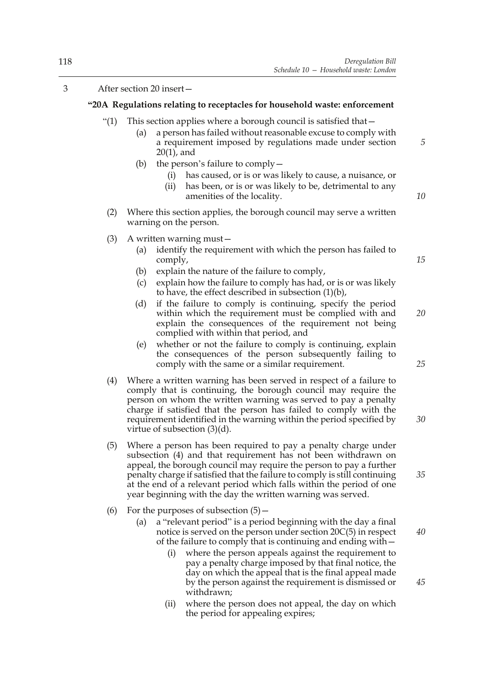## 3 After section 20 insert—

### **"20A Regulations relating to receptacles for household waste: enforcement**

- "(1) This section applies where a borough council is satisfied that  $-$ 
	- (a) a person has failed without reasonable excuse to comply with a requirement imposed by regulations made under section 20(1), and
	- (b) the person's failure to comply—
		- (i) has caused, or is or was likely to cause, a nuisance, or
		- (ii) has been, or is or was likely to be, detrimental to any amenities of the locality.
- (2) Where this section applies, the borough council may serve a written warning on the person.
- (3) A written warning must—
	- (a) identify the requirement with which the person has failed to comply,
	- (b) explain the nature of the failure to comply,
	- (c) explain how the failure to comply has had, or is or was likely to have, the effect described in subsection (1)(b),
	- (d) if the failure to comply is continuing, specify the period within which the requirement must be complied with and explain the consequences of the requirement not being complied with within that period, and
	- (e) whether or not the failure to comply is continuing, explain the consequences of the person subsequently failing to comply with the same or a similar requirement.
- (4) Where a written warning has been served in respect of a failure to comply that is continuing, the borough council may require the person on whom the written warning was served to pay a penalty charge if satisfied that the person has failed to comply with the requirement identified in the warning within the period specified by virtue of subsection (3)(d).
- (5) Where a person has been required to pay a penalty charge under subsection (4) and that requirement has not been withdrawn on appeal, the borough council may require the person to pay a further penalty charge if satisfied that the failure to comply is still continuing at the end of a relevant period which falls within the period of one year beginning with the day the written warning was served.
- (6) For the purposes of subsection  $(5)$ 
	- (a) a "relevant period" is a period beginning with the day a final notice is served on the person under section 20C(5) in respect of the failure to comply that is continuing and ending with—
		- (i) where the person appeals against the requirement to pay a penalty charge imposed by that final notice, the day on which the appeal that is the final appeal made by the person against the requirement is dismissed or withdrawn;
		- (ii) where the person does not appeal, the day on which the period for appealing expires;

*25*

*20*

*5*

*10*

*15*

*30*

*40*

*45*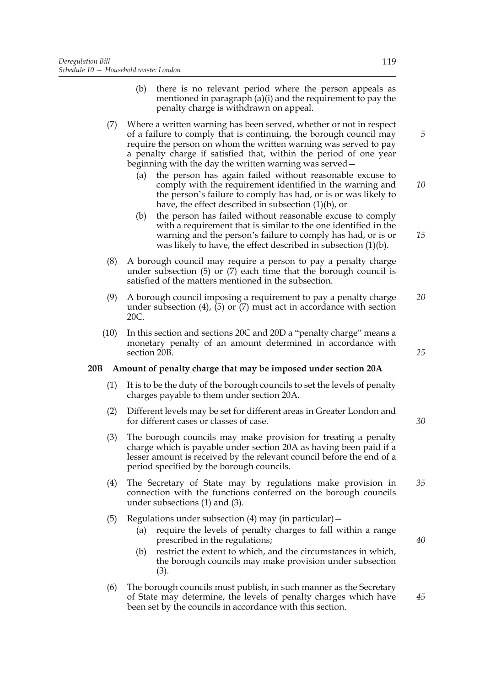- (b) there is no relevant period where the person appeals as mentioned in paragraph (a)(i) and the requirement to pay the penalty charge is withdrawn on appeal.
- (7) Where a written warning has been served, whether or not in respect of a failure to comply that is continuing, the borough council may require the person on whom the written warning was served to pay a penalty charge if satisfied that, within the period of one year beginning with the day the written warning was served—
	- (a) the person has again failed without reasonable excuse to comply with the requirement identified in the warning and the person's failure to comply has had, or is or was likely to have, the effect described in subsection (1)(b), or
	- (b) the person has failed without reasonable excuse to comply with a requirement that is similar to the one identified in the warning and the person's failure to comply has had, or is or was likely to have, the effect described in subsection (1)(b).
- (8) A borough council may require a person to pay a penalty charge under subsection (5) or (7) each time that the borough council is satisfied of the matters mentioned in the subsection.
- (9) A borough council imposing a requirement to pay a penalty charge under subsection  $(4)$ ,  $(5)$  or  $(7)$  must act in accordance with section 20C. *20*
- (10) In this section and sections 20C and 20D a "penalty charge" means a monetary penalty of an amount determined in accordance with section 20B.

# **20B Amount of penalty charge that may be imposed under section 20A**

- (1) It is to be the duty of the borough councils to set the levels of penalty charges payable to them under section 20A.
- (2) Different levels may be set for different areas in Greater London and for different cases or classes of case.
- (3) The borough councils may make provision for treating a penalty charge which is payable under section 20A as having been paid if a lesser amount is received by the relevant council before the end of a period specified by the borough councils.
- (4) The Secretary of State may by regulations make provision in connection with the functions conferred on the borough councils under subsections (1) and (3). *35*
- (5) Regulations under subsection  $(4)$  may (in particular)
	- (a) require the levels of penalty charges to fall within a range prescribed in the regulations;
	- (b) restrict the extent to which, and the circumstances in which, the borough councils may make provision under subsection (3).
- (6) The borough councils must publish, in such manner as the Secretary of State may determine, the levels of penalty charges which have been set by the councils in accordance with this section.

*5*

*10*

*15*

*30*

*25*

*45*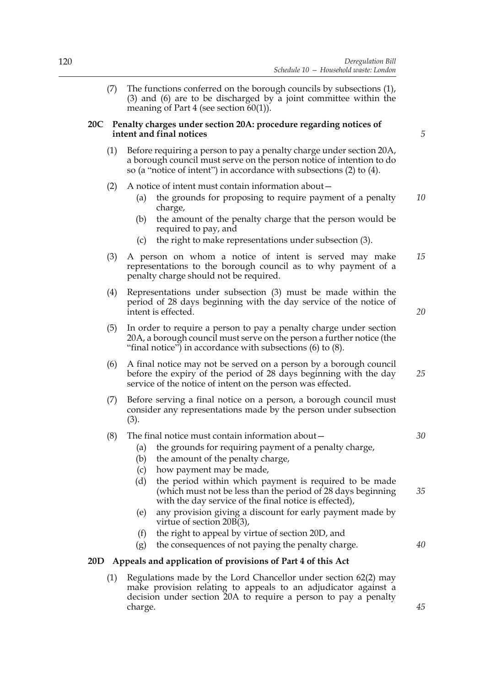(7) The functions conferred on the borough councils by subsections (1), (3) and (6) are to be discharged by a joint committee within the meaning of Part 4 (see section 60(1)).

### **20C Penalty charges under section 20A: procedure regarding notices of intent and final notices**

*5*

*20*

*25*

*30*

*45*

- (1) Before requiring a person to pay a penalty charge under section 20A, a borough council must serve on the person notice of intention to do so (a "notice of intent") in accordance with subsections (2) to (4).
- (2) A notice of intent must contain information about—
	- (a) the grounds for proposing to require payment of a penalty charge, *10*
	- (b) the amount of the penalty charge that the person would be required to pay, and
	- (c) the right to make representations under subsection (3).
- (3) A person on whom a notice of intent is served may make representations to the borough council as to why payment of a penalty charge should not be required. *15*
- (4) Representations under subsection (3) must be made within the period of 28 days beginning with the day service of the notice of intent is effected.
- (5) In order to require a person to pay a penalty charge under section 20A, a borough council must serve on the person a further notice (the "final notice") in accordance with subsections (6) to (8).
- (6) A final notice may not be served on a person by a borough council before the expiry of the period of 28 days beginning with the day service of the notice of intent on the person was effected.
- (7) Before serving a final notice on a person, a borough council must consider any representations made by the person under subsection (3).

### (8) The final notice must contain information about—

- (a) the grounds for requiring payment of a penalty charge,
- (b) the amount of the penalty charge,
- (c) how payment may be made,
- (d) the period within which payment is required to be made (which must not be less than the period of 28 days beginning with the day service of the final notice is effected), *35*
- (e) any provision giving a discount for early payment made by virtue of section 20B(3),
- (f) the right to appeal by virtue of section 20D, and
- (g) the consequences of not paying the penalty charge. *40*

### **20D Appeals and application of provisions of Part 4 of this Act**

(1) Regulations made by the Lord Chancellor under section 62(2) may make provision relating to appeals to an adjudicator against a decision under section 20A to require a person to pay a penalty charge.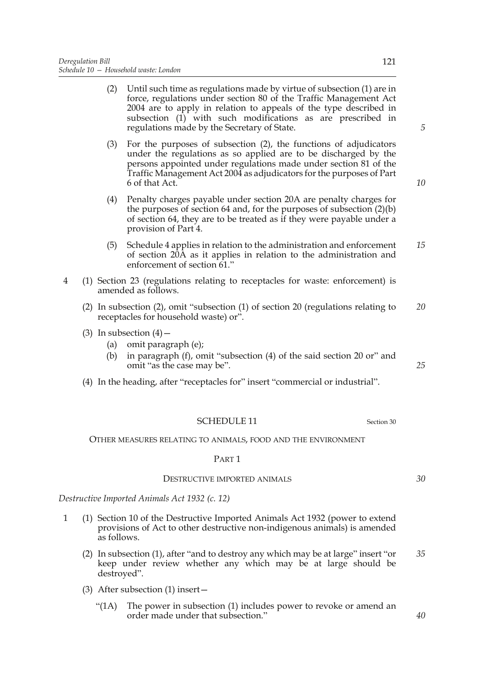- (2) Until such time as regulations made by virtue of subsection (1) are in force, regulations under section 80 of the Traffic Management Act 2004 are to apply in relation to appeals of the type described in subsection (1) with such modifications as are prescribed in regulations made by the Secretary of State.
- (3) For the purposes of subsection (2), the functions of adjudicators under the regulations as so applied are to be discharged by the persons appointed under regulations made under section 81 of the Traffic Management Act 2004 as adjudicators for the purposes of Part 6 of that Act.
- (4) Penalty charges payable under section 20A are penalty charges for the purposes of section 64 and, for the purposes of subsection (2)(b) of section 64, they are to be treated as if they were payable under a provision of Part 4.
- (5) Schedule 4 applies in relation to the administration and enforcement of section 20A as it applies in relation to the administration and enforcement of section 61." *15*
- 4 (1) Section 23 (regulations relating to receptacles for waste: enforcement) is amended as follows.
	- (2) In subsection (2), omit "subsection (1) of section 20 (regulations relating to receptacles for household waste) or". *20*
	- (3) In subsection  $(4)$ 
		- (a) omit paragraph (e);
		- (b) in paragraph (f), omit "subsection (4) of the said section 20 or" and omit "as the case may be".
	- (4) In the heading, after "receptacles for" insert "commercial or industrial".

## SCHEDULE 11 Section 30

OTHER MEASURES RELATING TO ANIMALS, FOOD AND THE ENVIRONMENT

## PART 1

#### DESTRUCTIVE IMPORTED ANIMALS

*Destructive Imported Animals Act 1932 (c. 12)*

- 1 (1) Section 10 of the Destructive Imported Animals Act 1932 (power to extend provisions of Act to other destructive non-indigenous animals) is amended as follows.
	- (2) In subsection (1), after "and to destroy any which may be at large" insert "or keep under review whether any which may be at large should be destroyed". *35*
	- (3) After subsection (1) insert—
		- "(1A) The power in subsection (1) includes power to revoke or amend an order made under that subsection."

*5*

*10*

*25*

*30*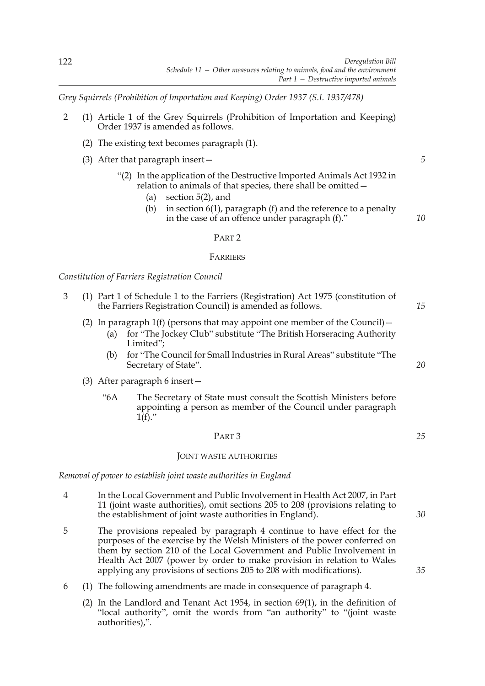*Grey Squirrels (Prohibition of Importation and Keeping) Order 1937 (S.I. 1937/478)*

- 2 (1) Article 1 of the Grey Squirrels (Prohibition of Importation and Keeping) Order 1937 is amended as follows.
	- (2) The existing text becomes paragraph (1).
	- (3) After that paragraph insert—
		- "(2) In the application of the Destructive Imported Animals Act 1932 in relation to animals of that species, there shall be omitted—
			- (a) section 5(2), and
			- (b) in section  $6(1)$ , paragraph (f) and the reference to a penalty in the case of an offence under paragraph (f)."

#### PART 2

#### FARRIERS

*Constitution of Farriers Registration Council*

- 3 (1) Part 1 of Schedule 1 to the Farriers (Registration) Act 1975 (constitution of the Farriers Registration Council) is amended as follows.
	- (2) In paragraph 1(f) (persons that may appoint one member of the Council)  $-$ 
		- (a) for "The Jockey Club" substitute "The British Horseracing Authority Limited";
		- (b) for "The Council for Small Industries in Rural Areas" substitute "The Secretary of State".
	- (3) After paragraph 6 insert—
		- "6A The Secretary of State must consult the Scottish Ministers before appointing a person as member of the Council under paragraph  $1(f)$ ."

#### PART 3

#### JOINT WASTE AUTHORITIES

*Removal of power to establish joint waste authorities in England*

- 4 In the Local Government and Public Involvement in Health Act 2007, in Part 11 (joint waste authorities), omit sections 205 to 208 (provisions relating to the establishment of joint waste authorities in England).
- 5 The provisions repealed by paragraph 4 continue to have effect for the purposes of the exercise by the Welsh Ministers of the power conferred on them by section 210 of the Local Government and Public Involvement in Health Act 2007 (power by order to make provision in relation to Wales applying any provisions of sections 205 to 208 with modifications).
- 6 (1) The following amendments are made in consequence of paragraph 4.
	- (2) In the Landlord and Tenant Act 1954, in section 69(1), in the definition of "local authority", omit the words from "an authority" to "(joint waste authorities),".

*5*

*10*

*15*

*20*

*25*

*35*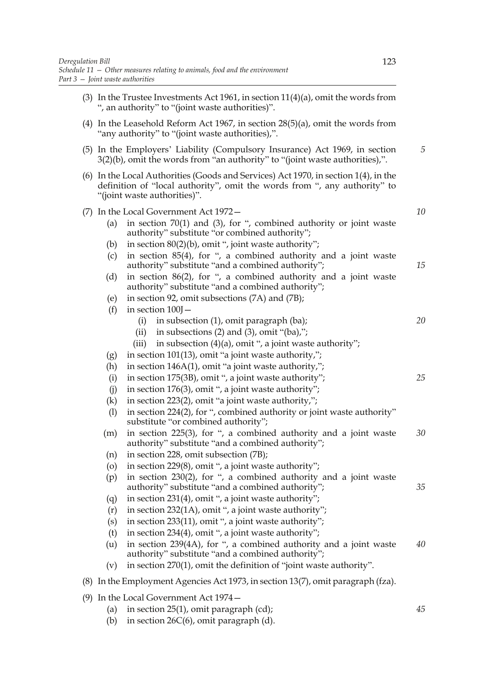- (3) In the Trustee Investments Act 1961, in section 11(4)(a), omit the words from ", an authority" to "(joint waste authorities)". (4) In the Leasehold Reform Act 1967, in section 28(5)(a), omit the words from "any authority" to "(joint waste authorities),". (5) In the Employers' Liability (Compulsory Insurance) Act 1969, in section 3(2)(b), omit the words from "an authority" to "(joint waste authorities),". (6) In the Local Authorities (Goods and Services) Act 1970, in section 1(4), in the definition of "local authority", omit the words from ", any authority" to "(joint waste authorities)". (7) In the Local Government Act 1972— (a) in section  $70(1)$  and (3), for ", combined authority or joint waste authority" substitute "or combined authority"; (b) in section 80(2)(b), omit ", joint waste authority"; (c) in section 85(4), for ", a combined authority and a joint waste authority" substitute "and a combined authority"; (d) in section 86(2), for ", a combined authority and a joint waste authority" substitute "and a combined authority"; (e) in section 92, omit subsections (7A) and (7B); (f) in section  $100$ <sup>-</sup> (i) in subsection (1), omit paragraph (ba); (ii) in subsections  $(2)$  and  $(3)$ , omit " $(ba)$ ,"; (iii) in subsection  $(4)(a)$ , omit ", a joint waste authority"; (g) in section 101(13), omit "a joint waste authority,"; (h) in section 146A(1), omit "a joint waste authority,"; (i) in section 175(3B), omit ", a joint waste authority"; (i) in section  $176(3)$ , omit ", a joint waste authority"; (k) in section 223(2), omit "a joint waste authority,"; (l) in section 224(2), for ", combined authority or joint waste authority" substitute "or combined authority"; (m) in section 225(3), for ", a combined authority and a joint waste authority" substitute "and a combined authority"; (n) in section 228, omit subsection (7B); (o) in section 229(8), omit ", a joint waste authority"; (p) in section 230(2), for ", a combined authority and a joint waste authority" substitute "and a combined authority"; (q) in section 231(4), omit ", a joint waste authority"; (r) in section 232(1A), omit ", a joint waste authority"; (s) in section 233(11), omit ", a joint waste authority"; (t) in section 234(4), omit ", a joint waste authority"; (u) in section 239(4A), for ", a combined authority and a joint waste authority" substitute "and a combined authority"; (v) in section 270(1), omit the definition of "joint waste authority". (8) In the Employment Agencies Act 1973, in section 13(7), omit paragraph (fza). (9) In the Local Government Act 1974— *5 10 15 20 25 30 35 40*
	- (a) in section 25(1), omit paragraph (cd);
	- (b) in section  $26C(6)$ , omit paragraph (d).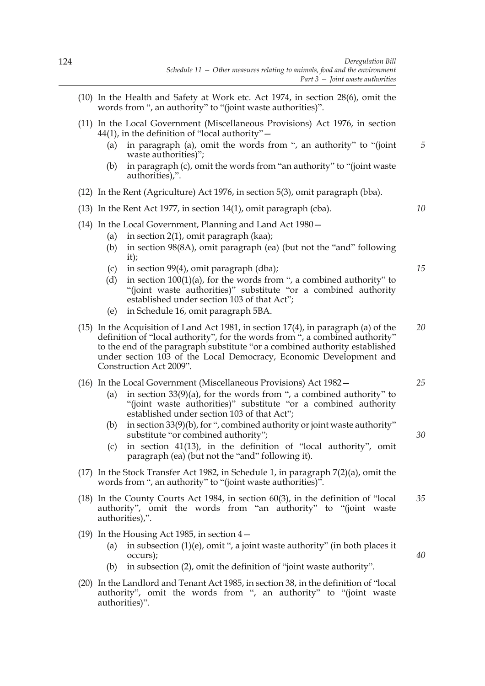- (10) In the Health and Safety at Work etc. Act 1974, in section 28(6), omit the words from ", an authority" to "(joint waste authorities)".
- (11) In the Local Government (Miscellaneous Provisions) Act 1976, in section  $44(1)$ , in the definition of "local authority" –
	- (a) in paragraph (a), omit the words from ", an authority" to "(joint waste authorities)";
	- (b) in paragraph (c), omit the words from "an authority" to "(joint waste authorities),".
- (12) In the Rent (Agriculture) Act 1976, in section 5(3), omit paragraph (bba).
- (13) In the Rent Act 1977, in section 14(1), omit paragraph (cba).
- (14) In the Local Government, Planning and Land Act 1980—
	- (a) in section  $2(1)$ , omit paragraph (kaa);
	- (b) in section 98(8A), omit paragraph (ea) (but not the "and" following it);
	- (c) in section 99(4), omit paragraph (dba);
	- (d) in section  $100(1)(a)$ , for the words from ", a combined authority" to "(joint waste authorities)" substitute "or a combined authority established under section 103 of that Act";
	- (e) in Schedule 16, omit paragraph 5BA.
- (15) In the Acquisition of Land Act 1981, in section 17(4), in paragraph (a) of the definition of "local authority", for the words from ", a combined authority" to the end of the paragraph substitute "or a combined authority established under section 103 of the Local Democracy, Economic Development and Construction Act 2009". *20*
- (16) In the Local Government (Miscellaneous Provisions) Act 1982—
	- (a) in section  $33(9)(a)$ , for the words from ", a combined authority" to "(joint waste authorities)" substitute "or a combined authority established under section 103 of that Act";
	- (b) in section 33(9)(b), for ", combined authority or joint waste authority" substitute "or combined authority";
	- (c) in section 41(13), in the definition of "local authority", omit paragraph (ea) (but not the "and" following it).
- (17) In the Stock Transfer Act 1982, in Schedule 1, in paragraph 7(2)(a), omit the words from ", an authority" to "(joint waste authorities)".
- (18) In the County Courts Act 1984, in section 60(3), in the definition of "local authority", omit the words from "an authority" to "(joint waste authorities),". *35*
- (19) In the Housing Act 1985, in section 4—
	- (a) in subsection (1)(e), omit ", a joint waste authority" (in both places it occurs);
	- (b) in subsection (2), omit the definition of "joint waste authority".
- (20) In the Landlord and Tenant Act 1985, in section 38, in the definition of "local authority", omit the words from ", an authority" to "(joint waste authorities)".

*15*

*5*

*10*

*30*

*25*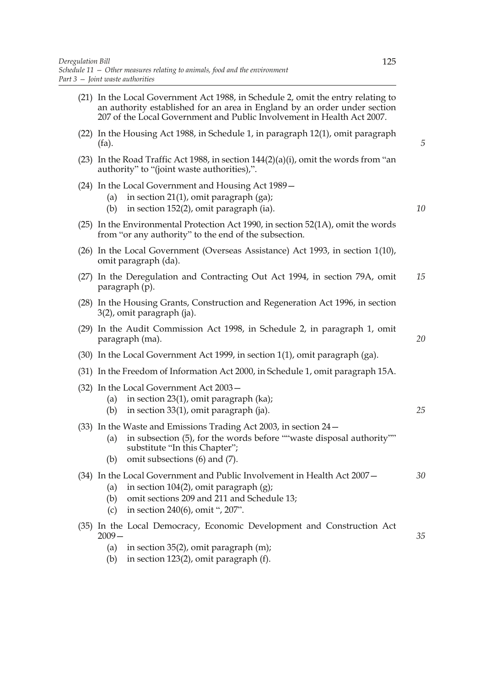| (21) In the Local Government Act 1988, in Schedule 2, omit the entry relating to<br>an authority established for an area in England by an order under section<br>207 of the Local Government and Public Involvement in Health Act 2007. |    |
|-----------------------------------------------------------------------------------------------------------------------------------------------------------------------------------------------------------------------------------------|----|
| (22) In the Housing Act 1988, in Schedule 1, in paragraph 12(1), omit paragraph<br>$(fa)$ .                                                                                                                                             | 5  |
| (23) In the Road Traffic Act 1988, in section $144(2)(a)(i)$ , omit the words from "an<br>authority" to "(joint waste authorities),".                                                                                                   |    |
| (24) In the Local Government and Housing Act 1989 –<br>in section $21(1)$ , omit paragraph (ga);<br>(a)<br>in section 152(2), omit paragraph (ia).<br>(b)                                                                               | 10 |
| $(25)$ In the Environmental Protection Act 1990, in section 52 $(1A)$ , omit the words<br>from "or any authority" to the end of the subsection.                                                                                         |    |
| (26) In the Local Government (Overseas Assistance) Act 1993, in section 1(10),<br>omit paragraph (da).                                                                                                                                  |    |
| (27) In the Deregulation and Contracting Out Act 1994, in section 79A, omit<br>paragraph (p).                                                                                                                                           | 15 |
| (28) In the Housing Grants, Construction and Regeneration Act 1996, in section<br>3(2), omit paragraph (ja).                                                                                                                            |    |
| (29) In the Audit Commission Act 1998, in Schedule 2, in paragraph 1, omit<br>paragraph (ma).                                                                                                                                           | 20 |
| $(30)$ In the Local Government Act 1999, in section 1(1), omit paragraph (ga).                                                                                                                                                          |    |
| (31) In the Freedom of Information Act 2000, in Schedule 1, omit paragraph 15A.                                                                                                                                                         |    |
| $(32)$ In the Local Government Act 2003 –<br>in section $23(1)$ , omit paragraph (ka);<br>(a)<br>in section $33(1)$ , omit paragraph (ja).<br>(b)                                                                                       | 25 |
| $(33)$ In the Waste and Emissions Trading Act 2003, in section 24 –<br>in subsection (5), for the words before ""waste disposal authority""<br>(a)<br>substitute "In this Chapter";<br>omit subsections (6) and (7).<br>(b)             |    |
| (34) In the Local Government and Public Involvement in Health Act 2007 –<br>in section $104(2)$ , omit paragraph $(g)$ ;<br>(a)<br>omit sections 209 and 211 and Schedule 13;<br>(b)<br>in section 240(6), omit ", 207".<br>(c)         | 30 |
| (35) In the Local Democracy, Economic Development and Construction Act<br>$2009-$<br>(a)<br>in section $35(2)$ , omit paragraph $(m)$ ;<br>in section $123(2)$ , omit paragraph $(f)$ .<br>(b)                                          | 35 |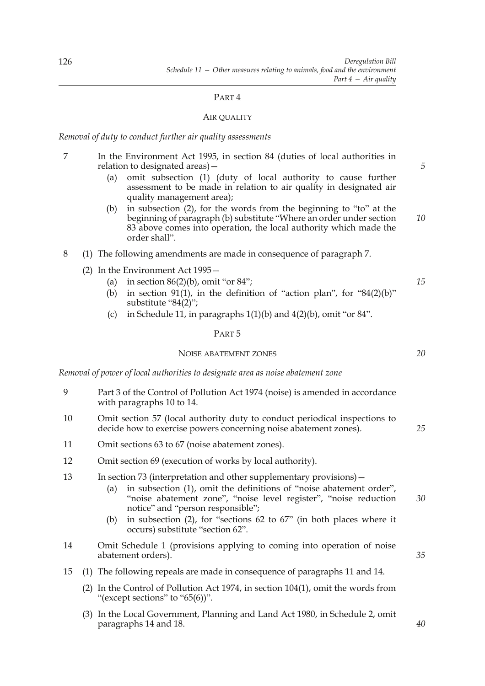#### PART 4

#### AIR QUALITY

*Removal of duty to conduct further air quality assessments*

- 7 In the Environment Act 1995, in section 84 (duties of local authorities in relation to designated areas)—
	- (a) omit subsection (1) (duty of local authority to cause further assessment to be made in relation to air quality in designated air quality management area);
	- (b) in subsection (2), for the words from the beginning to "to" at the beginning of paragraph (b) substitute "Where an order under section 83 above comes into operation, the local authority which made the order shall". *10*
- 8 (1) The following amendments are made in consequence of paragraph 7.
	- (2) In the Environment Act 1995—
		- (a) in section  $86(2)(b)$ , omit "or  $84$ ";
		- (b) in section 91(1), in the definition of "action plan", for  $"84(2)(b)"$ substitute "84(2)";
		- (c) in Schedule 11, in paragraphs  $1(1)(b)$  and  $4(2)(b)$ , omit "or  $84$ ".

#### PART 5

### NOISE ABATEMENT ZONES

*Removal of power of local authorities to designate area as noise abatement zone*

- 9 Part 3 of the Control of Pollution Act 1974 (noise) is amended in accordance with paragraphs 10 to 14.
- 10 Omit section 57 (local authority duty to conduct periodical inspections to decide how to exercise powers concerning noise abatement zones).
- 11 Omit sections 63 to 67 (noise abatement zones).
- 12 Omit section 69 (execution of works by local authority).
- 13 In section 73 (interpretation and other supplementary provisions)—
	- (a) in subsection (1), omit the definitions of "noise abatement order", "noise abatement zone", "noise level register", "noise reduction notice" and "person responsible"; *30*
	- (b) in subsection (2), for "sections 62 to 67" (in both places where it occurs) substitute "section 62".
- 14 Omit Schedule 1 (provisions applying to coming into operation of noise abatement orders).
- 15 (1) The following repeals are made in consequence of paragraphs 11 and 14.
	- (2) In the Control of Pollution Act 1974, in section 104(1), omit the words from "(except sections" to " $65(6)$ ".
	- (3) In the Local Government, Planning and Land Act 1980, in Schedule 2, omit paragraphs 14 and 18.

*20*

*15*

*5*

*25*

*35*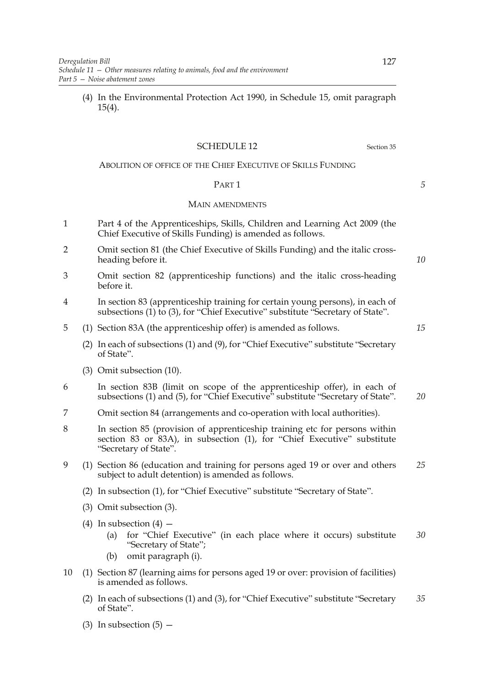(4) In the Environmental Protection Act 1990, in Schedule 15, omit paragraph 15(4).

### SCHEDULE 12 Section 35

## ABOLITION OF OFFICE OF THE CHIEF EXECUTIVE OF SKILLS FUNDING

#### PART 1

#### MAIN AMENDMENTS

- 1 Part 4 of the Apprenticeships, Skills, Children and Learning Act 2009 (the Chief Executive of Skills Funding) is amended as follows.
- 2 Omit section 81 (the Chief Executive of Skills Funding) and the italic crossheading before it.
- 3 Omit section 82 (apprenticeship functions) and the italic cross-heading before it.
- 4 In section 83 (apprenticeship training for certain young persons), in each of subsections (1) to (3), for "Chief Executive" substitute "Secretary of State".
- 5 (1) Section 83A (the apprenticeship offer) is amended as follows.
	- (2) In each of subsections (1) and (9), for "Chief Executive" substitute "Secretary of State".
	- (3) Omit subsection (10).
- 6 In section 83B (limit on scope of the apprenticeship offer), in each of subsections (1) and (5), for "Chief Executive" substitute "Secretary of State". *20*
- 7 Omit section 84 (arrangements and co-operation with local authorities).
- 8 In section 85 (provision of apprenticeship training etc for persons within section 83 or 83A), in subsection (1), for "Chief Executive" substitute "Secretary of State".
- 9 (1) Section 86 (education and training for persons aged 19 or over and others subject to adult detention) is amended as follows. *25*
	- (2) In subsection (1), for "Chief Executive" substitute "Secretary of State".
	- (3) Omit subsection (3).
	- (4) In subsection  $(4)$ 
		- (a) for "Chief Executive" (in each place where it occurs) substitute "Secretary of State"; *30*
		- (b) omit paragraph (i).
- 10 (1) Section 87 (learning aims for persons aged 19 or over: provision of facilities) is amended as follows.
	- (2) In each of subsections (1) and (3), for "Chief Executive" substitute "Secretary of State". *35*
	- (3) In subsection  $(5)$  –

*10*

*5*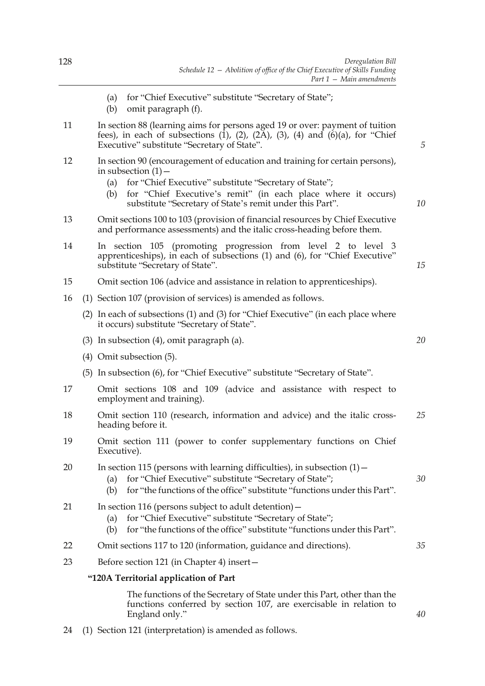- (a) for "Chief Executive" substitute "Secretary of State";
- (b) omit paragraph (f).
- 11 In section 88 (learning aims for persons aged 19 or over: payment of tuition fees), in each of subsections  $(1)$ ,  $(2)$ ,  $(2\overline{A})$ ,  $(3)$ ,  $(4)$  and  $(6)(a)$ , for "Chief Executive" substitute "Secretary of State".
- 12 In section 90 (encouragement of education and training for certain persons), in subsection  $(1)$  –
	- (a) for "Chief Executive" substitute "Secretary of State";
	- (b) for "Chief Executive's remit" (in each place where it occurs) substitute "Secretary of State's remit under this Part".
- 13 Omit sections 100 to 103 (provision of financial resources by Chief Executive and performance assessments) and the italic cross-heading before them.
- 14 In section 105 (promoting progression from level 2 to level 3 apprenticeships), in each of subsections (1) and (6), for "Chief Executive" substitute "Secretary of State".
- 15 Omit section 106 (advice and assistance in relation to apprenticeships).
- 16 (1) Section 107 (provision of services) is amended as follows.
	- (2) In each of subsections (1) and (3) for "Chief Executive" (in each place where it occurs) substitute "Secretary of State".
	- (3) In subsection (4), omit paragraph (a).
	- (4) Omit subsection (5).
	- (5) In subsection (6), for "Chief Executive" substitute "Secretary of State".
- 17 Omit sections 108 and 109 (advice and assistance with respect to employment and training).
- 18 Omit section 110 (research, information and advice) and the italic crossheading before it. *25*
- 19 Omit section 111 (power to confer supplementary functions on Chief Executive).
- 20 In section 115 (persons with learning difficulties), in subsection  $(1)$  -
	- (a) for "Chief Executive" substitute "Secretary of State";
	- (b) for "the functions of the office" substitute "functions under this Part".
- 21 In section 116 (persons subject to adult detention)
	- (a) for "Chief Executive" substitute "Secretary of State";
	- (b) for "the functions of the office" substitute "functions under this Part".
- 22 Omit sections 117 to 120 (information, guidance and directions).
- 23 Before section 121 (in Chapter 4) insert—

### **"120A Territorial application of Part**

The functions of the Secretary of State under this Part, other than the functions conferred by section 107, are exercisable in relation to England only."

24 (1) Section 121 (interpretation) is amended as follows.

*20*

*5*

*10*

*15*

*30*

*35*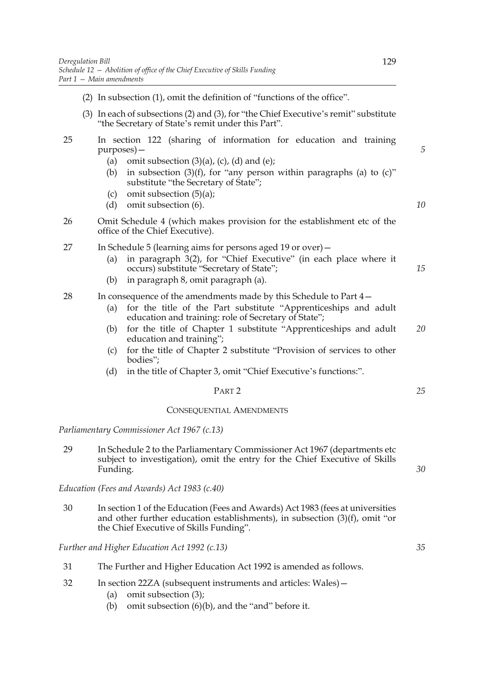(2) In subsection (1), omit the definition of "functions of the office". (3) In each of subsections (2) and (3), for "the Chief Executive's remit" substitute "the Secretary of State's remit under this Part". 25 In section 122 (sharing of information for education and training purposes)— (a) omit subsection  $(3)(a)$ ,  $(c)$ ,  $(d)$  and  $(e)$ ; (b) in subsection  $(3)(f)$ , for "any person within paragraphs (a) to  $(c)$ " substitute "the Secretary of State"; (c) omit subsection  $(5)(a)$ ; (d) omit subsection (6). 26 Omit Schedule 4 (which makes provision for the establishment etc of the office of the Chief Executive). 27 In Schedule 5 (learning aims for persons aged 19 or over)— (a) in paragraph 3(2), for "Chief Executive" (in each place where it occurs) substitute "Secretary of State"; (b) in paragraph 8, omit paragraph (a). 28 In consequence of the amendments made by this Schedule to Part 4— (a) for the title of the Part substitute "Apprenticeships and adult education and training: role of Secretary of State"; (b) for the title of Chapter 1 substitute "Apprenticeships and adult education and training"; (c) for the title of Chapter 2 substitute "Provision of services to other bodies"; (d) in the title of Chapter 3, omit "Chief Executive's functions:". PART 2 *5 10 15 20 25*

#### CONSEQUENTIAL AMENDMENTS

### *Parliamentary Commissioner Act 1967 (c.13)*

29 In Schedule 2 to the Parliamentary Commissioner Act 1967 (departments etc subject to investigation), omit the entry for the Chief Executive of Skills Funding.

*Education (Fees and Awards) Act 1983 (c.40)*

30 In section 1 of the Education (Fees and Awards) Act 1983 (fees at universities and other further education establishments), in subsection (3)(f), omit "or the Chief Executive of Skills Funding".

*Further and Higher Education Act 1992 (c.13)*

- 31 The Further and Higher Education Act 1992 is amended as follows.
- 32 In section 22ZA (subsequent instruments and articles: Wales)—
	- (a) omit subsection (3);
	- (b) omit subsection (6)(b), and the "and" before it.

*30*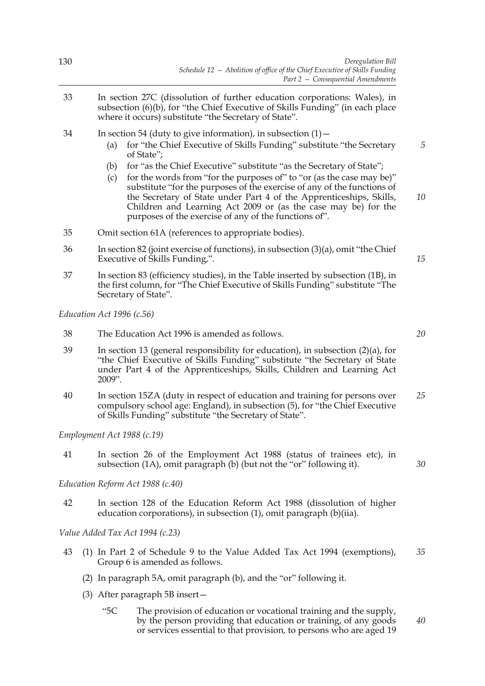- 33 In section 27C (dissolution of further education corporations: Wales), in subsection (6)(b), for "the Chief Executive of Skills Funding" (in each place where it occurs) substitute "the Secretary of State".
- 34 In section 54 (duty to give information), in subsection (1)—
	- (a) for "the Chief Executive of Skills Funding" substitute "the Secretary of State";
	- (b) for "as the Chief Executive" substitute "as the Secretary of State";
	- (c) for the words from "for the purposes of" to "or (as the case may be)" substitute "for the purposes of the exercise of any of the functions of the Secretary of State under Part 4 of the Apprenticeships, Skills, Children and Learning Act 2009 or (as the case may be) for the purposes of the exercise of any of the functions of".
- 35 Omit section 61A (references to appropriate bodies).
- 36 In section 82 (joint exercise of functions), in subsection (3)(a), omit "the Chief Executive of Skills Funding,".
- 37 In section 83 (efficiency studies), in the Table inserted by subsection (1B), in the first column, for "The Chief Executive of Skills Funding" substitute "The Secretary of State".

*Education Act 1996 (c.56)*

- 38 The Education Act 1996 is amended as follows.
- 39 In section 13 (general responsibility for education), in subsection (2)(a), for "the Chief Executive of Skills Funding" substitute "the Secretary of State under Part 4 of the Apprenticeships, Skills, Children and Learning Act 2009".
- 40 In section 15ZA (duty in respect of education and training for persons over compulsory school age: England), in subsection (5), for "the Chief Executive of Skills Funding" substitute "the Secretary of State". *25*

*Employment Act 1988 (c.19)*

41 In section 26 of the Employment Act 1988 (status of trainees etc), in subsection (1A), omit paragraph (b) (but not the "or" following it).

*Education Reform Act 1988 (c.40)*

42 In section 128 of the Education Reform Act 1988 (dissolution of higher education corporations), in subsection (1), omit paragraph (b)(iia).

*Value Added Tax Act 1994 (c.23)*

- 43 (1) In Part 2 of Schedule 9 to the Value Added Tax Act 1994 (exemptions), Group 6 is amended as follows. *35*
	- (2) In paragraph 5A, omit paragraph (b), and the "or" following it.
	- (3) After paragraph 5B insert—
		- "5C The provision of education or vocational training and the supply, by the person providing that education or training, of any goods or services essential to that provision, to persons who are aged 19 *40*

*20*

*5*

*10*

*15*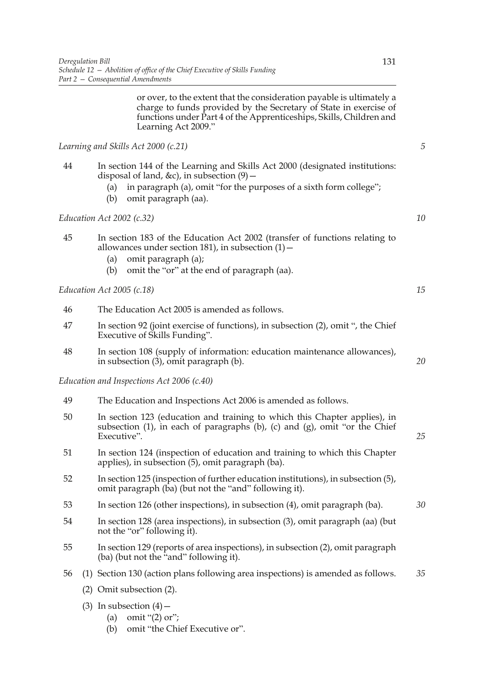or over, to the extent that the consideration payable is ultimately a charge to funds provided by the Secretary of State in exercise of functions under Part 4 of the Apprenticeships, Skills, Children and Learning Act 2009."

*Learning and Skills Act 2000 (c.21)*

- 44 In section 144 of the Learning and Skills Act 2000 (designated institutions: disposal of land, &c), in subsection (9)—
	- (a) in paragraph (a), omit "for the purposes of a sixth form college";
	- (b) omit paragraph (aa).

*Education Act 2002 (c.32)*

- 45 In section 183 of the Education Act 2002 (transfer of functions relating to allowances under section 181), in subsection  $(1)$  -
	- (a) omit paragraph (a);
	- (b) omit the "or" at the end of paragraph (aa).

*Education Act 2005 (c.18)*

46 The Education Act 2005 is amended as follows. 47 In section 92 (joint exercise of functions), in subsection (2), omit ", the Chief Executive of Skills Funding". 48 In section 108 (supply of information: education maintenance allowances), in subsection (3), omit paragraph (b).

*Education and Inspections Act 2006 (c.40)*

- 49 The Education and Inspections Act 2006 is amended as follows.
- 50 In section 123 (education and training to which this Chapter applies), in subsection  $(1)$ , in each of paragraphs  $(b)$ ,  $(c)$  and  $(g)$ , omit "or the Chief Executive".
- 51 In section 124 (inspection of education and training to which this Chapter applies), in subsection (5), omit paragraph (ba).
- 52 In section 125 (inspection of further education institutions), in subsection (5), omit paragraph (ba) (but not the "and" following it).
- 53 In section 126 (other inspections), in subsection (4), omit paragraph (ba).
- 54 In section 128 (area inspections), in subsection (3), omit paragraph (aa) (but not the "or" following it).
- 55 In section 129 (reports of area inspections), in subsection (2), omit paragraph (ba) (but not the "and" following it).
- 56 (1) Section 130 (action plans following area inspections) is amended as follows. *35*
	- (2) Omit subsection (2).
	- (3) In subsection  $(4)$ 
		- (a) omit "(2) or";
		- (b) omit "the Chief Executive or".

*5*

*10*

*15*

*20*

*25*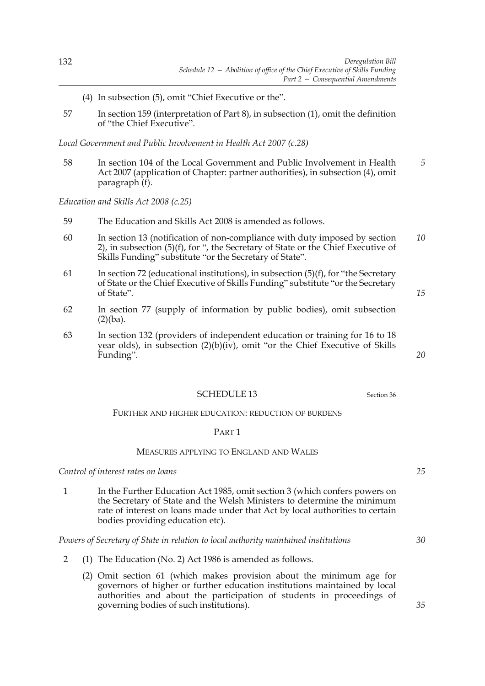- (4) In subsection (5), omit "Chief Executive or the".
- 57 In section 159 (interpretation of Part 8), in subsection (1), omit the definition of "the Chief Executive".

*Local Government and Public Involvement in Health Act 2007 (c.28)*

58 In section 104 of the Local Government and Public Involvement in Health Act 2007 (application of Chapter: partner authorities), in subsection (4), omit paragraph (f). *5*

*Education and Skills Act 2008 (c.25)*

- 59 The Education and Skills Act 2008 is amended as follows.
- 60 In section 13 (notification of non-compliance with duty imposed by section 2), in subsection (5)(f), for ", the Secretary of State or the Chief Executive of Skills Funding" substitute "or the Secretary of State". *10*
- 61 In section 72 (educational institutions), in subsection  $(5)(f)$ , for "the Secretary" of State or the Chief Executive of Skills Funding" substitute "or the Secretary of State".
- 62 In section 77 (supply of information by public bodies), omit subsection (2)(ba).
- 63 In section 132 (providers of independent education or training for 16 to 18 year olds), in subsection (2)(b)(iv), omit "or the Chief Executive of Skills Funding".

## SCHEDULE 13 Section 36

FURTHER AND HIGHER EDUCATION: REDUCTION OF BURDENS

### PART 1

### MEASURES APPLYING TO ENGLAND AND WALES

*Control of interest rates on loans*

1 In the Further Education Act 1985, omit section 3 (which confers powers on the Secretary of State and the Welsh Ministers to determine the minimum rate of interest on loans made under that Act by local authorities to certain bodies providing education etc).

### *Powers of Secretary of State in relation to local authority maintained institutions*

- 2 (1) The Education (No. 2) Act 1986 is amended as follows.
	- (2) Omit section 61 (which makes provision about the minimum age for governors of higher or further education institutions maintained by local authorities and about the participation of students in proceedings of governing bodies of such institutions).

*15*

*20*

*25*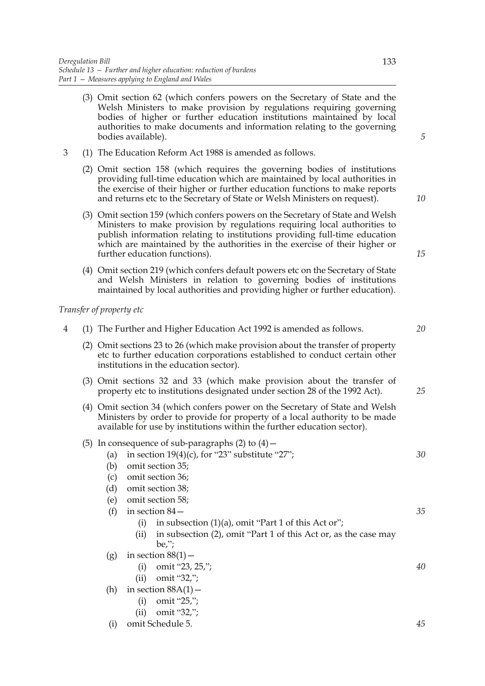- (3) Omit section 62 (which confers powers on the Secretary of State and the Welsh Ministers to make provision by regulations requiring governing bodies of higher or further education institutions maintained by local authorities to make documents and information relating to the governing bodies available).
- 3 (1) The Education Reform Act 1988 is amended as follows.
	- (2) Omit section 158 (which requires the governing bodies of institutions providing full-time education which are maintained by local authorities in the exercise of their higher or further education functions to make reports and returns etc to the Secretary of State or Welsh Ministers on request).
	- (3) Omit section 159 (which confers powers on the Secretary of State and Welsh Ministers to make provision by regulations requiring local authorities to publish information relating to institutions providing full-time education which are maintained by the authorities in the exercise of their higher or further education functions).
	- (4) Omit section 219 (which confers default powers etc on the Secretary of State and Welsh Ministers in relation to governing bodies of institutions maintained by local authorities and providing higher or further education).

### *Transfer of property etc*

- 4 (1) The Further and Higher Education Act 1992 is amended as follows. (2) Omit sections 23 to 26 (which make provision about the transfer of property etc to further education corporations established to conduct certain other institutions in the education sector).
	- (3) Omit sections 32 and 33 (which make provision about the transfer of property etc to institutions designated under section 28 of the 1992 Act).
	- (4) Omit section 34 (which confers power on the Secretary of State and Welsh Ministers by order to provide for property of a local authority to be made available for use by institutions within the further education sector).
	- (5) In consequence of sub-paragraphs  $(2)$  to  $(4)$  -
		- (a) in section  $19(4)(c)$ , for "23" substitute "27";
		- (b) omit section 35;
		- (c) omit section 36;
		- (d) omit section 38;
		- (e) omit section 58;
		- (f) in section 84—
			- (i) in subsection  $(1)(a)$ , omit "Part 1 of this Act or";
			- (ii) in subsection (2), omit "Part 1 of this Act or, as the case may be,";
		- (g) in section  $88(1)$ 
			- (i) omit "23, 25,";
			- (ii) omit "32,";
		- (h) in section  $88A(1)$ 
			- (i) omit "25,";
			- (ii) omit "32,";
		- (i) omit Schedule 5.

*5*

*10*

*15*

*20*

*25*

*35*

*30*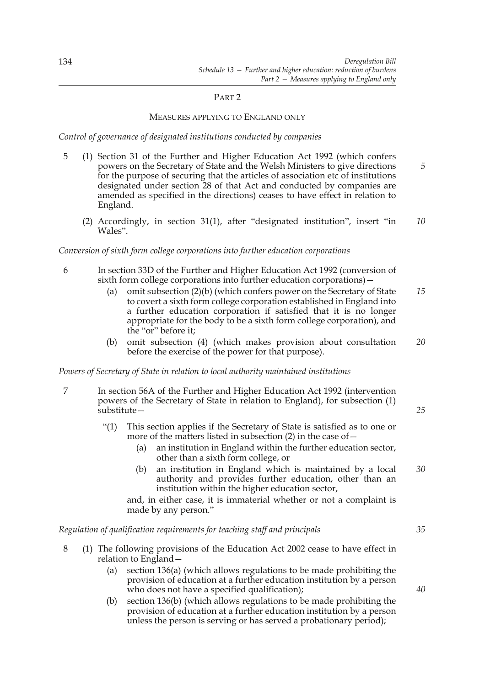### PART 2

### MEASURES APPLYING TO ENGLAND ONLY

*Control of governance of designated institutions conducted by companies*

- 5 (1) Section 31 of the Further and Higher Education Act 1992 (which confers powers on the Secretary of State and the Welsh Ministers to give directions for the purpose of securing that the articles of association etc of institutions designated under section 28 of that Act and conducted by companies are amended as specified in the directions) ceases to have effect in relation to England. *5*
	- (2) Accordingly, in section 31(1), after "designated institution", insert "in Wales". *10*

### *Conversion of sixth form college corporations into further education corporations*

- 6 In section 33D of the Further and Higher Education Act 1992 (conversion of sixth form college corporations into further education corporations)—
	- (a) omit subsection (2)(b) (which confers power on the Secretary of State to covert a sixth form college corporation established in England into a further education corporation if satisfied that it is no longer appropriate for the body to be a sixth form college corporation), and the "or" before it; *15*
	- (b) omit subsection (4) (which makes provision about consultation before the exercise of the power for that purpose). *20*

### *Powers of Secretary of State in relation to local authority maintained institutions*

- 7 In section 56A of the Further and Higher Education Act 1992 (intervention powers of the Secretary of State in relation to England), for subsection (1) substitute—
	- "(1) This section applies if the Secretary of State is satisfied as to one or more of the matters listed in subsection  $(2)$  in the case of  $-$ 
		- (a) an institution in England within the further education sector, other than a sixth form college, or
		- (b) an institution in England which is maintained by a local authority and provides further education, other than an institution within the higher education sector, *30*

and, in either case, it is immaterial whether or not a complaint is made by any person."

### *Regulation of qualification requirements for teaching staff and principals*

- 8 (1) The following provisions of the Education Act 2002 cease to have effect in relation to England—
	- (a) section 136(a) (which allows regulations to be made prohibiting the provision of education at a further education institution by a person who does not have a specified qualification);
	- (b) section 136(b) (which allows regulations to be made prohibiting the provision of education at a further education institution by a person unless the person is serving or has served a probationary period);

*40*

*35*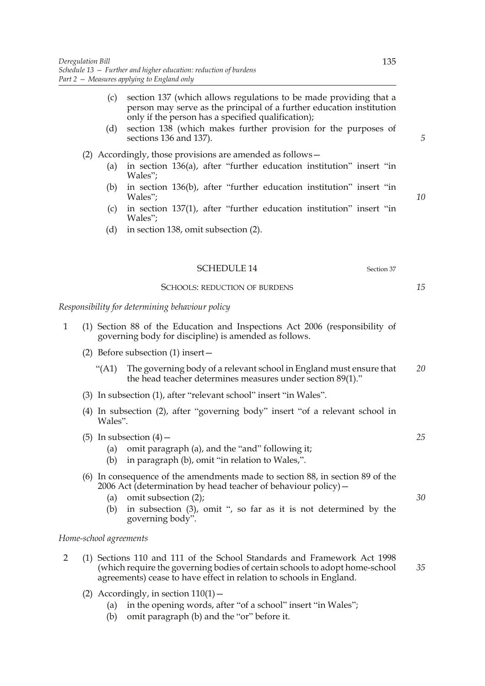|              | (c)<br>(d) | section 137 (which allows regulations to be made providing that a<br>person may serve as the principal of a further education institution<br>only if the person has a specified qualification);<br>section 138 (which makes further provision for the purposes of<br>sections 136 and 137). | 5  |
|--------------|------------|---------------------------------------------------------------------------------------------------------------------------------------------------------------------------------------------------------------------------------------------------------------------------------------------|----|
|              |            | (2) Accordingly, those provisions are amended as follows –                                                                                                                                                                                                                                  |    |
|              | (a)        | in section 136(a), after "further education institution" insert "in<br>Wales";                                                                                                                                                                                                              |    |
|              | (b)        | in section 136(b), after "further education institution" insert "in<br>Wales";                                                                                                                                                                                                              | 10 |
|              | (c)        | in section 137(1), after "further education institution" insert "in<br>Wales";                                                                                                                                                                                                              |    |
|              | (d)        | in section 138, omit subsection (2).                                                                                                                                                                                                                                                        |    |
|              |            |                                                                                                                                                                                                                                                                                             |    |
|              |            | <b>SCHEDULE 14</b><br>Section 37                                                                                                                                                                                                                                                            |    |
|              |            | <b>SCHOOLS: REDUCTION OF BURDENS</b>                                                                                                                                                                                                                                                        | 15 |
|              |            | Responsibility for determining behaviour policy                                                                                                                                                                                                                                             |    |
| $\mathbf{1}$ |            | (1) Section 88 of the Education and Inspections Act 2006 (responsibility of<br>governing body for discipline) is amended as follows.                                                                                                                                                        |    |
|              |            | (2) Before subsection $(1)$ insert $-$                                                                                                                                                                                                                                                      |    |
|              | " $(A1)$   | The governing body of a relevant school in England must ensure that<br>the head teacher determines measures under section 89(1)."                                                                                                                                                           | 20 |

- (3) In subsection (1), after "relevant school" insert "in Wales".
- (4) In subsection (2), after "governing body" insert "of a relevant school in Wales".

(5) In subsection  $(4)$  –

- (a) omit paragraph (a), and the "and" following it;
- (b) in paragraph (b), omit "in relation to Wales,".

# (6) In consequence of the amendments made to section 88, in section 89 of the 2006 Act (determination by head teacher of behaviour policy)—

- (a) omit subsection (2);
- (b) in subsection (3), omit ", so far as it is not determined by the governing body".

### *Home-school agreements*

- 2 (1) Sections 110 and 111 of the School Standards and Framework Act 1998 (which require the governing bodies of certain schools to adopt home-school agreements) cease to have effect in relation to schools in England.
	- (2) Accordingly, in section  $110(1)$  -
		- (a) in the opening words, after "of a school" insert "in Wales";
		- (b) omit paragraph (b) and the "or" before it.

*25*

*30*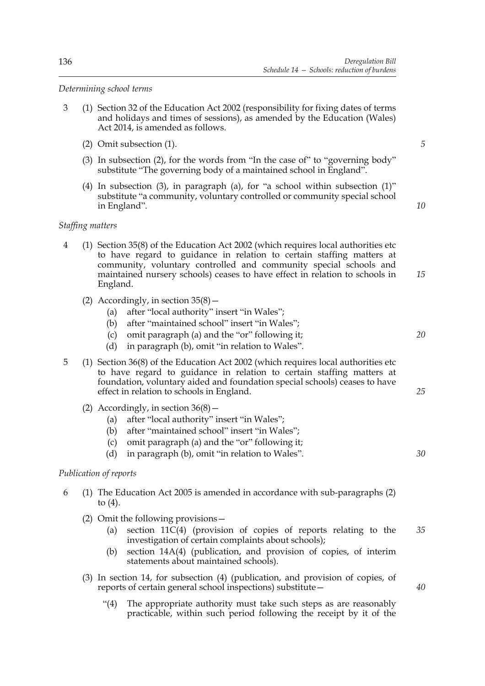*Determining school terms*

- 3 (1) Section 32 of the Education Act 2002 (responsibility for fixing dates of terms and holidays and times of sessions), as amended by the Education (Wales) Act 2014, is amended as follows.
	- (2) Omit subsection (1).
	- (3) In subsection (2), for the words from "In the case of" to "governing body" substitute "The governing body of a maintained school in England".
	- (4) In subsection (3), in paragraph (a), for "a school within subsection (1)" substitute "a community, voluntary controlled or community special school in England".

*10*

*20*

*25*

*30*

*5*

### *Staffing matters*

- 4 (1) Section 35(8) of the Education Act 2002 (which requires local authorities etc to have regard to guidance in relation to certain staffing matters at community, voluntary controlled and community special schools and maintained nursery schools) ceases to have effect in relation to schools in England. *15*
	- (2) Accordingly, in section  $35(8)$  -
		- (a) after "local authority" insert "in Wales";
		- (b) after "maintained school" insert "in Wales";
		- (c) omit paragraph (a) and the "or" following it;
		- (d) in paragraph (b), omit "in relation to Wales".
- 5 (1) Section 36(8) of the Education Act 2002 (which requires local authorities etc to have regard to guidance in relation to certain staffing matters at foundation, voluntary aided and foundation special schools) ceases to have effect in relation to schools in England.
	- (2) Accordingly, in section  $36(8)$  -
		- (a) after "local authority" insert "in Wales";
		- (b) after "maintained school" insert "in Wales";
		- (c) omit paragraph (a) and the "or" following it;
		- (d) in paragraph (b), omit "in relation to Wales".

### *Publication of reports*

- 6 (1) The Education Act 2005 is amended in accordance with sub-paragraphs (2) to (4).
	- (2) Omit the following provisions—
		- (a) section 11C(4) (provision of copies of reports relating to the investigation of certain complaints about schools); *35*
		- (b) section 14A(4) (publication, and provision of copies, of interim statements about maintained schools).
	- (3) In section 14, for subsection (4) (publication, and provision of copies, of reports of certain general school inspections) substitute—
		- "(4) The appropriate authority must take such steps as are reasonably practicable, within such period following the receipt by it of the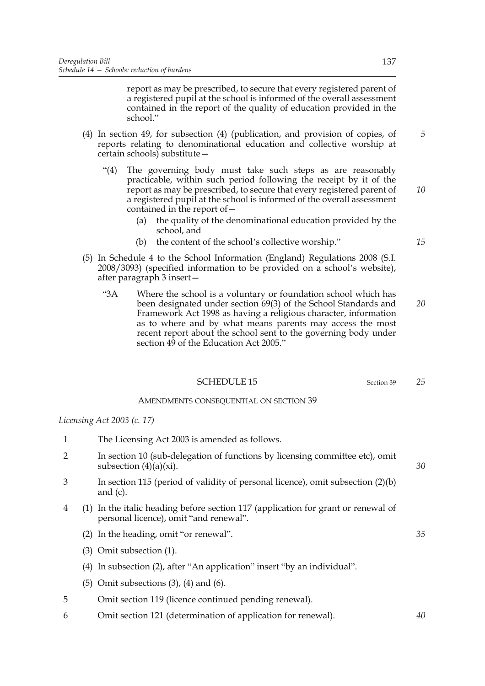report as may be prescribed, to secure that every registered parent of a registered pupil at the school is informed of the overall assessment contained in the report of the quality of education provided in the school."

- (4) In section 49, for subsection (4) (publication, and provision of copies, of reports relating to denominational education and collective worship at certain schools) substitute—
	- "(4) The governing body must take such steps as are reasonably practicable, within such period following the receipt by it of the report as may be prescribed, to secure that every registered parent of a registered pupil at the school is informed of the overall assessment contained in the report of— *10*
		- (a) the quality of the denominational education provided by the school, and
		- (b) the content of the school's collective worship."
- (5) In Schedule 4 to the School Information (England) Regulations 2008 (S.I. 2008/3093) (specified information to be provided on a school's website), after paragraph 3 insert—
	- "3A Where the school is a voluntary or foundation school which has been designated under section 69(3) of the School Standards and Framework Act 1998 as having a religious character, information as to where and by what means parents may access the most recent report about the school sent to the governing body under section 49 of the Education Act 2005." *20*

### SCHEDULE 15 Section 39

## AMENDMENTS CONSEQUENTIAL ON SECTION 39

*Licensing Act 2003 (c. 17)*

- 1 The Licensing Act 2003 is amended as follows.
- 2 In section 10 (sub-delegation of functions by licensing committee etc), omit subsection  $(4)(a)(xi)$ .
- 3 In section 115 (period of validity of personal licence), omit subsection (2)(b) and (c).
- 4 (1) In the italic heading before section 117 (application for grant or renewal of personal licence), omit "and renewal".
	- (2) In the heading, omit "or renewal".
	- (3) Omit subsection (1).
	- (4) In subsection (2), after "An application" insert "by an individual".
	- (5) Omit subsections (3), (4) and (6).
- 5 Omit section 119 (licence continued pending renewal).
- 6 Omit section 121 (determination of application for renewal).

*25*

*40*

*15*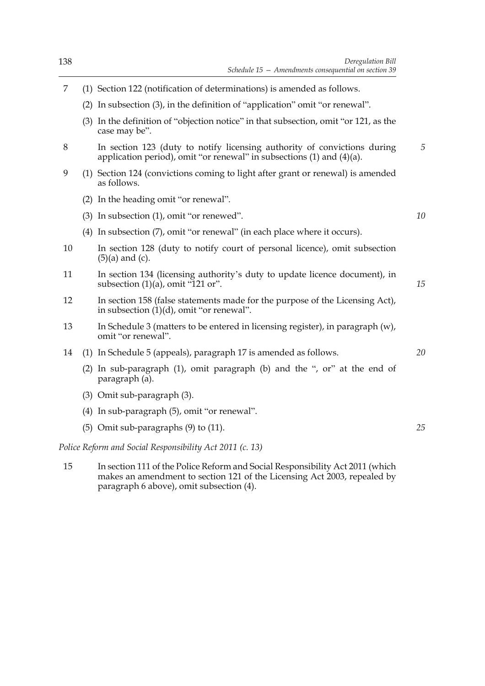- (2) In subsection (3), in the definition of "application" omit "or renewal".
- (3) In the definition of "objection notice" in that subsection, omit "or 121, as the case may be".
- 8 In section 123 (duty to notify licensing authority of convictions during application period), omit "or renewal" in subsections (1) and (4)(a). *5*
- 9 (1) Section 124 (convictions coming to light after grant or renewal) is amended as follows.
	- (2) In the heading omit "or renewal".
	- (3) In subsection (1), omit "or renewed".
	- (4) In subsection (7), omit "or renewal" (in each place where it occurs).
- 10 In section 128 (duty to notify court of personal licence), omit subsection  $(5)(a)$  and  $(c)$ .
- 11 In section 134 (licensing authority's duty to update licence document), in subsection  $(1)(a)$ , omit "121 or". *15*
- 12 In section 158 (false statements made for the purpose of the Licensing Act), in subsection  $(1)(d)$ , omit "or renewal".
- 13 In Schedule 3 (matters to be entered in licensing register), in paragraph (w), omit "or renewal".
- 14 (1) In Schedule 5 (appeals), paragraph 17 is amended as follows.
	- (2) In sub-paragraph (1), omit paragraph (b) and the ", or" at the end of paragraph (a).
	- (3) Omit sub-paragraph (3).
	- (4) In sub-paragraph (5), omit "or renewal".
	- (5) Omit sub-paragraphs (9) to (11).

*Police Reform and Social Responsibility Act 2011 (c. 13)*

15 In section 111 of the Police Reform and Social Responsibility Act 2011 (which makes an amendment to section 121 of the Licensing Act 2003, repealed by paragraph 6 above), omit subsection (4).

*20*

*10*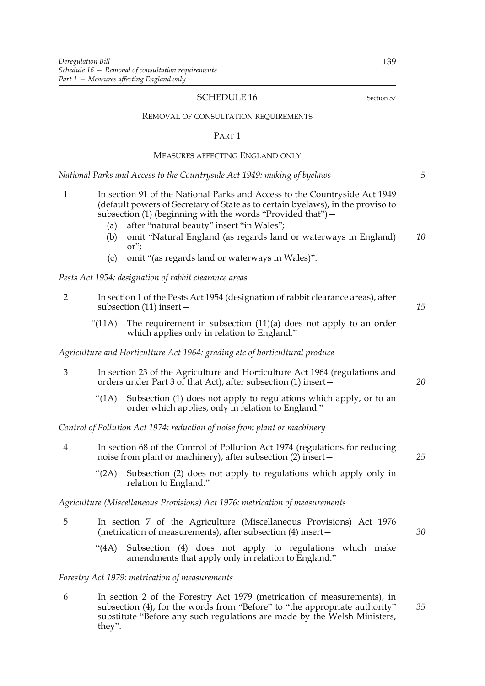## SCHEDULE 16 Section 57

#### REMOVAL OF CONSULTATION REQUIREMENTS

#### PART 1

## MEASURES AFFECTING ENGLAND ONLY

*National Parks and Access to the Countryside Act 1949: making of byelaws*

| 1 | In section 91 of the National Parks and Access to the Countryside Act 1949      |
|---|---------------------------------------------------------------------------------|
|   | (default powers of Secretary of State as to certain byelaws), in the proviso to |
|   | subsection $(1)$ (beginning with the words "Provided that") –                   |
|   |                                                                                 |

- (a) after "natural beauty" insert "in Wales";
- (b) omit "Natural England (as regards land or waterways in England) or"; *10*
- (c) omit "(as regards land or waterways in Wales)".

*Pests Act 1954: designation of rabbit clearance areas*

| $\overline{2}$ | In section 1 of the Pests Act 1954 (designation of rabbit clearance areas), after<br>subsection $(11)$ insert -                     |                                                                                                                                               |    |  |
|----------------|-------------------------------------------------------------------------------------------------------------------------------------|-----------------------------------------------------------------------------------------------------------------------------------------------|----|--|
|                | " $(11A)$                                                                                                                           | The requirement in subsection $(11)(a)$ does not apply to an order<br>which applies only in relation to England."                             |    |  |
|                |                                                                                                                                     | Agriculture and Horticulture Act 1964: grading etc of horticultural produce                                                                   |    |  |
| $\mathfrak{Z}$ |                                                                                                                                     | In section 23 of the Agriculture and Horticulture Act 1964 (regulations and<br>orders under Part 3 of that Act), after subsection (1) insert- | 20 |  |
|                | "(1A)                                                                                                                               | Subsection (1) does not apply to regulations which apply, or to an<br>order which applies, only in relation to England."                      |    |  |
|                |                                                                                                                                     | Control of Pollution Act 1974: reduction of noise from plant or machinery                                                                     |    |  |
| 4              |                                                                                                                                     | In section 68 of the Control of Pollution Act 1974 (regulations for reducing<br>noise from plant or machinery), after subsection (2) insert-  |    |  |
|                | " $(2A)$                                                                                                                            | Subsection (2) does not apply to regulations which apply only in<br>relation to England."                                                     |    |  |
|                |                                                                                                                                     | Agriculture (Miscellaneous Provisions) Act 1976: metrication of measurements                                                                  |    |  |
| 5              | In section 7 of the Agriculture (Miscellaneous Provisions) Act 1976<br>(metrication of measurements), after subsection (4) insert - |                                                                                                                                               |    |  |
|                | (4A)                                                                                                                                | Subsection (4) does not apply to regulations which make<br>amendments that apply only in relation to England."                                |    |  |
|                |                                                                                                                                     | Forestry Act 1979: metrication of measurements                                                                                                |    |  |
|                |                                                                                                                                     |                                                                                                                                               |    |  |

6 In section 2 of the Forestry Act 1979 (metrication of measurements), in subsection (4), for the words from "Before" to "the appropriate authority" substitute "Before any such regulations are made by the Welsh Ministers, they". *35*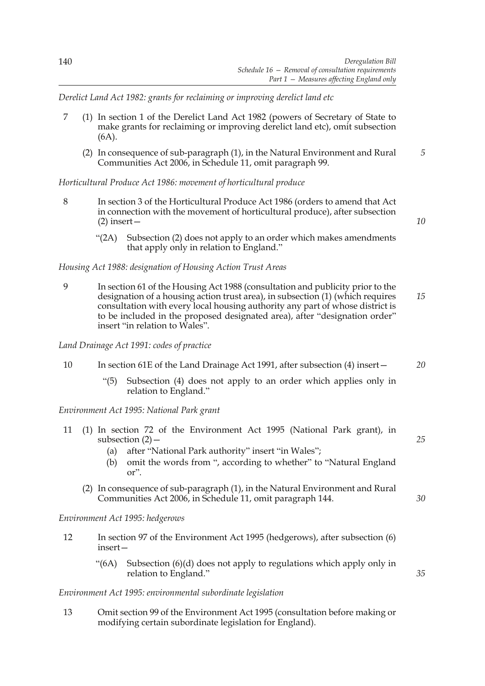*Derelict Land Act 1982: grants for reclaiming or improving derelict land etc*

- 7 (1) In section 1 of the Derelict Land Act 1982 (powers of Secretary of State to make grants for reclaiming or improving derelict land etc), omit subsection (6A).
	- (2) In consequence of sub-paragraph (1), in the Natural Environment and Rural Communities Act 2006, in Schedule 11, omit paragraph 99. *5*

*Horticultural Produce Act 1986: movement of horticultural produce*

- 8 In section 3 of the Horticultural Produce Act 1986 (orders to amend that Act in connection with the movement of horticultural produce), after subsection (2) insert—
	- "(2A) Subsection (2) does not apply to an order which makes amendments that apply only in relation to England."

# *Housing Act 1988: designation of Housing Action Trust Areas*

9 In section 61 of the Housing Act 1988 (consultation and publicity prior to the designation of a housing action trust area), in subsection (1) (which requires consultation with every local housing authority any part of whose district is to be included in the proposed designated area), after "designation order" insert "in relation to Wales". *15*

*Land Drainage Act 1991: codes of practice*

- 10 In section 61E of the Land Drainage Act 1991, after subsection (4) insert—
	- "(5) Subsection (4) does not apply to an order which applies only in relation to England."

*Environment Act 1995: National Park grant*

- 11 (1) In section 72 of the Environment Act 1995 (National Park grant), in subsection  $(2)$  – *25*
	- (a) after "National Park authority" insert "in Wales";
	- (b) omit the words from ", according to whether" to "Natural England or".
	- (2) In consequence of sub-paragraph (1), in the Natural Environment and Rural Communities Act 2006, in Schedule 11, omit paragraph 144.

*Environment Act 1995: hedgerows*

- 12 In section 97 of the Environment Act 1995 (hedgerows), after subsection (6) insert—
	- "(6A) Subsection (6)(d) does not apply to regulations which apply only in relation to England."

# *Environment Act 1995: environmental subordinate legislation*

13 Omit section 99 of the Environment Act 1995 (consultation before making or modifying certain subordinate legislation for England).

*20*

*10*

*30*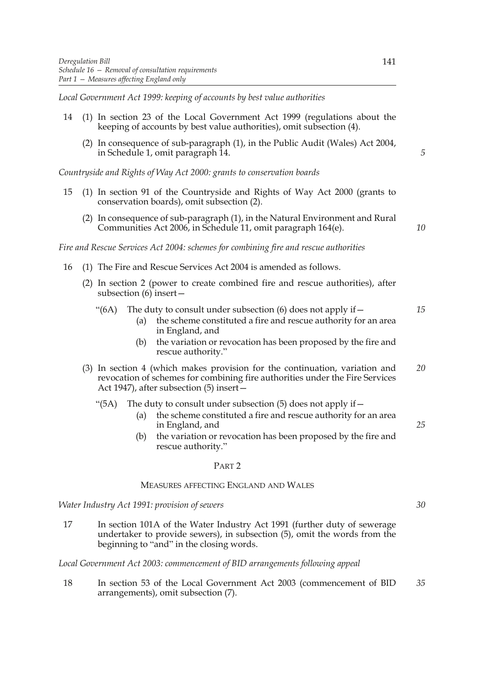*Local Government Act 1999: keeping of accounts by best value authorities*

- 14 (1) In section 23 of the Local Government Act 1999 (regulations about the keeping of accounts by best value authorities), omit subsection (4).
	- (2) In consequence of sub-paragraph (1), in the Public Audit (Wales) Act 2004, in Schedule 1, omit paragraph 14.

*Countryside and Rights of Way Act 2000: grants to conservation boards*

- 15 (1) In section 91 of the Countryside and Rights of Way Act 2000 (grants to conservation boards), omit subsection (2).
	- (2) In consequence of sub-paragraph (1), in the Natural Environment and Rural Communities Act 2006, in Schedule 11, omit paragraph 164(e).

*Fire and Rescue Services Act 2004: schemes for combining fire and rescue authorities*

- 16 (1) The Fire and Rescue Services Act 2004 is amended as follows.
	- (2) In section 2 (power to create combined fire and rescue authorities), after subsection (6) insert—
		- "(6A) The duty to consult under subsection (6) does not apply if  $-$ *15*
			- (a) the scheme constituted a fire and rescue authority for an area in England, and
			- (b) the variation or revocation has been proposed by the fire and rescue authority."
	- (3) In section 4 (which makes provision for the continuation, variation and revocation of schemes for combining fire authorities under the Fire Services Act 1947), after subsection (5) insert— *20*

#### "(5A) The duty to consult under subsection (5) does not apply if  $-$

- (a) the scheme constituted a fire and rescue authority for an area in England, and
- (b) the variation or revocation has been proposed by the fire and rescue authority."

#### PART 2

# MEASURES AFFECTING ENGLAND AND WALES

*Water Industry Act 1991: provision of sewers*

17 In section 101A of the Water Industry Act 1991 (further duty of sewerage undertaker to provide sewers), in subsection (5), omit the words from the beginning to "and" in the closing words.

*Local Government Act 2003: commencement of BID arrangements following appeal*

18 In section 53 of the Local Government Act 2003 (commencement of BID arrangements), omit subsection (7). *35*

*5*

*10*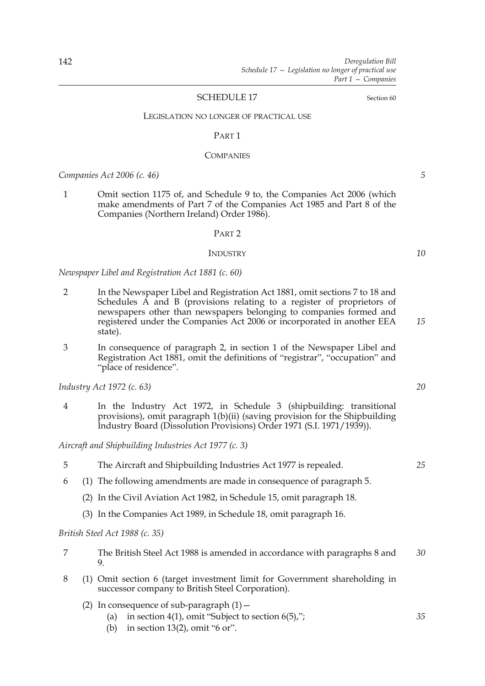# SCHEDULE 17 Section 60

#### LEGISLATION NO LONGER OF PRACTICAL USE

#### PART 1

#### **COMPANIES**

*Companies Act 2006 (c. 46)*

1 Omit section 1175 of, and Schedule 9 to, the Companies Act 2006 (which make amendments of Part 7 of the Companies Act 1985 and Part 8 of the Companies (Northern Ireland) Order 1986).

#### PART 2

## INDUSTRY

*Newspaper Libel and Registration Act 1881 (c. 60)*

- 2 In the Newspaper Libel and Registration Act 1881, omit sections 7 to 18 and Schedules A and B (provisions relating to a register of proprietors of newspapers other than newspapers belonging to companies formed and registered under the Companies Act 2006 or incorporated in another EEA state).
- 3 In consequence of paragraph 2, in section 1 of the Newspaper Libel and Registration Act 1881, omit the definitions of "registrar", "occupation" and "place of residence".

*Industry Act 1972 (c. 63)*

4 In the Industry Act 1972, in Schedule 3 (shipbuilding: transitional provisions), omit paragraph 1(b)(ii) (saving provision for the Shipbuilding Industry Board (Dissolution Provisions) Order 1971 (S.I. 1971/1939)).

*Aircraft and Shipbuilding Industries Act 1977 (c. 3)*

| The Aircraft and Shipbuilding Industries Act 1977 is repealed. |
|----------------------------------------------------------------|
|                                                                |

- 6 (1) The following amendments are made in consequence of paragraph 5.
	- (2) In the Civil Aviation Act 1982, in Schedule 15, omit paragraph 18.
	- (3) In the Companies Act 1989, in Schedule 18, omit paragraph 16.

# *British Steel Act 1988 (c. 35)*

- 7 The British Steel Act 1988 is amended in accordance with paragraphs 8 and 9. *30*
- 8 (1) Omit section 6 (target investment limit for Government shareholding in successor company to British Steel Corporation).
	- (2) In consequence of sub-paragraph  $(1)$  -
		- (a) in section 4(1), omit "Subject to section  $6(5)$ ,";
		- (b) in section 13(2), omit "6 or".

*10*

*15*

*5*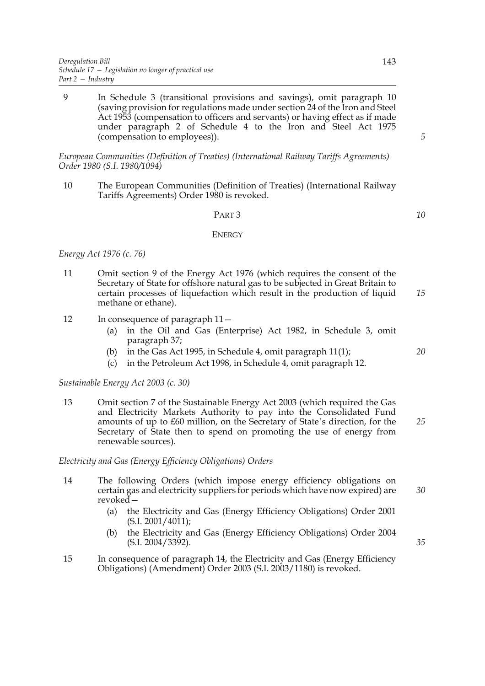9 In Schedule 3 (transitional provisions and savings), omit paragraph 10 (saving provision for regulations made under section 24 of the Iron and Steel Act 1953 (compensation to officers and servants) or having effect as if made under paragraph 2 of Schedule 4 to the Iron and Steel Act 1975 (compensation to employees)).

*European Communities (Definition of Treaties) (International Railway Tariffs Agreements) Order 1980 (S.I. 1980/1094)*

10 The European Communities (Definition of Treaties) (International Railway Tariffs Agreements) Order 1980 is revoked.

## PART 3

#### ENERGY

# *Energy Act 1976 (c. 76)*

- 11 Omit section 9 of the Energy Act 1976 (which requires the consent of the Secretary of State for offshore natural gas to be subjected in Great Britain to certain processes of liquefaction which result in the production of liquid methane or ethane).
- 12 In consequence of paragraph 11—
	- (a) in the Oil and Gas (Enterprise) Act 1982, in Schedule 3, omit paragraph 37;
	- (b) in the Gas Act 1995, in Schedule 4, omit paragraph 11(1);
	- (c) in the Petroleum Act 1998, in Schedule 4, omit paragraph 12.

## *Sustainable Energy Act 2003 (c. 30)*

13 Omit section 7 of the Sustainable Energy Act 2003 (which required the Gas and Electricity Markets Authority to pay into the Consolidated Fund amounts of up to £60 million, on the Secretary of State's direction, for the Secretary of State then to spend on promoting the use of energy from renewable sources). *25*

# *Electricity and Gas (Energy Efficiency Obligations) Orders*

- 14 The following Orders (which impose energy efficiency obligations on certain gas and electricity suppliers for periods which have now expired) are revoked—
	- (a) the Electricity and Gas (Energy Efficiency Obligations) Order 2001  $(S.I. 2001/4011)$ ;
	- (b) the Electricity and Gas (Energy Efficiency Obligations) Order 2004 (S.I. 2004/3392).
- 15 In consequence of paragraph 14, the Electricity and Gas (Energy Efficiency Obligations) (Amendment) Order 2003 (S.I. 2003/1180) is revoked.

*5*

*10*

*15*

*20*

*30*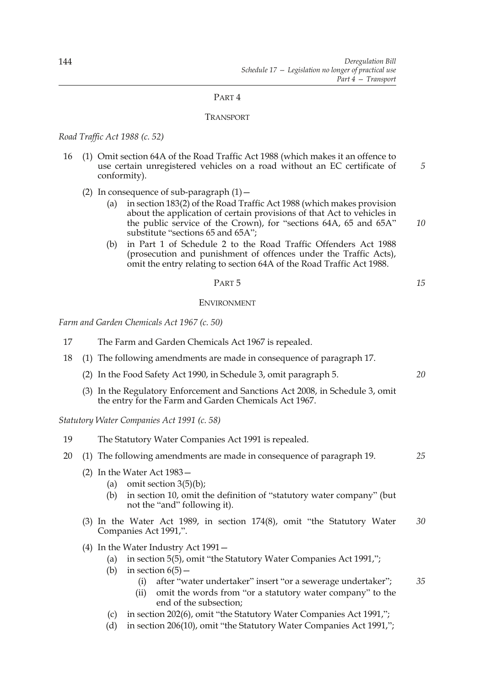# PART 4

## TRANSPORT

*Road Traffic Act 1988 (c. 52)*

- 16 (1) Omit section 64A of the Road Traffic Act 1988 (which makes it an offence to use certain unregistered vehicles on a road without an EC certificate of conformity). *5*
	- (2) In consequence of sub-paragraph  $(1)$  -
		- (a) in section 183(2) of the Road Traffic Act 1988 (which makes provision about the application of certain provisions of that Act to vehicles in the public service of the Crown), for "sections 64A, 65 and 65A" substitute "sections 65 and 65A";
		- (b) in Part 1 of Schedule 2 to the Road Traffic Offenders Act 1988 (prosecution and punishment of offences under the Traffic Acts), omit the entry relating to section 64A of the Road Traffic Act 1988.

PART 5

## ENVIRONMENT

*Farm and Garden Chemicals Act 1967 (c. 50)*

- 17 The Farm and Garden Chemicals Act 1967 is repealed.
- 18 (1) The following amendments are made in consequence of paragraph 17.
	- (2) In the Food Safety Act 1990, in Schedule 3, omit paragraph 5.
	- (3) In the Regulatory Enforcement and Sanctions Act 2008, in Schedule 3, omit the entry for the Farm and Garden Chemicals Act 1967.

*Statutory Water Companies Act 1991 (c. 58)*

- 19 The Statutory Water Companies Act 1991 is repealed.
- 20 (1) The following amendments are made in consequence of paragraph 19. *25*
	- (2) In the Water Act 1983—
		- (a) omit section  $3(5)(b)$ ;
		- (b) in section 10, omit the definition of "statutory water company" (but not the "and" following it).
	- (3) In the Water Act 1989, in section 174(8), omit "the Statutory Water Companies Act 1991,". *30*
	- (4) In the Water Industry Act 1991—
		- (a) in section 5(5), omit "the Statutory Water Companies Act 1991,";
		- (b) in section  $6(5)$  -
			- (i) after "water undertaker" insert "or a sewerage undertaker"; *35*
			- (ii) omit the words from "or a statutory water company" to the end of the subsection;
		- (c) in section 202(6), omit "the Statutory Water Companies Act 1991,";
		- (d) in section 206(10), omit "the Statutory Water Companies Act 1991,";

*15*

*20*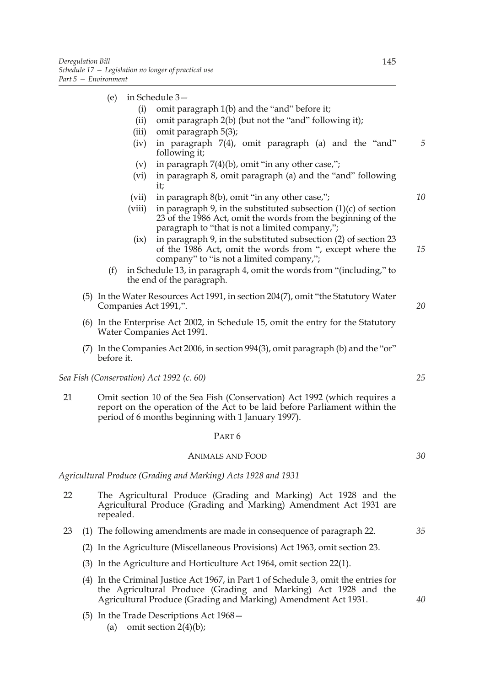# (e) in Schedule 3—

- (i) omit paragraph 1(b) and the "and" before it;
- (ii) omit paragraph 2(b) (but not the "and" following it);
- (iii) omit paragraph 5(3);
- (iv) in paragraph 7(4), omit paragraph (a) and the "and" following it; *5*
- (v) in paragraph  $7(4)(b)$ , omit "in any other case,";
- (vi) in paragraph 8, omit paragraph (a) and the "and" following it;
- (vii) in paragraph 8(b), omit "in any other case,";
- (viii) in paragraph 9, in the substituted subsection  $(1)(c)$  of section 23 of the 1986 Act, omit the words from the beginning of the paragraph to "that is not a limited company,";
	- (ix) in paragraph 9, in the substituted subsection (2) of section 23 of the 1986 Act, omit the words from ", except where the company" to "is not a limited company,"; *15*
- (f) in Schedule 13, in paragraph 4, omit the words from "(including," to the end of the paragraph.
- (5) In the Water Resources Act 1991, in section 204(7), omit "the Statutory Water Companies Act 1991,".
- (6) In the Enterprise Act 2002, in Schedule 15, omit the entry for the Statutory Water Companies Act 1991.
- (7) In the Companies Act 2006, in section 994(3), omit paragraph (b) and the "or" before it.

*Sea Fish (Conservation) Act 1992 (c. 60)*

21 Omit section 10 of the Sea Fish (Conservation) Act 1992 (which requires a report on the operation of the Act to be laid before Parliament within the period of 6 months beginning with 1 January 1997).

#### PART 6

## ANIMALS AND FOOD

*Agricultural Produce (Grading and Marking) Acts 1928 and 1931*

- 22 The Agricultural Produce (Grading and Marking) Act 1928 and the Agricultural Produce (Grading and Marking) Amendment Act 1931 are repealed.
- 23 (1) The following amendments are made in consequence of paragraph 22.
	- (2) In the Agriculture (Miscellaneous Provisions) Act 1963, omit section 23.
	- (3) In the Agriculture and Horticulture Act 1964, omit section 22(1).
	- (4) In the Criminal Justice Act 1967, in Part 1 of Schedule 3, omit the entries for the Agricultural Produce (Grading and Marking) Act 1928 and the Agricultural Produce (Grading and Marking) Amendment Act 1931.
	- (5) In the Trade Descriptions Act 1968—
		- (a) omit section  $2(4)(b)$ ;

*10*

*20*

*25*

*35*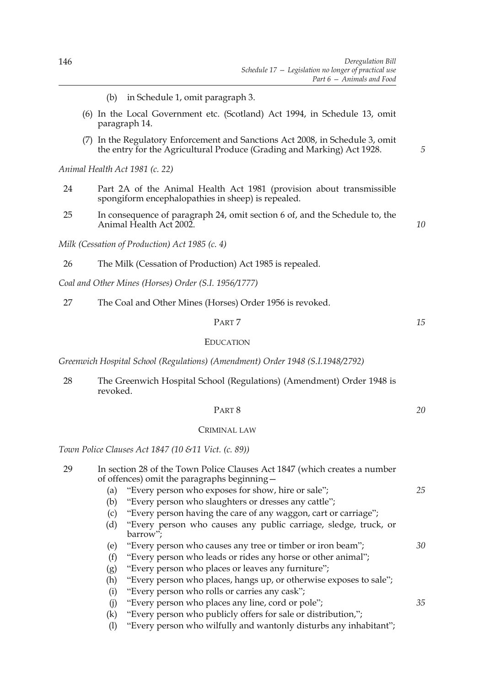- (b) in Schedule 1, omit paragraph 3.
- (6) In the Local Government etc. (Scotland) Act 1994, in Schedule 13, omit paragraph 14.
- (7) In the Regulatory Enforcement and Sanctions Act 2008, in Schedule 3, omit the entry for the Agricultural Produce (Grading and Marking) Act 1928.

*Animal Health Act 1981 (c. 22)*

- 24 Part 2A of the Animal Health Act 1981 (provision about transmissible spongiform encephalopathies in sheep) is repealed.
- 25 In consequence of paragraph 24, omit section 6 of, and the Schedule to, the Animal Health Act 2002.

*Milk (Cessation of Production) Act 1985 (c. 4)*

26 The Milk (Cessation of Production) Act 1985 is repealed.

*Coal and Other Mines (Horses) Order (S.I. 1956/1777)*

27 The Coal and Other Mines (Horses) Order 1956 is revoked.

#### PART 7

#### EDUCATION

*Greenwich Hospital School (Regulations) (Amendment) Order 1948 (S.I.1948/2792)*

28 The Greenwich Hospital School (Regulations) (Amendment) Order 1948 is revoked.

## PART 8

# CRIMINAL LAW

*Town Police Clauses Act 1847 (10 &11 Vict. (c. 89))*

# 29 In section 28 of the Town Police Clauses Act 1847 (which creates a number of offences) omit the paragraphs beginning—

- (a) "Every person who exposes for show, hire or sale";
- (b) "Every person who slaughters or dresses any cattle";
- (c) "Every person having the care of any waggon, cart or carriage";
- (d) "Every person who causes any public carriage, sledge, truck, or barrow";
- (e) "Every person who causes any tree or timber or iron beam";
- (f) "Every person who leads or rides any horse or other animal";
- (g) "Every person who places or leaves any furniture";
- (h) "Every person who places, hangs up, or otherwise exposes to sale";
- (i) "Every person who rolls or carries any cask";
- (j) "Every person who places any line, cord or pole";
- (k) "Every person who publicly offers for sale or distribution,";
- (l) "Every person who wilfully and wantonly disturbs any inhabitant";

*5*

*15*

*10*

*20*

*25*

*30*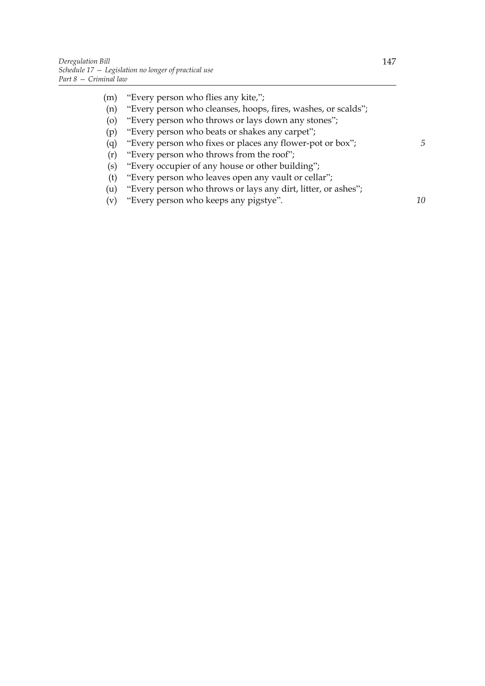- (m) "Every person who flies any kite,"; (n) "Every person who cleanses, hoops, fires, washes, or scalds"; (o) "Every person who throws or lays down any stones"; (p) "Every person who beats or shakes any carpet"; (q) "Every person who fixes or places any flower-pot or box"; (r) "Every person who throws from the roof"; (s) "Every occupier of any house or other building"; (t) "Every person who leaves open any vault or cellar";
	- (u) "Every person who throws or lays any dirt, litter, or ashes";
	- (v) "Every person who keeps any pigstye".

*10*